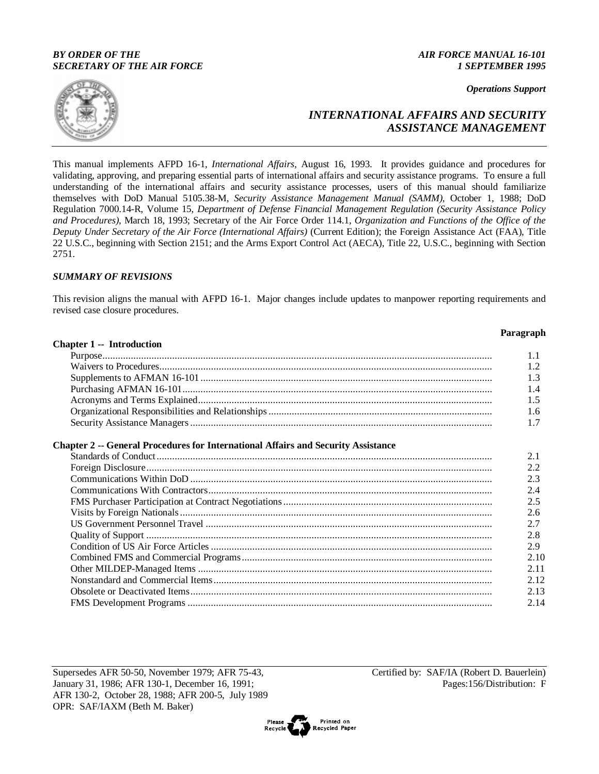### *BY ORDER OF THE AIR FORCE MANUAL 16-101 SECRETARY OF THE AIR FORCE 1 SEPTEMBER 1995*

*Operations Support*



# *INTERNATIONAL AFFAIRS AND SECURITY ASSISTANCE MANAGEMENT*

This manual implements AFPD 16-1, *International Affairs,* August 16, 1993. It provides guidance and procedures for validating, approving, and preparing essential parts of international affairs and security assistance programs. To ensure a full understanding of the international affairs and security assistance processes, users of this manual should familiarize themselves with DoD Manual 5105.38-M, *Security Assistance Management Manual (SAMM)*, October 1, 1988; DoD Regulation 7000.14-R, Volume 15, *Department of Defense Financial Management Regulation (Security Assistance Policy and Procedures)*, March 18, 1993; Secretary of the Air Force Order 114.1, *Organization and Functions of the Office of the Deputy Under Secretary of the Air Force (International Affairs)* (Current Edition); the Foreign Assistance Act (FAA), Title 22 U.S.C., beginning with Section 2151; and the Arms Export Control Act (AECA), Title 22, U.S.C., beginning with Section 2751.

# *SUMMARY OF REVISIONS*

**Chapter 1 -- Introduction**

This revision aligns the manual with AFPD 16-1. Major changes include updates to manpower reporting requirements and revised case closure procedures.

#### **Paragraph**

|                                                                                          | 1.1  |
|------------------------------------------------------------------------------------------|------|
|                                                                                          | 1.2  |
|                                                                                          | 1.3  |
|                                                                                          | 1.4  |
|                                                                                          | 1.5  |
|                                                                                          | 1.6  |
|                                                                                          | 1.7  |
|                                                                                          |      |
| <b>Chapter 2 -- General Procedures for International Affairs and Security Assistance</b> |      |
|                                                                                          | 2.1  |
|                                                                                          | 2.2  |
|                                                                                          | 2.3  |
|                                                                                          | 2.4  |
|                                                                                          | 2.5  |
|                                                                                          | 2.6  |
|                                                                                          | 2.7  |
|                                                                                          | 2.8  |
|                                                                                          | 2.9  |
|                                                                                          | 2.10 |
|                                                                                          | 2.11 |
|                                                                                          | 2.12 |
|                                                                                          | 2.13 |
|                                                                                          | 2.14 |
|                                                                                          |      |

Supersedes AFR 50-50, November 1979; AFR 75-43, Certified by: SAF/IA (Robert D. Bauerlein) January 31, 1986; AFR 130-1, December 16, 1991; Pages:156/Distribution: F AFR 130-2, October 28, 1988; AFR 200-5, July 1989 OPR: SAF/IAXM (Beth M. Baker)

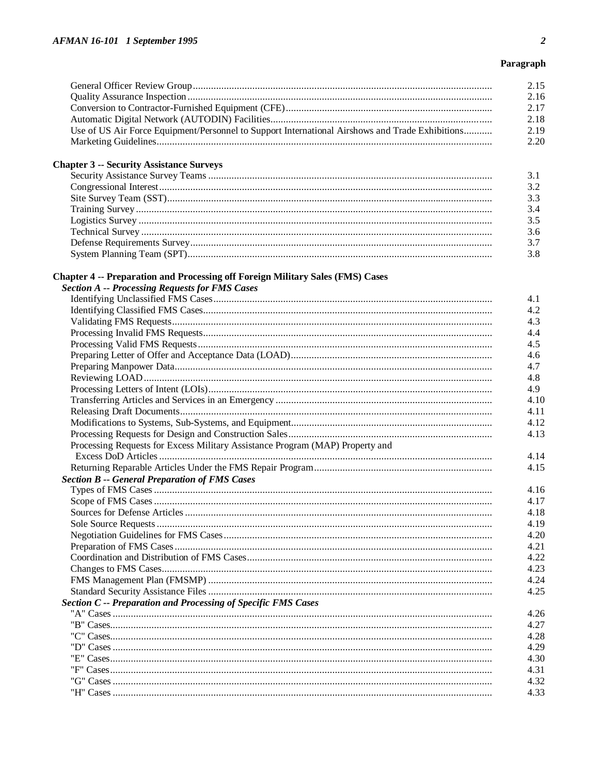# Paragraph

| Use of US Air Force Equipment/Personnel to Support International Airshows and Trade Exhibitions                                                |  |
|------------------------------------------------------------------------------------------------------------------------------------------------|--|
|                                                                                                                                                |  |
| <b>Chapter 3 -- Security Assistance Surveys</b>                                                                                                |  |
|                                                                                                                                                |  |
|                                                                                                                                                |  |
|                                                                                                                                                |  |
|                                                                                                                                                |  |
|                                                                                                                                                |  |
|                                                                                                                                                |  |
|                                                                                                                                                |  |
|                                                                                                                                                |  |
| <b>Chapter 4 -- Preparation and Processing off Foreign Military Sales (FMS) Cases</b><br><b>Section A -- Processing Requests for FMS Cases</b> |  |
|                                                                                                                                                |  |
|                                                                                                                                                |  |
|                                                                                                                                                |  |
|                                                                                                                                                |  |
|                                                                                                                                                |  |
|                                                                                                                                                |  |
|                                                                                                                                                |  |
|                                                                                                                                                |  |
|                                                                                                                                                |  |
|                                                                                                                                                |  |
|                                                                                                                                                |  |
|                                                                                                                                                |  |
| Processing Requests for Excess Military Assistance Program (MAP) Property and                                                                  |  |
|                                                                                                                                                |  |
| <b>Section B -- General Preparation of FMS Cases</b>                                                                                           |  |
|                                                                                                                                                |  |
|                                                                                                                                                |  |
| Sources for Defense Articles                                                                                                                   |  |
|                                                                                                                                                |  |
|                                                                                                                                                |  |
|                                                                                                                                                |  |
|                                                                                                                                                |  |
|                                                                                                                                                |  |
|                                                                                                                                                |  |
|                                                                                                                                                |  |
| Section C -- Preparation and Processing of Specific FMS Cases                                                                                  |  |
|                                                                                                                                                |  |
|                                                                                                                                                |  |
|                                                                                                                                                |  |
|                                                                                                                                                |  |
|                                                                                                                                                |  |
|                                                                                                                                                |  |
|                                                                                                                                                |  |
|                                                                                                                                                |  |
|                                                                                                                                                |  |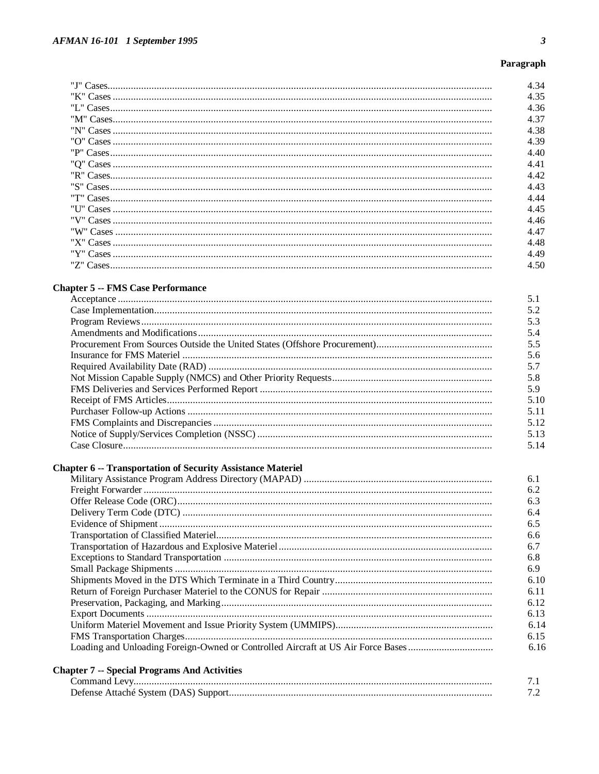# Paragraph

| 4.35<br>4.36<br>4.37<br>4.38<br>4.39 |
|--------------------------------------|
|                                      |
|                                      |
|                                      |
|                                      |
|                                      |
| 4.40                                 |
| 4.41                                 |
| 4.42                                 |
| 4.43                                 |
| 4.44                                 |
| 4.45                                 |
| 4.46                                 |
| 4.47                                 |
| 4.48                                 |
| 4.49                                 |
| 4.50                                 |

# **Chapter 5 -- FMS Case Performance**

| 52   |
|------|
| 5.3  |
| 5.4  |
| 5.5  |
| 5.6  |
|      |
| 5.8  |
| 5.9  |
| 5.10 |
| 5.11 |
| 5.12 |
| 5.13 |
| 5.14 |

# **Chapter 6 -- Transportation of Security Assistance Materiel<br>Military Assistance Program Address Directory (MAPAD)**

| Loading and Unloading Foreign-Owned or Controlled Aircraft at US Air Force Bases |
|----------------------------------------------------------------------------------|
|                                                                                  |

# **Chapter 7 -- Special Programs And Activities**

| ∐ommand Levv. |  |
|---------------|--|
|               |  |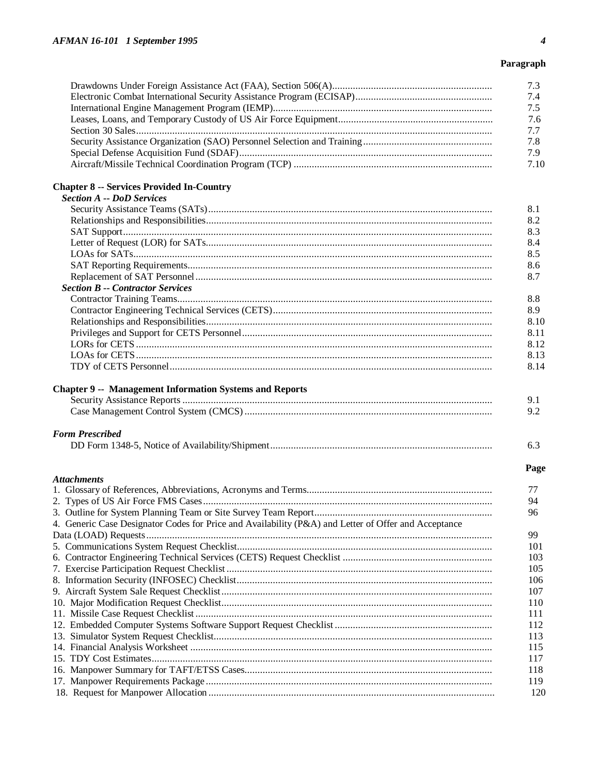# Paragraph

|                                                                                                      | 7.3<br>7.4<br>7.5 |
|------------------------------------------------------------------------------------------------------|-------------------|
|                                                                                                      | 7.6<br>7.7        |
|                                                                                                      | 7.8               |
|                                                                                                      | 7.9               |
|                                                                                                      | 7.10              |
| <b>Chapter 8 -- Services Provided In-Country</b>                                                     |                   |
| <b>Section A -- DoD Services</b>                                                                     |                   |
|                                                                                                      | 8.1               |
|                                                                                                      | 8.2               |
|                                                                                                      | 8.3               |
|                                                                                                      | 8.4               |
|                                                                                                      | 8.5               |
|                                                                                                      | 8.6               |
|                                                                                                      | 8.7               |
| <b>Section B -- Contractor Services</b>                                                              |                   |
|                                                                                                      | 8.8               |
|                                                                                                      | 8.9               |
|                                                                                                      | 8.10              |
|                                                                                                      | 8.11              |
|                                                                                                      | 8.12              |
|                                                                                                      | 8.13              |
|                                                                                                      | 8.14              |
|                                                                                                      |                   |
| <b>Chapter 9 -- Management Information Systems and Reports</b>                                       |                   |
|                                                                                                      | 9.1<br>9.2        |
|                                                                                                      |                   |
| <b>Form Prescribed</b>                                                                               |                   |
|                                                                                                      | 6.3               |
|                                                                                                      |                   |
| <b>Attachments</b>                                                                                   | Page              |
|                                                                                                      | 77                |
|                                                                                                      | 94                |
|                                                                                                      | 96                |
| 4. Generic Case Designator Codes for Price and Availability (P&A) and Letter of Offer and Acceptance |                   |
|                                                                                                      | 99                |
|                                                                                                      | 101               |
|                                                                                                      | 103               |
|                                                                                                      |                   |
|                                                                                                      | 105               |
|                                                                                                      | 106               |
|                                                                                                      | 107               |
|                                                                                                      | 110               |
|                                                                                                      | 111               |
|                                                                                                      | 112               |
|                                                                                                      | 113               |
|                                                                                                      | 115               |
|                                                                                                      | 117               |
|                                                                                                      | 118               |
|                                                                                                      | 119               |
|                                                                                                      | 120               |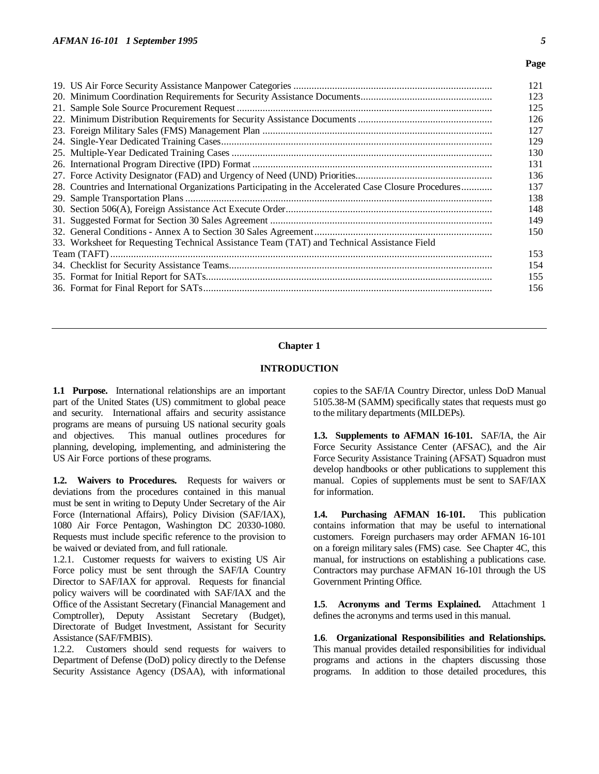#### **Page**

|                                                                                                        | 121 |
|--------------------------------------------------------------------------------------------------------|-----|
|                                                                                                        |     |
|                                                                                                        | 123 |
|                                                                                                        | 125 |
|                                                                                                        | 126 |
|                                                                                                        | 127 |
|                                                                                                        | 129 |
|                                                                                                        | 130 |
|                                                                                                        | 131 |
|                                                                                                        | 136 |
| 28. Countries and International Organizations Participating in the Accelerated Case Closure Procedures | 137 |
|                                                                                                        | 138 |
|                                                                                                        | 148 |
|                                                                                                        | 149 |
|                                                                                                        | 150 |
| 33. Worksheet for Requesting Technical Assistance Team (TAT) and Technical Assistance Field            |     |
|                                                                                                        | 153 |
|                                                                                                        | 154 |
|                                                                                                        | 155 |
|                                                                                                        | 156 |
|                                                                                                        |     |

#### **Chapter 1**

#### **INTRODUCTION**

**1.1 Purpose.** International relationships are an important part of the United States (US) commitment to global peace and security. International affairs and security assistance programs are means of pursuing US national security goals and objectives. This manual outlines procedures for planning, developing, implementing, and administering the US Air Force portions of these programs.

**1.2. Waivers to Procedures.** Requests for waivers or deviations from the procedures contained in this manual must be sent in writing to Deputy Under Secretary of the Air Force (International Affairs), Policy Division (SAF/IAX), 1080 Air Force Pentagon, Washington DC 20330-1080. Requests must include specific reference to the provision to be waived or deviated from, and full rationale.

1.2.1. Customer requests for waivers to existing US Air Force policy must be sent through the SAF/IA Country Director to SAF/IAX for approval. Requests for financial policy waivers will be coordinated with SAF/IAX and the Office of the Assistant Secretary (Financial Management and Comptroller), Deputy Assistant Secretary (Budget), Directorate of Budget Investment, Assistant for Security Assistance (SAF/FMBIS).

1.2.2. Customers should send requests for waivers to Department of Defense (DoD) policy directly to the Defense Security Assistance Agency (DSAA), with informational copies to the SAF/IA Country Director, unless DoD Manual 5105.38-M (SAMM) specifically states that requests must go to the military departments (MILDEPs).

**1.3. Supplements to AFMAN 16-101.** SAF/IA, the Air Force Security Assistance Center (AFSAC), and the Air Force Security Assistance Training (AFSAT) Squadron must develop handbooks or other publications to supplement this manual. Copies of supplements must be sent to SAF/IAX for information.

**1.4. Purchasing AFMAN 16-101.** This publication contains information that may be useful to international customers. Foreign purchasers may order AFMAN 16-101 on a foreign military sales (FMS) case. See Chapter 4C, this manual, for instructions on establishing a publications case. Contractors may purchase AFMAN 16-101 through the US Government Printing Office.

**1.5**. **Acronyms and Terms Explained.** Attachment 1 defines the acronyms and terms used in this manual.

**1.6**. **Organizational Responsibilities and Relationships.** This manual provides detailed responsibilities for individual programs and actions in the chapters discussing those programs. In addition to those detailed procedures, this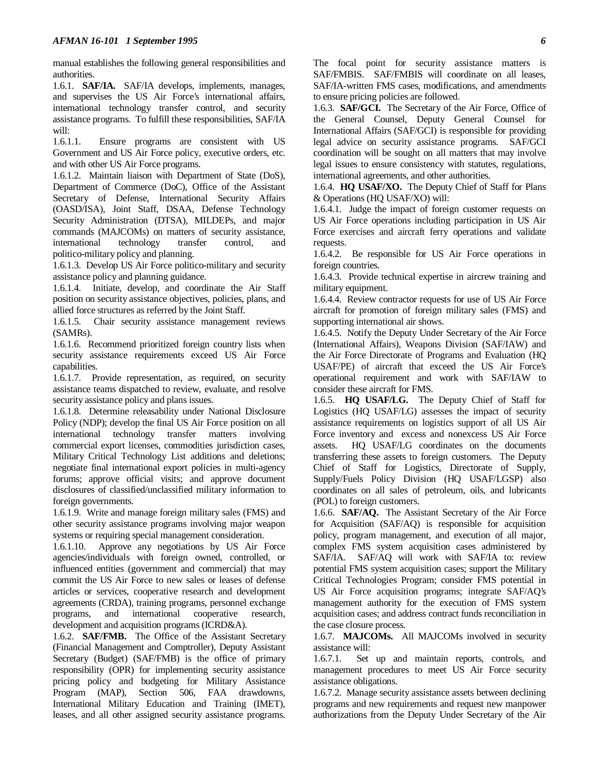manual establishes the following general responsibilities and authorities.

1.6.1. **SAF/IA.** SAF/IA develops, implements, manages, and supervises the US Air Force's international affairs, international technology transfer control, and security assistance programs. To fulfill these responsibilities, SAF/IA will:

1.6.1.1. Ensure programs are consistent with US Government and US Air Force policy, executive orders, etc. and with other US Air Force programs.

1.6.1.2. Maintain liaison with Department of State (DoS), Department of Commerce (DoC), Office of the Assistant Secretary of Defense, International Security Affairs (OASD/ISA), Joint Staff, DSAA, Defense Technology Security Administration (DTSA), MILDEPs, and major commands (MAJCOMs) on matters of security assistance, international technology transfer control, and politico-military policy and planning.

1.6.1.3. Develop US Air Force politico-military and security assistance policy and planning guidance.

1.6.1.4. Initiate, develop, and coordinate the Air Staff position on security assistance objectives, policies, plans, and allied force structures as referred by the Joint Staff.

1.6.1.5. Chair security assistance management reviews (SAMRs).

1.6.1.6. Recommend prioritized foreign country lists when security assistance requirements exceed US Air Force capabilities.

1.6.1.7. Provide representation, as required, on security assistance teams dispatched to review, evaluate, and resolve security assistance policy and plans issues.

1.6.1.8. Determine releasability under National Disclosure Policy (NDP); develop the final US Air Force position on all international technology transfer matters involving commercial export licenses, commodities jurisdiction cases, Military Critical Technology List additions and deletions; negotiate final international export policies in multi-agency forums; approve official visits; and approve document disclosures of classified/unclassified military information to foreign governments.

1.6.1.9. Write and manage foreign military sales (FMS) and other security assistance programs involving major weapon systems or requiring special management consideration.

1.6.1.10. Approve any negotiations by US Air Force agencies/individuals with foreign owned, controlled, or influenced entities (government and commercial) that may commit the US Air Force to new sales or leases of defense articles or services, cooperative research and development agreements (CRDA), training programs, personnel exchange programs, and international cooperative research, development and acquisition programs (ICRD&A).

1.6.2. **SAF/FMB.** The Office of the Assistant Secretary (Financial Management and Comptroller), Deputy Assistant Secretary (Budget) (SAF/FMB) is the office of primary responsibility (OPR) for implementing security assistance pricing policy and budgeting for Military Assistance Program (MAP), Section 506, FAA drawdowns, International Military Education and Training (IMET), leases, and all other assigned security assistance programs. The focal point for security assistance matters is SAF/FMBIS. SAF/FMBIS will coordinate on all leases, SAF/IA-written FMS cases, modifications, and amendments to ensure pricing policies are followed.

1.6.3. **SAF/GCI.** The Secretary of the Air Force, Office of the General Counsel, Deputy General Counsel for International Affairs (SAF/GCI) is responsible for providing legal advice on security assistance programs. SAF/GCI coordination will be sought on all matters that may involve legal issues to ensure consistency with statutes, regulations, international agreements, and other authorities.

1.6.4. **HQ USAF/XO.** The Deputy Chief of Staff for Plans & Operations (HQ USAF/XO) will:

1.6.4.1. Judge the impact of foreign customer requests on US Air Force operations including participation in US Air Force exercises and aircraft ferry operations and validate requests.

1.6.4.2. Be responsible for US Air Force operations in foreign countries.

1.6.4.3. Provide technical expertise in aircrew training and military equipment.

1.6.4.4. Review contractor requests for use of US Air Force aircraft for promotion of foreign military sales (FMS) and supporting international air shows.

1.6.4.5. Notify the Deputy Under Secretary of the Air Force (International Affairs), Weapons Division (SAF/IAW) and the Air Force Directorate of Programs and Evaluation (HQ USAF/PE) of aircraft that exceed the US Air Force's operational requirement and work with SAF/IAW to consider these aircraft for FMS.

1.6.5. **HQ USAF/LG.** The Deputy Chief of Staff for Logistics (HQ USAF/LG) assesses the impact of security assistance requirements on logistics support of all US Air Force inventory and excess and nonexcess US Air Force assets. HQ USAF/LG coordinates on the documents transferring these assets to foreign customers. The Deputy Chief of Staff for Logistics, Directorate of Supply, Supply/Fuels Policy Division (HQ USAF/LGSP) also coordinates on all sales of petroleum, oils, and lubricants (POL) to foreign customers.

1.6.6. **SAF/AQ.** The Assistant Secretary of the Air Force for Acquisition (SAF/AQ) is responsible for acquisition policy, program management, and execution of all major, complex FMS system acquisition cases administered by SAF/IA. SAF/AQ will work with SAF/IA to: review potential FMS system acquisition cases; support the Military Critical Technologies Program; consider FMS potential in US Air Force acquisition programs; integrate SAF/AQ's management authority for the execution of FMS system acquisition cases; and address contract funds reconciliation in the case closure process.

1.6.7. **MAJCOMs.** All MAJCOMs involved in security assistance will:

1.6.7.1. Set up and maintain reports, controls, and management procedures to meet US Air Force security assistance obligations.

1.6.7.2. Manage security assistance assets between declining programs and new requirements and request new manpower authorizations from the Deputy Under Secretary of the Air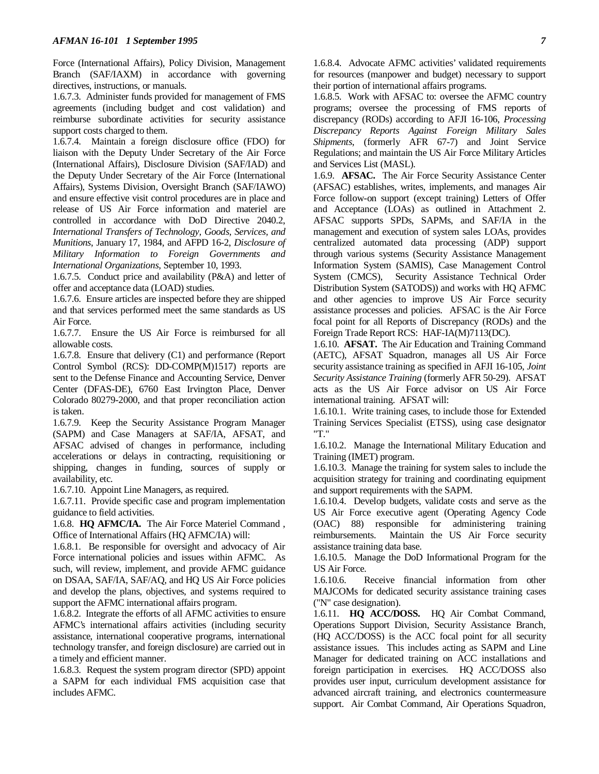Force (International Affairs), Policy Division, Management Branch (SAF/IAXM) in accordance with governing directives, instructions, or manuals.

1.6.7.3. Administer funds provided for management of FMS agreements (including budget and cost validation) and reimburse subordinate activities for security assistance support costs charged to them.

1.6.7.4. Maintain a foreign disclosure office (FDO) for liaison with the Deputy Under Secretary of the Air Force (International Affairs), Disclosure Division (SAF/IAD) and the Deputy Under Secretary of the Air Force (International Affairs), Systems Division, Oversight Branch (SAF/IAWO) and ensure effective visit control procedures are in place and release of US Air Force information and materiel are controlled in accordance with DoD Directive 2040.2, *International Transfers of Technology, Goods, Services, and Munitions*, January 17, 1984, and AFPD 16-2, *Disclosure of Military Information to Foreign Governments and International Organizations*, September 10, 1993.

1.6.7.5. Conduct price and availability (P&A) and letter of offer and acceptance data (LOAD) studies.

1.6.7.6. Ensure articles are inspected before they are shipped and that services performed meet the same standards as US Air Force.

1.6.7.7. Ensure the US Air Force is reimbursed for all allowable costs.

1.6.7.8. Ensure that delivery (C1) and performance (Report Control Symbol (RCS): DD-COMP(M)1517) reports are sent to the Defense Finance and Accounting Service, Denver Center (DFAS-DE), 6760 East Irvington Place, Denver Colorado 80279-2000, and that proper reconciliation action is taken.

1.6.7.9. Keep the Security Assistance Program Manager (SAPM) and Case Managers at SAF/IA, AFSAT, and AFSAC advised of changes in performance, including accelerations or delays in contracting, requisitioning or shipping, changes in funding, sources of supply or availability, etc.

1.6.7.10. Appoint Line Managers, as required.

1.6.7.11. Provide specific case and program implementation guidance to field activities.

1.6.8. **HQ AFMC/IA.** The Air Force Materiel Command , Office of International Affairs (HQ AFMC/IA) will:

1.6.8.1. Be responsible for oversight and advocacy of Air Force international policies and issues within AFMC. As such, will review, implement, and provide AFMC guidance on DSAA, SAF/IA, SAF/AQ, and HQ US Air Force policies and develop the plans, objectives, and systems required to support the AFMC international affairs program.

1.6.8.2. Integrate the efforts of all AFMC activities to ensure AFMC's international affairs activities (including security assistance, international cooperative programs, international technology transfer, and foreign disclosure) are carried out in a timely and efficient manner.

1.6.8.3. Request the system program director (SPD) appoint a SAPM for each individual FMS acquisition case that includes AFMC.

1.6.8.4. Advocate AFMC activities' validated requirements for resources (manpower and budget) necessary to support their portion of international affairs programs.

1.6.8.5. Work with AFSAC to: oversee the AFMC country programs; oversee the processing of FMS reports of discrepancy (RODs) according to AFJI 16-106, *Processing Discrepancy Reports Against Foreign Military Sales Shipments*, (formerly AFR 67-7) and Joint Service Regulations; and maintain the US Air Force Military Articles and Services List (MASL).

1.6.9. **AFSAC.** The Air Force Security Assistance Center (AFSAC) establishes, writes, implements, and manages Air Force follow-on support (except training) Letters of Offer and Acceptance (LOAs) as outlined in Attachment 2. AFSAC supports SPDs, SAPMs, and SAF/IA in the management and execution of system sales LOAs, provides centralized automated data processing (ADP) support through various systems (Security Assistance Management Information System (SAMIS), Case Management Control System (CMCS), Security Assistance Technical Order Distribution System (SATODS)) and works with HQ AFMC and other agencies to improve US Air Force security assistance processes and policies. AFSAC is the Air Force focal point for all Reports of Discrepancy (RODs) and the Foreign Trade Report RCS: HAF-IA(M)7113(DC).

1.6.10. **AFSAT.** The Air Education and Training Command (AETC), AFSAT Squadron, manages all US Air Force security assistance training as specified in AFJI 16-105, *Joint Security Assistance Training* (formerly AFR 50-29). AFSAT acts as the US Air Force advisor on US Air Force international training. AFSAT will:

1.6.10.1. Write training cases, to include those for Extended Training Services Specialist (ETSS), using case designator "T."

1.6.10.2. Manage the International Military Education and Training (IMET) program.

1.6.10.3. Manage the training for system sales to include the acquisition strategy for training and coordinating equipment and support requirements with the SAPM.

1.6.10.4. Develop budgets, validate costs and serve as the US Air Force executive agent (Operating Agency Code (OAC) 88) responsible for administering training reimbursements. Maintain the US Air Force security assistance training data base.

1.6.10.5. Manage the DoD Informational Program for the US Air Force.

1.6.10.6. Receive financial information from other MAJCOMs for dedicated security assistance training cases ("N" case designation).

1.6.11. **HQ ACC/DOSS.** HQ Air Combat Command, Operations Support Division, Security Assistance Branch, (HQ ACC/DOSS) is the ACC focal point for all security assistance issues. This includes acting as SAPM and Line Manager for dedicated training on ACC installations and foreign participation in exercises. HQ ACC/DOSS also provides user input, curriculum development assistance for advanced aircraft training, and electronics countermeasure support. Air Combat Command, Air Operations Squadron,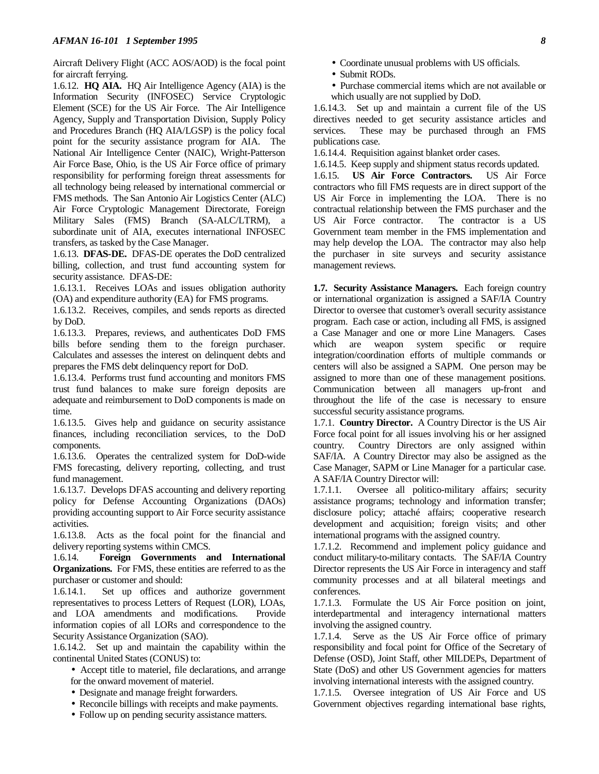Aircraft Delivery Flight (ACC AOS/AOD) is the focal point for aircraft ferrying.

1.6.12. **HQ AIA.** HQ Air Intelligence Agency (AIA) is the Information Security (INFOSEC) Service Cryptologic Element (SCE) for the US Air Force. The Air Intelligence Agency, Supply and Transportation Division, Supply Policy and Procedures Branch (HQ AIA/LGSP) is the policy focal point for the security assistance program for AIA. The National Air Intelligence Center (NAIC), Wright-Patterson Air Force Base, Ohio, is the US Air Force office of primary responsibility for performing foreign threat assessments for all technology being released by international commercial or FMS methods. The San Antonio Air Logistics Center (ALC) Air Force Cryptologic Management Directorate, Foreign Military Sales (FMS) Branch (SA-ALC/LTRM), a subordinate unit of AIA, executes international INFOSEC transfers, as tasked by the Case Manager.

1.6.13. **DFAS-DE.** DFAS-DE operates the DoD centralized billing, collection, and trust fund accounting system for security assistance. DFAS-DE:

1.6.13.1. Receives LOAs and issues obligation authority (OA) and expenditure authority (EA) for FMS programs.

1.6.13.2. Receives, compiles, and sends reports as directed by DoD.

1.6.13.3. Prepares, reviews, and authenticates DoD FMS bills before sending them to the foreign purchaser. Calculates and assesses the interest on delinquent debts and prepares the FMS debt delinquency report for DoD.

1.6.13.4. Performs trust fund accounting and monitors FMS trust fund balances to make sure foreign deposits are adequate and reimbursement to DoD components is made on time.

1.6.13.5. Gives help and guidance on security assistance finances, including reconciliation services, to the DoD components.

1.6.13.6. Operates the centralized system for DoD-wide FMS forecasting, delivery reporting, collecting, and trust fund management.

1.6.13.7. Develops DFAS accounting and delivery reporting policy for Defense Accounting Organizations (DAOs) providing accounting support to Air Force security assistance activities.

1.6.13.8. Acts as the focal point for the financial and delivery reporting systems within CMCS.

1.6.14. **Foreign Governments and International Organizations.** For FMS, these entities are referred to as the purchaser or customer and should:

1.6.14.1. Set up offices and authorize government representatives to process Letters of Request (LOR), LOAs, and LOA amendments and modifications. Provide information copies of all LORs and correspondence to the Security Assistance Organization (SAO).

1.6.14.2. Set up and maintain the capability within the continental United States (CONUS) to:

- Accept title to materiel, file declarations, and arrange for the onward movement of materiel.
- Designate and manage freight forwarders.

• Reconcile billings with receipts and make payments.

• Follow up on pending security assistance matters.

- Submit RODs.
- Purchase commercial items which are not available or which usually are not supplied by DoD.

1.6.14.3. Set up and maintain a current file of the US directives needed to get security assistance articles and services. These may be purchased through an FMS publications case.

1.6.14.4. Requisition against blanket order cases.

1.6.14.5. Keep supply and shipment status records updated.

1.6.15. **US Air Force Contractors.** US Air Force contractors who fill FMS requests are in direct support of the US Air Force in implementing the LOA. There is no contractual relationship between the FMS purchaser and the US Air Force contractor. The contractor is a US Government team member in the FMS implementation and may help develop the LOA. The contractor may also help the purchaser in site surveys and security assistance management reviews.

**1.7. Security Assistance Managers.** Each foreign country or international organization is assigned a SAF/IA Country Director to oversee that customer's overall security assistance program. Each case or action, including all FMS, is assigned a Case Manager and one or more Line Managers. Cases which are weapon system specific or require integration/coordination efforts of multiple commands or centers will also be assigned a SAPM. One person may be assigned to more than one of these management positions. Communication between all managers up-front and throughout the life of the case is necessary to ensure successful security assistance programs.

1.7.1. **Country Director.** A Country Director is the US Air Force focal point for all issues involving his or her assigned country. Country Directors are only assigned within SAF/IA. A Country Director may also be assigned as the Case Manager, SAPM or Line Manager for a particular case. A SAF/IA Country Director will:

1.7.1.1. Oversee all politico-military affairs; security assistance programs; technology and information transfer; disclosure policy; attaché affairs; cooperative research development and acquisition; foreign visits; and other international programs with the assigned country.

1.7.1.2. Recommend and implement policy guidance and conduct military-to-military contacts. The SAF/IA Country Director represents the US Air Force in interagency and staff community processes and at all bilateral meetings and conferences.

1.7.1.3. Formulate the US Air Force position on joint, interdepartmental and interagency international matters involving the assigned country.

1.7.1.4. Serve as the US Air Force office of primary responsibility and focal point for Office of the Secretary of Defense (OSD), Joint Staff, other MILDEPs, Department of State (DoS) and other US Government agencies for matters involving international interests with the assigned country.

1.7.1.5. Oversee integration of US Air Force and US Government objectives regarding international base rights,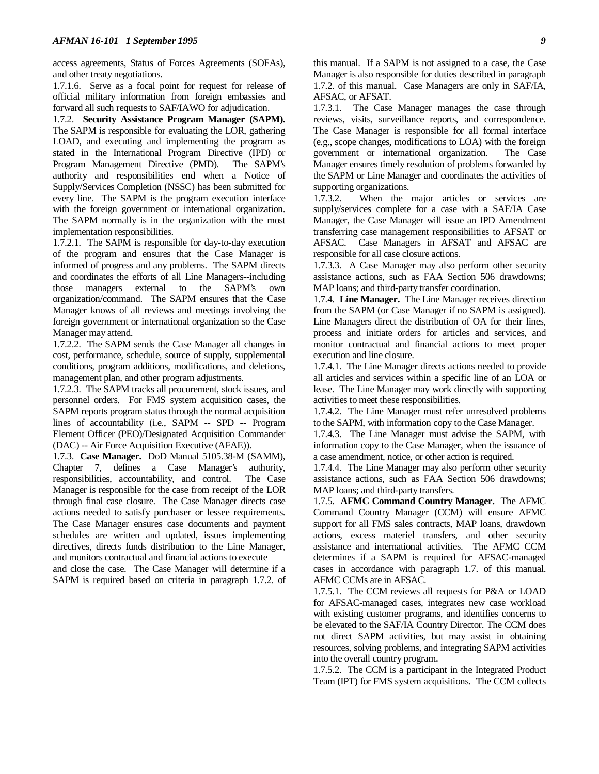access agreements, Status of Forces Agreements (SOFAs), and other treaty negotiations.

1.7.1.6. Serve as a focal point for request for release of official military information from foreign embassies and forward all such requests to SAF/IAWO for adjudication.

1.7.2. **Security Assistance Program Manager (SAPM).** The SAPM is responsible for evaluating the LOR, gathering LOAD, and executing and implementing the program as stated in the International Program Directive (IPD) or Program Management Directive (PMD). The SAPM's authority and responsibilities end when a Notice of Supply/Services Completion (NSSC) has been submitted for every line. The SAPM is the program execution interface with the foreign government or international organization. The SAPM normally is in the organization with the most implementation responsibilities.

1.7.2.1. The SAPM is responsible for day-to-day execution of the program and ensures that the Case Manager is informed of progress and any problems. The SAPM directs and coordinates the efforts of all Line Managers--including those managers external to the SAPM's own organization/command. The SAPM ensures that the Case Manager knows of all reviews and meetings involving the foreign government or international organization so the Case Manager may attend.

1.7.2.2. The SAPM sends the Case Manager all changes in cost, performance, schedule, source of supply, supplemental conditions, program additions, modifications, and deletions, management plan, and other program adjustments.

1.7.2.3. The SAPM tracks all procurement, stock issues, and personnel orders. For FMS system acquisition cases, the SAPM reports program status through the normal acquisition lines of accountability (i.e., SAPM -- SPD -- Program Element Officer (PEO)/Designated Acquisition Commander (DAC) -- Air Force Acquisition Executive (AFAE)).

1.7.3. **Case Manager.** DoD Manual 5105.38-M (SAMM), Chapter 7, defines a Case Manager's authority, responsibilities, accountability, and control. The Case Manager is responsible for the case from receipt of the LOR through final case closure. The Case Manager directs case actions needed to satisfy purchaser or lessee requirements. The Case Manager ensures case documents and payment schedules are written and updated, issues implementing directives, directs funds distribution to the Line Manager, and monitors contractual and financial actions to execute

and close the case. The Case Manager will determine if a SAPM is required based on criteria in paragraph 1.7.2. of this manual. If a SAPM is not assigned to a case, the Case Manager is also responsible for duties described in paragraph 1.7.2. of this manual. Case Managers are only in SAF/IA, AFSAC, or AFSAT.

1.7.3.1. The Case Manager manages the case through reviews, visits, surveillance reports, and correspondence. The Case Manager is responsible for all formal interface (e.g., scope changes, modifications to LOA) with the foreign government or international organization. The Case Manager ensures timely resolution of problems forwarded by the SAPM or Line Manager and coordinates the activities of supporting organizations.

1.7.3.2. When the major articles or services are supply/services complete for a case with a SAF/IA Case Manager, the Case Manager will issue an IPD Amendment transferring case management responsibilities to AFSAT or AFSAC. Case Managers in AFSAT and AFSAC are responsible for all case closure actions.

1.7.3.3. A Case Manager may also perform other security assistance actions, such as FAA Section 506 drawdowns; MAP loans; and third-party transfer coordination.

1.7.4. **Line Manager.** The Line Manager receives direction from the SAPM (or Case Manager if no SAPM is assigned). Line Managers direct the distribution of OA for their lines, process and initiate orders for articles and services, and monitor contractual and financial actions to meet proper execution and line closure.

1.7.4.1. The Line Manager directs actions needed to provide all articles and services within a specific line of an LOA or lease. The Line Manager may work directly with supporting activities to meet these responsibilities.

1.7.4.2. The Line Manager must refer unresolved problems to the SAPM, with information copy to the Case Manager.

1.7.4.3. The Line Manager must advise the SAPM, with information copy to the Case Manager, when the issuance of a case amendment, notice, or other action is required.

1.7.4.4. The Line Manager may also perform other security assistance actions, such as FAA Section 506 drawdowns; MAP loans; and third-party transfers.

1.7.5. **AFMC Command Country Manager.** The AFMC Command Country Manager (CCM) will ensure AFMC support for all FMS sales contracts, MAP loans, drawdown actions, excess materiel transfers, and other security assistance and international activities. The AFMC CCM determines if a SAPM is required for AFSAC-managed cases in accordance with paragraph 1.7. of this manual. AFMC CCMs are in AFSAC.

1.7.5.1. The CCM reviews all requests for P&A or LOAD for AFSAC-managed cases, integrates new case workload with existing customer programs, and identifies concerns to be elevated to the SAF/IA Country Director. The CCM does not direct SAPM activities, but may assist in obtaining resources, solving problems, and integrating SAPM activities into the overall country program.

1.7.5.2. The CCM is a participant in the Integrated Product Team (IPT) for FMS system acquisitions. The CCM collects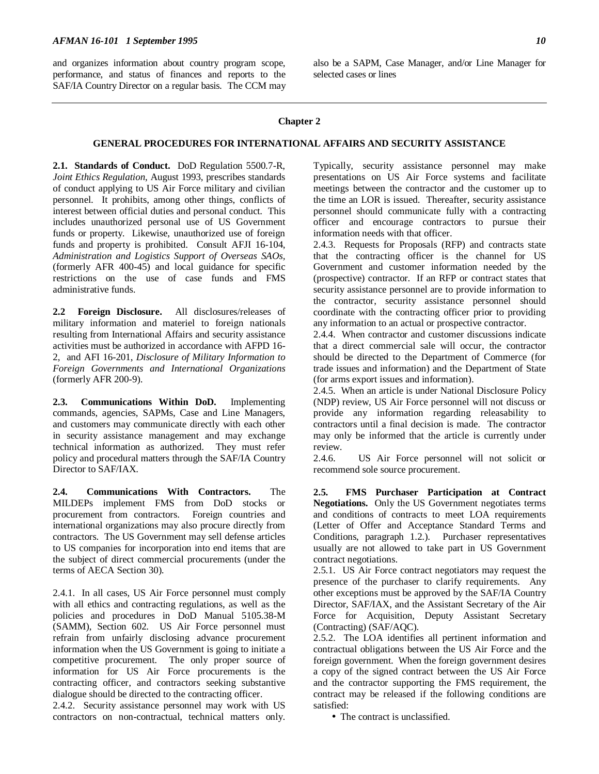and organizes information about country program scope, performance, and status of finances and reports to the SAF/IA Country Director on a regular basis. The CCM may also be a SAPM, Case Manager, and/or Line Manager for selected cases or lines

#### **Chapter 2**

#### **GENERAL PROCEDURES FOR INTERNATIONAL AFFAIRS AND SECURITY ASSISTANCE**

**2.1. Standards of Conduct.** DoD Regulation 5500.7-R, *Joint Ethics Regulation*, August 1993, prescribes standards of conduct applying to US Air Force military and civilian personnel. It prohibits, among other things, conflicts of interest between official duties and personal conduct. This includes unauthorized personal use of US Government funds or property. Likewise, unauthorized use of foreign funds and property is prohibited. Consult AFJI 16-104, *Administration and Logistics Support of Overseas SAOs,* (formerly AFR 400-45) and local guidance for specific restrictions on the use of case funds and FMS administrative funds.

**2.2 Foreign Disclosure.** All disclosures/releases of military information and materiel to foreign nationals resulting from International Affairs and security assistance activities must be authorized in accordance with AFPD 16- 2, and AFI 16-201, *Disclosure of Military Information to Foreign Governments and International Organizations* (formerly AFR 200-9).

**2.3. Communications Within DoD.** Implementing commands, agencies, SAPMs, Case and Line Managers, and customers may communicate directly with each other in security assistance management and may exchange technical information as authorized. They must refer policy and procedural matters through the SAF/IA Country Director to SAF/IAX.

**2.4. Communications With Contractors.** The MILDEPs implement FMS from DoD stocks or procurement from contractors. Foreign countries and international organizations may also procure directly from contractors. The US Government may sell defense articles to US companies for incorporation into end items that are the subject of direct commercial procurements (under the terms of AECA Section 30).

2.4.1. In all cases, US Air Force personnel must comply with all ethics and contracting regulations, as well as the policies and procedures in DoD Manual 5105.38-M (SAMM), Section 602. US Air Force personnel must refrain from unfairly disclosing advance procurement information when the US Government is going to initiate a competitive procurement. The only proper source of information for US Air Force procurements is the contracting officer, and contractors seeking substantive dialogue should be directed to the contracting officer.

2.4.2. Security assistance personnel may work with US contractors on non-contractual, technical matters only.

Typically, security assistance personnel may make presentations on US Air Force systems and facilitate meetings between the contractor and the customer up to the time an LOR is issued. Thereafter, security assistance personnel should communicate fully with a contracting officer and encourage contractors to pursue their information needs with that officer.

2.4.3. Requests for Proposals (RFP) and contracts state that the contracting officer is the channel for US Government and customer information needed by the (prospective) contractor. If an RFP or contract states that security assistance personnel are to provide information to the contractor, security assistance personnel should coordinate with the contracting officer prior to providing any information to an actual or prospective contractor.

2.4.4. When contractor and customer discussions indicate that a direct commercial sale will occur, the contractor should be directed to the Department of Commerce (for trade issues and information) and the Department of State (for arms export issues and information).

2.4.5. When an article is under National Disclosure Policy (NDP) review, US Air Force personnel will not discuss or provide any information regarding releasability to contractors until a final decision is made. The contractor may only be informed that the article is currently under review.

2.4.6. US Air Force personnel will not solicit or recommend sole source procurement.

**2.5. FMS Purchaser Participation at Contract Negotiations.** Only the US Government negotiates terms and conditions of contracts to meet LOA requirements (Letter of Offer and Acceptance Standard Terms and Conditions, paragraph 1.2.). Purchaser representatives usually are not allowed to take part in US Government contract negotiations.

2.5.1. US Air Force contract negotiators may request the presence of the purchaser to clarify requirements. Any other exceptions must be approved by the SAF/IA Country Director, SAF/IAX, and the Assistant Secretary of the Air Force for Acquisition, Deputy Assistant Secretary (Contracting) (SAF/AQC).

2.5.2. The LOA identifies all pertinent information and contractual obligations between the US Air Force and the foreign government. When the foreign government desires a copy of the signed contract between the US Air Force and the contractor supporting the FMS requirement, the contract may be released if the following conditions are satisfied:

• The contract is unclassified.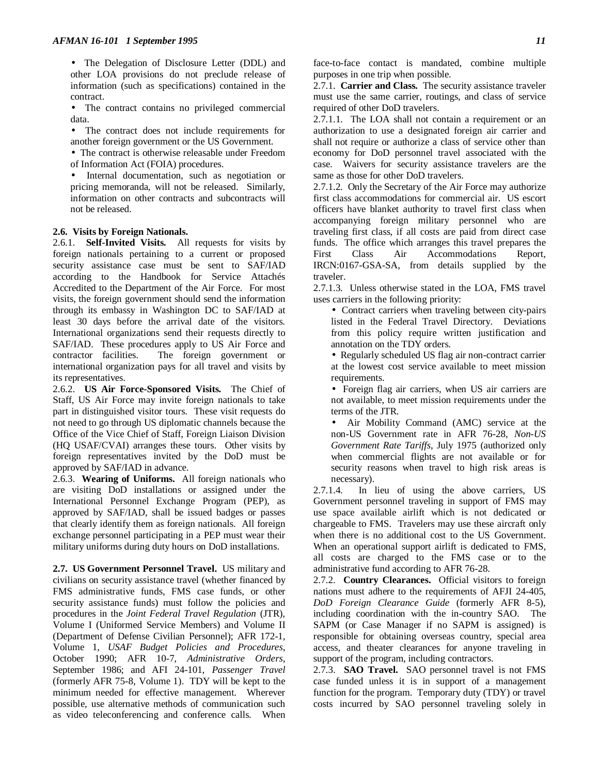- The Delegation of Disclosure Letter (DDL) and other LOA provisions do not preclude release of information (such as specifications) contained in the contract.
- The contract contains no privileged commercial data.
- The contract does not include requirements for another foreign government or the US Government.
- The contract is otherwise releasable under Freedom of Information Act (FOIA) procedures.
- Internal documentation, such as negotiation or pricing memoranda, will not be released. Similarly, information on other contracts and subcontracts will not be released.

#### **2.6. Visits by Foreign Nationals.**

2.6.1. **Self-Invited Visits.** All requests for visits by foreign nationals pertaining to a current or proposed security assistance case must be sent to SAF/IAD according to the Handbook for Service Attachés Accredited to the Department of the Air Force. For most visits, the foreign government should send the information through its embassy in Washington DC to SAF/IAD at least 30 days before the arrival date of the visitors. International organizations send their requests directly to SAF/IAD. These procedures apply to US Air Force and contractor facilities. The foreign government or international organization pays for all travel and visits by its representatives.

2.6.2. **US Air Force-Sponsored Visits.** The Chief of Staff, US Air Force may invite foreign nationals to take part in distinguished visitor tours. These visit requests do not need to go through US diplomatic channels because the Office of the Vice Chief of Staff, Foreign Liaison Division (HQ USAF/CVAI) arranges these tours. Other visits by foreign representatives invited by the DoD must be approved by SAF/IAD in advance.

2.6.3. **Wearing of Uniforms.** All foreign nationals who are visiting DoD installations or assigned under the International Personnel Exchange Program (PEP), as approved by SAF/IAD, shall be issued badges or passes that clearly identify them as foreign nationals. All foreign exchange personnel participating in a PEP must wear their military uniforms during duty hours on DoD installations.

**2.7. US Government Personnel Travel.** US military and civilians on security assistance travel (whether financed by FMS administrative funds, FMS case funds, or other security assistance funds) must follow the policies and procedures in the *Joint Federal Travel Regulation* (JTR), Volume I (Uniformed Service Members) and Volume II (Department of Defense Civilian Personnel); AFR 172-1, Volume 1, *USAF Budget Policies and Procedures*, October 1990; AFR 10-7, *Administrative Orders*, September 1986; and AFI 24-101, *Passenger Travel* (formerly AFR 75-8, Volume 1). TDY will be kept to the minimum needed for effective management. Wherever possible, use alternative methods of communication such as video teleconferencing and conference calls. When

face-to-face contact is mandated, combine multiple purposes in one trip when possible.

2.7.1. **Carrier and Class.** The security assistance traveler must use the same carrier, routings, and class of service required of other DoD travelers.

2.7.1.1. The LOA shall not contain a requirement or an authorization to use a designated foreign air carrier and shall not require or authorize a class of service other than economy for DoD personnel travel associated with the case. Waivers for security assistance travelers are the same as those for other DoD travelers.

2.7.1.2. Only the Secretary of the Air Force may authorize first class accommodations for commercial air. US escort officers have blanket authority to travel first class when accompanying foreign military personnel who are traveling first class, if all costs are paid from direct case funds. The office which arranges this travel prepares the First Class Air Accommodations Report, IRCN:0167-GSA-SA, from details supplied by the traveler.

2.7.1.3. Unless otherwise stated in the LOA, FMS travel uses carriers in the following priority:

• Contract carriers when traveling between city-pairs listed in the Federal Travel Directory. Deviations from this policy require written justification and annotation on the TDY orders.

• Regularly scheduled US flag air non-contract carrier at the lowest cost service available to meet mission requirements.

• Foreign flag air carriers, when US air carriers are not available, to meet mission requirements under the terms of the JTR.

Air Mobility Command (AMC) service at the non-US Government rate in AFR 76-28, *Non-US Government Rate Tariffs*, July 1975 (authorized only when commercial flights are not available or for security reasons when travel to high risk areas is necessary).

2.7.1.4. In lieu of using the above carriers, US Government personnel traveling in support of FMS may use space available airlift which is not dedicated or chargeable to FMS. Travelers may use these aircraft only when there is no additional cost to the US Government. When an operational support airlift is dedicated to FMS, all costs are charged to the FMS case or to the administrative fund according to AFR 76-28.

2.7.2. **Country Clearances.** Official visitors to foreign nations must adhere to the requirements of AFJI 24-405, *DoD Foreign Clearance Guide* (formerly AFR 8-5), including coordination with the in-country SAO. The SAPM (or Case Manager if no SAPM is assigned) is responsible for obtaining overseas country, special area access, and theater clearances for anyone traveling in support of the program, including contractors.

2.7.3. **SAO Travel.** SAO personnel travel is not FMS case funded unless it is in support of a management function for the program. Temporary duty (TDY) or travel costs incurred by SAO personnel traveling solely in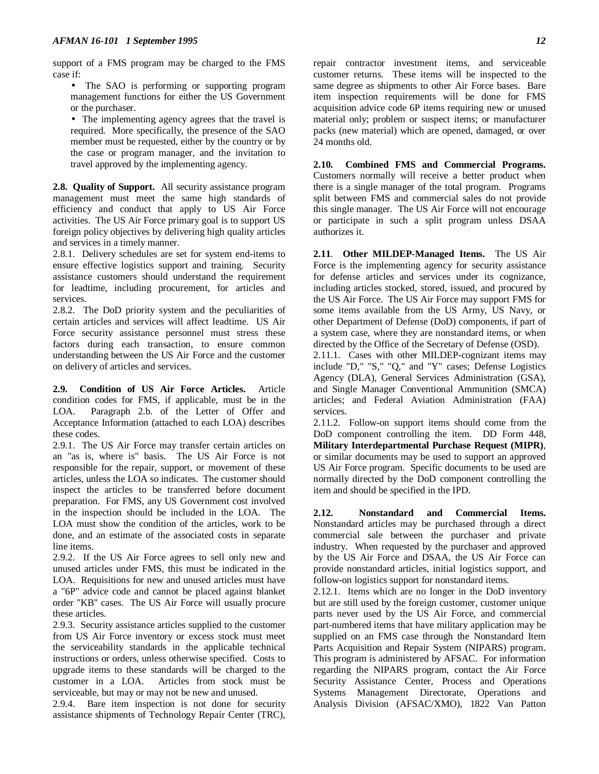support of a FMS program may be charged to the FMS case if:

- The SAO is performing or supporting program management functions for either the US Government or the purchaser.
- The implementing agency agrees that the travel is required. More specifically, the presence of the SAO member must be requested, either by the country or by the case or program manager, and the invitation to travel approved by the implementing agency.

**2.8. Quality of Support.** All security assistance program management must meet the same high standards of efficiency and conduct that apply to US Air Force activities. The US Air Force primary goal is to support US foreign policy objectives by delivering high quality articles and services in a timely manner.

2.8.1. Delivery schedules are set for system end-items to ensure effective logistics support and training. Security assistance customers should understand the requirement for leadtime, including procurement, for articles and services.

2.8.2. The DoD priority system and the peculiarities of certain articles and services will affect leadtime. US Air Force security assistance personnel must stress these factors during each transaction, to ensure common understanding between the US Air Force and the customer on delivery of articles and services.

**2.9. Condition of US Air Force Articles.** Article condition codes for FMS, if applicable, must be in the LOA. Paragraph 2.b. of the Letter of Offer and Acceptance Information (attached to each LOA) describes these codes.

2.9.1. The US Air Force may transfer certain articles on an "as is, where is" basis. The US Air Force is not responsible for the repair, support, or movement of these articles, unless the LOA so indicates. The customer should inspect the articles to be transferred before document preparation. For FMS, any US Government cost involved in the inspection should be included in the LOA. The LOA must show the condition of the articles, work to be done, and an estimate of the associated costs in separate line items.

2.9.2. If the US Air Force agrees to sell only new and unused articles under FMS, this must be indicated in the LOA. Requisitions for new and unused articles must have a "6P" advice code and cannot be placed against blanket order "KB" cases. The US Air Force will usually procure these articles.

2.9.3. Security assistance articles supplied to the customer from US Air Force inventory or excess stock must meet the serviceability standards in the applicable technical instructions or orders, unless otherwise specified. Costs to upgrade items to these standards will be charged to the customer in a LOA. Articles from stock must be serviceable, but may or may not be new and unused.

2.9.4. Bare item inspection is not done for security assistance shipments of Technology Repair Center (TRC), repair contractor investment items, and serviceable customer returns. These items will be inspected to the same degree as shipments to other Air Force bases. Bare item inspection requirements will be done for FMS acquisition advice code 6P items requiring new or unused material only; problem or suspect items; or manufacturer packs (new material) which are opened, damaged, or over 24 months old.

**2.10. Combined FMS and Commercial Programs.** Customers normally will receive a better product when there is a single manager of the total program. Programs split between FMS and commercial sales do not provide this single manager. The US Air Force will not encourage or participate in such a split program unless DSAA authorizes it.

**2.11**. **Other MILDEP-Managed Items.** The US Air Force is the implementing agency for security assistance for defense articles and services under its cognizance, including articles stocked, stored, issued, and procured by the US Air Force. The US Air Force may support FMS for some items available from the US Army, US Navy, or other Department of Defense (DoD) components, if part of a system case, where they are nonstandard items, or when directed by the Office of the Secretary of Defense (OSD).

2.11.1. Cases with other MILDEP-cognizant items may include "D," "S," "Q," and "Y" cases; Defense Logistics Agency (DLA), General Services Administration (GSA), and Single Manager Conventional Ammunition (SMCA) articles; and Federal Aviation Administration (FAA) services.

2.11.2. Follow-on support items should come from the DoD component controlling the item. DD Form 448, **Military Interdepartmental Purchase Request (MIPR)**, or similar documents may be used to support an approved US Air Force program. Specific documents to be used are normally directed by the DoD component controlling the item and should be specified in the IPD.

**2.12. Nonstandard and Commercial Items.** Nonstandard articles may be purchased through a direct commercial sale between the purchaser and private industry. When requested by the purchaser and approved by the US Air Force and DSAA, the US Air Force can provide nonstandard articles, initial logistics support, and follow-on logistics support for nonstandard items.

2.12.1. Items which are no longer in the DoD inventory but are still used by the foreign customer, customer unique parts never used by the US Air Force, and commercial part-numbered items that have military application may be supplied on an FMS case through the Nonstandard Item Parts Acquisition and Repair System (NIPARS) program. This program is administered by AFSAC. For information regarding the NIPARS program, contact the Air Force Security Assistance Center, Process and Operations Systems Management Directorate, Operations and Analysis Division (AFSAC/XMO), 1822 Van Patton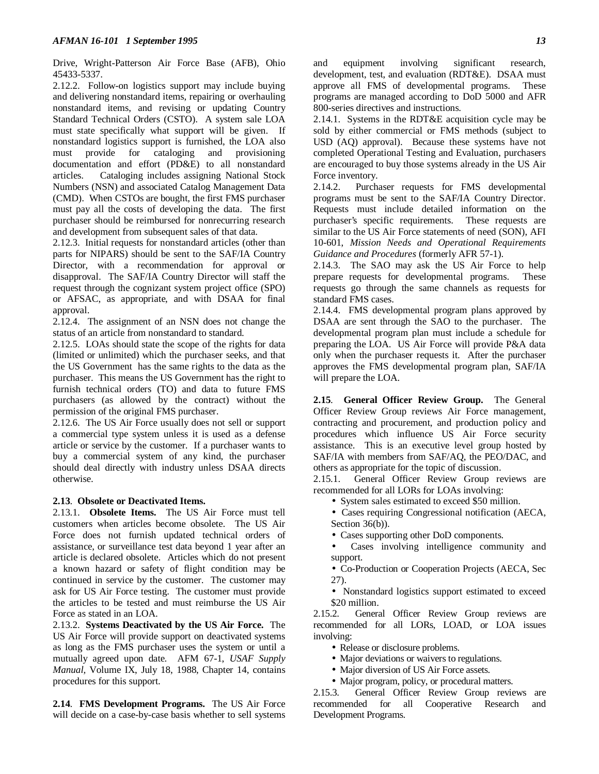Drive, Wright-Patterson Air Force Base (AFB), Ohio 45433-5337.

2.12.2. Follow-on logistics support may include buying and delivering nonstandard items, repairing or overhauling nonstandard items, and revising or updating Country Standard Technical Orders (CSTO). A system sale LOA must state specifically what support will be given. If nonstandard logistics support is furnished, the LOA also must provide for cataloging and provisioning documentation and effort (PD&E) to all nonstandard articles. Cataloging includes assigning National Stock Numbers (NSN) and associated Catalog Management Data (CMD). When CSTOs are bought, the first FMS purchaser must pay all the costs of developing the data. The first purchaser should be reimbursed for nonrecurring research and development from subsequent sales of that data.

2.12.3. Initial requests for nonstandard articles (other than parts for NIPARS) should be sent to the SAF/IA Country Director, with a recommendation for approval or disapproval. The SAF/IA Country Director will staff the request through the cognizant system project office (SPO) or AFSAC, as appropriate, and with DSAA for final approval.

2.12.4. The assignment of an NSN does not change the status of an article from nonstandard to standard.

2.12.5. LOAs should state the scope of the rights for data (limited or unlimited) which the purchaser seeks, and that the US Government has the same rights to the data as the purchaser. This means the US Government has the right to furnish technical orders (TO) and data to future FMS purchasers (as allowed by the contract) without the permission of the original FMS purchaser.

2.12.6. The US Air Force usually does not sell or support a commercial type system unless it is used as a defense article or service by the customer. If a purchaser wants to buy a commercial system of any kind, the purchaser should deal directly with industry unless DSAA directs otherwise.

#### **2.13**. **Obsolete or Deactivated Items.**

2.13.1. **Obsolete Items.** The US Air Force must tell customers when articles become obsolete. The US Air Force does not furnish updated technical orders of assistance, or surveillance test data beyond 1 year after an article is declared obsolete. Articles which do not present a known hazard or safety of flight condition may be continued in service by the customer. The customer may ask for US Air Force testing. The customer must provide the articles to be tested and must reimburse the US Air Force as stated in an LOA.

2.13.2. **Systems Deactivated by the US Air Force.** The US Air Force will provide support on deactivated systems as long as the FMS purchaser uses the system or until a mutually agreed upon date. AFM 67-1, *USAF Supply Manual,* Volume IX, July 18, 1988, Chapter 14, contains procedures for this support.

**2.14**. **FMS Development Programs.** The US Air Force will decide on a case-by-case basis whether to sell systems and equipment involving significant research, development, test, and evaluation (RDT&E). DSAA must approve all FMS of developmental programs. These programs are managed according to DoD 5000 and AFR 800-series directives and instructions.

2.14.1. Systems in the RDT&E acquisition cycle may be sold by either commercial or FMS methods (subject to USD (AQ) approval). Because these systems have not completed Operational Testing and Evaluation, purchasers are encouraged to buy those systems already in the US Air Force inventory.

2.14.2. Purchaser requests for FMS developmental programs must be sent to the SAF/IA Country Director. Requests must include detailed information on the purchaser's specific requirements. These requests are similar to the US Air Force statements of need (SON), AFI 10-601, *Mission Needs and Operational Requirements Guidance and Procedures* (formerly AFR 57-1).

2.14.3. The SAO may ask the US Air Force to help prepare requests for developmental programs. These requests go through the same channels as requests for standard FMS cases.

2.14.4. FMS developmental program plans approved by DSAA are sent through the SAO to the purchaser. The developmental program plan must include a schedule for preparing the LOA. US Air Force will provide P&A data only when the purchaser requests it. After the purchaser approves the FMS developmental program plan, SAF/IA will prepare the LOA.

**2.15**. **General Officer Review Group.** The General Officer Review Group reviews Air Force management, contracting and procurement, and production policy and procedures which influence US Air Force security assistance. This is an executive level group hosted by SAF/IA with members from SAF/AQ, the PEO/DAC, and others as appropriate for the topic of discussion.

2.15.1. General Officer Review Group reviews are recommended for all LORs for LOAs involving:

- System sales estimated to exceed \$50 million.
- Cases requiring Congressional notification (AECA, Section 36(b)).
- Cases supporting other DoD components.
- Cases involving intelligence community and support.
- Co-Production or Cooperation Projects (AECA, Sec 27).
- Nonstandard logistics support estimated to exceed \$20 million.

2.15.2. General Officer Review Group reviews are recommended for all LORs, LOAD, or LOA issues involving:

- Release or disclosure problems.
- Major deviations or waivers to regulations.
- Major diversion of US Air Force assets.
- Major program, policy, or procedural matters.

2.15.3. General Officer Review Group reviews are recommended for all Cooperative Research and Development Programs.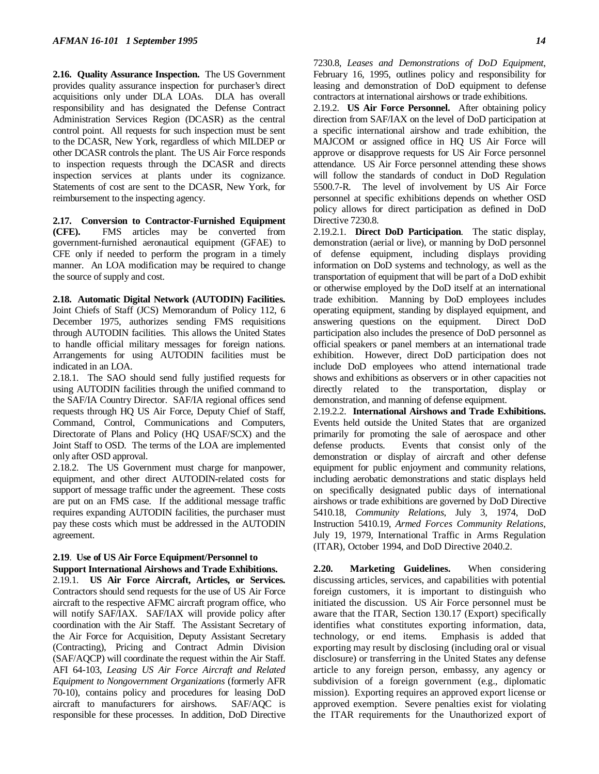**2.16. Quality Assurance Inspection.** The US Government provides quality assurance inspection for purchaser's direct acquisitions only under DLA LOAs. DLA has overall responsibility and has designated the Defense Contract Administration Services Region (DCASR) as the central control point. All requests for such inspection must be sent to the DCASR, New York, regardless of which MILDEP or other DCASR controls the plant. The US Air Force responds to inspection requests through the DCASR and directs inspection services at plants under its cognizance. Statements of cost are sent to the DCASR, New York, for reimbursement to the inspecting agency.

**2.17. Conversion to Contractor-Furnished Equipment (CFE).** FMS articles may be converted from government-furnished aeronautical equipment (GFAE) to CFE only if needed to perform the program in a timely manner. An LOA modification may be required to change the source of supply and cost.

**2.18. Automatic Digital Network (AUTODIN) Facilities.**

Joint Chiefs of Staff (JCS) Memorandum of Policy 112, 6 December 1975, authorizes sending FMS requisitions through AUTODIN facilities. This allows the United States to handle official military messages for foreign nations. Arrangements for using AUTODIN facilities must be indicated in an LOA.

2.18.1. The SAO should send fully justified requests for using AUTODIN facilities through the unified command to the SAF/IA Country Director. SAF/IA regional offices send requests through HQ US Air Force, Deputy Chief of Staff, Command, Control, Communications and Computers, Directorate of Plans and Policy (HQ USAF/SCX) and the Joint Staff to OSD. The terms of the LOA are implemented only after OSD approval.

2.18.2. The US Government must charge for manpower, equipment, and other direct AUTODIN-related costs for support of message traffic under the agreement. These costs are put on an FMS case. If the additional message traffic requires expanding AUTODIN facilities, the purchaser must pay these costs which must be addressed in the AUTODIN agreement.

#### **2.19**. **Use of US Air Force Equipment/Personnel to Support International Airshows and Trade Exhibitions.**

2.19.1. **US Air Force Aircraft, Articles, or Services.** Contractors should send requests for the use of US Air Force aircraft to the respective AFMC aircraft program office, who will notify SAF/IAX. SAF/IAX will provide policy after coordination with the Air Staff. The Assistant Secretary of the Air Force for Acquisition, Deputy Assistant Secretary (Contracting), Pricing and Contract Admin Division (SAF/AQCP) will coordinate the request within the Air Staff. AFI 64-103, *Leasing US Air Force Aircraft and Related Equipment to Nongovernment Organizations* (formerly AFR 70-10), contains policy and procedures for leasing DoD aircraft to manufacturers for airshows. SAF/AQC is responsible for these processes. In addition, DoD Directive 7230.8, *Leases and Demonstrations of DoD Equipment*, February 16, 1995, outlines policy and responsibility for leasing and demonstration of DoD equipment to defense contractors at international airshows or trade exhibitions.

2.19.2. **US Air Force Personnel.** After obtaining policy direction from SAF/IAX on the level of DoD participation at a specific international airshow and trade exhibition, the MAJCOM or assigned office in HO US Air Force will approve or disapprove requests for US Air Force personnel attendance. US Air Force personnel attending these shows will follow the standards of conduct in DoD Regulation 5500.7-R. The level of involvement by US Air Force personnel at specific exhibitions depends on whether OSD policy allows for direct participation as defined in DoD Directive 7230.8.

2.19.2.1. **Direct DoD Participation**. The static display, demonstration (aerial or live), or manning by DoD personnel of defense equipment, including displays providing information on DoD systems and technology, as well as the transportation of equipment that will be part of a DoD exhibit or otherwise employed by the DoD itself at an international trade exhibition. Manning by DoD employees includes operating equipment, standing by displayed equipment, and answering questions on the equipment. Direct DoD participation also includes the presence of DoD personnel as official speakers or panel members at an international trade exhibition. However, direct DoD participation does not include DoD employees who attend international trade shows and exhibitions as observers or in other capacities not directly related to the transportation, display or demonstration, and manning of defense equipment.

2.19.2.2. **International Airshows and Trade Exhibitions.** Events held outside the United States that are organized primarily for promoting the sale of aerospace and other defense products. Events that consist only of the demonstration or display of aircraft and other defense equipment for public enjoyment and community relations, including aerobatic demonstrations and static displays held on specifically designated public days of international airshows or trade exhibitions are governed by DoD Directive 5410.18, *Community Relations*, July 3, 1974, DoD Instruction 5410.19, *Armed Forces Community Relations*, July 19, 1979, International Traffic in Arms Regulation (ITAR), October 1994, and DoD Directive 2040.2.

**2.20. Marketing Guidelines.** When considering discussing articles, services, and capabilities with potential foreign customers, it is important to distinguish who initiated the discussion. US Air Force personnel must be aware that the ITAR, Section 130.17 (Export) specifically identifies what constitutes exporting information, data, technology, or end items. exporting may result by disclosing (including oral or visual disclosure) or transferring in the United States any defense article to any foreign person, embassy, any agency or subdivision of a foreign government (e.g., diplomatic mission). Exporting requires an approved export license or approved exemption. Severe penalties exist for violating the ITAR requirements for the Unauthorized export of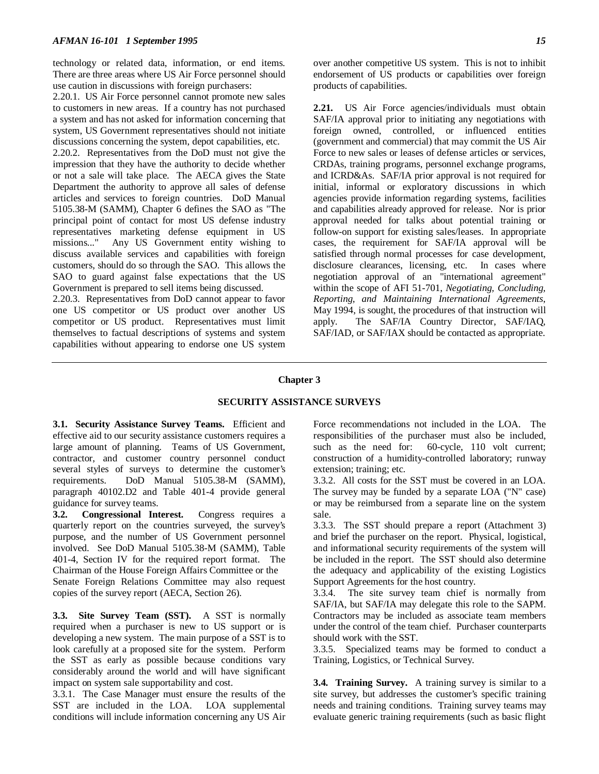technology or related data, information, or end items. There are three areas where US Air Force personnel should use caution in discussions with foreign purchasers:

2.20.1. US Air Force personnel cannot promote new sales to customers in new areas. If a country has not purchased a system and has not asked for information concerning that system, US Government representatives should not initiate discussions concerning the system, depot capabilities, etc.

2.20.2. Representatives from the DoD must not give the impression that they have the authority to decide whether or not a sale will take place. The AECA gives the State Department the authority to approve all sales of defense articles and services to foreign countries. DoD Manual 5105.38-M (SAMM), Chapter 6 defines the SAO as "The principal point of contact for most US defense industry representatives marketing defense equipment in US missions..." Any US Government entity wishing to discuss available services and capabilities with foreign customers, should do so through the SAO. This allows the SAO to guard against false expectations that the US Government is prepared to sell items being discussed.

2.20.3. Representatives from DoD cannot appear to favor one US competitor or US product over another US competitor or US product. Representatives must limit themselves to factual descriptions of systems and system capabilities without appearing to endorse one US system over another competitive US system. This is not to inhibit endorsement of US products or capabilities over foreign products of capabilities.

**2.21.** US Air Force agencies/individuals must obtain SAF/IA approval prior to initiating any negotiations with foreign owned, controlled, or influenced entities (government and commercial) that may commit the US Air Force to new sales or leases of defense articles or services, CRDAs, training programs, personnel exchange programs, and ICRD&As. SAF/IA prior approval is not required for initial, informal or exploratory discussions in which agencies provide information regarding systems, facilities and capabilities already approved for release. Nor is prior approval needed for talks about potential training or follow-on support for existing sales/leases. In appropriate cases, the requirement for SAF/IA approval will be satisfied through normal processes for case development, disclosure clearances, licensing, etc. In cases where negotiation approval of an "international agreement" within the scope of AFI 51-701, *Negotiating, Concluding, Reporting, and Maintaining International Agreements*, May 1994, is sought, the procedures of that instruction will apply. The SAF/IA Country Director, SAF/IAQ, SAF/IAD, or SAF/IAX should be contacted as appropriate.

#### **Chapter 3**

#### **SECURITY ASSISTANCE SURVEYS**

**3.1. Security Assistance Survey Teams.** Efficient and effective aid to our security assistance customers requires a large amount of planning. Teams of US Government, contractor, and customer country personnel conduct several styles of surveys to determine the customer's requirements. DoD Manual 5105.38-M (SAMM), paragraph 40102.D2 and Table 401-4 provide general guidance for survey teams.

**3.2. Congressional Interest.** Congress requires a quarterly report on the countries surveyed, the survey's purpose, and the number of US Government personnel involved. See DoD Manual 5105.38-M (SAMM), Table 401-4, Section IV for the required report format. The Chairman of the House Foreign Affairs Committee or the Senate Foreign Relations Committee may also request copies of the survey report (AECA, Section 26).

**3.3. Site Survey Team (SST).** A SST is normally required when a purchaser is new to US support or is developing a new system. The main purpose of a SST is to look carefully at a proposed site for the system. Perform the SST as early as possible because conditions vary considerably around the world and will have significant impact on system sale supportability and cost.

3.3.1. The Case Manager must ensure the results of the SST are included in the LOA. LOA supplemental conditions will include information concerning any US Air Force recommendations not included in the LOA. The responsibilities of the purchaser must also be included, such as the need for: 60-cycle, 110 volt current; construction of a humidity-controlled laboratory; runway extension; training; etc.

3.3.2. All costs for the SST must be covered in an LOA. The survey may be funded by a separate LOA ("N" case) or may be reimbursed from a separate line on the system sale.

3.3.3. The SST should prepare a report (Attachment 3) and brief the purchaser on the report. Physical, logistical, and informational security requirements of the system will be included in the report. The SST should also determine the adequacy and applicability of the existing Logistics Support Agreements for the host country.

3.3.4. The site survey team chief is normally from SAF/IA, but SAF/IA may delegate this role to the SAPM. Contractors may be included as associate team members under the control of the team chief. Purchaser counterparts should work with the SST.

3.3.5. Specialized teams may be formed to conduct a Training, Logistics, or Technical Survey.

**3.4. Training Survey.** A training survey is similar to a site survey, but addresses the customer's specific training needs and training conditions. Training survey teams may evaluate generic training requirements (such as basic flight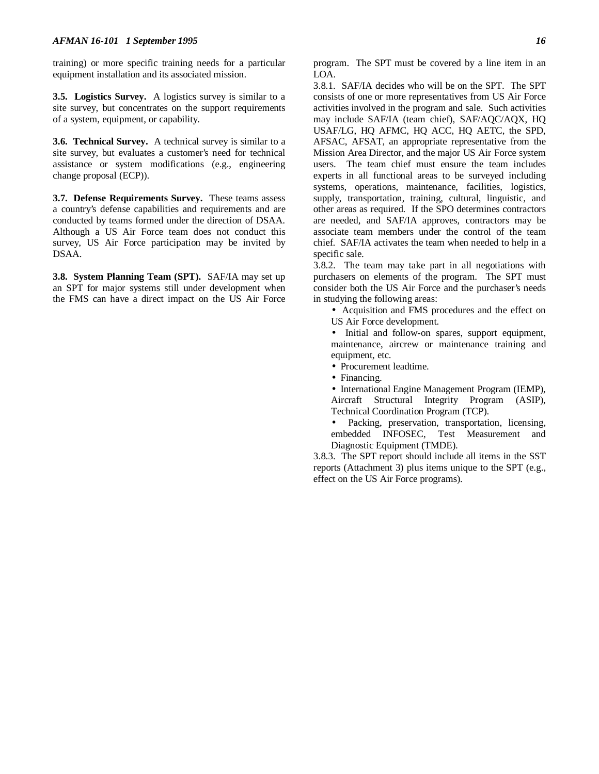training) or more specific training needs for a particular equipment installation and its associated mission.

**3.5. Logistics Survey.** A logistics survey is similar to a site survey, but concentrates on the support requirements of a system, equipment, or capability.

**3.6. Technical Survey.** A technical survey is similar to a site survey, but evaluates a customer's need for technical assistance or system modifications (e.g., engineering change proposal (ECP)).

**3.7. Defense Requirements Survey.** These teams assess a country's defense capabilities and requirements and are conducted by teams formed under the direction of DSAA. Although a US Air Force team does not conduct this survey, US Air Force participation may be invited by DSAA.

**3.8. System Planning Team (SPT).** SAF/IA may set up an SPT for major systems still under development when the FMS can have a direct impact on the US Air Force program. The SPT must be covered by a line item in an LOA.

3.8.1. SAF/IA decides who will be on the SPT. The SPT consists of one or more representatives from US Air Force activities involved in the program and sale. Such activities may include SAF/IA (team chief), SAF/AQC/AQX, HQ USAF/LG, HQ AFMC, HQ ACC, HQ AETC, the SPD, AFSAC, AFSAT, an appropriate representative from the Mission Area Director, and the major US Air Force system users. The team chief must ensure the team includes experts in all functional areas to be surveyed including systems, operations, maintenance, facilities, logistics, supply, transportation, training, cultural, linguistic, and other areas as required. If the SPO determines contractors are needed, and SAF/IA approves, contractors may be associate team members under the control of the team chief. SAF/IA activates the team when needed to help in a specific sale.

3.8.2. The team may take part in all negotiations with purchasers on elements of the program. The SPT must consider both the US Air Force and the purchaser's needs in studying the following areas:

• Acquisition and FMS procedures and the effect on US Air Force development.

- Initial and follow-on spares, support equipment, maintenance, aircrew or maintenance training and equipment, etc.
- Procurement leadtime.
- Financing.
- International Engine Management Program (IEMP), Aircraft Structural Integrity Program (ASIP), Technical Coordination Program (TCP).
- Packing, preservation, transportation, licensing, embedded INFOSEC, Test Measurement and Diagnostic Equipment (TMDE).

3.8.3. The SPT report should include all items in the SST reports (Attachment 3) plus items unique to the SPT (e.g., effect on the US Air Force programs).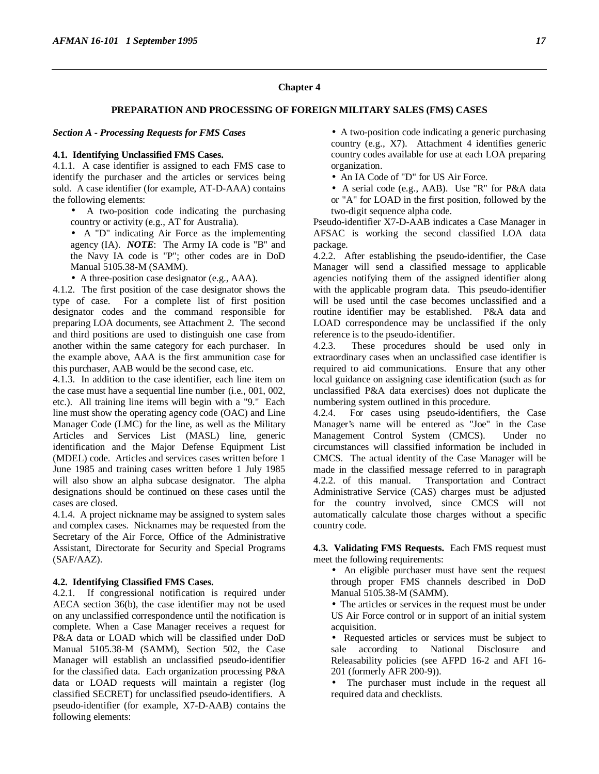#### **Chapter 4**

#### **PREPARATION AND PROCESSING OF FOREIGN MILITARY SALES (FMS) CASES**

*Section A - Processing Requests for FMS Cases*

#### **4.1. Identifying Unclassified FMS Cases.**

4.1.1. A case identifier is assigned to each FMS case to identify the purchaser and the articles or services being sold. A case identifier (for example, AT-D-AAA) contains the following elements:

• A two-position code indicating the purchasing country or activity (e.g., AT for Australia).

• A "D" indicating Air Force as the implementing agency (IA). *NOTE*: The Army IA code is "B" and the Navy IA code is "P"; other codes are in DoD Manual 5105.38-M (SAMM).

• A three-position case designator (e.g., AAA).

4.1.2. The first position of the case designator shows the type of case. For a complete list of first position designator codes and the command responsible for preparing LOA documents, see Attachment 2. The second and third positions are used to distinguish one case from another within the same category for each purchaser. In the example above, AAA is the first ammunition case for this purchaser, AAB would be the second case, etc.

4.1.3. In addition to the case identifier, each line item on the case must have a sequential line number (i.e., 001, 002, etc.). All training line items will begin with a "9." Each line must show the operating agency code (OAC) and Line Manager Code (LMC) for the line, as well as the Military Articles and Services List (MASL) line, generic identification and the Major Defense Equipment List (MDEL) code. Articles and services cases written before 1 June 1985 and training cases written before 1 July 1985 will also show an alpha subcase designator. The alpha designations should be continued on these cases until the cases are closed.

4.1.4. A project nickname may be assigned to system sales and complex cases. Nicknames may be requested from the Secretary of the Air Force, Office of the Administrative Assistant, Directorate for Security and Special Programs (SAF/AAZ).

#### **4.2. Identifying Classified FMS Cases.**

4.2.1. If congressional notification is required under AECA section 36(b), the case identifier may not be used on any unclassified correspondence until the notification is complete. When a Case Manager receives a request for P&A data or LOAD which will be classified under DoD Manual 5105.38-M (SAMM), Section 502, the Case Manager will establish an unclassified pseudo-identifier for the classified data. Each organization processing P&A data or LOAD requests will maintain a register (log classified SECRET) for unclassified pseudo-identifiers. A pseudo-identifier (for example, X7-D-AAB) contains the following elements:

• A two-position code indicating a generic purchasing country (e.g., X7). Attachment 4 identifies generic country codes available for use at each LOA preparing organization.

- An IA Code of "D" for US Air Force.
- A serial code (e.g., AAB). Use "R" for P&A data or "A" for LOAD in the first position, followed by the two-digit sequence alpha code.

Pseudo-identifier X7-D-AAB indicates a Case Manager in AFSAC is working the second classified LOA data package.

4.2.2. After establishing the pseudo-identifier, the Case Manager will send a classified message to applicable agencies notifying them of the assigned identifier along with the applicable program data. This pseudo-identifier will be used until the case becomes unclassified and a routine identifier may be established. P&A data and LOAD correspondence may be unclassified if the only reference is to the pseudo-identifier.

4.2.3. These procedures should be used only in extraordinary cases when an unclassified case identifier is required to aid communications. Ensure that any other local guidance on assigning case identification (such as for unclassified P&A data exercises) does not duplicate the numbering system outlined in this procedure.

4.2.4. For cases using pseudo-identifiers, the Case Manager's name will be entered as "Joe" in the Case Management Control System (CMCS). Under no circumstances will classified information be included in CMCS. The actual identity of the Case Manager will be made in the classified message referred to in paragraph 4.2.2. of this manual. Transportation and Contract Administrative Service (CAS) charges must be adjusted for the country involved, since CMCS will not automatically calculate those charges without a specific country code.

**4.3. Validating FMS Requests.** Each FMS request must meet the following requirements:

- An eligible purchaser must have sent the request through proper FMS channels described in DoD Manual 5105.38-M (SAMM).
- The articles or services in the request must be under US Air Force control or in support of an initial system acquisition.
- Requested articles or services must be subject to sale according to National Disclosure and Releasability policies (see AFPD 16-2 and AFI 16- 201 (formerly AFR 200-9)).
- The purchaser must include in the request all required data and checklists.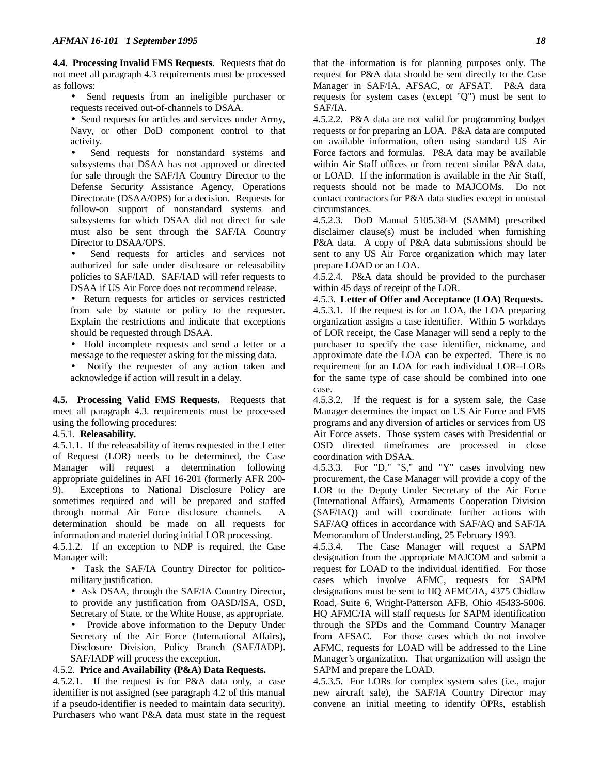**4.4. Processing Invalid FMS Requests.** Requests that do not meet all paragraph 4.3 requirements must be processed as follows:

• Send requests from an ineligible purchaser or requests received out-of-channels to DSAA.

• Send requests for articles and services under Army, Navy, or other DoD component control to that activity.

Send requests for nonstandard systems and subsystems that DSAA has not approved or directed for sale through the SAF/IA Country Director to the Defense Security Assistance Agency, Operations Directorate (DSAA/OPS) for a decision. Requests for follow-on support of nonstandard systems and subsystems for which DSAA did not direct for sale must also be sent through the SAF/IA Country Director to DSAA/OPS.

Send requests for articles and services not authorized for sale under disclosure or releasability policies to SAF/IAD. SAF/IAD will refer requests to DSAA if US Air Force does not recommend release.

• Return requests for articles or services restricted from sale by statute or policy to the requester. Explain the restrictions and indicate that exceptions should be requested through DSAA.

- Hold incomplete requests and send a letter or a message to the requester asking for the missing data.
- Notify the requester of any action taken and acknowledge if action will result in a delay.

**4.5. Processing Valid FMS Requests.** Requests that meet all paragraph 4.3. requirements must be processed using the following procedures:

#### 4.5.1. **Releasability.**

4.5.1.1. If the releasability of items requested in the Letter of Request (LOR) needs to be determined, the Case Manager will request a determination following appropriate guidelines in AFI 16-201 (formerly AFR 200- 9). Exceptions to National Disclosure Policy are sometimes required and will be prepared and staffed through normal Air Force disclosure channels. A determination should be made on all requests for information and materiel during initial LOR processing.

4.5.1.2. If an exception to NDP is required, the Case Manager will:

• Task the SAF/IA Country Director for politicomilitary justification.

• Ask DSAA, through the SAF/IA Country Director, to provide any justification from OASD/ISA, OSD, Secretary of State, or the White House, as appropriate.

• Provide above information to the Deputy Under Secretary of the Air Force (International Affairs), Disclosure Division, Policy Branch (SAF/IADP). SAF/IADP will process the exception.

#### 4.5.2. **Price and Availability (P&A) Data Requests.**

4.5.2.1. If the request is for P&A data only, a case identifier is not assigned (see paragraph 4.2 of this manual if a pseudo-identifier is needed to maintain data security). Purchasers who want P&A data must state in the request that the information is for planning purposes only. The request for P&A data should be sent directly to the Case Manager in SAF/IA, AFSAC, or AFSAT. P&A data requests for system cases (except "Q") must be sent to SAF/IA.

4.5.2.2. P&A data are not valid for programming budget requests or for preparing an LOA. P&A data are computed on available information, often using standard US Air Force factors and formulas. P&A data may be available within Air Staff offices or from recent similar P&A data, or LOAD. If the information is available in the Air Staff, requests should not be made to MAJCOMs. Do not contact contractors for P&A data studies except in unusual circumstances.

4.5.2.3. DoD Manual 5105.38-M (SAMM) prescribed disclaimer clause(s) must be included when furnishing P&A data. A copy of P&A data submissions should be sent to any US Air Force organization which may later prepare LOAD or an LOA.

4.5.2.4. P&A data should be provided to the purchaser within 45 days of receipt of the LOR.

4.5.3. **Letter of Offer and Acceptance (LOA) Requests.**

4.5.3.1. If the request is for an LOA, the LOA preparing organization assigns a case identifier. Within 5 workdays of LOR receipt, the Case Manager will send a reply to the purchaser to specify the case identifier, nickname, and approximate date the LOA can be expected. There is no requirement for an LOA for each individual LOR--LORs for the same type of case should be combined into one case.

4.5.3.2. If the request is for a system sale, the Case Manager determines the impact on US Air Force and FMS programs and any diversion of articles or services from US Air Force assets. Those system cases with Presidential or OSD directed timeframes are processed in close coordination with DSAA.

4.5.3.3. For "D," "S," and "Y" cases involving new procurement, the Case Manager will provide a copy of the LOR to the Deputy Under Secretary of the Air Force (International Affairs), Armaments Cooperation Division (SAF/IAQ) and will coordinate further actions with SAF/AQ offices in accordance with SAF/AQ and SAF/IA Memorandum of Understanding, 25 February 1993.

4.5.3.4. The Case Manager will request a SAPM designation from the appropriate MAJCOM and submit a request for LOAD to the individual identified. For those cases which involve AFMC, requests for SAPM designations must be sent to HQ AFMC/IA, 4375 Chidlaw Road, Suite 6, Wright-Patterson AFB, Ohio 45433-5006. HQ AFMC/IA will staff requests for SAPM identification through the SPDs and the Command Country Manager from AFSAC. For those cases which do not involve AFMC, requests for LOAD will be addressed to the Line Manager's organization. That organization will assign the SAPM and prepare the LOAD.

4.5.3.5. For LORs for complex system sales (i.e., major new aircraft sale), the SAF/IA Country Director may convene an initial meeting to identify OPRs, establish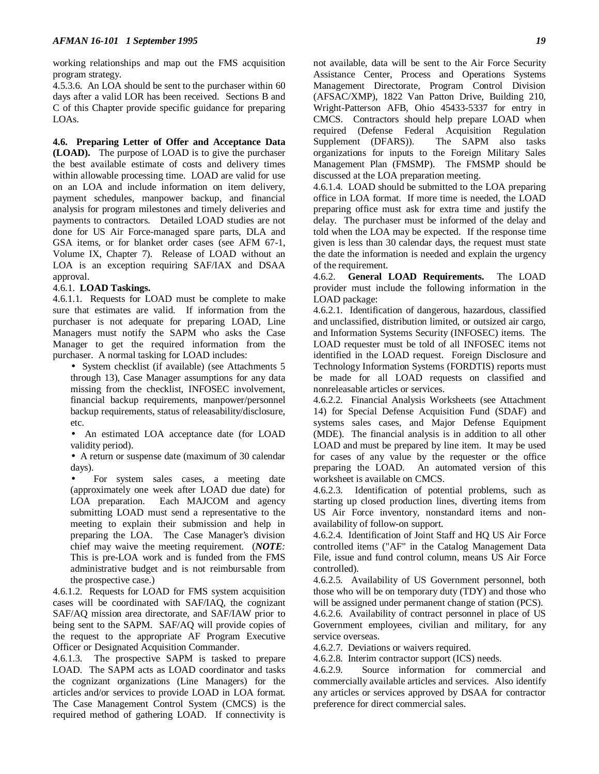working relationships and map out the FMS acquisition program strategy.

4.5.3.6. An LOA should be sent to the purchaser within 60 days after a valid LOR has been received. Sections B and C of this Chapter provide specific guidance for preparing LOAs.

**4.6. Preparing Letter of Offer and Acceptance Data (LOAD).** The purpose of LOAD is to give the purchaser the best available estimate of costs and delivery times within allowable processing time. LOAD are valid for use on an LOA and include information on item delivery, payment schedules, manpower backup, and financial analysis for program milestones and timely deliveries and payments to contractors. Detailed LOAD studies are not done for US Air Force-managed spare parts, DLA and GSA items, or for blanket order cases (see AFM 67-1, Volume IX, Chapter 7). Release of LOAD without an LOA is an exception requiring SAF/IAX and DSAA approval.

#### 4.6.1. **LOAD Taskings.**

4.6.1.1. Requests for LOAD must be complete to make sure that estimates are valid. If information from the purchaser is not adequate for preparing LOAD, Line Managers must notify the SAPM who asks the Case Manager to get the required information from the purchaser. A normal tasking for LOAD includes:

• System checklist (if available) (see Attachments 5 through 13), Case Manager assumptions for any data missing from the checklist, INFOSEC involvement, financial backup requirements, manpower/personnel backup requirements, status of releasability/disclosure, etc.

• An estimated LOA acceptance date (for LOAD validity period).

• A return or suspense date (maximum of 30 calendar days).

• For system sales cases, a meeting date (approximately one week after LOAD due date) for LOA preparation. Each MAJCOM and agency submitting LOAD must send a representative to the meeting to explain their submission and help in preparing the LOA. The Case Manager's division chief may waive the meeting requirement. (*NOTE:* This is pre-LOA work and is funded from the FMS administrative budget and is not reimbursable from the prospective case.)

4.6.1.2. Requests for LOAD for FMS system acquisition cases will be coordinated with SAF/IAQ, the cognizant SAF/AQ mission area directorate, and SAF/IAW prior to being sent to the SAPM. SAF/AQ will provide copies of the request to the appropriate AF Program Executive Officer or Designated Acquisition Commander.

4.6.1.3. The prospective SAPM is tasked to prepare LOAD. The SAPM acts as LOAD coordinator and tasks the cognizant organizations (Line Managers) for the articles and/or services to provide LOAD in LOA format. The Case Management Control System (CMCS) is the required method of gathering LOAD. If connectivity is

not available, data will be sent to the Air Force Security Assistance Center, Process and Operations Systems Management Directorate, Program Control Division (AFSAC/XMP), 1822 Van Patton Drive, Building 210, Wright-Patterson AFB, Ohio 45433-5337 for entry in CMCS. Contractors should help prepare LOAD when required (Defense Federal Acquisition Regulation Supplement (DFARS)). The SAPM also tasks organizations for inputs to the Foreign Military Sales Management Plan (FMSMP). The FMSMP should be discussed at the LOA preparation meeting.

4.6.1.4. LOAD should be submitted to the LOA preparing office in LOA format. If more time is needed, the LOAD preparing office must ask for extra time and justify the delay. The purchaser must be informed of the delay and told when the LOA may be expected. If the response time given is less than 30 calendar days, the request must state the date the information is needed and explain the urgency of the requirement.

4.6.2. **General LOAD Requirements.** The LOAD provider must include the following information in the LOAD package:

4.6.2.1. Identification of dangerous, hazardous, classified and unclassified, distribution limited, or outsized air cargo, and Information Systems Security (INFOSEC) items. The LOAD requester must be told of all INFOSEC items not identified in the LOAD request. Foreign Disclosure and Technology Information Systems (FORDTIS) reports must be made for all LOAD requests on classified and nonreleasable articles or services.

4.6.2.2. Financial Analysis Worksheets (see Attachment 14) for Special Defense Acquisition Fund (SDAF) and systems sales cases, and Major Defense Equipment (MDE). The financial analysis is in addition to all other LOAD and must be prepared by line item. It may be used for cases of any value by the requester or the office preparing the LOAD. An automated version of this worksheet is available on CMCS.

4.6.2.3. Identification of potential problems, such as starting up closed production lines, diverting items from US Air Force inventory, nonstandard items and nonavailability of follow-on support.

4.6.2.4. Identification of Joint Staff and HQ US Air Force controlled items ("AF" in the Catalog Management Data File, issue and fund control column, means US Air Force controlled).

4.6.2.5. Availability of US Government personnel, both those who will be on temporary duty (TDY) and those who will be assigned under permanent change of station (PCS).

4.6.2.6. Availability of contract personnel in place of US Government employees, civilian and military, for any service overseas.

4.6.2.7. Deviations or waivers required.

4.6.2.8. Interim contractor support (ICS) needs.

4.6.2.9. Source information for commercial and commercially available articles and services. Also identify any articles or services approved by DSAA for contractor preference for direct commercial sales.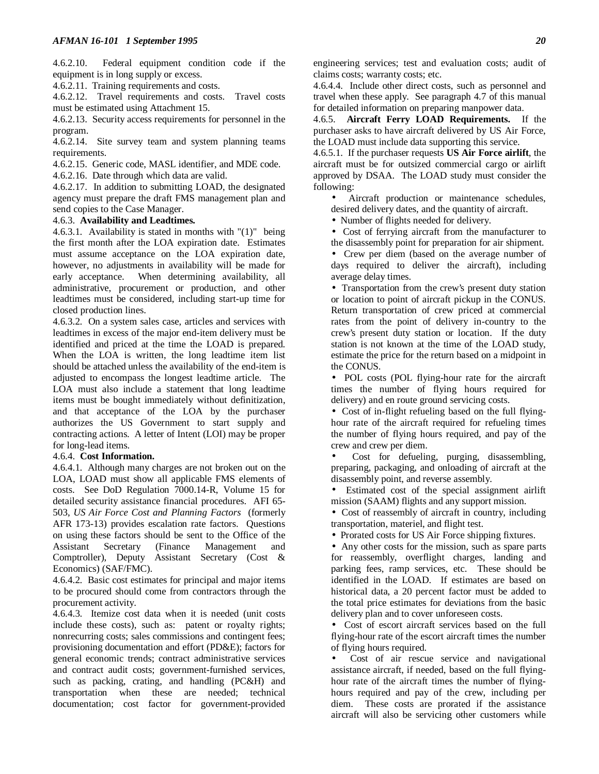4.6.2.10. Federal equipment condition code if the equipment is in long supply or excess.

4.6.2.11. Training requirements and costs.

4.6.2.12. Travel requirements and costs. Travel costs must be estimated using Attachment 15.

4.6.2.13. Security access requirements for personnel in the program.

4.6.2.14. Site survey team and system planning teams requirements.

4.6.2.15. Generic code, MASL identifier, and MDE code.

4.6.2.16. Date through which data are valid.

4.6.2.17. In addition to submitting LOAD, the designated agency must prepare the draft FMS management plan and send copies to the Case Manager.

#### 4.6.3. **Availability and Leadtimes.**

4.6.3.1. Availability is stated in months with "(1)" being the first month after the LOA expiration date. Estimates must assume acceptance on the LOA expiration date, however, no adjustments in availability will be made for early acceptance. When determining availability, all administrative, procurement or production, and other leadtimes must be considered, including start-up time for closed production lines.

4.6.3.2. On a system sales case, articles and services with leadtimes in excess of the major end-item delivery must be identified and priced at the time the LOAD is prepared. When the LOA is written, the long leadtime item list should be attached unless the availability of the end-item is adjusted to encompass the longest leadtime article. The LOA must also include a statement that long leadtime items must be bought immediately without definitization, and that acceptance of the LOA by the purchaser authorizes the US Government to start supply and contracting actions. A letter of Intent (LOI) may be proper for long-lead items.

#### 4.6.4. **Cost Information.**

4.6.4.1. Although many charges are not broken out on the LOA, LOAD must show all applicable FMS elements of costs. See DoD Regulation 7000.14-R, Volume 15 for detailed security assistance financial procedures. AFI 65- 503, *US Air Force Cost and Planning Factors* (formerly AFR 173-13) provides escalation rate factors. Questions on using these factors should be sent to the Office of the Assistant Secretary (Finance Management and Comptroller), Deputy Assistant Secretary (Cost & Economics) (SAF/FMC).

4.6.4.2. Basic cost estimates for principal and major items to be procured should come from contractors through the procurement activity.

4.6.4.3. Itemize cost data when it is needed (unit costs include these costs), such as: patent or royalty rights; nonrecurring costs; sales commissions and contingent fees; provisioning documentation and effort (PD&E); factors for general economic trends; contract administrative services and contract audit costs; government-furnished services, such as packing, crating, and handling (PC&H) and transportation when these are needed; technical documentation; cost factor for government-provided

engineering services; test and evaluation costs; audit of claims costs; warranty costs; etc.

4.6.4.4. Include other direct costs, such as personnel and travel when these apply. See paragraph 4.7 of this manual for detailed information on preparing manpower data.

4.6.5. **Aircraft Ferry LOAD Requirements.** If the purchaser asks to have aircraft delivered by US Air Force, the LOAD must include data supporting this service.

4.6.5.1. If the purchaser requests **US Air Force airlift**, the aircraft must be for outsized commercial cargo or airlift approved by DSAA. The LOAD study must consider the following:

• Aircraft production or maintenance schedules, desired delivery dates, and the quantity of aircraft.

• Number of flights needed for delivery.

• Cost of ferrying aircraft from the manufacturer to the disassembly point for preparation for air shipment.

• Crew per diem (based on the average number of days required to deliver the aircraft), including average delay times.

• Transportation from the crew's present duty station or location to point of aircraft pickup in the CONUS. Return transportation of crew priced at commercial rates from the point of delivery in-country to the crew's present duty station or location. If the duty station is not known at the time of the LOAD study, estimate the price for the return based on a midpoint in the CONUS.

• POL costs (POL flying-hour rate for the aircraft times the number of flying hours required for delivery) and en route ground servicing costs.

• Cost of in-flight refueling based on the full flyinghour rate of the aircraft required for refueling times the number of flying hours required, and pay of the crew and crew per diem.

• Cost for defueling, purging, disassembling, preparing, packaging, and onloading of aircraft at the disassembly point, and reverse assembly.

Estimated cost of the special assignment airlift mission (SAAM) flights and any support mission.

• Cost of reassembly of aircraft in country, including transportation, materiel, and flight test.

• Prorated costs for US Air Force shipping fixtures.

• Any other costs for the mission, such as spare parts for reassembly, overflight charges, landing and parking fees, ramp services, etc. These should be identified in the LOAD. If estimates are based on historical data, a 20 percent factor must be added to the total price estimates for deviations from the basic delivery plan and to cover unforeseen costs.

• Cost of escort aircraft services based on the full flying-hour rate of the escort aircraft times the number of flying hours required.

Cost of air rescue service and navigational assistance aircraft, if needed, based on the full flyinghour rate of the aircraft times the number of flyinghours required and pay of the crew, including per diem. These costs are prorated if the assistance aircraft will also be servicing other customers while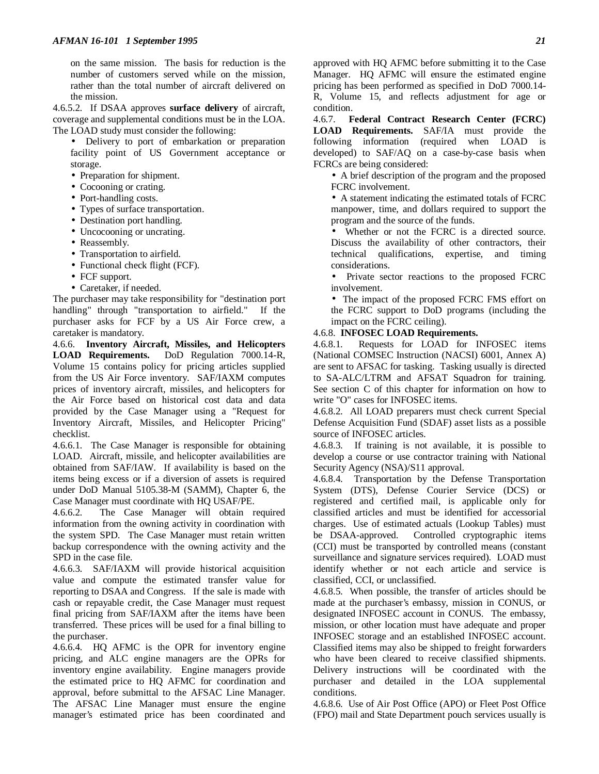on the same mission. The basis for reduction is the number of customers served while on the mission, rather than the total number of aircraft delivered on the mission.

4.6.5.2. If DSAA approves **surface delivery** of aircraft, coverage and supplemental conditions must be in the LOA. The LOAD study must consider the following:

• Delivery to port of embarkation or preparation facility point of US Government acceptance or storage.

- Preparation for shipment.
- Cocooning or crating.
- Port-handling costs.
- Types of surface transportation.
- Destination port handling.
- Uncocooning or uncrating.
- Reassembly.
- Transportation to airfield.
- Functional check flight (FCF).
- FCF support.
- Caretaker, if needed.

The purchaser may take responsibility for "destination port handling" through "transportation to airfield." If the purchaser asks for FCF by a US Air Force crew, a caretaker is mandatory.

4.6.6. **Inventory Aircraft, Missiles, and Helicopters LOAD Requirements.** DoD Regulation 7000.14-R, Volume 15 contains policy for pricing articles supplied from the US Air Force inventory. SAF/IAXM computes prices of inventory aircraft, missiles, and helicopters for the Air Force based on historical cost data and data provided by the Case Manager using a "Request for Inventory Aircraft, Missiles, and Helicopter Pricing" checklist.

4.6.6.1. The Case Manager is responsible for obtaining LOAD. Aircraft, missile, and helicopter availabilities are obtained from SAF/IAW. If availability is based on the items being excess or if a diversion of assets is required under DoD Manual 5105.38-M (SAMM), Chapter 6, the Case Manager must coordinate with HQ USAF/PE.

4.6.6.2. The Case Manager will obtain required information from the owning activity in coordination with the system SPD. The Case Manager must retain written backup correspondence with the owning activity and the SPD in the case file.

4.6.6.3. SAF/IAXM will provide historical acquisition value and compute the estimated transfer value for reporting to DSAA and Congress. If the sale is made with cash or repayable credit, the Case Manager must request final pricing from SAF/IAXM after the items have been transferred. These prices will be used for a final billing to the purchaser.

4.6.6.4. HQ AFMC is the OPR for inventory engine pricing, and ALC engine managers are the OPRs for inventory engine availability. Engine managers provide the estimated price to HQ AFMC for coordination and approval, before submittal to the AFSAC Line Manager. The AFSAC Line Manager must ensure the engine manager's estimated price has been coordinated and

approved with HQ AFMC before submitting it to the Case Manager. HQ AFMC will ensure the estimated engine pricing has been performed as specified in DoD 7000.14- R, Volume 15, and reflects adjustment for age or condition.

4.6.7. **Federal Contract Research Center (FCRC) LOAD Requirements.** SAF/IA must provide the following information (required when LOAD is developed) to SAF/AQ on a case-by-case basis when FCRCs are being considered:

• A brief description of the program and the proposed FCRC involvement.

• A statement indicating the estimated totals of FCRC manpower, time, and dollars required to support the program and the source of the funds.

• Whether or not the FCRC is a directed source. Discuss the availability of other contractors, their technical qualifications, expertise, and timing considerations.

• Private sector reactions to the proposed FCRC involvement.

• The impact of the proposed FCRC FMS effort on the FCRC support to DoD programs (including the impact on the FCRC ceiling).

#### 4.6.8. **INFOSEC LOAD Requirements.**

4.6.8.1. Requests for LOAD for INFOSEC items (National COMSEC Instruction (NACSI) 6001, Annex A) are sent to AFSAC for tasking. Tasking usually is directed to SA-ALC/LTRM and AFSAT Squadron for training. See section C of this chapter for information on how to write "O" cases for INFOSEC items.

4.6.8.2. All LOAD preparers must check current Special Defense Acquisition Fund (SDAF) asset lists as a possible source of INFOSEC articles.

4.6.8.3. If training is not available, it is possible to develop a course or use contractor training with National Security Agency (NSA)/S11 approval.

4.6.8.4. Transportation by the Defense Transportation System (DTS), Defense Courier Service (DCS) or registered and certified mail, is applicable only for classified articles and must be identified for accessorial charges. Use of estimated actuals (Lookup Tables) must be DSAA-approved. Controlled cryptographic items (CCI) must be transported by controlled means (constant surveillance and signature services required). LOAD must identify whether or not each article and service is classified, CCI, or unclassified.

4.6.8.5. When possible, the transfer of articles should be made at the purchaser's embassy, mission in CONUS, or designated INFOSEC account in CONUS. The embassy, mission, or other location must have adequate and proper INFOSEC storage and an established INFOSEC account. Classified items may also be shipped to freight forwarders who have been cleared to receive classified shipments. Delivery instructions will be coordinated with the purchaser and detailed in the LOA supplemental conditions.

4.6.8.6. Use of Air Post Office (APO) or Fleet Post Office (FPO) mail and State Department pouch services usually is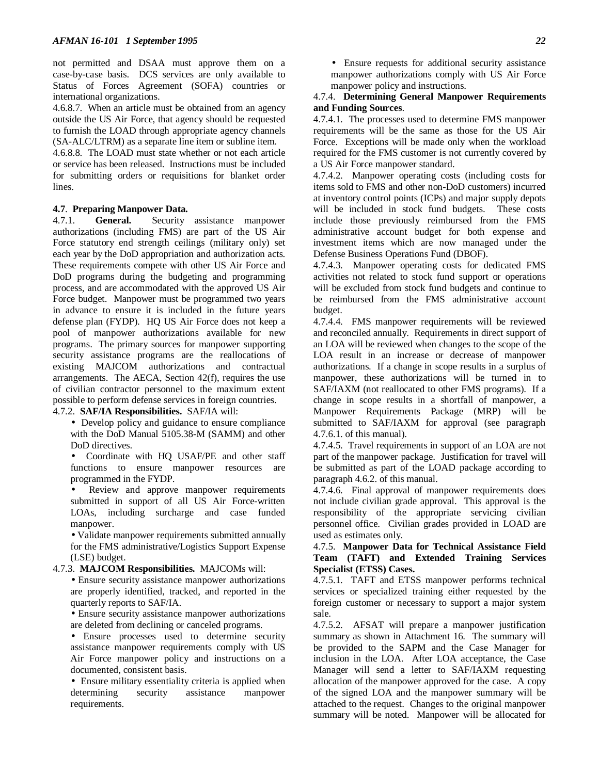not permitted and DSAA must approve them on a case-by-case basis. DCS services are only available to Status of Forces Agreement (SOFA) countries or international organizations.

4.6.8.7. When an article must be obtained from an agency outside the US Air Force, that agency should be requested to furnish the LOAD through appropriate agency channels (SA-ALC/LTRM) as a separate line item or subline item.

4.6.8.8. The LOAD must state whether or not each article or service has been released. Instructions must be included for submitting orders or requisitions for blanket order lines.

#### **4.7**. **Preparing Manpower Data.**

4.7.1. **General.** Security assistance manpower authorizations (including FMS) are part of the US Air Force statutory end strength ceilings (military only) set each year by the DoD appropriation and authorization acts. These requirements compete with other US Air Force and DoD programs during the budgeting and programming process, and are accommodated with the approved US Air Force budget. Manpower must be programmed two years in advance to ensure it is included in the future years defense plan (FYDP). HQ US Air Force does not keep a pool of manpower authorizations available for new programs. The primary sources for manpower supporting security assistance programs are the reallocations of existing MAJCOM authorizations and contractual arrangements. The AECA, Section 42(f), requires the use of civilian contractor personnel to the maximum extent possible to perform defense services in foreign countries.

#### 4.7.2. **SAF/IA Responsibilities.** SAF/IA will:

• Develop policy and guidance to ensure compliance with the DoD Manual 5105.38-M (SAMM) and other DoD directives.

• Coordinate with HQ USAF/PE and other staff functions to ensure manpower resources are programmed in the FYDP.

Review and approve manpower requirements submitted in support of all US Air Force-written LOAs, including surcharge and case funded manpower.

• Validate manpower requirements submitted annually for the FMS administrative/Logistics Support Expense (LSE) budget.

#### 4.7.3. **MAJCOM Responsibilities.** MAJCOMs will:

• Ensure security assistance manpower authorizations are properly identified, tracked, and reported in the quarterly reports to SAF/IA.

• Ensure security assistance manpower authorizations are deleted from declining or canceled programs.

• Ensure processes used to determine security assistance manpower requirements comply with US Air Force manpower policy and instructions on a documented, consistent basis.

• Ensure military essentiality criteria is applied when determining security assistance manpower requirements.

• Ensure requests for additional security assistance manpower authorizations comply with US Air Force manpower policy and instructions.

#### 4.7.4. **Determining General Manpower Requirements and Funding Sources**.

4.7.4.1. The processes used to determine FMS manpower requirements will be the same as those for the US Air Force. Exceptions will be made only when the workload required for the FMS customer is not currently covered by a US Air Force manpower standard.

4.7.4.2. Manpower operating costs (including costs for items sold to FMS and other non-DoD customers) incurred at inventory control points (ICPs) and major supply depots will be included in stock fund budgets. These costs include those previously reimbursed from the FMS administrative account budget for both expense and investment items which are now managed under the Defense Business Operations Fund (DBOF).

4.7.4.3. Manpower operating costs for dedicated FMS activities not related to stock fund support or operations will be excluded from stock fund budgets and continue to be reimbursed from the FMS administrative account budget.

4.7.4.4. FMS manpower requirements will be reviewed and reconciled annually. Requirements in direct support of an LOA will be reviewed when changes to the scope of the LOA result in an increase or decrease of manpower authorizations. If a change in scope results in a surplus of manpower, these authorizations will be turned in to SAF/IAXM (not reallocated to other FMS programs). If a change in scope results in a shortfall of manpower, a Manpower Requirements Package (MRP) will be submitted to SAF/IAXM for approval (see paragraph 4.7.6.1. of this manual).

4.7.4.5. Travel requirements in support of an LOA are not part of the manpower package. Justification for travel will be submitted as part of the LOAD package according to paragraph 4.6.2. of this manual.

4.7.4.6. Final approval of manpower requirements does not include civilian grade approval. This approval is the responsibility of the appropriate servicing civilian personnel office. Civilian grades provided in LOAD are used as estimates only.

#### 4.7.5. **Manpower Data for Technical Assistance Field Team (TAFT) and Extended Training Services Specialist (ETSS) Cases.**

4.7.5.1. TAFT and ETSS manpower performs technical services or specialized training either requested by the foreign customer or necessary to support a major system sale.

4.7.5.2. AFSAT will prepare a manpower justification summary as shown in Attachment 16. The summary will be provided to the SAPM and the Case Manager for inclusion in the LOA. After LOA acceptance, the Case Manager will send a letter to SAF/IAXM requesting allocation of the manpower approved for the case. A copy of the signed LOA and the manpower summary will be attached to the request. Changes to the original manpower summary will be noted. Manpower will be allocated for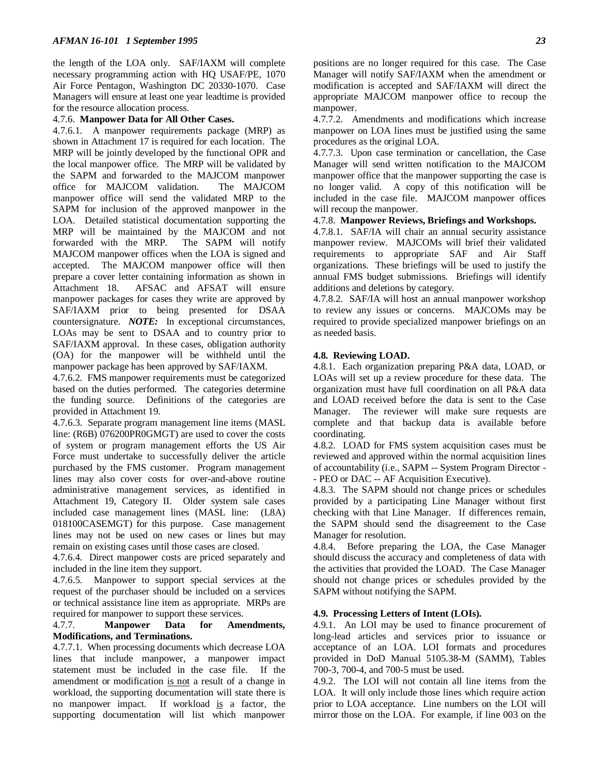the length of the LOA only. SAF/IAXM will complete necessary programming action with HQ USAF/PE, 1070 Air Force Pentagon, Washington DC 20330-1070. Case Managers will ensure at least one year leadtime is provided for the resource allocation process.

#### 4.7.6. **Manpower Data for All Other Cases.**

4.7.6.1. A manpower requirements package (MRP) as shown in Attachment 17 is required for each location. The MRP will be jointly developed by the functional OPR and the local manpower office. The MRP will be validated by the SAPM and forwarded to the MAJCOM manpower office for MAJCOM validation. The MAJCOM manpower office will send the validated MRP to the SAPM for inclusion of the approved manpower in the LOA. Detailed statistical documentation supporting the MRP will be maintained by the MAJCOM and not forwarded with the MRP. The SAPM will notify MAJCOM manpower offices when the LOA is signed and accepted. The MAJCOM manpower office will then prepare a cover letter containing information as shown in Attachment 18. AFSAC and AFSAT will ensure manpower packages for cases they write are approved by SAF/IAXM prior to being presented for DSAA countersignature. *NOTE:* In exceptional circumstances, LOAs may be sent to DSAA and to country prior to SAF/IAXM approval. In these cases, obligation authority (OA) for the manpower will be withheld until the manpower package has been approved by SAF/IAXM.

4.7.6.2. FMS manpower requirements must be categorized based on the duties performed. The categories determine the funding source. Definitions of the categories are provided in Attachment 19.

4.7.6.3. Separate program management line items (MASL line: (R6B) 076200PR0GMGT) are used to cover the costs of system or program management efforts the US Air Force must undertake to successfully deliver the article purchased by the FMS customer. Program management lines may also cover costs for over-and-above routine administrative management services, as identified in Attachment 19, Category II. Older system sale cases included case management lines (MASL line: (L8A) 018100CASEMGT) for this purpose. Case management lines may not be used on new cases or lines but may remain on existing cases until those cases are closed.

4.7.6.4. Direct manpower costs are priced separately and included in the line item they support.

4.7.6.5. Manpower to support special services at the request of the purchaser should be included on a services or technical assistance line item as appropriate. MRPs are required for manpower to support these services.

#### 4.7.7. **Manpower Data for Amendments, Modifications, and Terminations.**

4.7.7.1. When processing documents which decrease LOA lines that include manpower, a manpower impact statement must be included in the case file. If the amendment or modification is not a result of a change in workload, the supporting documentation will state there is no manpower impact. If workload is a factor, the supporting documentation will list which manpower

positions are no longer required for this case. The Case Manager will notify SAF/IAXM when the amendment or modification is accepted and SAF/IAXM will direct the appropriate MAJCOM manpower office to recoup the manpower.

4.7.7.2. Amendments and modifications which increase manpower on LOA lines must be justified using the same procedures as the original LOA.

4.7.7.3. Upon case termination or cancellation, the Case Manager will send written notification to the MAJCOM manpower office that the manpower supporting the case is no longer valid. A copy of this notification will be included in the case file. MAJCOM manpower offices will recoup the manpower.

#### 4.7.8. **Manpower Reviews, Briefings and Workshops.**

4.7.8.1. SAF/IA will chair an annual security assistance manpower review. MAJCOMs will brief their validated requirements to appropriate SAF and Air Staff organizations. These briefings will be used to justify the annual FMS budget submissions. Briefings will identify additions and deletions by category.

4.7.8.2. SAF/IA will host an annual manpower workshop to review any issues or concerns. MAJCOMs may be required to provide specialized manpower briefings on an as needed basis.

### **4.8. Reviewing LOAD.**

4.8.1. Each organization preparing P&A data, LOAD, or LOAs will set up a review procedure for these data. The organization must have full coordination on all P&A data and LOAD received before the data is sent to the Case Manager. The reviewer will make sure requests are complete and that backup data is available before coordinating.

4.8.2. LOAD for FMS system acquisition cases must be reviewed and approved within the normal acquisition lines of accountability (i.e., SAPM -- System Program Director - - PEO or DAC -- AF Acquisition Executive).

4.8.3. The SAPM should not change prices or schedules provided by a participating Line Manager without first checking with that Line Manager. If differences remain, the SAPM should send the disagreement to the Case Manager for resolution.

4.8.4. Before preparing the LOA, the Case Manager should discuss the accuracy and completeness of data with the activities that provided the LOAD. The Case Manager should not change prices or schedules provided by the SAPM without notifying the SAPM.

#### **4.9. Processing Letters of Intent (LOIs).**

4.9.1. An LOI may be used to finance procurement of long-lead articles and services prior to issuance or acceptance of an LOA. LOI formats and procedures provided in DoD Manual 5105.38-M (SAMM), Tables 700-3, 700-4, and 700-5 must be used.

4.9.2. The LOI will not contain all line items from the LOA. It will only include those lines which require action prior to LOA acceptance. Line numbers on the LOI will mirror those on the LOA. For example, if line 003 on the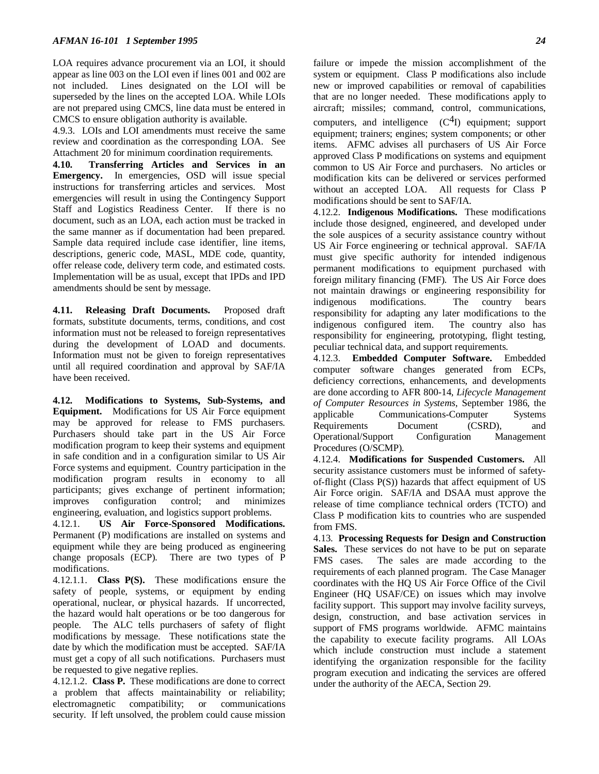LOA requires advance procurement via an LOI, it should appear as line 003 on the LOI even if lines 001 and 002 are not included. Lines designated on the LOI will be superseded by the lines on the accepted LOA. While LOIs are not prepared using CMCS, line data must be entered in CMCS to ensure obligation authority is available.

4.9.3. LOIs and LOI amendments must receive the same review and coordination as the corresponding LOA. See Attachment 20 for minimum coordination requirements.

**4.10. Transferring Articles and Services in an Emergency.** In emergencies, OSD will issue special instructions for transferring articles and services. Most emergencies will result in using the Contingency Support Staff and Logistics Readiness Center. If there is no document, such as an LOA, each action must be tracked in the same manner as if documentation had been prepared. Sample data required include case identifier, line items, descriptions, generic code, MASL, MDE code, quantity, offer release code, delivery term code, and estimated costs. Implementation will be as usual, except that IPDs and IPD amendments should be sent by message.

**4.11. Releasing Draft Documents.** Proposed draft formats, substitute documents, terms, conditions, and cost information must not be released to foreign representatives during the development of LOAD and documents. Information must not be given to foreign representatives until all required coordination and approval by SAF/IA have been received.

**4.12. Modifications to Systems, Sub-Systems, and Equipment.** Modifications for US Air Force equipment may be approved for release to FMS purchasers. Purchasers should take part in the US Air Force modification program to keep their systems and equipment in safe condition and in a configuration similar to US Air Force systems and equipment. Country participation in the modification program results in economy to all participants; gives exchange of pertinent information; improves configuration control; and minimizes engineering, evaluation, and logistics support problems.

4.12.1. **US Air Force-Sponsored Modifications.** Permanent (P) modifications are installed on systems and equipment while they are being produced as engineering change proposals (ECP). There are two types of P modifications.

4.12.1.1. **Class P(S).** These modifications ensure the safety of people, systems, or equipment by ending operational, nuclear, or physical hazards. If uncorrected, the hazard would halt operations or be too dangerous for people. The ALC tells purchasers of safety of flight modifications by message. These notifications state the date by which the modification must be accepted. SAF/IA must get a copy of all such notifications. Purchasers must be requested to give negative replies.

4.12.1.2. **Class P.** These modifications are done to correct a problem that affects maintainability or reliability; electromagnetic compatibility; or communications security. If left unsolved, the problem could cause mission

failure or impede the mission accomplishment of the system or equipment. Class P modifications also include new or improved capabilities or removal of capabilities that are no longer needed. These modifications apply to aircraft; missiles; command, control, communications, computers, and intelligence  $(C<sup>4</sup>I)$  equipment; support equipment; trainers; engines; system components; or other items. AFMC advises all purchasers of US Air Force approved Class P modifications on systems and equipment common to US Air Force and purchasers. No articles or modification kits can be delivered or services performed without an accepted LOA. All requests for Class P modifications should be sent to SAF/IA.

4.12.2. **Indigenous Modifications.** These modifications include those designed, engineered, and developed under the sole auspices of a security assistance country without US Air Force engineering or technical approval. SAF/IA must give specific authority for intended indigenous permanent modifications to equipment purchased with foreign military financing (FMF). The US Air Force does not maintain drawings or engineering responsibility for indigenous modifications. The country bears responsibility for adapting any later modifications to the indigenous configured item. The country also has responsibility for engineering, prototyping, flight testing, peculiar technical data, and support requirements.

4.12.3. **Embedded Computer Software.** Embedded computer software changes generated from ECPs, deficiency corrections, enhancements, and developments are done according to AFR 800-14, *Lifecycle Management of Computer Resources in Systems*, September 1986, the applicable Communications-Computer Systems Requirements Document (CSRD), and Operational/Support Configuration Management Procedures (O/SCMP).

4.12.4. **Modifications for Suspended Customers.** All security assistance customers must be informed of safetyof-flight (Class P(S)) hazards that affect equipment of US Air Force origin. SAF/IA and DSAA must approve the release of time compliance technical orders (TCTO) and Class P modification kits to countries who are suspended from FMS.

4.13. **Processing Requests for Design and Construction Sales.** These services do not have to be put on separate FMS cases. The sales are made according to the requirements of each planned program. The Case Manager coordinates with the HQ US Air Force Office of the Civil Engineer (HQ USAF/CE) on issues which may involve facility support. This support may involve facility surveys, design, construction, and base activation services in support of FMS programs worldwide. AFMC maintains the capability to execute facility programs. All LOAs which include construction must include a statement identifying the organization responsible for the facility program execution and indicating the services are offered under the authority of the AECA, Section 29.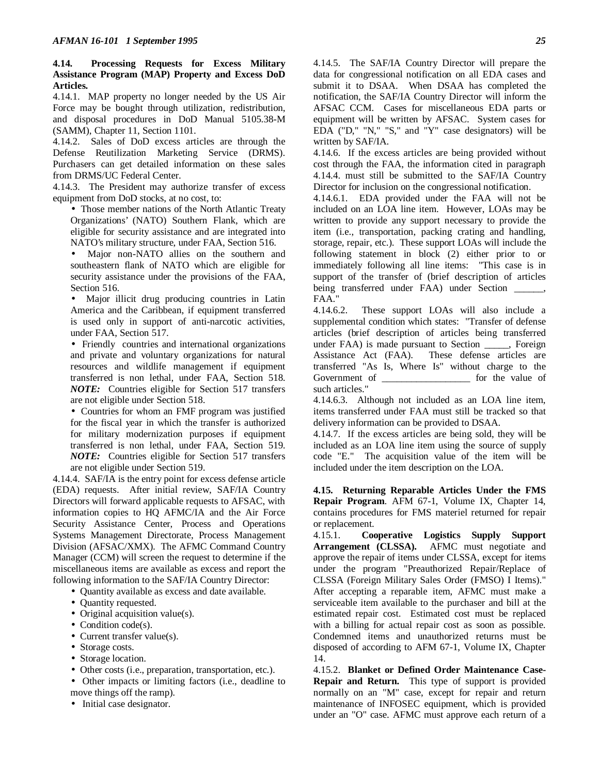#### **4.14. Processing Requests for Excess Military Assistance Program (MAP) Property and Excess DoD Articles.**

4.14.1. MAP property no longer needed by the US Air Force may be bought through utilization, redistribution, and disposal procedures in DoD Manual 5105.38-M (SAMM), Chapter 11, Section 1101.

4.14.2. Sales of DoD excess articles are through the Defense Reutilization Marketing Service (DRMS). Purchasers can get detailed information on these sales from DRMS/UC Federal Center.

4.14.3. The President may authorize transfer of excess equipment from DoD stocks, at no cost, to:

- Those member nations of the North Atlantic Treaty Organizations' (NATO) Southern Flank, which are eligible for security assistance and are integrated into NATO's military structure, under FAA, Section 516.
- Major non-NATO allies on the southern and southeastern flank of NATO which are eligible for security assistance under the provisions of the FAA, Section 516.

Major illicit drug producing countries in Latin America and the Caribbean, if equipment transferred is used only in support of anti-narcotic activities, under FAA, Section 517.

• Friendly countries and international organizations and private and voluntary organizations for natural resources and wildlife management if equipment transferred is non lethal, under FAA, Section 518. *NOTE:* Countries eligible for Section 517 transfers are not eligible under Section 518.

• Countries for whom an FMF program was justified for the fiscal year in which the transfer is authorized for military modernization purposes if equipment transferred is non lethal, under FAA, Section 519. *NOTE:* Countries eligible for Section 517 transfers are not eligible under Section 519.

4.14.4. SAF/IA is the entry point for excess defense article (EDA) requests. After initial review, SAF/IA Country Directors will forward applicable requests to AFSAC, with information copies to HQ AFMC/IA and the Air Force Security Assistance Center, Process and Operations Systems Management Directorate, Process Management Division (AFSAC/XMX). The AFMC Command Country Manager (CCM) will screen the request to determine if the miscellaneous items are available as excess and report the following information to the SAF/IA Country Director:

• Quantity available as excess and date available.

- Quantity requested.
- Original acquisition value(s).
- Condition code(s).
- Current transfer value(s).
- Storage costs.
- Storage location.
- Other costs (i.e., preparation, transportation, etc.).
- Other impacts or limiting factors (i.e., deadline to move things off the ramp).
- Initial case designator.

4.14.5. The SAF/IA Country Director will prepare the data for congressional notification on all EDA cases and submit it to DSAA. When DSAA has completed the notification, the SAF/IA Country Director will inform the AFSAC CCM. Cases for miscellaneous EDA parts or equipment will be written by AFSAC. System cases for EDA ("D," "N," "S," and "Y" case designators) will be written by SAF/IA.

4.14.6. If the excess articles are being provided without cost through the FAA, the information cited in paragraph 4.14.4. must still be submitted to the SAF/IA Country Director for inclusion on the congressional notification.

4.14.6.1. EDA provided under the FAA will not be included on an LOA line item. However, LOAs may be written to provide any support necessary to provide the item (i.e., transportation, packing crating and handling, storage, repair, etc.). These support LOAs will include the following statement in block (2) either prior to or immediately following all line items: "This case is in support of the transfer of (brief description of articles being transferred under FAA) under Section FAA."

4.14.6.2. These support LOAs will also include a supplemental condition which states: "Transfer of defense articles (brief description of articles being transferred under FAA) is made pursuant to Section \_\_\_\_\_, Foreign Assistance Act (FAA). These defense articles are transferred "As Is, Where Is" without charge to the Government of \_\_\_\_\_\_\_\_\_\_\_\_\_\_\_\_\_\_\_\_ for the value of such articles."

4.14.6.3. Although not included as an LOA line item, items transferred under FAA must still be tracked so that delivery information can be provided to DSAA.

4.14.7. If the excess articles are being sold, they will be included as an LOA line item using the source of supply code "E." The acquisition value of the item will be included under the item description on the LOA.

**4.15. Returning Reparable Articles Under the FMS Repair Program**. AFM 67-1, Volume IX, Chapter 14, contains procedures for FMS materiel returned for repair or replacement.

4.15.1. **Cooperative Logistics Supply Support Arrangement (CLSSA).** AFMC must negotiate and approve the repair of items under CLSSA, except for items under the program "Preauthorized Repair/Replace of CLSSA (Foreign Military Sales Order (FMSO) I Items)." After accepting a reparable item, AFMC must make a serviceable item available to the purchaser and bill at the estimated repair cost. Estimated cost must be replaced with a billing for actual repair cost as soon as possible. Condemned items and unauthorized returns must be disposed of according to AFM 67-1, Volume IX, Chapter 14.

4.15.2. **Blanket or Defined Order Maintenance Case-Repair and Return.** This type of support is provided normally on an "M" case, except for repair and return maintenance of INFOSEC equipment, which is provided under an "O" case. AFMC must approve each return of a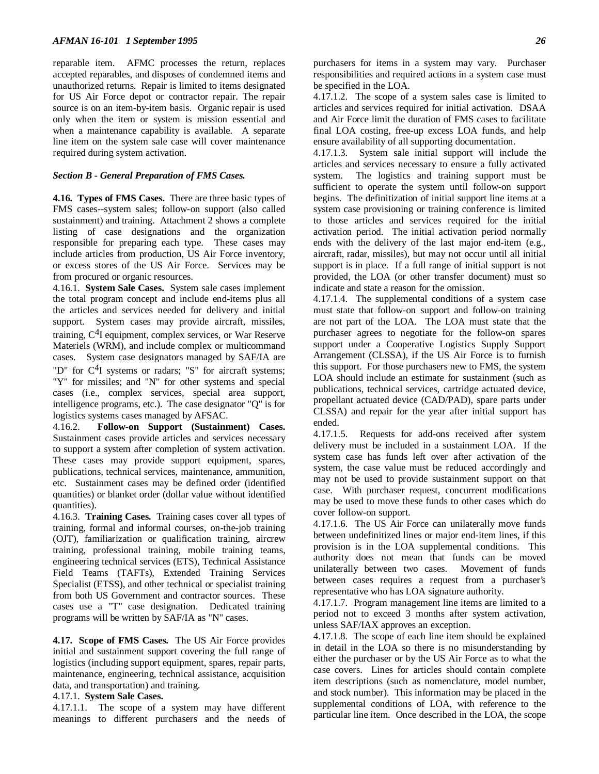#### *AFMAN 16-101 1 September 1995 26*

reparable item. AFMC processes the return, replaces accepted reparables, and disposes of condemned items and unauthorized returns. Repair is limited to items designated for US Air Force depot or contractor repair. The repair source is on an item-by-item basis. Organic repair is used only when the item or system is mission essential and when a maintenance capability is available. A separate line item on the system sale case will cover maintenance required during system activation.

#### *Section B - General Preparation of FMS Cases.*

**4.16. Types of FMS Cases.** There are three basic types of FMS cases--system sales; follow-on support (also called sustainment) and training. Attachment 2 shows a complete listing of case designations and the organization responsible for preparing each type. These cases may include articles from production, US Air Force inventory, or excess stores of the US Air Force. Services may be from procured or organic resources.

4.16.1. **System Sale Cases.** System sale cases implement the total program concept and include end-items plus all the articles and services needed for delivery and initial support. System cases may provide aircraft, missiles, training, C4I equipment, complex services, or War Reserve Materiels (WRM), and include complex or multicommand cases. System case designators managed by SAF/IA are "D" for  $C<sup>4</sup>I$  systems or radars; "S" for aircraft systems; "Y" for missiles; and "N" for other systems and special cases (i.e., complex services, special area support, intelligence programs, etc.). The case designator "Q" is for logistics systems cases managed by AFSAC.

4.16.2. **Follow-on Support (Sustainment) Cases.** Sustainment cases provide articles and services necessary to support a system after completion of system activation. These cases may provide support equipment, spares, publications, technical services, maintenance, ammunition, etc. Sustainment cases may be defined order (identified quantities) or blanket order (dollar value without identified quantities).

4.16.3. **Training Cases.** Training cases cover all types of training, formal and informal courses, on-the-job training (OJT), familiarization or qualification training, aircrew training, professional training, mobile training teams, engineering technical services (ETS), Technical Assistance Field Teams (TAFTs), Extended Training Services Specialist (ETSS), and other technical or specialist training from both US Government and contractor sources. These cases use a "T" case designation. Dedicated training programs will be written by SAF/IA as "N" cases.

**4.17. Scope of FMS Cases.** The US Air Force provides initial and sustainment support covering the full range of logistics (including support equipment, spares, repair parts, maintenance, engineering, technical assistance, acquisition data, and transportation) and training.

#### 4.17.1. **System Sale Cases.**

4.17.1.1. The scope of a system may have different meanings to different purchasers and the needs of purchasers for items in a system may vary. Purchaser responsibilities and required actions in a system case must be specified in the LOA.

4.17.1.2. The scope of a system sales case is limited to articles and services required for initial activation. DSAA and Air Force limit the duration of FMS cases to facilitate final LOA costing, free-up excess LOA funds, and help ensure availability of all supporting documentation.

4.17.1.3. System sale initial support will include the articles and services necessary to ensure a fully activated system. The logistics and training support must be sufficient to operate the system until follow-on support begins. The definitization of initial support line items at a system case provisioning or training conference is limited to those articles and services required for the initial activation period. The initial activation period normally ends with the delivery of the last major end-item (e.g., aircraft, radar, missiles), but may not occur until all initial support is in place. If a full range of initial support is not provided, the LOA (or other transfer document) must so indicate and state a reason for the omission.

4.17.1.4. The supplemental conditions of a system case must state that follow-on support and follow-on training are not part of the LOA. The LOA must state that the purchaser agrees to negotiate for the follow-on spares support under a Cooperative Logistics Supply Support Arrangement (CLSSA), if the US Air Force is to furnish this support. For those purchasers new to FMS, the system LOA should include an estimate for sustainment (such as publications, technical services, cartridge actuated device, propellant actuated device (CAD/PAD), spare parts under CLSSA) and repair for the year after initial support has ended.

4.17.1.5. Requests for add-ons received after system delivery must be included in a sustainment LOA. If the system case has funds left over after activation of the system, the case value must be reduced accordingly and may not be used to provide sustainment support on that case. With purchaser request, concurrent modifications may be used to move these funds to other cases which do cover follow-on support.

4.17.1.6. The US Air Force can unilaterally move funds between undefinitized lines or major end-item lines, if this provision is in the LOA supplemental conditions. This authority does not mean that funds can be moved unilaterally between two cases. Movement of funds between cases requires a request from a purchaser's representative who has LOA signature authority.

4.17.1.7. Program management line items are limited to a period not to exceed 3 months after system activation, unless SAF/IAX approves an exception.

4.17.1.8. The scope of each line item should be explained in detail in the LOA so there is no misunderstanding by either the purchaser or by the US Air Force as to what the case covers. Lines for articles should contain complete item descriptions (such as nomenclature, model number, and stock number). This information may be placed in the supplemental conditions of LOA, with reference to the particular line item. Once described in the LOA, the scope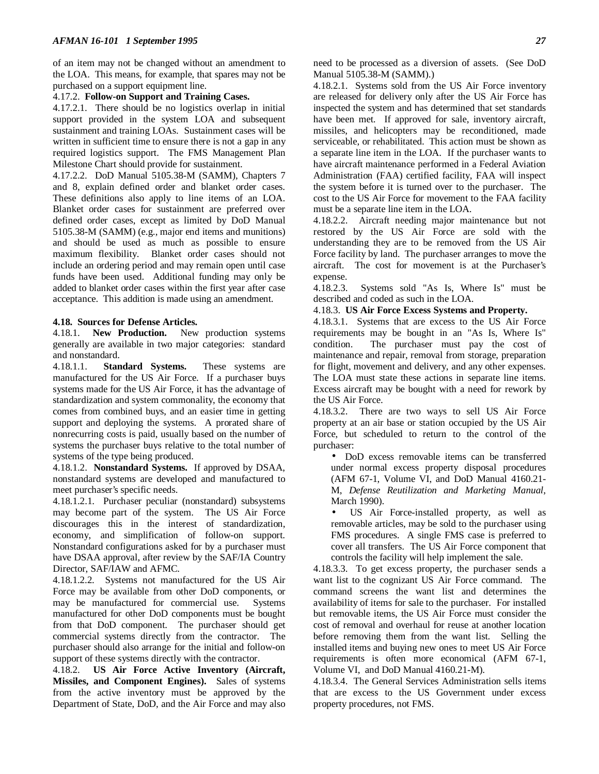of an item may not be changed without an amendment to the LOA. This means, for example, that spares may not be purchased on a support equipment line.

#### 4.17.2. **Follow-on Support and Training Cases.**

4.17.2.1. There should be no logistics overlap in initial support provided in the system LOA and subsequent sustainment and training LOAs. Sustainment cases will be written in sufficient time to ensure there is not a gap in any required logistics support. The FMS Management Plan Milestone Chart should provide for sustainment.

4.17.2.2. DoD Manual 5105.38-M (SAMM), Chapters 7 and 8, explain defined order and blanket order cases. These definitions also apply to line items of an LOA. Blanket order cases for sustainment are preferred over defined order cases, except as limited by DoD Manual 5105.38-M (SAMM) (e.g., major end items and munitions) and should be used as much as possible to ensure maximum flexibility. Blanket order cases should not include an ordering period and may remain open until case funds have been used. Additional funding may only be added to blanket order cases within the first year after case acceptance. This addition is made using an amendment.

#### **4.18. Sources for Defense Articles.**

4.18.1. **New Production.** New production systems generally are available in two major categories: standard and nonstandard.

4.18.1.1. **Standard Systems.** These systems are manufactured for the US Air Force. If a purchaser buys systems made for the US Air Force, it has the advantage of standardization and system commonality, the economy that comes from combined buys, and an easier time in getting support and deploying the systems. A prorated share of nonrecurring costs is paid, usually based on the number of systems the purchaser buys relative to the total number of systems of the type being produced.

4.18.1.2. **Nonstandard Systems.** If approved by DSAA, nonstandard systems are developed and manufactured to meet purchaser's specific needs.

4.18.1.2.1. Purchaser peculiar (nonstandard) subsystems may become part of the system. The US Air Force discourages this in the interest of standardization, economy, and simplification of follow-on support. Nonstandard configurations asked for by a purchaser must have DSAA approval, after review by the SAF/IA Country Director, SAF/IAW and AFMC.

4.18.1.2.2. Systems not manufactured for the US Air Force may be available from other DoD components, or may be manufactured for commercial use. Systems manufactured for other DoD components must be bought from that DoD component. The purchaser should get commercial systems directly from the contractor. The purchaser should also arrange for the initial and follow-on support of these systems directly with the contractor.

4.18.2. **US Air Force Active Inventory (Aircraft, Missiles, and Component Engines).** Sales of systems from the active inventory must be approved by the Department of State, DoD, and the Air Force and may also need to be processed as a diversion of assets. (See DoD Manual 5105.38-M (SAMM).)

4.18.2.1. Systems sold from the US Air Force inventory are released for delivery only after the US Air Force has inspected the system and has determined that set standards have been met. If approved for sale, inventory aircraft, missiles, and helicopters may be reconditioned, made serviceable, or rehabilitated. This action must be shown as a separate line item in the LOA. If the purchaser wants to have aircraft maintenance performed in a Federal Aviation Administration (FAA) certified facility, FAA will inspect the system before it is turned over to the purchaser. The cost to the US Air Force for movement to the FAA facility must be a separate line item in the LOA.

4.18.2.2. Aircraft needing major maintenance but not restored by the US Air Force are sold with the understanding they are to be removed from the US Air Force facility by land. The purchaser arranges to move the aircraft. The cost for movement is at the Purchaser's expense.

4.18.2.3. Systems sold "As Is, Where Is" must be described and coded as such in the LOA.

#### 4.18.3. **US Air Force Excess Systems and Property.**

4.18.3.1. Systems that are excess to the US Air Force requirements may be bought in an "As Is, Where Is" condition. The purchaser must pay the cost of maintenance and repair, removal from storage, preparation for flight, movement and delivery, and any other expenses. The LOA must state these actions in separate line items. Excess aircraft may be bought with a need for rework by the US Air Force.

4.18.3.2. There are two ways to sell US Air Force property at an air base or station occupied by the US Air Force, but scheduled to return to the control of the purchaser:

• DoD excess removable items can be transferred under normal excess property disposal procedures (AFM 67-1, Volume VI, and DoD Manual 4160.21- M, *Defense Reutilization and Marketing Manual*, March 1990).

• US Air Force-installed property, as well as removable articles, may be sold to the purchaser using FMS procedures. A single FMS case is preferred to cover all transfers. The US Air Force component that controls the facility will help implement the sale.

4.18.3.3. To get excess property, the purchaser sends a want list to the cognizant US Air Force command. The command screens the want list and determines the availability of items for sale to the purchaser. For installed but removable items, the US Air Force must consider the cost of removal and overhaul for reuse at another location before removing them from the want list. Selling the installed items and buying new ones to meet US Air Force requirements is often more economical (AFM 67-1, Volume VI, and DoD Manual 4160.21-M).

4.18.3.4. The General Services Administration sells items that are excess to the US Government under excess property procedures, not FMS.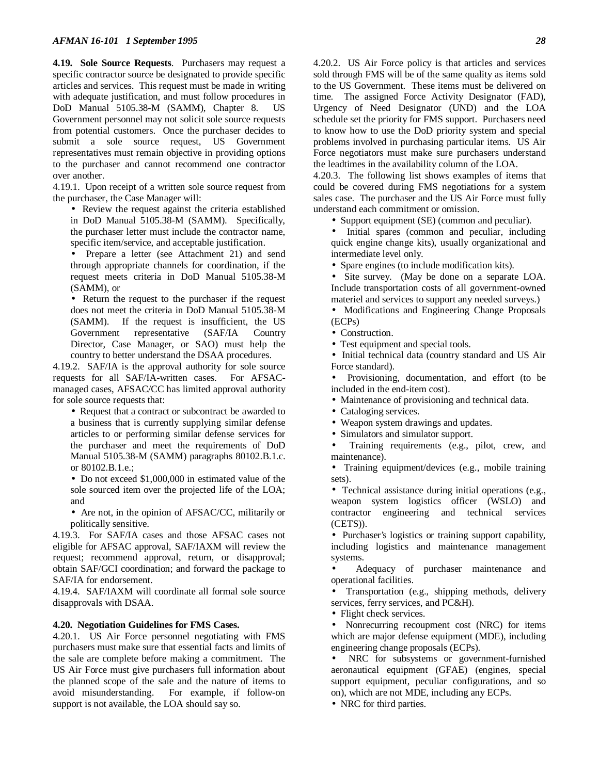**4.19. Sole Source Requests**. Purchasers may request a specific contractor source be designated to provide specific articles and services. This request must be made in writing with adequate justification, and must follow procedures in DoD Manual 5105.38-M (SAMM), Chapter 8. US Government personnel may not solicit sole source requests from potential customers. Once the purchaser decides to submit a sole source request, US Government representatives must remain objective in providing options to the purchaser and cannot recommend one contractor over another.

4.19.1. Upon receipt of a written sole source request from the purchaser, the Case Manager will:

• Review the request against the criteria established in DoD Manual 5105.38-M (SAMM). Specifically, the purchaser letter must include the contractor name, specific item/service, and acceptable justification.

• Prepare a letter (see Attachment 21) and send through appropriate channels for coordination, if the request meets criteria in DoD Manual 5105.38-M (SAMM), or

• Return the request to the purchaser if the request does not meet the criteria in DoD Manual 5105.38-M (SAMM). If the request is insufficient, the US Government representative (SAF/IA Country Director, Case Manager, or SAO) must help the country to better understand the DSAA procedures.

4.19.2. SAF/IA is the approval authority for sole source requests for all SAF/IA-written cases. For AFSACmanaged cases, AFSAC/CC has limited approval authority for sole source requests that:

• Request that a contract or subcontract be awarded to a business that is currently supplying similar defense articles to or performing similar defense services for the purchaser and meet the requirements of DoD Manual 5105.38-M (SAMM) paragraphs 80102.B.1.c. or 80102.B.1.e.;

• Do not exceed \$1,000,000 in estimated value of the sole sourced item over the projected life of the LOA; and

• Are not, in the opinion of AFSAC/CC, militarily or politically sensitive.

4.19.3. For SAF/IA cases and those AFSAC cases not eligible for AFSAC approval, SAF/IAXM will review the request; recommend approval, return, or disapproval; obtain SAF/GCI coordination; and forward the package to SAF/IA for endorsement.

4.19.4. SAF/IAXM will coordinate all formal sole source disapprovals with DSAA.

#### **4.20. Negotiation Guidelines for FMS Cases.**

4.20.1. US Air Force personnel negotiating with FMS purchasers must make sure that essential facts and limits of the sale are complete before making a commitment. The US Air Force must give purchasers full information about the planned scope of the sale and the nature of items to avoid misunderstanding. For example, if follow-on support is not available, the LOA should say so.

4.20.2. US Air Force policy is that articles and services sold through FMS will be of the same quality as items sold to the US Government. These items must be delivered on time. The assigned Force Activity Designator (FAD), Urgency of Need Designator (UND) and the LOA schedule set the priority for FMS support. Purchasers need to know how to use the DoD priority system and special problems involved in purchasing particular items. US Air Force negotiators must make sure purchasers understand the leadtimes in the availability column of the LOA.

4.20.3. The following list shows examples of items that could be covered during FMS negotiations for a system sales case. The purchaser and the US Air Force must fully understand each commitment or omission.

• Support equipment (SE) (common and peculiar).

Initial spares (common and peculiar, including quick engine change kits), usually organizational and intermediate level only.

• Spare engines (to include modification kits).

• Site survey. (May be done on a separate LOA. Include transportation costs of all government-owned materiel and services to support any needed surveys.)

• Modifications and Engineering Change Proposals (ECPs)

• Construction.

• Test equipment and special tools.

• Initial technical data (country standard and US Air Force standard).

• Provisioning, documentation, and effort (to be included in the end-item cost).

• Maintenance of provisioning and technical data.

• Cataloging services.

• Weapon system drawings and updates.

• Simulators and simulator support.

• Training requirements (e.g., pilot, crew, and maintenance).

• Training equipment/devices (e.g., mobile training sets).

• Technical assistance during initial operations (e.g., weapon system logistics officer (WSLO) and contractor engineering and technical services (CETS)).

• Purchaser's logistics or training support capability, including logistics and maintenance management systems.

• Adequacy of purchaser maintenance and operational facilities.

• Transportation (e.g., shipping methods, delivery services, ferry services, and PC&H).

• Flight check services.

• Nonrecurring recoupment cost (NRC) for items which are major defense equipment (MDE), including engineering change proposals (ECPs).

NRC for subsystems or government-furnished aeronautical equipment (GFAE) (engines, special support equipment, peculiar configurations, and so on), which are not MDE, including any ECPs.

• NRC for third parties.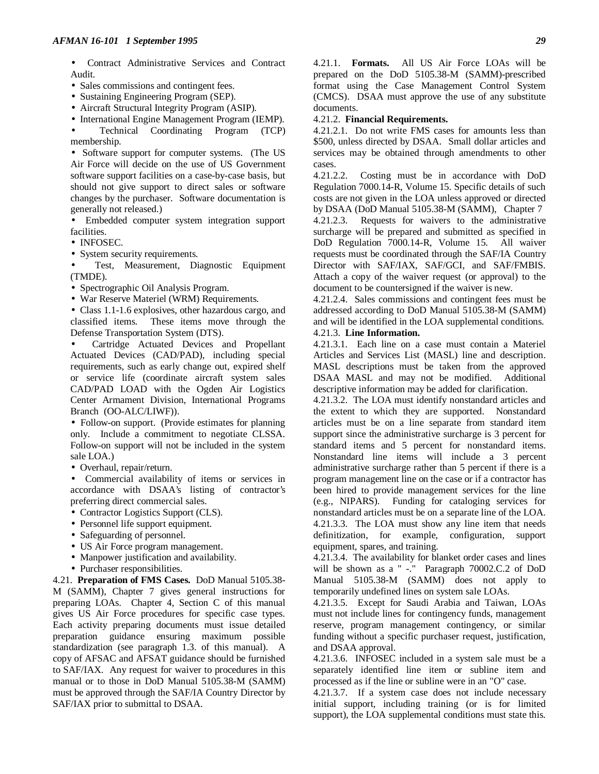- Sales commissions and contingent fees.
- Sustaining Engineering Program (SEP).
- Aircraft Structural Integrity Program (ASIP).
- International Engine Management Program (IEMP).
- Technical Coordinating Program (TCP) membership.

• Software support for computer systems. (The US Air Force will decide on the use of US Government software support facilities on a case-by-case basis, but should not give support to direct sales or software changes by the purchaser. Software documentation is generally not released.)

• Embedded computer system integration support facilities.

- INFOSEC.
- System security requirements.

• Test, Measurement, Diagnostic Equipment (TMDE).

- Spectrographic Oil Analysis Program.
- War Reserve Materiel (WRM) Requirements.

• Class 1.1-1.6 explosives, other hazardous cargo, and classified items. These items move through the Defense Transportation System (DTS).

• Cartridge Actuated Devices and Propellant Actuated Devices (CAD/PAD), including special requirements, such as early change out, expired shelf or service life (coordinate aircraft system sales CAD/PAD LOAD with the Ogden Air Logistics Center Armament Division, International Programs Branch (OO-ALC/LIWF)).

• Follow-on support. (Provide estimates for planning only. Include a commitment to negotiate CLSSA. Follow-on support will not be included in the system sale LOA.)

• Overhaul, repair/return.

• Commercial availability of items or services in accordance with DSAA's listing of contractor's preferring direct commercial sales.

- Contractor Logistics Support (CLS).
- Personnel life support equipment.
- Safeguarding of personnel.
- US Air Force program management.
- Manpower justification and availability.
- Purchaser responsibilities.

4.21. **Preparation of FMS Cases.** DoD Manual 5105.38- M (SAMM), Chapter 7 gives general instructions for preparing LOAs. Chapter 4, Section C of this manual gives US Air Force procedures for specific case types. Each activity preparing documents must issue detailed preparation guidance ensuring maximum possible standardization (see paragraph 1.3. of this manual). A copy of AFSAC and AFSAT guidance should be furnished to SAF/IAX. Any request for waiver to procedures in this manual or to those in DoD Manual 5105.38-M (SAMM) must be approved through the SAF/IA Country Director by SAF/IAX prior to submittal to DSAA.

4.21.1. **Formats.** All US Air Force LOAs will be prepared on the DoD 5105.38-M (SAMM)-prescribed format using the Case Management Control System (CMCS). DSAA must approve the use of any substitute documents.

#### 4.21.2. **Financial Requirements.**

4.21.2.1. Do not write FMS cases for amounts less than \$500, unless directed by DSAA. Small dollar articles and services may be obtained through amendments to other cases.

4.21.2.2. Costing must be in accordance with DoD Regulation 7000.14-R, Volume 15. Specific details of such costs are not given in the LOA unless approved or directed by DSAA (DoD Manual 5105.38-M (SAMM), Chapter 7 4.21.2.3. Requests for waivers to the administrative surcharge will be prepared and submitted as specified in DoD Regulation 7000.14-R, Volume 15. All waiver requests must be coordinated through the SAF/IA Country Director with SAF/IAX, SAF/GCI, and SAF/FMBIS. Attach a copy of the waiver request (or approval) to the document to be countersigned if the waiver is new.

4.21.2.4. Sales commissions and contingent fees must be addressed according to DoD Manual 5105.38-M (SAMM) and will be identified in the LOA supplemental conditions. 4.21.3. **Line Information.**

4.21.3.1. Each line on a case must contain a Materiel Articles and Services List (MASL) line and description. MASL descriptions must be taken from the approved DSAA MASL and may not be modified. Additional descriptive information may be added for clarification.

4.21.3.2. The LOA must identify nonstandard articles and the extent to which they are supported. Nonstandard articles must be on a line separate from standard item support since the administrative surcharge is 3 percent for standard items and 5 percent for nonstandard items. Nonstandard line items will include a 3 percent administrative surcharge rather than 5 percent if there is a program management line on the case or if a contractor has been hired to provide management services for the line (e.g., NIPARS). Funding for cataloging services for nonstandard articles must be on a separate line of the LOA. 4.21.3.3. The LOA must show any line item that needs definitization, for example, configuration, support equipment, spares, and training.

4.21.3.4. The availability for blanket order cases and lines will be shown as a " -." Paragraph 70002.C.2 of DoD Manual 5105.38-M (SAMM) does not apply to temporarily undefined lines on system sale LOAs.

4.21.3.5. Except for Saudi Arabia and Taiwan, LOAs must not include lines for contingency funds, management reserve, program management contingency, or similar funding without a specific purchaser request, justification, and DSAA approval.

4.21.3.6. INFOSEC included in a system sale must be a separately identified line item or subline item and processed as if the line or subline were in an "O" case.

4.21.3.7. If a system case does not include necessary initial support, including training (or is for limited support), the LOA supplemental conditions must state this.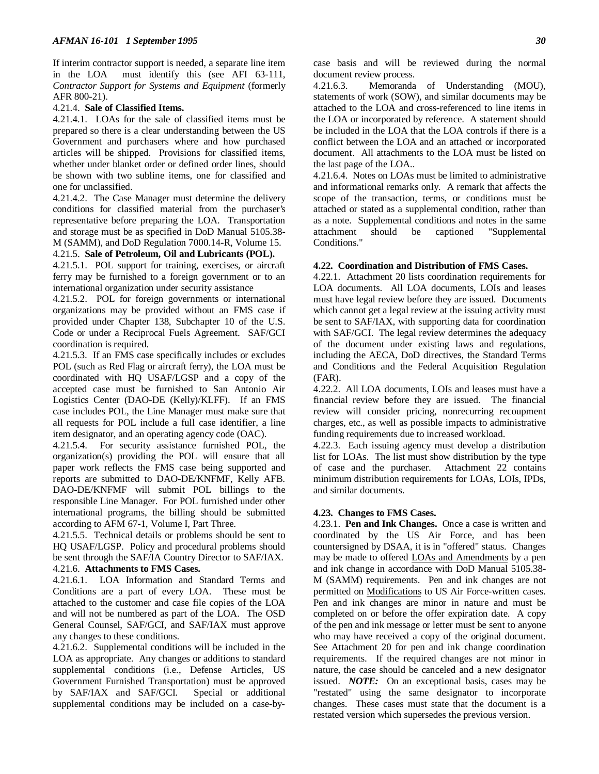If interim contractor support is needed, a separate line item in the LOA must identify this (see AFI 63-111, *Contractor Support for Systems and Equipment* (formerly AFR 800-21).

## 4.21.4. **Sale of Classified Items.**

4.21.4.1. LOAs for the sale of classified items must be prepared so there is a clear understanding between the US Government and purchasers where and how purchased articles will be shipped. Provisions for classified items, whether under blanket order or defined order lines, should be shown with two subline items, one for classified and one for unclassified.

4.21.4.2. The Case Manager must determine the delivery conditions for classified material from the purchaser's representative before preparing the LOA. Transportation and storage must be as specified in DoD Manual 5105.38- M (SAMM), and DoD Regulation 7000.14-R, Volume 15.

## 4.21.5. **Sale of Petroleum, Oil and Lubricants (POL).**

4.21.5.1. POL support for training, exercises, or aircraft ferry may be furnished to a foreign government or to an international organization under security assistance

4.21.5.2. POL for foreign governments or international organizations may be provided without an FMS case if provided under Chapter 138, Subchapter 10 of the U.S. Code or under a Reciprocal Fuels Agreement. SAF/GCI coordination is required.

4.21.5.3. If an FMS case specifically includes or excludes POL (such as Red Flag or aircraft ferry), the LOA must be coordinated with HQ USAF/LGSP and a copy of the accepted case must be furnished to San Antonio Air Logistics Center (DAO-DE (Kelly)/KLFF). If an FMS case includes POL, the Line Manager must make sure that all requests for POL include a full case identifier, a line item designator, and an operating agency code (OAC).

4.21.5.4. For security assistance furnished POL, the organization(s) providing the POL will ensure that all paper work reflects the FMS case being supported and reports are submitted to DAO-DE/KNFMF, Kelly AFB. DAO-DE/KNFMF will submit POL billings to the responsible Line Manager. For POL furnished under other international programs, the billing should be submitted according to AFM 67-1, Volume I, Part Three.

4.21.5.5. Technical details or problems should be sent to HQ USAF/LGSP. Policy and procedural problems should be sent through the SAF/IA Country Director to SAF/IAX.

# 4.21.6. **Attachments to FMS Cases.**

4.21.6.1. LOA Information and Standard Terms and Conditions are a part of every LOA. These must be attached to the customer and case file copies of the LOA and will not be numbered as part of the LOA. The OSD General Counsel, SAF/GCI, and SAF/IAX must approve any changes to these conditions.

4.21.6.2. Supplemental conditions will be included in the LOA as appropriate. Any changes or additions to standard supplemental conditions (i.e., Defense Articles, US Government Furnished Transportation) must be approved by SAF/IAX and SAF/GCI. Special or additional supplemental conditions may be included on a case-bycase basis and will be reviewed during the normal document review process.

4.21.6.3. Memoranda of Understanding (MOU), statements of work (SOW), and similar documents may be attached to the LOA and cross-referenced to line items in the LOA or incorporated by reference. A statement should be included in the LOA that the LOA controls if there is a conflict between the LOA and an attached or incorporated document. All attachments to the LOA must be listed on the last page of the LOA..

4.21.6.4. Notes on LOAs must be limited to administrative and informational remarks only. A remark that affects the scope of the transaction, terms, or conditions must be attached or stated as a supplemental condition, rather than as a note. Supplemental conditions and notes in the same attachment should be captioned "Supplemental Conditions."

#### **4.22. Coordination and Distribution of FMS Cases.**

4.22.1. Attachment 20 lists coordination requirements for LOA documents. All LOA documents, LOIs and leases must have legal review before they are issued. Documents which cannot get a legal review at the issuing activity must be sent to SAF/IAX, with supporting data for coordination with SAF/GCI. The legal review determines the adequacy of the document under existing laws and regulations, including the AECA, DoD directives, the Standard Terms and Conditions and the Federal Acquisition Regulation (FAR).

4.22.2. All LOA documents, LOIs and leases must have a financial review before they are issued. The financial review will consider pricing, nonrecurring recoupment charges, etc., as well as possible impacts to administrative funding requirements due to increased workload.

4.22.3. Each issuing agency must develop a distribution list for LOAs. The list must show distribution by the type of case and the purchaser. Attachment 22 contains minimum distribution requirements for LOAs, LOIs, IPDs, and similar documents.

#### **4.23. Changes to FMS Cases.**

4.23.1. **Pen and Ink Changes.** Once a case is written and coordinated by the US Air Force, and has been countersigned by DSAA, it is in "offered" status. Changes may be made to offered LOAs and Amendments by a pen and ink change in accordance with DoD Manual 5105.38- M (SAMM) requirements. Pen and ink changes are not permitted on Modifications to US Air Force-written cases. Pen and ink changes are minor in nature and must be completed on or before the offer expiration date. A copy of the pen and ink message or letter must be sent to anyone who may have received a copy of the original document. See Attachment 20 for pen and ink change coordination requirements. If the required changes are not minor in nature, the case should be canceled and a new designator issued. *NOTE:* On an exceptional basis, cases may be "restated" using the same designator to incorporate changes. These cases must state that the document is a restated version which supersedes the previous version.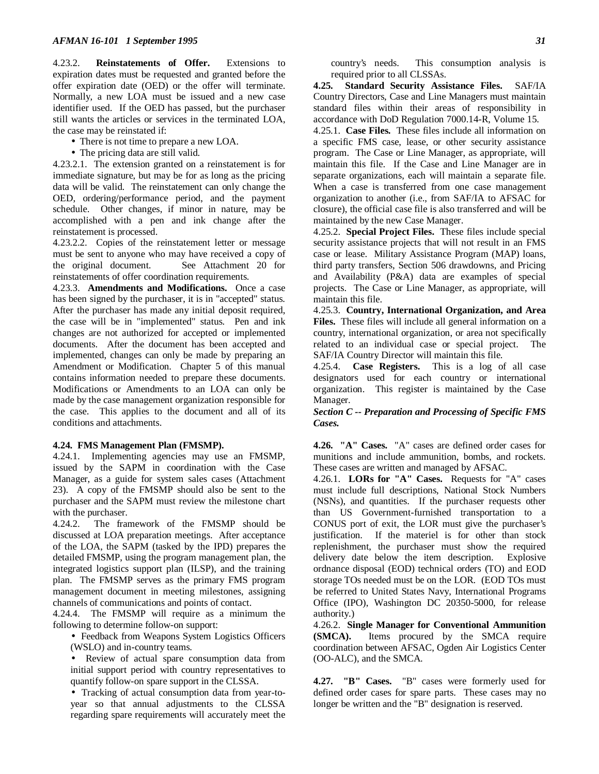4.23.2. **Reinstatements of Offer.** Extensions to expiration dates must be requested and granted before the offer expiration date (OED) or the offer will terminate. Normally, a new LOA must be issued and a new case identifier used. If the OED has passed, but the purchaser still wants the articles or services in the terminated LOA, the case may be reinstated if:

- There is not time to prepare a new LOA.
- The pricing data are still valid.

4.23.2.1. The extension granted on a reinstatement is for immediate signature, but may be for as long as the pricing data will be valid. The reinstatement can only change the OED, ordering/performance period, and the payment schedule. Other changes, if minor in nature, may be accomplished with a pen and ink change after the reinstatement is processed.

4.23.2.2. Copies of the reinstatement letter or message must be sent to anyone who may have received a copy of the original document. See Attachment 20 for reinstatements of offer coordination requirements.

4.23.3. **Amendments and Modifications.** Once a case has been signed by the purchaser, it is in "accepted" status. After the purchaser has made any initial deposit required, the case will be in "implemented" status. Pen and ink changes are not authorized for accepted or implemented documents. After the document has been accepted and implemented, changes can only be made by preparing an Amendment or Modification. Chapter 5 of this manual contains information needed to prepare these documents. Modifications or Amendments to an LOA can only be made by the case management organization responsible for the case. This applies to the document and all of its conditions and attachments.

#### **4.24. FMS Management Plan (FMSMP).**

4.24.1. Implementing agencies may use an FMSMP, issued by the SAPM in coordination with the Case Manager, as a guide for system sales cases (Attachment 23). A copy of the FMSMP should also be sent to the purchaser and the SAPM must review the milestone chart with the purchaser.

4.24.2. The framework of the FMSMP should be discussed at LOA preparation meetings. After acceptance of the LOA, the SAPM (tasked by the IPD) prepares the detailed FMSMP, using the program management plan, the integrated logistics support plan (ILSP), and the training plan. The FMSMP serves as the primary FMS program management document in meeting milestones, assigning channels of communications and points of contact.

4.24.4. The FMSMP will require as a minimum the following to determine follow-on support:

• Feedback from Weapons System Logistics Officers (WSLO) and in-country teams.

Review of actual spare consumption data from initial support period with country representatives to quantify follow-on spare support in the CLSSA.

• Tracking of actual consumption data from year-toyear so that annual adjustments to the CLSSA regarding spare requirements will accurately meet the

country's needs. This consumption analysis is required prior to all CLSSAs.

**4.25. Standard Security Assistance Files.** SAF/IA Country Directors, Case and Line Managers must maintain standard files within their areas of responsibility in accordance with DoD Regulation 7000.14-R, Volume 15.

4.25.1. **Case Files.** These files include all information on a specific FMS case, lease, or other security assistance program. The Case or Line Manager, as appropriate, will maintain this file. If the Case and Line Manager are in separate organizations, each will maintain a separate file. When a case is transferred from one case management organization to another (i.e., from SAF/IA to AFSAC for closure), the official case file is also transferred and will be maintained by the new Case Manager.

4.25.2. **Special Project Files.** These files include special security assistance projects that will not result in an FMS case or lease. Military Assistance Program (MAP) loans, third party transfers, Section 506 drawdowns, and Pricing and Availability (P&A) data are examples of special projects. The Case or Line Manager, as appropriate, will maintain this file.

4.25.3. **Country, International Organization, and Area Files.** These files will include all general information on a country, international organization, or area not specifically related to an individual case or special project. The SAF/IA Country Director will maintain this file.

4.25.4. **Case Registers.** This is a log of all case designators used for each country or international organization. This register is maintained by the Case Manager.

*Section C -- Preparation and Processing of Specific FMS Cases.*

**4.26. "A" Cases.** "A" cases are defined order cases for munitions and include ammunition, bombs, and rockets. These cases are written and managed by AFSAC.

4.26.1. **LORs for "A" Cases.** Requests for "A" cases must include full descriptions, National Stock Numbers (NSNs), and quantities. If the purchaser requests other than US Government-furnished transportation to a CONUS port of exit, the LOR must give the purchaser's justification. If the materiel is for other than stock replenishment, the purchaser must show the required delivery date below the item description. Explosive ordnance disposal (EOD) technical orders (TO) and EOD storage TOs needed must be on the LOR. (EOD TOs must be referred to United States Navy, International Programs Office (IPO), Washington DC 20350-5000, for release authority.)

4.26.2. **Single Manager for Conventional Ammunition (SMCA).** Items procured by the SMCA require coordination between AFSAC, Ogden Air Logistics Center (OO-ALC), and the SMCA.

**4.27. "B" Cases.** "B" cases were formerly used for defined order cases for spare parts. These cases may no longer be written and the "B" designation is reserved.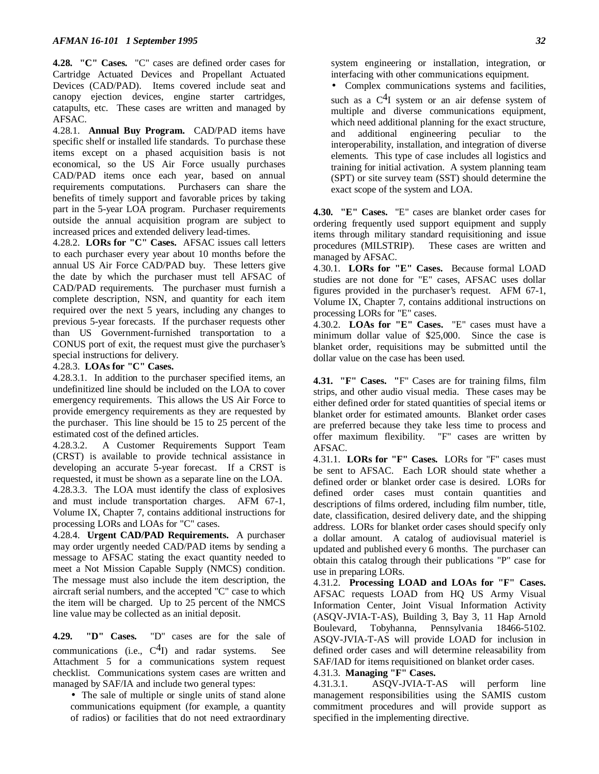**4.28. "C" Cases.** "C" cases are defined order cases for Cartridge Actuated Devices and Propellant Actuated Devices (CAD/PAD). Items covered include seat and canopy ejection devices, engine starter cartridges, catapults, etc. These cases are written and managed by AFSAC.

4.28.1. **Annual Buy Program.** CAD/PAD items have specific shelf or installed life standards. To purchase these items except on a phased acquisition basis is not economical, so the US Air Force usually purchases CAD/PAD items once each year, based on annual requirements computations. Purchasers can share the benefits of timely support and favorable prices by taking part in the 5-year LOA program. Purchaser requirements outside the annual acquisition program are subject to increased prices and extended delivery lead-times.

4.28.2. **LORs for "C" Cases.** AFSAC issues call letters to each purchaser every year about 10 months before the annual US Air Force CAD/PAD buy. These letters give the date by which the purchaser must tell AFSAC of CAD/PAD requirements. The purchaser must furnish a complete description, NSN, and quantity for each item required over the next 5 years, including any changes to previous 5-year forecasts. If the purchaser requests other than US Government-furnished transportation to a CONUS port of exit, the request must give the purchaser's special instructions for delivery.

# 4.28.3. **LOAs for "C" Cases.**

4.28.3.1. In addition to the purchaser specified items, an undefinitized line should be included on the LOA to cover emergency requirements. This allows the US Air Force to provide emergency requirements as they are requested by the purchaser. This line should be 15 to 25 percent of the estimated cost of the defined articles.

4.28.3.2. A Customer Requirements Support Team (CRST) is available to provide technical assistance in developing an accurate 5-year forecast. If a CRST is requested, it must be shown as a separate line on the LOA. 4.28.3.3. The LOA must identify the class of explosives and must include transportation charges. AFM 67-1, Volume IX, Chapter 7, contains additional instructions for processing LORs and LOAs for "C" cases.

4.28.4. **Urgent CAD/PAD Requirements.** A purchaser may order urgently needed CAD/PAD items by sending a message to AFSAC stating the exact quantity needed to meet a Not Mission Capable Supply (NMCS) condition. The message must also include the item description, the aircraft serial numbers, and the accepted "C" case to which the item will be charged. Up to 25 percent of the NMCS line value may be collected as an initial deposit.

**4.29. "D" Cases.** "D" cases are for the sale of communications (i.e.,  $C<sup>4</sup>I$ ) and radar systems. See Attachment 5 for a communications system request checklist. Communications system cases are written and managed by SAF/IA and include two general types:

• The sale of multiple or single units of stand alone communications equipment (for example, a quantity of radios) or facilities that do not need extraordinary system engineering or installation, integration, or interfacing with other communications equipment.

• Complex communications systems and facilities,

such as a  $C<sup>4</sup>I$  system or an air defense system of multiple and diverse communications equipment, which need additional planning for the exact structure, and additional engineering peculiar to the interoperability, installation, and integration of diverse elements. This type of case includes all logistics and training for initial activation. A system planning team (SPT) or site survey team (SST) should determine the exact scope of the system and LOA.

**4.30. "E" Cases.** "E" cases are blanket order cases for ordering frequently used support equipment and supply items through military standard requisitioning and issue procedures (MILSTRIP). These cases are written and managed by AFSAC.

4.30.1. **LORs for "E" Cases.** Because formal LOAD studies are not done for "E" cases, AFSAC uses dollar figures provided in the purchaser's request. AFM 67-1, Volume IX, Chapter 7, contains additional instructions on processing LORs for "E" cases.

4.30.2. **LOAs for "E" Cases.** "E" cases must have a minimum dollar value of \$25,000. Since the case is blanket order, requisitions may be submitted until the dollar value on the case has been used.

**4.31. "F" Cases. "**F" Cases are for training films, film strips, and other audio visual media. These cases may be either defined order for stated quantities of special items or blanket order for estimated amounts. Blanket order cases are preferred because they take less time to process and offer maximum flexibility. "F" cases are written by AFSAC.

4.31.1. **LORs for "F" Cases.** LORs for "F" cases must be sent to AFSAC. Each LOR should state whether a defined order or blanket order case is desired. LORs for defined order cases must contain quantities and descriptions of films ordered, including film number, title, date, classification, desired delivery date, and the shipping address. LORs for blanket order cases should specify only a dollar amount. A catalog of audiovisual materiel is updated and published every 6 months. The purchaser can obtain this catalog through their publications "P" case for use in preparing LORs.

4.31.2. **Processing LOAD and LOAs for "F" Cases.** AFSAC requests LOAD from HQ US Army Visual Information Center, Joint Visual Information Activity (ASQV-JVIA-T-AS), Building 3, Bay 3, 11 Hap Arnold Boulevard, Tobyhanna, Pennsylvania 18466-5102. ASQV-JVIA-T-AS will provide LOAD for inclusion in defined order cases and will determine releasability from SAF/IAD for items requisitioned on blanket order cases.

## 4.31.3. **Managing "F" Cases.**

4.31.3.1. ASQV-JVIA-T-AS will perform line management responsibilities using the SAMIS custom commitment procedures and will provide support as specified in the implementing directive.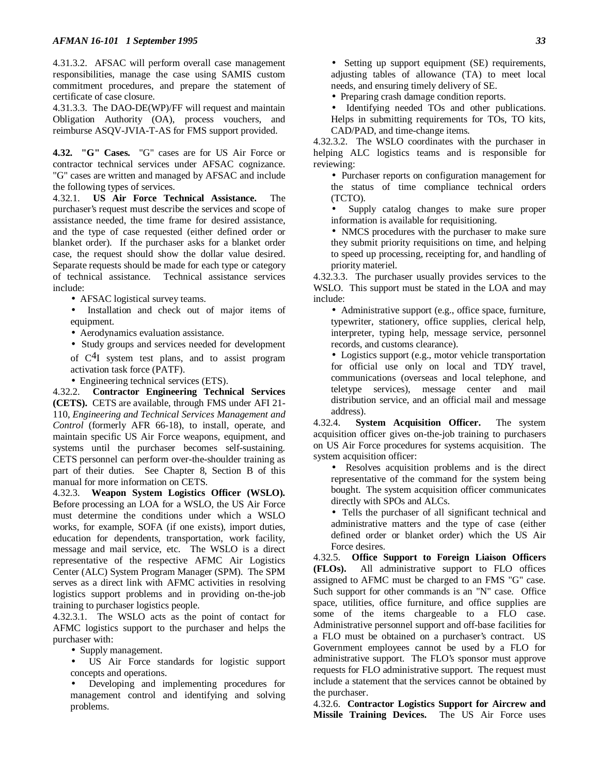4.31.3.2. AFSAC will perform overall case management responsibilities, manage the case using SAMIS custom commitment procedures, and prepare the statement of certificate of case closure.

4.31.3.3. The DAO-DE(WP)/FF will request and maintain Obligation Authority (OA), process vouchers, and reimburse ASQV-JVIA-T-AS for FMS support provided.

**4.32. "G" Cases.** "G" cases are for US Air Force or contractor technical services under AFSAC cognizance. "G" cases are written and managed by AFSAC and include the following types of services.

4.32.1. **US Air Force Technical Assistance.** The purchaser's request must describe the services and scope of assistance needed, the time frame for desired assistance, and the type of case requested (either defined order or blanket order). If the purchaser asks for a blanket order case, the request should show the dollar value desired. Separate requests should be made for each type or category of technical assistance. Technical assistance services include:

- AFSAC logistical survey teams.
- Installation and check out of major items of equipment.
- Aerodynamics evaluation assistance.
- Study groups and services needed for development of  $C<sup>4</sup>I$  system test plans, and to assist program activation task force (PATF).
- Engineering technical services (ETS).

4.32.2. **Contractor Engineering Technical Services (CETS).** CETS are available, through FMS under AFI 21- 110, *Engineering and Technical Services Management and Control* (formerly AFR 66-18), to install, operate, and maintain specific US Air Force weapons, equipment, and systems until the purchaser becomes self-sustaining. CETS personnel can perform over-the-shoulder training as part of their duties. See Chapter 8, Section B of this manual for more information on CETS.

4.32.3. **Weapon System Logistics Officer (WSLO).** Before processing an LOA for a WSLO, the US Air Force must determine the conditions under which a WSLO works, for example, SOFA (if one exists), import duties, education for dependents, transportation, work facility, message and mail service, etc. The WSLO is a direct representative of the respective AFMC Air Logistics Center (ALC) System Program Manager (SPM). The SPM serves as a direct link with AFMC activities in resolving logistics support problems and in providing on-the-job training to purchaser logistics people.

4.32.3.1. The WSLO acts as the point of contact for AFMC logistics support to the purchaser and helps the purchaser with:

- Supply management.
- US Air Force standards for logistic support concepts and operations.
- Developing and implementing procedures for management control and identifying and solving problems.

• Setting up support equipment (SE) requirements, adjusting tables of allowance (TA) to meet local needs, and ensuring timely delivery of SE.

• Preparing crash damage condition reports.

• Identifying needed TOs and other publications. Helps in submitting requirements for TOs, TO kits, CAD/PAD, and time-change items.

4.32.3.2. The WSLO coordinates with the purchaser in helping ALC logistics teams and is responsible for reviewing:

• Purchaser reports on configuration management for the status of time compliance technical orders (TCTO).

• Supply catalog changes to make sure proper information is available for requisitioning.

• NMCS procedures with the purchaser to make sure they submit priority requisitions on time, and helping to speed up processing, receipting for, and handling of priority materiel.

4.32.3.3. The purchaser usually provides services to the WSLO. This support must be stated in the LOA and may include:

• Administrative support (e.g., office space, furniture, typewriter, stationery, office supplies, clerical help, interpreter, typing help, message service, personnel records, and customs clearance).

• Logistics support (e.g., motor vehicle transportation for official use only on local and TDY travel, communications (overseas and local telephone, and teletype services), message center and mail distribution service, and an official mail and message address).

4.32.4. **System Acquisition Officer.** The system acquisition officer gives on-the-job training to purchasers on US Air Force procedures for systems acquisition. The system acquisition officer:

- Resolves acquisition problems and is the direct representative of the command for the system being bought. The system acquisition officer communicates directly with SPOs and ALCs.
- Tells the purchaser of all significant technical and administrative matters and the type of case (either defined order or blanket order) which the US Air Force desires.

4.32.5. **Office Support to Foreign Liaison Officers (FLOs).** All administrative support to FLO offices assigned to AFMC must be charged to an FMS "G" case. Such support for other commands is an "N" case. Office space, utilities, office furniture, and office supplies are some of the items chargeable to a FLO case. Administrative personnel support and off-base facilities for a FLO must be obtained on a purchaser's contract. US Government employees cannot be used by a FLO for administrative support. The FLO's sponsor must approve requests for FLO administrative support. The request must include a statement that the services cannot be obtained by the purchaser.

4.32.6. **Contractor Logistics Support for Aircrew and Missile Training Devices.** The US Air Force uses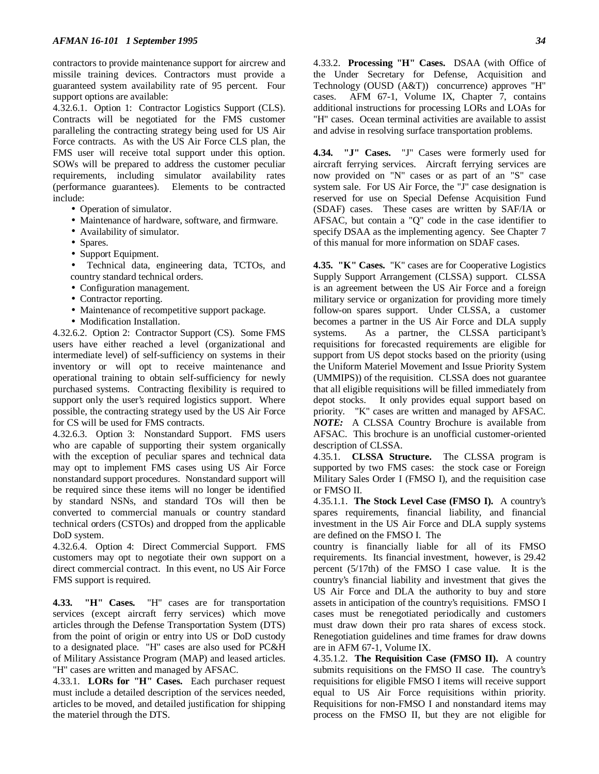contractors to provide maintenance support for aircrew and missile training devices. Contractors must provide a guaranteed system availability rate of 95 percent. Four support options are available:

4.32.6.1. Option 1: Contractor Logistics Support (CLS). Contracts will be negotiated for the FMS customer paralleling the contracting strategy being used for US Air Force contracts. As with the US Air Force CLS plan, the FMS user will receive total support under this option. SOWs will be prepared to address the customer peculiar requirements, including simulator availability rates (performance guarantees). Elements to be contracted include:

- Operation of simulator.
- Maintenance of hardware, software, and firmware.
- Availability of simulator.
- Spares.
- Support Equipment.
- Technical data, engineering data, TCTOs, and country standard technical orders.
- Configuration management.
- Contractor reporting.
- Maintenance of recompetitive support package.
- Modification Installation.

4.32.6.2. Option 2: Contractor Support (CS). Some FMS users have either reached a level (organizational and intermediate level) of self-sufficiency on systems in their inventory or will opt to receive maintenance and operational training to obtain self-sufficiency for newly purchased systems. Contracting flexibility is required to support only the user's required logistics support. Where possible, the contracting strategy used by the US Air Force for CS will be used for FMS contracts.

4.32.6.3. Option 3: Nonstandard Support. FMS users who are capable of supporting their system organically with the exception of peculiar spares and technical data may opt to implement FMS cases using US Air Force nonstandard support procedures. Nonstandard support will be required since these items will no longer be identified by standard NSNs, and standard TOs will then be converted to commercial manuals or country standard technical orders (CSTOs) and dropped from the applicable DoD system.

4.32.6.4. Option 4: Direct Commercial Support. FMS customers may opt to negotiate their own support on a direct commercial contract. In this event, no US Air Force FMS support is required.

**4.33. "H" Cases.** "H" cases are for transportation services (except aircraft ferry services) which move articles through the Defense Transportation System (DTS) from the point of origin or entry into US or DoD custody to a designated place. "H" cases are also used for PC&H of Military Assistance Program (MAP) and leased articles. "H" cases are written and managed by AFSAC.

4.33.1. **LORs for "H" Cases.** Each purchaser request must include a detailed description of the services needed, articles to be moved, and detailed justification for shipping the materiel through the DTS.

4.33.2. **Processing "H" Cases.** DSAA (with Office of the Under Secretary for Defense, Acquisition and Technology (OUSD (A&T)) concurrence) approves "H" cases. AFM 67-1, Volume IX, Chapter 7, contains additional instructions for processing LORs and LOAs for "H" cases. Ocean terminal activities are available to assist and advise in resolving surface transportation problems.

**4.34. "J" Cases.** "J" Cases were formerly used for aircraft ferrying services. Aircraft ferrying services are now provided on "N" cases or as part of an "S" case system sale. For US Air Force, the "J" case designation is reserved for use on Special Defense Acquisition Fund (SDAF) cases. These cases are written by SAF/IA or AFSAC, but contain a "Q" code in the case identifier to specify DSAA as the implementing agency. See Chapter 7 of this manual for more information on SDAF cases.

**4.35. "K" Cases.** "K" cases are for Cooperative Logistics Supply Support Arrangement (CLSSA) support. CLSSA is an agreement between the US Air Force and a foreign military service or organization for providing more timely follow-on spares support. Under CLSSA, a customer becomes a partner in the US Air Force and DLA supply systems. As a partner, the CLSSA participant's requisitions for forecasted requirements are eligible for support from US depot stocks based on the priority (using the Uniform Materiel Movement and Issue Priority System (UMMIPS)) of the requisition. CLSSA does not guarantee that all eligible requisitions will be filled immediately from depot stocks. It only provides equal support based on priority. "K" cases are written and managed by AFSAC. *NOTE:* A CLSSA Country Brochure is available from AFSAC. This brochure is an unofficial customer-oriented description of CLSSA.

4.35.1. **CLSSA Structure.** The CLSSA program is supported by two FMS cases: the stock case or Foreign Military Sales Order I (FMSO I), and the requisition case or FMSO II.

4.35.1.1. **The Stock Level Case (FMSO I).** A country's spares requirements, financial liability, and financial investment in the US Air Force and DLA supply systems are defined on the FMSO I. The

country is financially liable for all of its FMSO requirements. Its financial investment, however, is 29.42 percent (5/17th) of the FMSO I case value. It is the country's financial liability and investment that gives the US Air Force and DLA the authority to buy and store assets in anticipation of the country's requisitions. FMSO I cases must be renegotiated periodically and customers must draw down their pro rata shares of excess stock. Renegotiation guidelines and time frames for draw downs are in AFM 67-1, Volume IX.

4.35.1.2. **The Requisition Case (FMSO II).** A country submits requisitions on the FMSO II case. The country's requisitions for eligible FMSO I items will receive support equal to US Air Force requisitions within priority. Requisitions for non-FMSO I and nonstandard items may process on the FMSO II, but they are not eligible for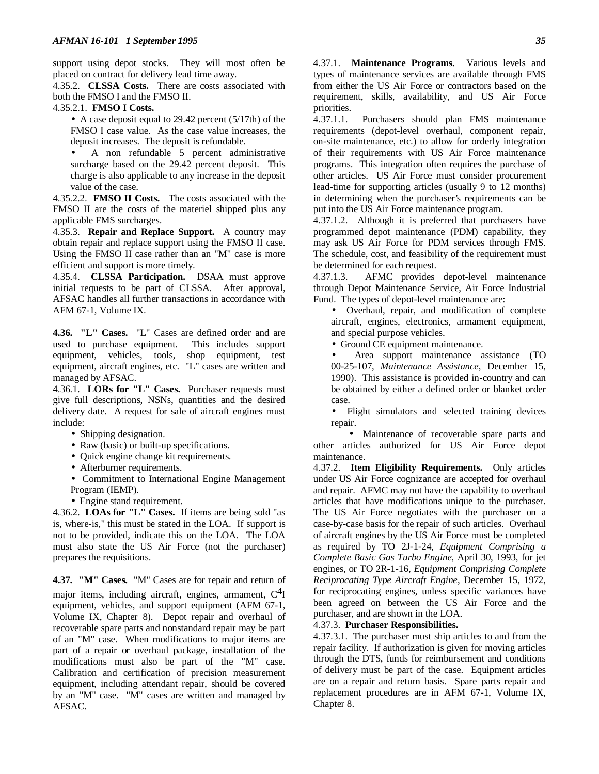support using depot stocks. They will most often be placed on contract for delivery lead time away.

4.35.2. **CLSSA Costs.** There are costs associated with both the FMSO I and the FMSO II.

#### 4.35.2.1. **FMSO I Costs.**

- A case deposit equal to 29.42 percent (5/17th) of the FMSO I case value. As the case value increases, the deposit increases. The deposit is refundable.
- A non refundable 5 percent administrative surcharge based on the 29.42 percent deposit. This charge is also applicable to any increase in the deposit value of the case.

4.35.2.2. **FMSO II Costs.** The costs associated with the FMSO II are the costs of the materiel shipped plus any applicable FMS surcharges.

4.35.3. **Repair and Replace Support.** A country may obtain repair and replace support using the FMSO II case. Using the FMSO II case rather than an "M" case is more efficient and support is more timely.

4.35.4. **CLSSA Participation.** DSAA must approve initial requests to be part of CLSSA. After approval, AFSAC handles all further transactions in accordance with AFM 67-1, Volume IX.

**4.36. "L" Cases.** "L" Cases are defined order and are used to purchase equipment. This includes support equipment, vehicles, tools, shop equipment, test equipment, aircraft engines, etc. "L" cases are written and managed by AFSAC.

4.36.1. **LORs for "L" Cases.** Purchaser requests must give full descriptions, NSNs, quantities and the desired delivery date. A request for sale of aircraft engines must include:

- Shipping designation.
- Raw (basic) or built-up specifications.
- Quick engine change kit requirements.
- Afterburner requirements.
- Commitment to International Engine Management Program (IEMP).

• Engine stand requirement.

4.36.2. **LOAs for "L" Cases.** If items are being sold "as is, where-is," this must be stated in the LOA. If support is not to be provided, indicate this on the LOA. The LOA must also state the US Air Force (not the purchaser) prepares the requisitions.

**4.37. "M" Cases.** "M" Cases are for repair and return of major items, including aircraft, engines, armament,  $C<sup>4</sup>I$ equipment, vehicles, and support equipment (AFM 67-1, Volume IX, Chapter 8). Depot repair and overhaul of recoverable spare parts and nonstandard repair may be part of an "M" case. When modifications to major items are part of a repair or overhaul package, installation of the modifications must also be part of the "M" case. Calibration and certification of precision measurement equipment, including attendant repair, should be covered by an "M" case. "M" cases are written and managed by AFSAC.

4.37.1. **Maintenance Programs.** Various levels and types of maintenance services are available through FMS from either the US Air Force or contractors based on the requirement, skills, availability, and US Air Force priorities.

4.37.1.1. Purchasers should plan FMS maintenance requirements (depot-level overhaul, component repair, on-site maintenance, etc.) to allow for orderly integration of their requirements with US Air Force maintenance programs. This integration often requires the purchase of other articles. US Air Force must consider procurement lead-time for supporting articles (usually 9 to 12 months) in determining when the purchaser's requirements can be put into the US Air Force maintenance program.

4.37.1.2. Although it is preferred that purchasers have programmed depot maintenance (PDM) capability, they may ask US Air Force for PDM services through FMS. The schedule, cost, and feasibility of the requirement must be determined for each request.

4.37.1.3. AFMC provides depot-level maintenance through Depot Maintenance Service, Air Force Industrial Fund. The types of depot-level maintenance are:

• Overhaul, repair, and modification of complete aircraft, engines, electronics, armament equipment, and special purpose vehicles.

• Ground CE equipment maintenance.

- Area support maintenance assistance (TO 00-25-107, *Maintenance Assistance*, December 15, 1990). This assistance is provided in-country and can be obtained by either a defined order or blanket order case.
- Flight simulators and selected training devices repair.

• Maintenance of recoverable spare parts and other articles authorized for US Air Force depot maintenance.

4.37.2. **Item Eligibility Requirements.** Only articles under US Air Force cognizance are accepted for overhaul and repair. AFMC may not have the capability to overhaul articles that have modifications unique to the purchaser. The US Air Force negotiates with the purchaser on a case-by-case basis for the repair of such articles. Overhaul of aircraft engines by the US Air Force must be completed as required by TO 2J-1-24, *Equipment Comprising a Complete Basic Gas Turbo Engine*, April 30, 1993, for jet engines, or TO 2R-1-16, *Equipment Comprising Complete Reciprocating Type Aircraft Engine*, December 15, 1972, for reciprocating engines, unless specific variances have been agreed on between the US Air Force and the purchaser, and are shown in the LOA.

#### 4.37.3. **Purchaser Responsibilities.**

4.37.3.1. The purchaser must ship articles to and from the repair facility. If authorization is given for moving articles through the DTS, funds for reimbursement and conditions of delivery must be part of the case. Equipment articles are on a repair and return basis. Spare parts repair and replacement procedures are in AFM 67-1, Volume IX, Chapter 8.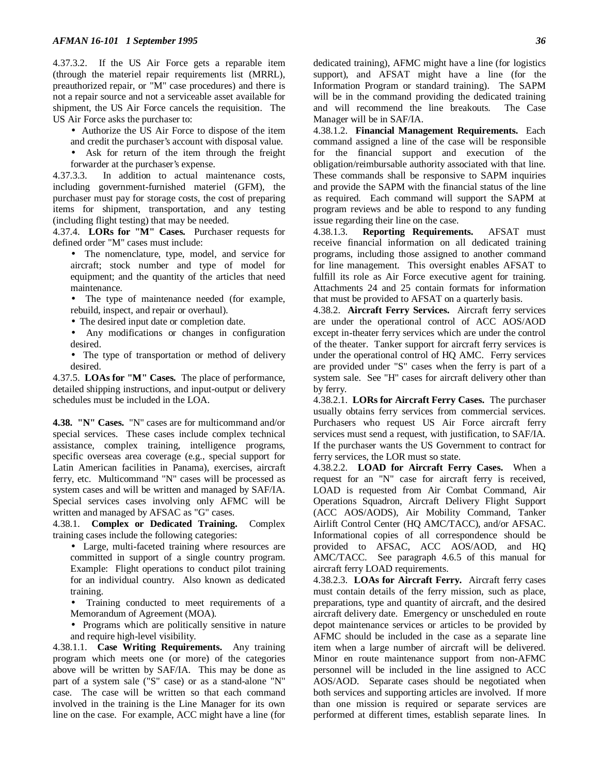4.37.3.2. If the US Air Force gets a reparable item (through the materiel repair requirements list (MRRL), preauthorized repair, or "M" case procedures) and there is not a repair source and not a serviceable asset available for shipment, the US Air Force cancels the requisition. The US Air Force asks the purchaser to:

• Authorize the US Air Force to dispose of the item

- and credit the purchaser's account with disposal value.
- Ask for return of the item through the freight forwarder at the purchaser's expense.

4.37.3.3. In addition to actual maintenance costs, including government-furnished materiel (GFM), the purchaser must pay for storage costs, the cost of preparing items for shipment, transportation, and any testing (including flight testing) that may be needed.

4.37.4. **LORs for "M" Cases.** Purchaser requests for defined order "M" cases must include:

• The nomenclature, type, model, and service for aircraft; stock number and type of model for equipment; and the quantity of the articles that need maintenance.

• The type of maintenance needed (for example, rebuild, inspect, and repair or overhaul).

• The desired input date or completion date.

• Any modifications or changes in configuration desired.

• The type of transportation or method of delivery desired.

4.37.5. **LOAs for "M" Cases.** The place of performance, detailed shipping instructions, and input-output or delivery schedules must be included in the LOA.

**4.38. "N" Cases.** "N" cases are for multicommand and/or special services. These cases include complex technical assistance, complex training, intelligence programs, specific overseas area coverage (e.g., special support for Latin American facilities in Panama), exercises, aircraft ferry, etc. Multicommand "N" cases will be processed as system cases and will be written and managed by SAF/IA. Special services cases involving only AFMC will be written and managed by AFSAC as "G" cases.

4.38.1. **Complex or Dedicated Training.** Complex training cases include the following categories:

- Large, multi-faceted training where resources are committed in support of a single country program. Example: Flight operations to conduct pilot training for an individual country. Also known as dedicated training.
- Training conducted to meet requirements of a Memorandum of Agreement (MOA).
- Programs which are politically sensitive in nature and require high-level visibility.

4.38.1.1. **Case Writing Requirements.** Any training program which meets one (or more) of the categories above will be written by SAF/IA. This may be done as part of a system sale ("S" case) or as a stand-alone "N" case. The case will be written so that each command involved in the training is the Line Manager for its own line on the case. For example, ACC might have a line (for

dedicated training), AFMC might have a line (for logistics support), and AFSAT might have a line (for the Information Program or standard training). The SAPM will be in the command providing the dedicated training and will recommend the line breakouts. The Case Manager will be in SAF/IA.

4.38.1.2. **Financial Management Requirements.** Each command assigned a line of the case will be responsible for the financial support and execution of the obligation/reimbursable authority associated with that line. These commands shall be responsive to SAPM inquiries and provide the SAPM with the financial status of the line as required. Each command will support the SAPM at program reviews and be able to respond to any funding issue regarding their line on the case.

4.38.1.3. **Reporting Requirements.** AFSAT must receive financial information on all dedicated training programs, including those assigned to another command for line management. This oversight enables AFSAT to fulfill its role as Air Force executive agent for training. Attachments 24 and 25 contain formats for information that must be provided to AFSAT on a quarterly basis.

4.38.2. **Aircraft Ferry Services.** Aircraft ferry services are under the operational control of ACC AOS/AOD except in-theater ferry services which are under the control of the theater. Tanker support for aircraft ferry services is under the operational control of HQ AMC. Ferry services are provided under "S" cases when the ferry is part of a system sale. See "H" cases for aircraft delivery other than by ferry.

4.38.2.1. **LORs for Aircraft Ferry Cases.** The purchaser usually obtains ferry services from commercial services. Purchasers who request US Air Force aircraft ferry services must send a request, with justification, to SAF/IA. If the purchaser wants the US Government to contract for ferry services, the LOR must so state.

4.38.2.2. **LOAD for Aircraft Ferry Cases.** When a request for an "N" case for aircraft ferry is received, LOAD is requested from Air Combat Command, Air Operations Squadron, Aircraft Delivery Flight Support (ACC AOS/AODS), Air Mobility Command, Tanker Airlift Control Center (HQ AMC/TACC), and/or AFSAC. Informational copies of all correspondence should be provided to AFSAC, ACC AOS/AOD, and HQ AMC/TACC. See paragraph 4.6.5 of this manual for aircraft ferry LOAD requirements.

4.38.2.3. **LOAs for Aircraft Ferry.** Aircraft ferry cases must contain details of the ferry mission, such as place, preparations, type and quantity of aircraft, and the desired aircraft delivery date. Emergency or unscheduled en route depot maintenance services or articles to be provided by AFMC should be included in the case as a separate line item when a large number of aircraft will be delivered. Minor en route maintenance support from non-AFMC personnel will be included in the line assigned to ACC AOS/AOD. Separate cases should be negotiated when both services and supporting articles are involved. If more than one mission is required or separate services are performed at different times, establish separate lines. In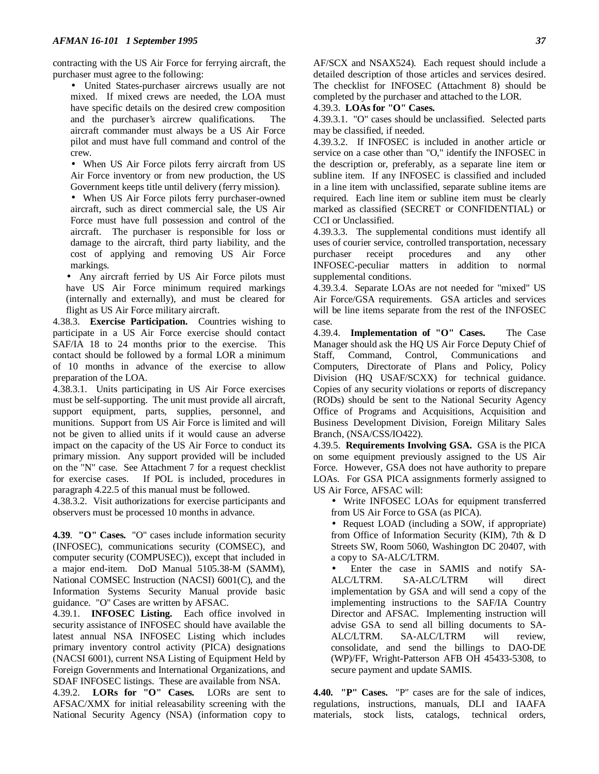contracting with the US Air Force for ferrying aircraft, the purchaser must agree to the following:

• United States-purchaser aircrews usually are not mixed. If mixed crews are needed, the LOA must have specific details on the desired crew composition and the purchaser's aircrew qualifications. The aircraft commander must always be a US Air Force pilot and must have full command and control of the crew.

• When US Air Force pilots ferry aircraft from US Air Force inventory or from new production, the US Government keeps title until delivery (ferry mission).

• When US Air Force pilots ferry purchaser-owned aircraft, such as direct commercial sale, the US Air Force must have full possession and control of the aircraft. The purchaser is responsible for loss or damage to the aircraft, third party liability, and the cost of applying and removing US Air Force markings.

• Any aircraft ferried by US Air Force pilots must have US Air Force minimum required markings (internally and externally), and must be cleared for flight as US Air Force military aircraft.

4.38.3. **Exercise Participation.** Countries wishing to participate in a US Air Force exercise should contact SAF/IA 18 to 24 months prior to the exercise. This contact should be followed by a formal LOR a minimum of 10 months in advance of the exercise to allow preparation of the LOA.

4.38.3.1. Units participating in US Air Force exercises must be self-supporting. The unit must provide all aircraft, support equipment, parts, supplies, personnel, and munitions. Support from US Air Force is limited and will not be given to allied units if it would cause an adverse impact on the capacity of the US Air Force to conduct its primary mission. Any support provided will be included on the "N" case. See Attachment 7 for a request checklist for exercise cases. If POL is included, procedures in paragraph 4.22.5 of this manual must be followed.

4.38.3.2. Visit authorizations for exercise participants and observers must be processed 10 months in advance.

**4.39**. **"O" Cases.** "O" cases include information security (INFOSEC), communications security (COMSEC), and computer security (COMPUSEC)), except that included in a major end-item. DoD Manual 5105.38-M (SAMM), National COMSEC Instruction (NACSI) 6001(C), and the Information Systems Security Manual provide basic guidance. "O" Cases are written by AFSAC.

4.39.1. **INFOSEC Listing.** Each office involved in security assistance of INFOSEC should have available the latest annual NSA INFOSEC Listing which includes primary inventory control activity (PICA) designations (NACSI 6001), current NSA Listing of Equipment Held by Foreign Governments and International Organizations, and SDAF INFOSEC listings. These are available from NSA.

4.39.2. **LORs for "O" Cases.** LORs are sent to AFSAC/XMX for initial releasability screening with the National Security Agency (NSA) (information copy to AF/SCX and NSAX524). Each request should include a detailed description of those articles and services desired. The checklist for INFOSEC (Attachment 8) should be completed by the purchaser and attached to the LOR.

# 4.39.3. **LOAs for "O" Cases.**

4.39.3.1. "O" cases should be unclassified. Selected parts may be classified, if needed.

4.39.3.2. If INFOSEC is included in another article or service on a case other than "O," identify the INFOSEC in the description or, preferably, as a separate line item or subline item. If any INFOSEC is classified and included in a line item with unclassified, separate subline items are required. Each line item or subline item must be clearly marked as classified (SECRET or CONFIDENTIAL) or CCI or Unclassified.

4.39.3.3. The supplemental conditions must identify all uses of courier service, controlled transportation, necessary purchaser receipt procedures and any other INFOSEC-peculiar matters in addition to normal supplemental conditions.

4.39.3.4. Separate LOAs are not needed for "mixed" US Air Force/GSA requirements. GSA articles and services will be line items separate from the rest of the INFOSEC case.

4.39.4. **Implementation of "O" Cases.** The Case Manager should ask the HQ US Air Force Deputy Chief of Staff, Command, Control, Communications and Computers, Directorate of Plans and Policy, Policy Division (HQ USAF/SCXX) for technical guidance. Copies of any security violations or reports of discrepancy (RODs) should be sent to the National Security Agency Office of Programs and Acquisitions, Acquisition and Business Development Division, Foreign Military Sales Branch, (NSA/CSS/IO422).

4.39.5. **Requirements Involving GSA.** GSA is the PICA on some equipment previously assigned to the US Air Force. However, GSA does not have authority to prepare LOAs. For GSA PICA assignments formerly assigned to US Air Force, AFSAC will:

• Write INFOSEC LOAs for equipment transferred from US Air Force to GSA (as PICA).

• Request LOAD (including a SOW, if appropriate) from Office of Information Security (KIM), 7th & D Streets SW, Room 5060, Washington DC 20407, with a copy to SA-ALC/LTRM.

• Enter the case in SAMIS and notify SA-ALC/LTRM. SA-ALC/LTRM will direct implementation by GSA and will send a copy of the implementing instructions to the SAF/IA Country Director and AFSAC. Implementing instruction will advise GSA to send all billing documents to SA-ALC/LTRM. SA-ALC/LTRM will review, consolidate, and send the billings to DAO-DE (WP)/FF, Wright-Patterson AFB OH 45433-5308, to secure payment and update SAMIS.

**4.40. "P" Cases.** "P" cases are for the sale of indices, regulations, instructions, manuals, DLI and IAAFA materials, stock lists, catalogs, technical orders,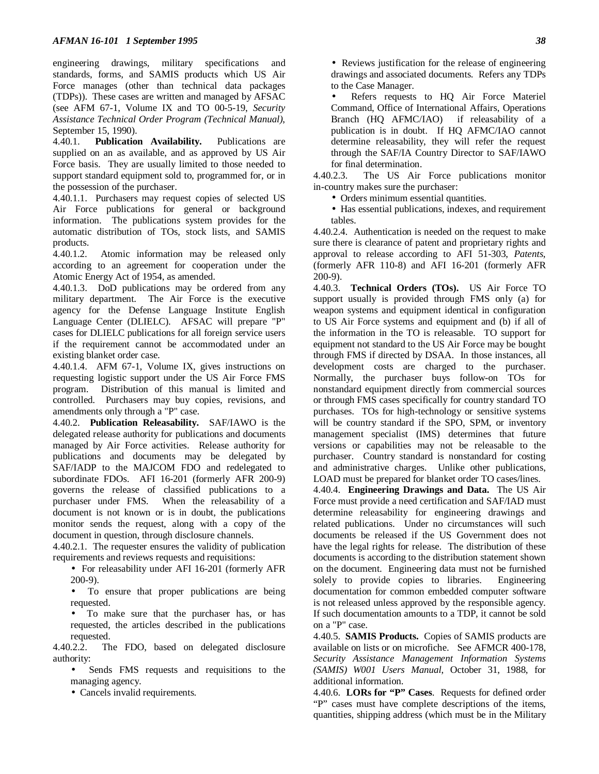engineering drawings, military specifications and standards, forms, and SAMIS products which US Air Force manages (other than technical data packages (TDPs)). These cases are written and managed by AFSAC (see AFM 67-1, Volume IX and TO 00-5-19, *Security Assistance Technical Order Program (Technical Manual)*, September 15, 1990).

4.40.1. **Publication Availability.** Publications are supplied on an as available, and as approved by US Air Force basis. They are usually limited to those needed to support standard equipment sold to, programmed for, or in the possession of the purchaser.

4.40.1.1. Purchasers may request copies of selected US Air Force publications for general or background information. The publications system provides for the automatic distribution of TOs, stock lists, and SAMIS products.

4.40.1.2. Atomic information may be released only according to an agreement for cooperation under the Atomic Energy Act of 1954, as amended.

4.40.1.3. DoD publications may be ordered from any military department. The Air Force is the executive agency for the Defense Language Institute English Language Center (DLIELC). AFSAC will prepare "P" cases for DLIELC publications for all foreign service users if the requirement cannot be accommodated under an existing blanket order case.

4.40.1.4. AFM 67-1, Volume IX, gives instructions on requesting logistic support under the US Air Force FMS program. Distribution of this manual is limited and controlled. Purchasers may buy copies, revisions, and amendments only through a "P" case.

4.40.2. **Publication Releasability.** SAF/IAWO is the delegated release authority for publications and documents managed by Air Force activities. Release authority for publications and documents may be delegated by SAF/IADP to the MAJCOM FDO and redelegated to subordinate FDOs. AFI 16-201 (formerly AFR 200-9) governs the release of classified publications to a purchaser under FMS. When the releasability of a document is not known or is in doubt, the publications monitor sends the request, along with a copy of the document in question, through disclosure channels.

4.40.2.1. The requester ensures the validity of publication requirements and reviews requests and requisitions:

- For releasability under AFI 16-201 (formerly AFR 200-9).
- To ensure that proper publications are being requested.
- To make sure that the purchaser has, or has requested, the articles described in the publications requested.

4.40.2.2. The FDO, based on delegated disclosure authority:

• Sends FMS requests and requisitions to the managing agency.

• Cancels invalid requirements.

• Reviews justification for the release of engineering drawings and associated documents. Refers any TDPs to the Case Manager.

Refers requests to HQ Air Force Materiel Command, Office of International Affairs, Operations Branch (HQ AFMC/IAO) if releasability of a publication is in doubt. If HQ AFMC/IAO cannot determine releasability, they will refer the request through the SAF/IA Country Director to SAF/IAWO for final determination.

4.40.2.3. The US Air Force publications monitor in-country makes sure the purchaser:

• Orders minimum essential quantities.

• Has essential publications, indexes, and requirement tables.

4.40.2.4. Authentication is needed on the request to make sure there is clearance of patent and proprietary rights and approval to release according to AFI 51-303, *Patents*, (formerly AFR 110-8) and AFI 16-201 (formerly AFR 200-9).

4.40.3. **Technical Orders (TOs).** US Air Force TO support usually is provided through FMS only (a) for weapon systems and equipment identical in configuration to US Air Force systems and equipment and (b) if all of the information in the TO is releasable. TO support for equipment not standard to the US Air Force may be bought through FMS if directed by DSAA. In those instances, all development costs are charged to the purchaser. Normally, the purchaser buys follow-on TOs for nonstandard equipment directly from commercial sources or through FMS cases specifically for country standard TO purchases. TOs for high-technology or sensitive systems will be country standard if the SPO, SPM, or inventory management specialist (IMS) determines that future versions or capabilities may not be releasable to the purchaser. Country standard is nonstandard for costing and administrative charges. Unlike other publications, LOAD must be prepared for blanket order TO cases/lines.

4.40.4. **Engineering Drawings and Data.** The US Air Force must provide a need certification and SAF/IAD must determine releasability for engineering drawings and related publications. Under no circumstances will such documents be released if the US Government does not have the legal rights for release. The distribution of these documents is according to the distribution statement shown on the document. Engineering data must not be furnished solely to provide copies to libraries. Engineering documentation for common embedded computer software is not released unless approved by the responsible agency. If such documentation amounts to a TDP, it cannot be sold on a "P" case.

4.40.5. **SAMIS Products.** Copies of SAMIS products are available on lists or on microfiche. See AFMCR 400-178, *Security Assistance Management Information Systems (SAMIS) W001 Users Manual*, October 31, 1988, for additional information.

4.40.6. **LORs for "P" Cases**. Requests for defined order "P" cases must have complete descriptions of the items, quantities, shipping address (which must be in the Military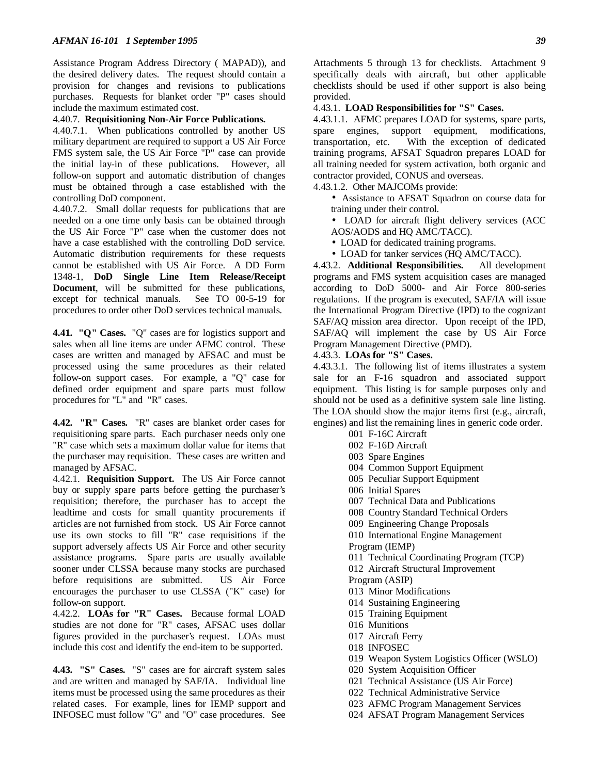Assistance Program Address Directory ( MAPAD)), and the desired delivery dates. The request should contain a provision for changes and revisions to publications purchases. Requests for blanket order "P" cases should include the maximum estimated cost.

### 4.40.7. **Requisitioning Non-Air Force Publications.**

4.40.7.1. When publications controlled by another US military department are required to support a US Air Force FMS system sale, the US Air Force "P" case can provide the initial lay-in of these publications. However, all follow-on support and automatic distribution of changes must be obtained through a case established with the controlling DoD component.

4.40.7.2. Small dollar requests for publications that are needed on a one time only basis can be obtained through the US Air Force "P" case when the customer does not have a case established with the controlling DoD service. Automatic distribution requirements for these requests cannot be established with US Air Force. A DD Form 1348-1, **DoD Single Line Item Release/Receipt Document**, will be submitted for these publications, except for technical manuals. See TO 00-5-19 for procedures to order other DoD services technical manuals.

**4.41. "Q" Cases.** "Q" cases are for logistics support and sales when all line items are under AFMC control. These cases are written and managed by AFSAC and must be processed using the same procedures as their related follow-on support cases. For example, a "Q" case for defined order equipment and spare parts must follow procedures for "L" and "R" cases.

**4.42. "R" Cases.** "R" cases are blanket order cases for requisitioning spare parts. Each purchaser needs only one "R" case which sets a maximum dollar value for items that the purchaser may requisition. These cases are written and managed by AFSAC.

4.42.1. **Requisition Support.** The US Air Force cannot buy or supply spare parts before getting the purchaser's requisition; therefore, the purchaser has to accept the leadtime and costs for small quantity procurements if articles are not furnished from stock. US Air Force cannot use its own stocks to fill "R" case requisitions if the support adversely affects US Air Force and other security assistance programs. Spare parts are usually available sooner under CLSSA because many stocks are purchased before requisitions are submitted. US Air Force encourages the purchaser to use CLSSA ("K" case) for follow-on support.

4.42.2. **LOAs for "R" Cases.** Because formal LOAD studies are not done for "R" cases, AFSAC uses dollar figures provided in the purchaser's request. LOAs must include this cost and identify the end-item to be supported.

**4.43. "S" Cases.** "S" cases are for aircraft system sales and are written and managed by SAF/IA. Individual line items must be processed using the same procedures as their related cases. For example, lines for IEMP support and INFOSEC must follow "G" and "O" case procedures. See

Attachments 5 through 13 for checklists. Attachment 9 specifically deals with aircraft, but other applicable checklists should be used if other support is also being provided.

### 4.43.1. **LOAD Responsibilities for "S" Cases.**

4.43.1.1. AFMC prepares LOAD for systems, spare parts, spare engines, support equipment, modifications, transportation, etc. With the exception of dedicated training programs, AFSAT Squadron prepares LOAD for all training needed for system activation, both organic and contractor provided, CONUS and overseas.

4.43.1.2. Other MAJCOMs provide:

• Assistance to AFSAT Squadron on course data for training under their control.

• LOAD for aircraft flight delivery services (ACC AOS/AODS and HQ AMC/TACC).

• LOAD for dedicated training programs.

• LOAD for tanker services (HQ AMC/TACC).

4.43.2. **Additional Responsibilities.** All development programs and FMS system acquisition cases are managed according to DoD 5000- and Air Force 800-series regulations. If the program is executed, SAF/IA will issue the International Program Directive (IPD) to the cognizant SAF/AQ mission area director. Upon receipt of the IPD, SAF/AQ will implement the case by US Air Force Program Management Directive (PMD).

4.43.3. **LOAs for "S" Cases.**

4.43.3.1. The following list of items illustrates a system sale for an F-16 squadron and associated support equipment. This listing is for sample purposes only and should not be used as a definitive system sale line listing. The LOA should show the major items first (e.g., aircraft, engines) and list the remaining lines in generic code order.

> 001 F-16C Aircraft 002 F-16D Aircraft 003 Spare Engines 004 Common Support Equipment 005 Peculiar Support Equipment 006 Initial Spares 007 Technical Data and Publications 008 Country Standard Technical Orders 009 Engineering Change Proposals 010 International Engine Management Program (IEMP) 011 Technical Coordinating Program (TCP) 012 Aircraft Structural Improvement Program (ASIP) 013 Minor Modifications 014 Sustaining Engineering 015 Training Equipment 016 Munitions 017 Aircraft Ferry 018 INFOSEC 019 Weapon System Logistics Officer (WSLO) 020 System Acquisition Officer 021 Technical Assistance (US Air Force) 022 Technical Administrative Service 023 AFMC Program Management Services

024 AFSAT Program Management Services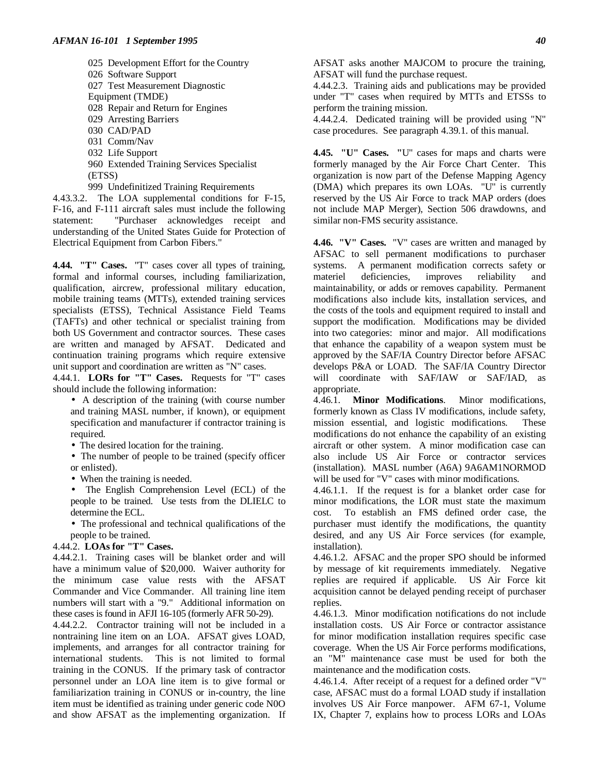025 Development Effort for the Country 026 Software Support 027 Test Measurement Diagnostic Equipment (TMDE) 028 Repair and Return for Engines 029 Arresting Barriers 030 CAD/PAD 031 Comm/Nav 032 Life Support 960 Extended Training Services Specialist (ETSS)

999 Undefinitized Training Requirements

4.43.3.2. The LOA supplemental conditions for F-15, F-16, and F-111 aircraft sales must include the following statement: "Purchaser acknowledges receipt and understanding of the United States Guide for Protection of Electrical Equipment from Carbon Fibers."

**4.44. "T" Cases.** "T" cases cover all types of training, formal and informal courses, including familiarization, qualification, aircrew, professional military education, mobile training teams (MTTs), extended training services specialists (ETSS), Technical Assistance Field Teams (TAFTs) and other technical or specialist training from both US Government and contractor sources. These cases are written and managed by AFSAT. Dedicated and continuation training programs which require extensive unit support and coordination are written as "N" cases.

4.44.1. **LORs for "T" Cases.** Requests for "T" cases should include the following information:

• A description of the training (with course number and training MASL number, if known), or equipment specification and manufacturer if contractor training is required.

• The desired location for the training.

• The number of people to be trained (specify officer or enlisted).

- When the training is needed.
- The English Comprehension Level (ECL) of the people to be trained. Use tests from the DLIELC to determine the ECL.
- The professional and technical qualifications of the people to be trained.

#### 4.44.2. **LOAs for "T" Cases.**

4.44.2.1. Training cases will be blanket order and will have a minimum value of \$20,000. Waiver authority for the minimum case value rests with the AFSAT Commander and Vice Commander. All training line item numbers will start with a "9." Additional information on these cases is found in AFJI 16-105 (formerly AFR 50-29).

4.44.2.2. Contractor training will not be included in a nontraining line item on an LOA. AFSAT gives LOAD, implements, and arranges for all contractor training for international students. This is not limited to formal training in the CONUS. If the primary task of contractor personnel under an LOA line item is to give formal or familiarization training in CONUS or in-country, the line item must be identified as training under generic code N0O and show AFSAT as the implementing organization. If AFSAT asks another MAJCOM to procure the training, AFSAT will fund the purchase request.

4.44.2.3. Training aids and publications may be provided under "T" cases when required by MTTs and ETSSs to perform the training mission.

4.44.2.4. Dedicated training will be provided using "N" case procedures. See paragraph 4.39.1. of this manual.

**4.45. "U" Cases. "**U" cases for maps and charts were formerly managed by the Air Force Chart Center. This organization is now part of the Defense Mapping Agency (DMA) which prepares its own LOAs. "U" is currently reserved by the US Air Force to track MAP orders (does not include MAP Merger), Section 506 drawdowns, and similar non-FMS security assistance.

**4.46. "V" Cases.** "V" cases are written and managed by AFSAC to sell permanent modifications to purchaser systems. A permanent modification corrects safety or materiel deficiencies, improves reliability and maintainability, or adds or removes capability. Permanent modifications also include kits, installation services, and the costs of the tools and equipment required to install and support the modification. Modifications may be divided into two categories: minor and major. All modifications that enhance the capability of a weapon system must be approved by the SAF/IA Country Director before AFSAC develops P&A or LOAD. The SAF/IA Country Director will coordinate with SAF/IAW or SAF/IAD, as appropriate.

4.46.1. **Minor Modifications**. Minor modifications, formerly known as Class IV modifications, include safety, mission essential, and logistic modifications. These modifications do not enhance the capability of an existing aircraft or other system. A minor modification case can also include US Air Force or contractor services (installation). MASL number (A6A) 9A6AM1NORMOD will be used for "V" cases with minor modifications.

4.46.1.1. If the request is for a blanket order case for minor modifications, the LOR must state the maximum cost. To establish an FMS defined order case, the purchaser must identify the modifications, the quantity desired, and any US Air Force services (for example, installation).

4.46.1.2. AFSAC and the proper SPO should be informed by message of kit requirements immediately. Negative replies are required if applicable. US Air Force kit acquisition cannot be delayed pending receipt of purchaser replies.

4.46.1.3. Minor modification notifications do not include installation costs. US Air Force or contractor assistance for minor modification installation requires specific case coverage. When the US Air Force performs modifications, an "M" maintenance case must be used for both the maintenance and the modification costs.

4.46.1.4. After receipt of a request for a defined order "V" case, AFSAC must do a formal LOAD study if installation involves US Air Force manpower. AFM 67-1, Volume IX, Chapter 7, explains how to process LORs and LOAs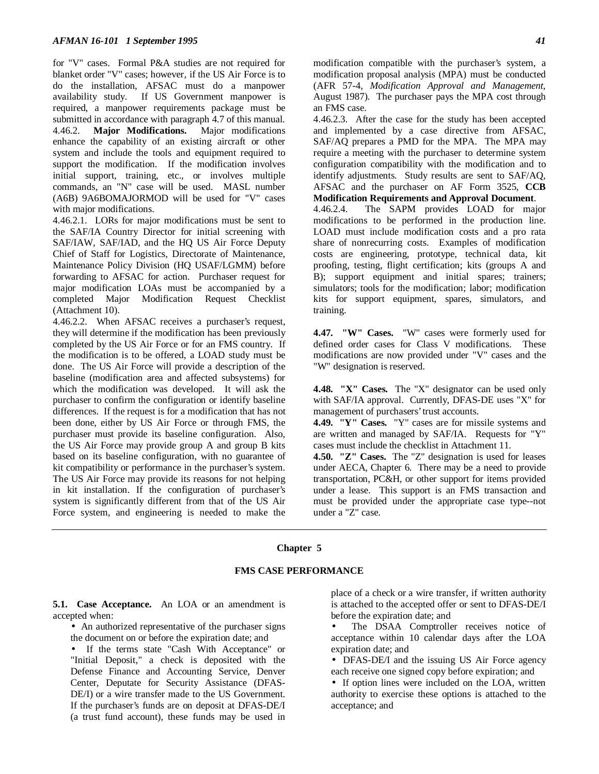for "V" cases. Formal P&A studies are not required for blanket order "V" cases; however, if the US Air Force is to do the installation, AFSAC must do a manpower availability study. If US Government manpower is required, a manpower requirements package must be submitted in accordance with paragraph 4.7 of this manual.<br>4.46.2. **Major Modifications.** Major modifications 4.46.2. **Major Modifications.** enhance the capability of an existing aircraft or other system and include the tools and equipment required to support the modification. If the modification involves initial support, training, etc., or involves multiple commands, an "N" case will be used. MASL number (A6B) 9A6BOMAJORMOD will be used for "V" cases with major modifications.

4.46.2.1. LORs for major modifications must be sent to the SAF/IA Country Director for initial screening with SAF/IAW, SAF/IAD, and the HQ US Air Force Deputy Chief of Staff for Logistics, Directorate of Maintenance, Maintenance Policy Division (HQ USAF/LGMM) before forwarding to AFSAC for action. Purchaser request for major modification LOAs must be accompanied by a completed Major Modification Request Checklist (Attachment 10).

4.46.2.2. When AFSAC receives a purchaser's request, they will determine if the modification has been previously completed by the US Air Force or for an FMS country. If the modification is to be offered, a LOAD study must be done. The US Air Force will provide a description of the baseline (modification area and affected subsystems) for which the modification was developed. It will ask the purchaser to confirm the configuration or identify baseline differences. If the request is for a modification that has not been done, either by US Air Force or through FMS, the purchaser must provide its baseline configuration. Also, the US Air Force may provide group A and group B kits based on its baseline configuration, with no guarantee of kit compatibility or performance in the purchaser's system. The US Air Force may provide its reasons for not helping in kit installation. If the configuration of purchaser's system is significantly different from that of the US Air Force system, and engineering is needed to make the

modification compatible with the purchaser's system, a modification proposal analysis (MPA) must be conducted (AFR 57-4, *Modification Approval and Management*, August 1987). The purchaser pays the MPA cost through an FMS case.

4.46.2.3. After the case for the study has been accepted and implemented by a case directive from AFSAC, SAF/AQ prepares a PMD for the MPA. The MPA may require a meeting with the purchaser to determine system configuration compatibility with the modification and to identify adjustments. Study results are sent to SAF/AQ, AFSAC and the purchaser on AF Form 3525, **CCB Modification Requirements and Approval Document**.

4.46.2.4. The SAPM provides LOAD for major modifications to be performed in the production line. LOAD must include modification costs and a pro rata share of nonrecurring costs. Examples of modification costs are engineering, prototype, technical data, kit proofing, testing, flight certification; kits (groups A and B); support equipment and initial spares; trainers; simulators; tools for the modification; labor; modification kits for support equipment, spares, simulators, and training.

**4.47. "W" Cases.** "W" cases were formerly used for defined order cases for Class V modifications. These modifications are now provided under "V" cases and the "W" designation is reserved.

**4.48. "X" Cases.** The "X" designator can be used only with SAF/IA approval. Currently, DFAS-DE uses "X" for management of purchasers' trust accounts.

**4.49. "Y" Cases.** "Y" cases are for missile systems and are written and managed by SAF/IA. Requests for "Y" cases must include the checklist in Attachment 11.

**4.50. "Z" Cases.** The "Z" designation is used for leases under AECA, Chapter 6. There may be a need to provide transportation, PC&H, or other support for items provided under a lease. This support is an FMS transaction and must be provided under the appropriate case type--not under a "Z" case.

# **Chapter 5**

# **FMS CASE PERFORMANCE**

**5.1. Case Acceptance.** An LOA or an amendment is accepted when:

• An authorized representative of the purchaser signs the document on or before the expiration date; and

• If the terms state "Cash With Acceptance" or "Initial Deposit," a check is deposited with the Defense Finance and Accounting Service, Denver Center, Deputate for Security Assistance (DFAS-DE/I) or a wire transfer made to the US Government. If the purchaser's funds are on deposit at DFAS-DE/I (a trust fund account), these funds may be used in

place of a check or a wire transfer, if written authority is attached to the accepted offer or sent to DFAS-DE/I before the expiration date; and

• The DSAA Comptroller receives notice of acceptance within 10 calendar days after the LOA expiration date; and

• DFAS-DE/I and the issuing US Air Force agency each receive one signed copy before expiration; and

• If option lines were included on the LOA, written authority to exercise these options is attached to the acceptance; and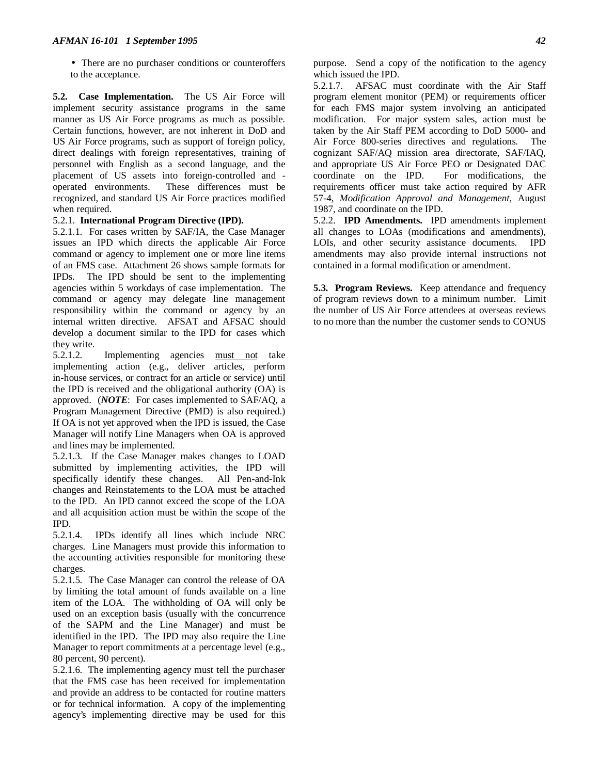• There are no purchaser conditions or counteroffers to the acceptance.

**5.2. Case Implementation.** The US Air Force will implement security assistance programs in the same manner as US Air Force programs as much as possible. Certain functions, however, are not inherent in DoD and US Air Force programs, such as support of foreign policy, direct dealings with foreign representatives, training of personnel with English as a second language, and the placement of US assets into foreign-controlled and operated environments. These differences must be recognized, and standard US Air Force practices modified when required.

# 5.2.1. **International Program Directive (IPD).**

5.2.1.1. For cases written by SAF/IA, the Case Manager issues an IPD which directs the applicable Air Force command or agency to implement one or more line items of an FMS case. Attachment 26 shows sample formats for IPDs. The IPD should be sent to the implementing agencies within 5 workdays of case implementation. The command or agency may delegate line management responsibility within the command or agency by an internal written directive. AFSAT and AFSAC should develop a document similar to the IPD for cases which they write.

5.2.1.2. Implementing agencies must not take implementing action (e.g., deliver articles, perform in-house services, or contract for an article or service) until the IPD is received and the obligational authority (OA) is approved. (*NOTE*: For cases implemented to SAF/AQ, a Program Management Directive (PMD) is also required.) If OA is not yet approved when the IPD is issued, the Case Manager will notify Line Managers when OA is approved and lines may be implemented.

5.2.1.3. If the Case Manager makes changes to LOAD submitted by implementing activities, the IPD will specifically identify these changes. All Pen-and-Ink changes and Reinstatements to the LOA must be attached to the IPD. An IPD cannot exceed the scope of the LOA and all acquisition action must be within the scope of the IPD.

5.2.1.4. IPDs identify all lines which include NRC charges. Line Managers must provide this information to the accounting activities responsible for monitoring these charges.

5.2.1.5. The Case Manager can control the release of OA by limiting the total amount of funds available on a line item of the LOA. The withholding of OA will only be used on an exception basis (usually with the concurrence of the SAPM and the Line Manager) and must be identified in the IPD. The IPD may also require the Line Manager to report commitments at a percentage level (e.g., 80 percent, 90 percent).

5.2.1.6. The implementing agency must tell the purchaser that the FMS case has been received for implementation and provide an address to be contacted for routine matters or for technical information. A copy of the implementing agency's implementing directive may be used for this purpose. Send a copy of the notification to the agency which issued the IPD.

5.2.1.7. AFSAC must coordinate with the Air Staff program element monitor (PEM) or requirements officer for each FMS major system involving an anticipated modification. For major system sales, action must be taken by the Air Staff PEM according to DoD 5000- and Air Force 800-series directives and regulations. The cognizant SAF/AQ mission area directorate, SAF/IAQ, and appropriate US Air Force PEO or Designated DAC coordinate on the IPD. For modifications, the requirements officer must take action required by AFR 57-4, *Modification Approval and Management*, August 1987, and coordinate on the IPD.

5.2.2. **IPD Amendments.** IPD amendments implement all changes to LOAs (modifications and amendments), LOIs, and other security assistance documents. IPD amendments may also provide internal instructions not contained in a formal modification or amendment.

**5.3. Program Reviews.** Keep attendance and frequency of program reviews down to a minimum number. Limit the number of US Air Force attendees at overseas reviews to no more than the number the customer sends to CONUS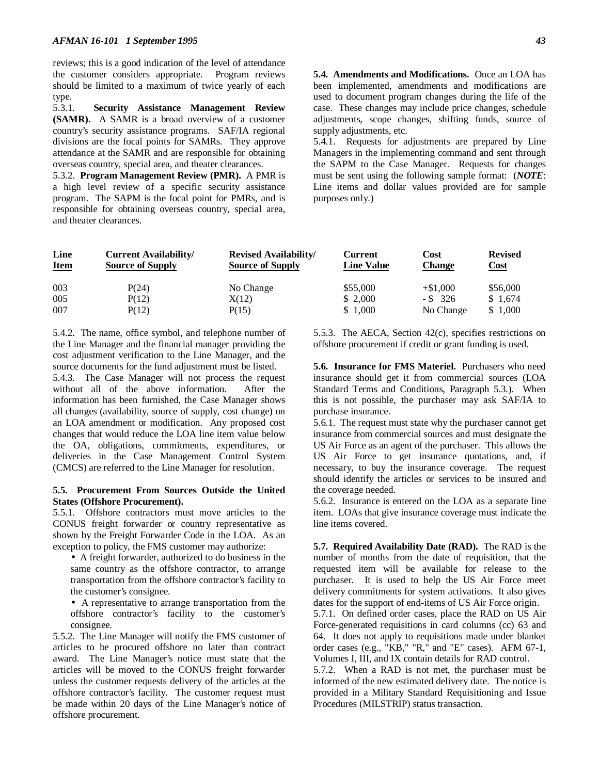reviews; this is a good indication of the level of attendance the customer considers appropriate. Program reviews should be limited to a maximum of twice yearly of each type.

5.3.1. **Security Assistance Management Review (SAMR).** A SAMR is a broad overview of a customer country's security assistance programs. SAF/IA regional divisions are the focal points for SAMRs. They approve attendance at the SAMR and are responsible for obtaining overseas country, special area, and theater clearances.

5.3.2. **Program Management Review (PMR).** A PMR is a high level review of a specific security assistance program. The SAPM is the focal point for PMRs, and is responsible for obtaining overseas country, special area, and theater clearances.

**5.4. Amendments and Modifications.** Once an LOA has been implemented, amendments and modifications are used to document program changes during the life of the case. These changes may include price changes, schedule adjustments, scope changes, shifting funds, source of supply adjustments, etc.

5.4.1. Requests for adjustments are prepared by Line Managers in the implementing command and sent through the SAPM to the Case Manager. Requests for changes must be sent using the following sample format: (*NOTE*: Line items and dollar values provided are for sample purposes only.)

| Line<br><b>Item</b> | <b>Current Availability/</b><br><b>Source of Supply</b> | <b>Revised Availability/</b><br><b>Source of Supply</b> | Current<br><b>Line Value</b> | Cost<br><b>Change</b> | <b>Revised</b><br><u>Cost</u> |
|---------------------|---------------------------------------------------------|---------------------------------------------------------|------------------------------|-----------------------|-------------------------------|
| 003                 | P(24)                                                   | No Change                                               | \$55,000                     | $+ $1,000$            | \$56,000                      |
| 005                 | P(12)                                                   | X(12)                                                   | \$2.000                      | $-$ \$ 326            | \$1,674                       |
| 007                 | P(12)                                                   | P(15)                                                   | \$1,000                      | No Change             | \$1,000                       |

5.4.2. The name, office symbol, and telephone number of the Line Manager and the financial manager providing the cost adjustment verification to the Line Manager, and the source documents for the fund adjustment must be listed.

5.4.3. The Case Manager will not process the request without all of the above information. After the information has been furnished, the Case Manager shows all changes (availability, source of supply, cost change) on an LOA amendment or modification. Any proposed cost changes that would reduce the LOA line item value below the OA, obligations, commitments, expenditures, or deliveries in the Case Management Control System (CMCS) are referred to the Line Manager for resolution.

## **5.5. Procurement From Sources Outside the United States (Offshore Procurement).**

5.5.1. Offshore contractors must move articles to the CONUS freight forwarder or country representative as shown by the Freight Forwarder Code in the LOA. As an exception to policy, the FMS customer may authorize:

• A freight forwarder, authorized to do business in the same country as the offshore contractor, to arrange transportation from the offshore contractor's facility to the customer's consignee.

• A representative to arrange transportation from the offshore contractor's facility to the customer's consignee.

5.5.2. The Line Manager will notify the FMS customer of articles to be procured offshore no later than contract award. The Line Manager's notice must state that the articles will be moved to the CONUS freight forwarder unless the customer requests delivery of the articles at the offshore contractor's facility. The customer request must be made within 20 days of the Line Manager's notice of offshore procurement.

5.5.3. The AECA, Section 42(c), specifies restrictions on offshore procurement if credit or grant funding is used.

**5.6. Insurance for FMS Materiel.** Purchasers who need insurance should get it from commercial sources (LOA Standard Terms and Conditions, Paragraph 5.3.). When this is not possible, the purchaser may ask SAF/IA to purchase insurance.

5.6.1. The request must state why the purchaser cannot get insurance from commercial sources and must designate the US Air Force as an agent of the purchaser. This allows the US Air Force to get insurance quotations, and, if necessary, to buy the insurance coverage. The request should identify the articles or services to be insured and the coverage needed.

5.6.2. Insurance is entered on the LOA as a separate line item. LOAs that give insurance coverage must indicate the line items covered.

**5.7. Required Availability Date (RAD).** The RAD is the number of months from the date of requisition, that the requested item will be available for release to the purchaser. It is used to help the US Air Force meet delivery commitments for system activations. It also gives dates for the support of end-items of US Air Force origin.

5.7.1. On defined order cases, place the RAD on US Air Force-generated requisitions in card columns (cc) 63 and 64. It does not apply to requisitions made under blanket order cases (e.g., "KB," "R," and "E" cases). AFM 67-1, Volumes I, III, and IX contain details for RAD control.

5.7.2. When a RAD is not met, the purchaser must be informed of the new estimated delivery date. The notice is provided in a Military Standard Requisitioning and Issue Procedures (MILSTRIP) status transaction.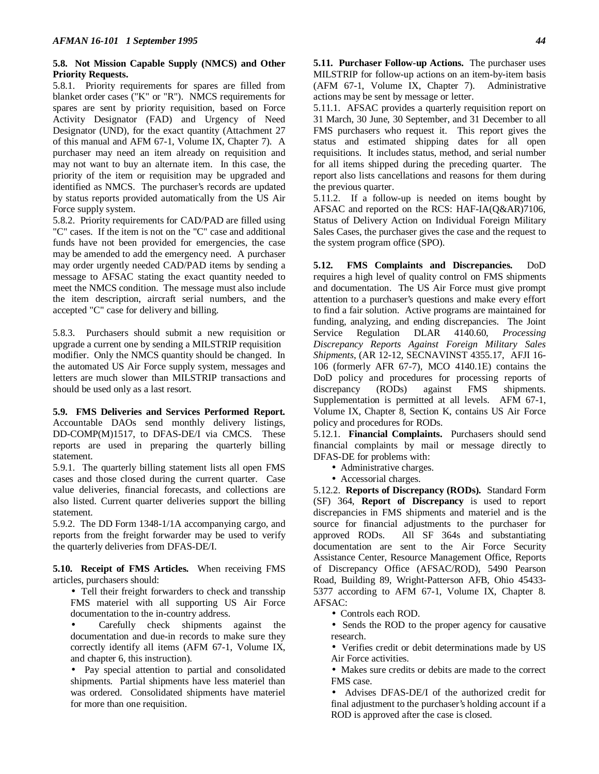# **5.8. Not Mission Capable Supply (NMCS) and Other Priority Requests.**

5.8.1. Priority requirements for spares are filled from blanket order cases ("K" or "R"). NMCS requirements for spares are sent by priority requisition, based on Force Activity Designator (FAD) and Urgency of Need Designator (UND), for the exact quantity (Attachment 27 of this manual and AFM 67-1, Volume IX, Chapter 7). A purchaser may need an item already on requisition and may not want to buy an alternate item. In this case, the priority of the item or requisition may be upgraded and identified as NMCS. The purchaser's records are updated by status reports provided automatically from the US Air Force supply system.

5.8.2. Priority requirements for CAD/PAD are filled using "C" cases. If the item is not on the "C" case and additional funds have not been provided for emergencies, the case may be amended to add the emergency need. A purchaser may order urgently needed CAD/PAD items by sending a message to AFSAC stating the exact quantity needed to meet the NMCS condition. The message must also include the item description, aircraft serial numbers, and the accepted "C" case for delivery and billing.

5.8.3. Purchasers should submit a new requisition or upgrade a current one by sending a MILSTRIP requisition modifier. Only the NMCS quantity should be changed. In the automated US Air Force supply system, messages and letters are much slower than MILSTRIP transactions and should be used only as a last resort.

**5.9. FMS Deliveries and Services Performed Report.** Accountable DAOs send monthly delivery listings, DD-COMP(M)1517, to DFAS-DE/I via CMCS. These reports are used in preparing the quarterly billing statement.

5.9.1. The quarterly billing statement lists all open FMS cases and those closed during the current quarter. Case value deliveries, financial forecasts, and collections are also listed. Current quarter deliveries support the billing statement.

5.9.2. The DD Form 1348-1/1A accompanying cargo, and reports from the freight forwarder may be used to verify the quarterly deliveries from DFAS-DE/I.

**5.10. Receipt of FMS Articles.** When receiving FMS articles, purchasers should:

• Tell their freight forwarders to check and transship FMS materiel with all supporting US Air Force documentation to the in-country address.

• Carefully check shipments against the documentation and due-in records to make sure they correctly identify all items (AFM 67-1, Volume IX, and chapter 6, this instruction).

• Pay special attention to partial and consolidated shipments. Partial shipments have less materiel than was ordered. Consolidated shipments have materiel for more than one requisition.

**5.11. Purchaser Follow-up Actions.** The purchaser uses MILSTRIP for follow-up actions on an item-by-item basis (AFM 67-1, Volume IX, Chapter 7). Administrative actions may be sent by message or letter.

5.11.1. AFSAC provides a quarterly requisition report on 31 March, 30 June, 30 September, and 31 December to all FMS purchasers who request it. This report gives the status and estimated shipping dates for all open requisitions. It includes status, method, and serial number for all items shipped during the preceding quarter. The report also lists cancellations and reasons for them during the previous quarter.

5.11.2. If a follow-up is needed on items bought by AFSAC and reported on the RCS: HAF-IA(Q&AR)7106, Status of Delivery Action on Individual Foreign Military Sales Cases, the purchaser gives the case and the request to the system program office (SPO).

**5.12. FMS Complaints and Discrepancies.** DoD requires a high level of quality control on FMS shipments and documentation. The US Air Force must give prompt attention to a purchaser's questions and make every effort to find a fair solution. Active programs are maintained for funding, analyzing, and ending discrepancies. The Joint Service Regulation DLAR 4140.60, *Processing Discrepancy Reports Against Foreign Military Sales Shipments*, (AR 12-12, SECNAVINST 4355.17, AFJI 16- 106 (formerly AFR 67-7), MCO 4140.1E) contains the DoD policy and procedures for processing reports of discrepancy (RODs) against FMS shipments. Supplementation is permitted at all levels. AFM 67-1, Volume IX, Chapter 8, Section K, contains US Air Force policy and procedures for RODs.

5.12.1. **Financial Complaints.** Purchasers should send financial complaints by mail or message directly to DFAS-DE for problems with:

- Administrative charges.
- Accessorial charges.

5.12.2. **Reports of Discrepancy (RODs).** Standard Form (SF) 364, **Report of Discrepancy** is used to report discrepancies in FMS shipments and materiel and is the source for financial adjustments to the purchaser for approved RODs. All SF 364s and substantiating documentation are sent to the Air Force Security Assistance Center, Resource Management Office, Reports of Discrepancy Office (AFSAC/ROD), 5490 Pearson Road, Building 89, Wright-Patterson AFB, Ohio 45433- 5377 according to AFM 67-1, Volume IX, Chapter 8. AFSAC:

• Controls each ROD.

• Sends the ROD to the proper agency for causative research.

• Verifies credit or debit determinations made by US Air Force activities.

• Makes sure credits or debits are made to the correct FMS case.

• Advises DFAS-DE/I of the authorized credit for final adjustment to the purchaser's holding account if a ROD is approved after the case is closed.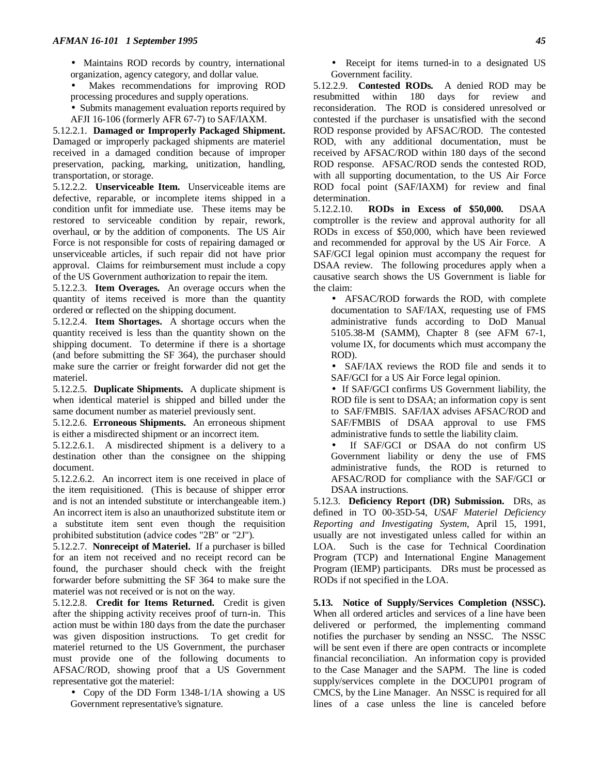- Maintains ROD records by country, international organization, agency category, and dollar value.
- Makes recommendations for improving ROD processing procedures and supply operations.
- Submits management evaluation reports required by AFJI 16-106 (formerly AFR 67-7) to SAF/IAXM.

5.12.2.1. **Damaged or Improperly Packaged Shipment.** Damaged or improperly packaged shipments are materiel received in a damaged condition because of improper preservation, packing, marking, unitization, handling, transportation, or storage.

5.12.2.2. **Unserviceable Item.** Unserviceable items are defective, reparable, or incomplete items shipped in a condition unfit for immediate use. These items may be restored to serviceable condition by repair, rework, overhaul, or by the addition of components. The US Air Force is not responsible for costs of repairing damaged or unserviceable articles, if such repair did not have prior approval. Claims for reimbursement must include a copy of the US Government authorization to repair the item.

5.12.2.3. **Item Overages.** An overage occurs when the quantity of items received is more than the quantity ordered or reflected on the shipping document.

5.12.2.4. **Item Shortages.** A shortage occurs when the quantity received is less than the quantity shown on the shipping document. To determine if there is a shortage (and before submitting the SF 364), the purchaser should make sure the carrier or freight forwarder did not get the materiel.

5.12.2.5. **Duplicate Shipments.** A duplicate shipment is when identical materiel is shipped and billed under the same document number as materiel previously sent.

5.12.2.6. **Erroneous Shipments.** An erroneous shipment is either a misdirected shipment or an incorrect item.

5.12.2.6.1. A misdirected shipment is a delivery to a destination other than the consignee on the shipping document.

5.12.2.6.2. An incorrect item is one received in place of the item requisitioned. (This is because of shipper error and is not an intended substitute or interchangeable item.) An incorrect item is also an unauthorized substitute item or a substitute item sent even though the requisition prohibited substitution (advice codes "2B" or "2J").

5.12.2.7. **Nonreceipt of Materiel.** If a purchaser is billed for an item not received and no receipt record can be found, the purchaser should check with the freight forwarder before submitting the SF 364 to make sure the materiel was not received or is not on the way.

5.12.2.8. **Credit for Items Returned.** Credit is given after the shipping activity receives proof of turn-in. This action must be within 180 days from the date the purchaser was given disposition instructions. To get credit for materiel returned to the US Government, the purchaser must provide one of the following documents to AFSAC/ROD, showing proof that a US Government representative got the materiel:

• Copy of the DD Form 1348-1/1A showing a US Government representative's signature.

• Receipt for items turned-in to a designated US Government facility.

5.12.2.9. **Contested RODs.** A denied ROD may be resubmitted within 180 days for review and reconsideration. The ROD is considered unresolved or contested if the purchaser is unsatisfied with the second ROD response provided by AFSAC/ROD. The contested ROD, with any additional documentation, must be received by AFSAC/ROD within 180 days of the second ROD response. AFSAC/ROD sends the contested ROD, with all supporting documentation, to the US Air Force ROD focal point (SAF/IAXM) for review and final determination.

5.12.2.10. **RODs in Excess of \$50,000.** DSAA comptroller is the review and approval authority for all RODs in excess of \$50,000, which have been reviewed and recommended for approval by the US Air Force. A SAF/GCI legal opinion must accompany the request for DSAA review. The following procedures apply when a causative search shows the US Government is liable for the claim:

• AFSAC/ROD forwards the ROD, with complete documentation to SAF/IAX, requesting use of FMS administrative funds according to DoD Manual 5105.38-M (SAMM), Chapter 8 (see AFM 67-1, volume IX, for documents which must accompany the ROD).

SAF/IAX reviews the ROD file and sends it to SAF/GCI for a US Air Force legal opinion.

• If SAF/GCI confirms US Government liability, the ROD file is sent to DSAA; an information copy is sent to SAF/FMBIS. SAF/IAX advises AFSAC/ROD and SAF/FMBIS of DSAA approval to use FMS administrative funds to settle the liability claim.

• If SAF/GCI or DSAA do not confirm US Government liability or deny the use of FMS administrative funds, the ROD is returned to AFSAC/ROD for compliance with the SAF/GCI or DSAA instructions.

5.12.3. **Deficiency Report (DR) Submission.** DRs, as defined in TO 00-35D-54, *USAF Materiel Deficiency Reporting and Investigating System*, April 15, 1991, usually are not investigated unless called for within an LOA. Such is the case for Technical Coordination Program (TCP) and International Engine Management Program (IEMP) participants. DRs must be processed as RODs if not specified in the LOA.

**5.13. Notice of Supply/Services Completion (NSSC).** When all ordered articles and services of a line have been delivered or performed, the implementing command notifies the purchaser by sending an NSSC. The NSSC will be sent even if there are open contracts or incomplete financial reconciliation. An information copy is provided to the Case Manager and the SAPM. The line is coded supply/services complete in the DOCUP01 program of CMCS, by the Line Manager. An NSSC is required for all lines of a case unless the line is canceled before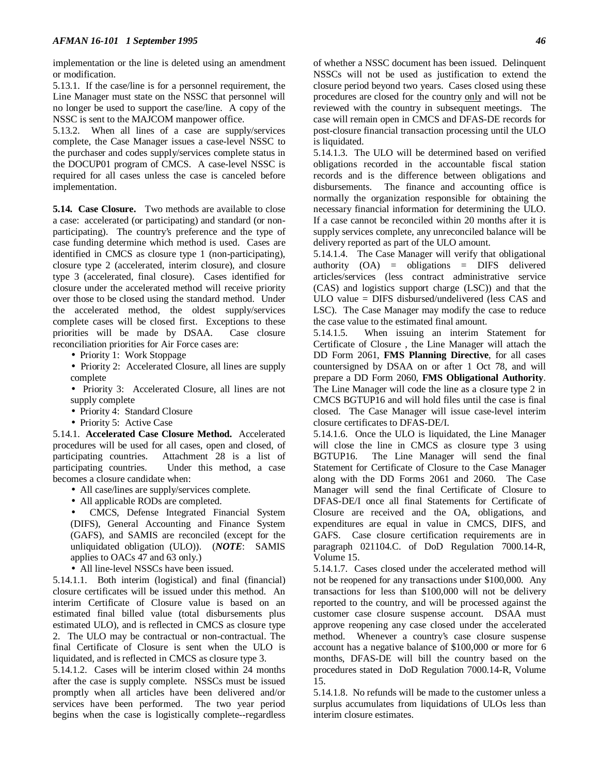implementation or the line is deleted using an amendment or modification.

5.13.1. If the case/line is for a personnel requirement, the Line Manager must state on the NSSC that personnel will no longer be used to support the case/line. A copy of the NSSC is sent to the MAJCOM manpower office.

5.13.2. When all lines of a case are supply/services complete, the Case Manager issues a case-level NSSC to the purchaser and codes supply/services complete status in the DOCUP01 program of CMCS. A case-level NSSC is required for all cases unless the case is canceled before implementation.

**5.14. Case Closure.** Two methods are available to close a case: accelerated (or participating) and standard (or nonparticipating). The country's preference and the type of case funding determine which method is used. Cases are identified in CMCS as closure type 1 (non-participating), closure type 2 (accelerated, interim closure), and closure type 3 (accelerated, final closure). Cases identified for closure under the accelerated method will receive priority over those to be closed using the standard method. Under the accelerated method, the oldest supply/services complete cases will be closed first. Exceptions to these priorities will be made by DSAA. Case closure reconciliation priorities for Air Force cases are:

- Priority 1: Work Stoppage
- Priority 2: Accelerated Closure, all lines are supply complete
- Priority 3: Accelerated Closure, all lines are not supply complete
- Priority 4: Standard Closure
- Priority 5: Active Case

5.14.1. **Accelerated Case Closure Method.** Accelerated procedures will be used for all cases, open and closed, of participating countries. Attachment 28 is a list of participating countries. Under this method, a case becomes a closure candidate when:

- All case/lines are supply/services complete.
- All applicable RODs are completed.

• CMCS, Defense Integrated Financial System (DIFS), General Accounting and Finance System (GAFS), and SAMIS are reconciled (except for the unliquidated obligation (ULO)). (*NOTE*: SAMIS applies to OACs 47 and 63 only.)

• All line-level NSSCs have been issued.

5.14.1.1. Both interim (logistical) and final (financial) closure certificates will be issued under this method. An interim Certificate of Closure value is based on an estimated final billed value (total disbursements plus estimated ULO), and is reflected in CMCS as closure type 2. The ULO may be contractual or non-contractual. The final Certificate of Closure is sent when the ULO is liquidated, and is reflected in CMCS as closure type 3.

5.14.1.2. Cases will be interim closed within 24 months after the case is supply complete. NSSCs must be issued promptly when all articles have been delivered and/or services have been performed. The two year period begins when the case is logistically complete--regardless

of whether a NSSC document has been issued. Delinquent NSSCs will not be used as justification to extend the closure period beyond two years. Cases closed using these procedures are closed for the country only and will not be reviewed with the country in subsequent meetings. The case will remain open in CMCS and DFAS-DE records for post-closure financial transaction processing until the ULO is liquidated.

5.14.1.3. The ULO will be determined based on verified obligations recorded in the accountable fiscal station records and is the difference between obligations and disbursements. The finance and accounting office is normally the organization responsible for obtaining the necessary financial information for determining the ULO. If a case cannot be reconciled within 20 months after it is supply services complete, any unreconciled balance will be delivery reported as part of the ULO amount.

5.14.1.4. The Case Manager will verify that obligational authority (OA) = obligations = DIFS delivered articles/services (less contract administrative service (CAS) and logistics support charge (LSC)) and that the ULO value = DIFS disbursed/undelivered (less CAS and LSC). The Case Manager may modify the case to reduce the case value to the estimated final amount.

5.14.1.5. When issuing an interim Statement for Certificate of Closure , the Line Manager will attach the DD Form 2061, **FMS Planning Directive**, for all cases countersigned by DSAA on or after 1 Oct 78, and will prepare a DD Form 2060, **FMS Obligational Authority**. The Line Manager will code the line as a closure type 2 in CMCS BGTUP16 and will hold files until the case is final closed. The Case Manager will issue case-level interim closure certificates to DFAS-DE/I.

5.14.1.6. Once the ULO is liquidated, the Line Manager will close the line in CMCS as closure type 3 using BGTUP16. The Line Manager will send the final Statement for Certificate of Closure to the Case Manager along with the DD Forms 2061 and 2060. The Case Manager will send the final Certificate of Closure to DFAS-DE/I once all final Statements for Certificate of Closure are received and the OA, obligations, and expenditures are equal in value in CMCS, DIFS, and GAFS. Case closure certification requirements are in paragraph 021104.C. of DoD Regulation 7000.14-R, Volume 15.

5.14.1.7. Cases closed under the accelerated method will not be reopened for any transactions under \$100,000. Any transactions for less than \$100,000 will not be delivery reported to the country, and will be processed against the customer case closure suspense account. DSAA must approve reopening any case closed under the accelerated method. Whenever a country's case closure suspense account has a negative balance of \$100,000 or more for 6 months, DFAS-DE will bill the country based on the procedures stated in DoD Regulation 7000.14-R, Volume 15.

5.14.1.8. No refunds will be made to the customer unless a surplus accumulates from liquidations of ULOs less than interim closure estimates.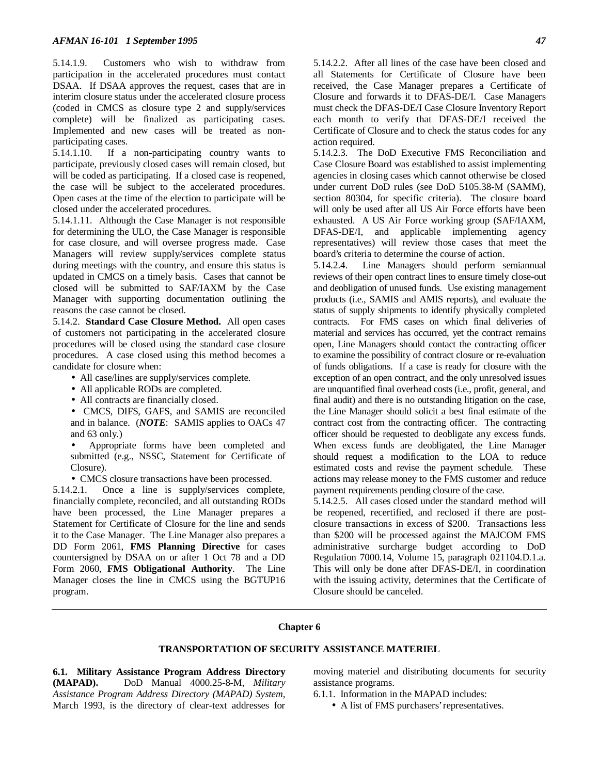5.14.1.9. Customers who wish to withdraw from participation in the accelerated procedures must contact DSAA. If DSAA approves the request, cases that are in interim closure status under the accelerated closure process (coded in CMCS as closure type 2 and supply/services complete) will be finalized as participating cases. Implemented and new cases will be treated as nonparticipating cases.

5.14.1.10. If a non-participating country wants to participate, previously closed cases will remain closed, but will be coded as participating. If a closed case is reopened, the case will be subject to the accelerated procedures. Open cases at the time of the election to participate will be closed under the accelerated procedures.

5.14.1.11. Although the Case Manager is not responsible for determining the ULO, the Case Manager is responsible for case closure, and will oversee progress made. Case Managers will review supply/services complete status during meetings with the country, and ensure this status is updated in CMCS on a timely basis. Cases that cannot be closed will be submitted to SAF/IAXM by the Case Manager with supporting documentation outlining the reasons the case cannot be closed.

5.14.2. **Standard Case Closure Method.** All open cases of customers not participating in the accelerated closure procedures will be closed using the standard case closure procedures. A case closed using this method becomes a candidate for closure when:

- All case/lines are supply/services complete.
- All applicable RODs are completed.
- All contracts are financially closed.
- CMCS, DIFS, GAFS, and SAMIS are reconciled and in balance. (*NOTE*: SAMIS applies to OACs 47 and 63 only.)
- Appropriate forms have been completed and submitted (e.g., NSSC, Statement for Certificate of Closure).
- CMCS closure transactions have been processed.

5.14.2.1. Once a line is supply/services complete, financially complete, reconciled, and all outstanding RODs have been processed, the Line Manager prepares a Statement for Certificate of Closure for the line and sends it to the Case Manager. The Line Manager also prepares a DD Form 2061, **FMS Planning Directive** for cases countersigned by DSAA on or after 1 Oct 78 and a DD Form 2060, **FMS Obligational Authority**. The Line Manager closes the line in CMCS using the BGTUP16 program.

5.14.2.2. After all lines of the case have been closed and all Statements for Certificate of Closure have been received, the Case Manager prepares a Certificate of Closure and forwards it to DFAS-DE/I. Case Managers must check the DFAS-DE/I Case Closure Inventory Report each month to verify that DFAS-DE/I received the Certificate of Closure and to check the status codes for any action required.

5.14.2.3. The DoD Executive FMS Reconciliation and Case Closure Board was established to assist implementing agencies in closing cases which cannot otherwise be closed under current DoD rules (see DoD 5105.38-M (SAMM), section 80304, for specific criteria). The closure board will only be used after all US Air Force efforts have been exhausted. A US Air Force working group (SAF/IAXM, DFAS-DE/I, and applicable implementing agency representatives) will review those cases that meet the board's criteria to determine the course of action.

5.14.2.4. Line Managers should perform semiannual reviews of their open contract lines to ensure timely close-out and deobligation of unused funds. Use existing management products (i.e., SAMIS and AMIS reports), and evaluate the status of supply shipments to identify physically completed contracts. For FMS cases on which final deliveries of material and services has occurred, yet the contract remains open, Line Managers should contact the contracting officer to examine the possibility of contract closure or re-evaluation of funds obligations. If a case is ready for closure with the exception of an open contract, and the only unresolved issues are unquantified final overhead costs (i.e., profit, general, and final audit) and there is no outstanding litigation on the case, the Line Manager should solicit a best final estimate of the contract cost from the contracting officer. The contracting officer should be requested to deobligate any excess funds. When excess funds are deobligated, the Line Manager should request a modification to the LOA to reduce estimated costs and revise the payment schedule. These actions may release money to the FMS customer and reduce payment requirements pending closure of the case.

5.14.2.5. All cases closed under the standard method will be reopened, recertified, and reclosed if there are postclosure transactions in excess of \$200. Transactions less than \$200 will be processed against the MAJCOM FMS administrative surcharge budget according to DoD Regulation 7000.14, Volume 15, paragraph 021104.D.1.a. This will only be done after DFAS-DE/I, in coordination with the issuing activity, determines that the Certificate of Closure should be canceled.

## **Chapter 6**

#### **TRANSPORTATION OF SECURITY ASSISTANCE MATERIEL**

**6.1. Military Assistance Program Address Directory (MAPAD).** DoD Manual 4000.25-8-M, *Military Assistance Program Address Directory (MAPAD) System*, March 1993, is the directory of clear-text addresses for

moving materiel and distributing documents for security assistance programs.

- 6.1.1. Information in the MAPAD includes:
	- A list of FMS purchasers' representatives.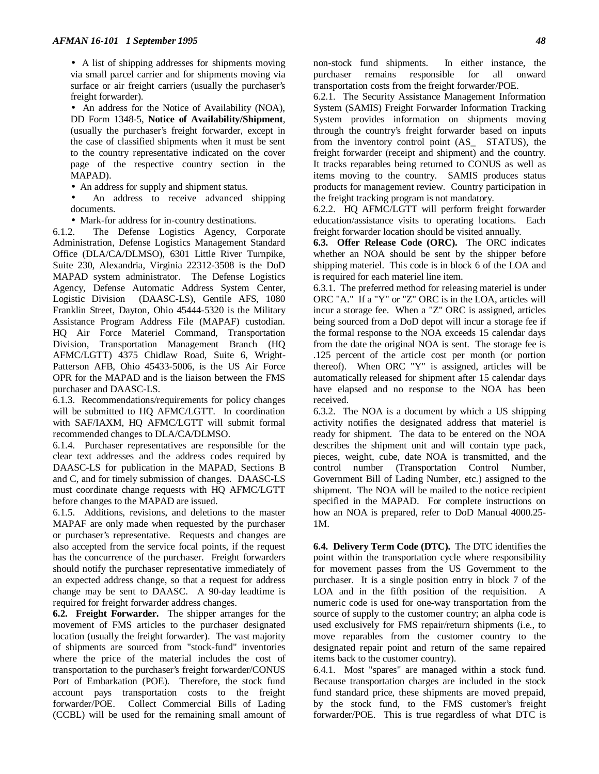- A list of shipping addresses for shipments moving via small parcel carrier and for shipments moving via surface or air freight carriers (usually the purchaser's freight forwarder).
- An address for the Notice of Availability (NOA), DD Form 1348-5, **Notice of Availability/Shipment**, (usually the purchaser's freight forwarder, except in the case of classified shipments when it must be sent to the country representative indicated on the cover page of the respective country section in the MAPAD).
- An address for supply and shipment status.
- An address to receive advanced shipping documents.
- Mark-for address for in-country destinations.

6.1.2. The Defense Logistics Agency, Corporate Administration, Defense Logistics Management Standard Office (DLA/CA/DLMSO), 6301 Little River Turnpike, Suite 230, Alexandria, Virginia 22312-3508 is the DoD MAPAD system administrator. The Defense Logistics Agency, Defense Automatic Address System Center, Logistic Division (DAASC-LS), Gentile AFS, 1080 Franklin Street, Dayton, Ohio 45444-5320 is the Military Assistance Program Address File (MAPAF) custodian. HQ Air Force Materiel Command, Transportation Division, Transportation Management Branch (HQ AFMC/LGTT) 4375 Chidlaw Road, Suite 6, Wright-Patterson AFB, Ohio 45433-5006, is the US Air Force OPR for the MAPAD and is the liaison between the FMS purchaser and DAASC-LS.

6.1.3. Recommendations/requirements for policy changes will be submitted to HQ AFMC/LGTT. In coordination with SAF/IAXM, HQ AFMC/LGTT will submit formal recommended changes to DLA/CA/DLMSO.

6.1.4. Purchaser representatives are responsible for the clear text addresses and the address codes required by DAASC-LS for publication in the MAPAD, Sections B and C, and for timely submission of changes. DAASC-LS must coordinate change requests with HQ AFMC/LGTT before changes to the MAPAD are issued.

6.1.5. Additions, revisions, and deletions to the master MAPAF are only made when requested by the purchaser or purchaser's representative. Requests and changes are also accepted from the service focal points, if the request has the concurrence of the purchaser. Freight forwarders should notify the purchaser representative immediately of an expected address change, so that a request for address change may be sent to DAASC. A 90-day leadtime is required for freight forwarder address changes.

**6.2. Freight Forwarder.** The shipper arranges for the movement of FMS articles to the purchaser designated location (usually the freight forwarder). The vast majority of shipments are sourced from "stock-fund" inventories where the price of the material includes the cost of transportation to the purchaser's freight forwarder/CONUS Port of Embarkation (POE). Therefore, the stock fund account pays transportation costs to the freight forwarder/POE. Collect Commercial Bills of Lading (CCBL) will be used for the remaining small amount of non-stock fund shipments. In either instance, the purchaser remains responsible for all onward transportation costs from the freight forwarder/POE.

6.2.1. The Security Assistance Management Information System (SAMIS) Freight Forwarder Information Tracking System provides information on shipments moving through the country's freight forwarder based on inputs from the inventory control point (AS\_ STATUS), the freight forwarder (receipt and shipment) and the country. It tracks reparables being returned to CONUS as well as items moving to the country. SAMIS produces status products for management review. Country participation in the freight tracking program is not mandatory.

6.2.2. HQ AFMC/LGTT will perform freight forwarder education/assistance visits to operating locations. Each freight forwarder location should be visited annually.

**6.3. Offer Release Code (ORC).** The ORC indicates whether an NOA should be sent by the shipper before shipping materiel. This code is in block 6 of the LOA and is required for each materiel line item.

6.3.1. The preferred method for releasing materiel is under ORC "A." If a "Y" or "Z" ORC is in the LOA, articles will incur a storage fee. When a "Z" ORC is assigned, articles being sourced from a DoD depot will incur a storage fee if the formal response to the NOA exceeds 15 calendar days from the date the original NOA is sent. The storage fee is .125 percent of the article cost per month (or portion thereof). When ORC "Y" is assigned, articles will be automatically released for shipment after 15 calendar days have elapsed and no response to the NOA has been received.

6.3.2. The NOA is a document by which a US shipping activity notifies the designated address that materiel is ready for shipment. The data to be entered on the NOA describes the shipment unit and will contain type pack, pieces, weight, cube, date NOA is transmitted, and the control number (Transportation Control Number, Government Bill of Lading Number, etc.) assigned to the shipment. The NOA will be mailed to the notice recipient specified in the MAPAD. For complete instructions on how an NOA is prepared, refer to DoD Manual 4000.25- 1M.

**6.4. Delivery Term Code (DTC).** The DTC identifies the point within the transportation cycle where responsibility for movement passes from the US Government to the purchaser. It is a single position entry in block 7 of the LOA and in the fifth position of the requisition. A numeric code is used for one-way transportation from the source of supply to the customer country; an alpha code is used exclusively for FMS repair/return shipments (i.e., to move reparables from the customer country to the designated repair point and return of the same repaired items back to the customer country).

6.4.1. Most "spares" are managed within a stock fund. Because transportation charges are included in the stock fund standard price, these shipments are moved prepaid, by the stock fund, to the FMS customer's freight forwarder/POE. This is true regardless of what DTC is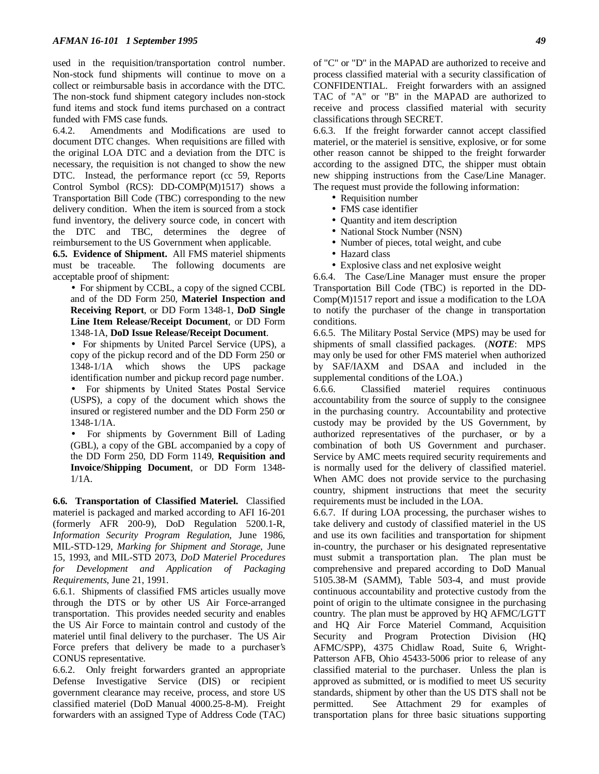used in the requisition/transportation control number. Non-stock fund shipments will continue to move on a collect or reimbursable basis in accordance with the DTC. The non-stock fund shipment category includes non-stock fund items and stock fund items purchased on a contract funded with FMS case funds.

6.4.2. Amendments and Modifications are used to document DTC changes. When requisitions are filled with the original LOA DTC and a deviation from the DTC is necessary, the requisition is not changed to show the new DTC. Instead, the performance report (cc 59, Reports Control Symbol (RCS): DD-COMP(M)1517) shows a Transportation Bill Code (TBC) corresponding to the new delivery condition. When the item is sourced from a stock fund inventory, the delivery source code, in concert with the DTC and TBC, determines the degree of reimbursement to the US Government when applicable.

**6.5. Evidence of Shipment.** All FMS materiel shipments must be traceable. The following documents are acceptable proof of shipment:

• For shipment by CCBL, a copy of the signed CCBL and of the DD Form 250, **Materiel Inspection and Receiving Report**, or DD Form 1348-1, **DoD Single Line Item Release/Receipt Document**, or DD Form 1348-1A, **DoD Issue Release/Receipt Document**.

• For shipments by United Parcel Service (UPS), a copy of the pickup record and of the DD Form 250 or 1348-1/1A which shows the UPS package identification number and pickup record page number.

• For shipments by United States Postal Service (USPS), a copy of the document which shows the insured or registered number and the DD Form 250 or 1348-1/1A.

• For shipments by Government Bill of Lading (GBL), a copy of the GBL accompanied by a copy of the DD Form 250, DD Form 1149, **Requisition and Invoice/Shipping Document**, or DD Form 1348- 1/1A.

**6.6. Transportation of Classified Materiel.** Classified materiel is packaged and marked according to AFI 16-201 (formerly AFR 200-9), DoD Regulation 5200.1-R, *Information Security Program Regulation*, June 1986, MIL-STD-129, *Marking for Shipment and Storage*, June 15, 1993, and MIL-STD 2073, *DoD Materiel Procedures for Development and Application of Packaging Requirements*, June 21, 1991.

6.6.1. Shipments of classified FMS articles usually move through the DTS or by other US Air Force-arranged transportation. This provides needed security and enables the US Air Force to maintain control and custody of the materiel until final delivery to the purchaser. The US Air Force prefers that delivery be made to a purchaser's CONUS representative.

6.6.2. Only freight forwarders granted an appropriate Defense Investigative Service (DIS) or recipient government clearance may receive, process, and store US classified materiel (DoD Manual 4000.25-8-M). Freight forwarders with an assigned Type of Address Code (TAC)

of "C" or "D" in the MAPAD are authorized to receive and process classified material with a security classification of CONFIDENTIAL. Freight forwarders with an assigned TAC of "A" or "B" in the MAPAD are authorized to receive and process classified material with security classifications through SECRET.

6.6.3. If the freight forwarder cannot accept classified materiel, or the materiel is sensitive, explosive, or for some other reason cannot be shipped to the freight forwarder according to the assigned DTC, the shipper must obtain new shipping instructions from the Case/Line Manager. The request must provide the following information:

- Requisition number
- FMS case identifier
- Quantity and item description
- National Stock Number (NSN)
- Number of pieces, total weight, and cube
- Hazard class
- Explosive class and net explosive weight

6.6.4. The Case/Line Manager must ensure the proper Transportation Bill Code (TBC) is reported in the DD-Comp(M)1517 report and issue a modification to the LOA to notify the purchaser of the change in transportation conditions.

6.6.5. The Military Postal Service (MPS) may be used for shipments of small classified packages. (*NOTE*: MPS may only be used for other FMS materiel when authorized by SAF/IAXM and DSAA and included in the supplemental conditions of the LOA.)

6.6.6. Classified materiel requires continuous accountability from the source of supply to the consignee in the purchasing country. Accountability and protective custody may be provided by the US Government, by authorized representatives of the purchaser, or by a combination of both US Government and purchaser. Service by AMC meets required security requirements and is normally used for the delivery of classified materiel. When AMC does not provide service to the purchasing country, shipment instructions that meet the security requirements must be included in the LOA.

6.6.7. If during LOA processing, the purchaser wishes to take delivery and custody of classified materiel in the US and use its own facilities and transportation for shipment in-country, the purchaser or his designated representative must submit a transportation plan. The plan must be comprehensive and prepared according to DoD Manual 5105.38-M (SAMM), Table 503-4, and must provide continuous accountability and protective custody from the point of origin to the ultimate consignee in the purchasing country. The plan must be approved by HQ AFMC/LGTT and HQ Air Force Materiel Command, Acquisition Security and Program Protection Division (HQ AFMC/SPP), 4375 Chidlaw Road, Suite 6, Wright-Patterson AFB, Ohio 45433-5006 prior to release of any classified material to the purchaser. Unless the plan is approved as submitted, or is modified to meet US security standards, shipment by other than the US DTS shall not be permitted. See Attachment 29 for examples of transportation plans for three basic situations supporting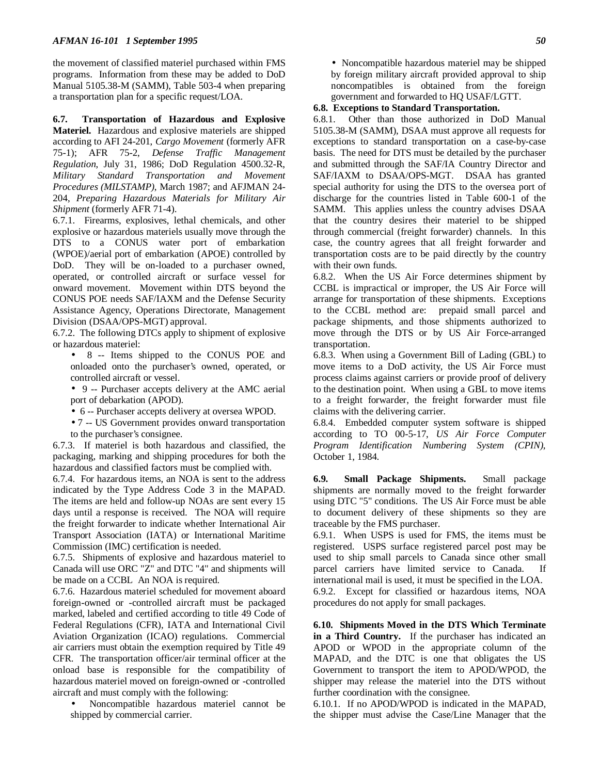the movement of classified materiel purchased within FMS programs. Information from these may be added to DoD Manual 5105.38-M (SAMM), Table 503-4 when preparing a transportation plan for a specific request/LOA.

**6.7. Transportation of Hazardous and Explosive Materiel.** Hazardous and explosive materiels are shipped according to AFI 24-201, *Cargo Movement* (formerly AFR 75-1); AFR 75-2, *Defense Traffic Management Regulation*, July 31, 1986; DoD Regulation 4500.32-R, *Military Standard Transportation and Movement Procedures (MILSTAMP)*, March 1987; and AFJMAN 24- 204, *Preparing Hazardous Materials for Military Air Shipment* (formerly AFR 71-4).

6.7.1. Firearms, explosives, lethal chemicals, and other explosive or hazardous materiels usually move through the DTS to a CONUS water port of embarkation (WPOE)/aerial port of embarkation (APOE) controlled by DoD. They will be on-loaded to a purchaser owned, operated, or controlled aircraft or surface vessel for onward movement. Movement within DTS beyond the CONUS POE needs SAF/IAXM and the Defense Security Assistance Agency, Operations Directorate, Management Division (DSAA/OPS-MGT) approval.

6.7.2. The following DTCs apply to shipment of explosive or hazardous materiel:

- 8 -- Items shipped to the CONUS POE and onloaded onto the purchaser's owned, operated, or controlled aircraft or vessel.
- 9 -- Purchaser accepts delivery at the AMC aerial port of debarkation (APOD).
- 6 -- Purchaser accepts delivery at oversea WPOD.
- 7 -- US Government provides onward transportation to the purchaser's consignee.

6.7.3. If materiel is both hazardous and classified, the packaging, marking and shipping procedures for both the hazardous and classified factors must be complied with.

6.7.4. For hazardous items, an NOA is sent to the address indicated by the Type Address Code 3 in the MAPAD. The items are held and follow-up NOAs are sent every 15 days until a response is received. The NOA will require the freight forwarder to indicate whether International Air Transport Association (IATA) or International Maritime Commission (IMC) certification is needed.

6.7.5. Shipments of explosive and hazardous materiel to Canada will use ORC "Z" and DTC "4" and shipments will be made on a CCBL An NOA is required.

6.7.6. Hazardous materiel scheduled for movement aboard foreign-owned or -controlled aircraft must be packaged marked, labeled and certified according to title 49 Code of Federal Regulations (CFR), IATA and International Civil Aviation Organization (ICAO) regulations. Commercial air carriers must obtain the exemption required by Title 49 CFR. The transportation officer/air terminal officer at the onload base is responsible for the compatibility of hazardous materiel moved on foreign-owned or -controlled aircraft and must comply with the following:

• Noncompatible hazardous materiel cannot be shipped by commercial carrier.

• Noncompatible hazardous materiel may be shipped by foreign military aircraft provided approval to ship noncompatibles is obtained from the foreign government and forwarded to HQ USAF/LGTT.

# **6.8. Exceptions to Standard Transportation.**

6.8.1. Other than those authorized in DoD Manual 5105.38-M (SAMM), DSAA must approve all requests for exceptions to standard transportation on a case-by-case basis. The need for DTS must be detailed by the purchaser and submitted through the SAF/IA Country Director and SAF/IAXM to DSAA/OPS-MGT. DSAA has granted special authority for using the DTS to the oversea port of discharge for the countries listed in Table 600-1 of the SAMM. This applies unless the country advises DSAA that the country desires their materiel to be shipped through commercial (freight forwarder) channels. In this case, the country agrees that all freight forwarder and transportation costs are to be paid directly by the country with their own funds.

6.8.2. When the US Air Force determines shipment by CCBL is impractical or improper, the US Air Force will arrange for transportation of these shipments. Exceptions to the CCBL method are: prepaid small parcel and package shipments, and those shipments authorized to move through the DTS or by US Air Force-arranged transportation.

6.8.3. When using a Government Bill of Lading (GBL) to move items to a DoD activity, the US Air Force must process claims against carriers or provide proof of delivery to the destination point. When using a GBL to move items to a freight forwarder, the freight forwarder must file claims with the delivering carrier.

6.8.4. Embedded computer system software is shipped according to TO 00-5-17, *US Air Force Computer Program Identification Numbering System (CPIN)*, October 1, 1984.

**6.9. Small Package Shipments.** Small package shipments are normally moved to the freight forwarder using DTC "5" conditions. The US Air Force must be able to document delivery of these shipments so they are traceable by the FMS purchaser.

6.9.1. When USPS is used for FMS, the items must be registered. USPS surface registered parcel post may be used to ship small parcels to Canada since other small parcel carriers have limited service to Canada. If international mail is used, it must be specified in the LOA. 6.9.2. Except for classified or hazardous items, NOA procedures do not apply for small packages.

**6.10. Shipments Moved in the DTS Which Terminate in a Third Country.** If the purchaser has indicated an APOD or WPOD in the appropriate column of the MAPAD, and the DTC is one that obligates the US Government to transport the item to APOD/WPOD, the shipper may release the materiel into the DTS without further coordination with the consignee.

6.10.1. If no APOD/WPOD is indicated in the MAPAD, the shipper must advise the Case/Line Manager that the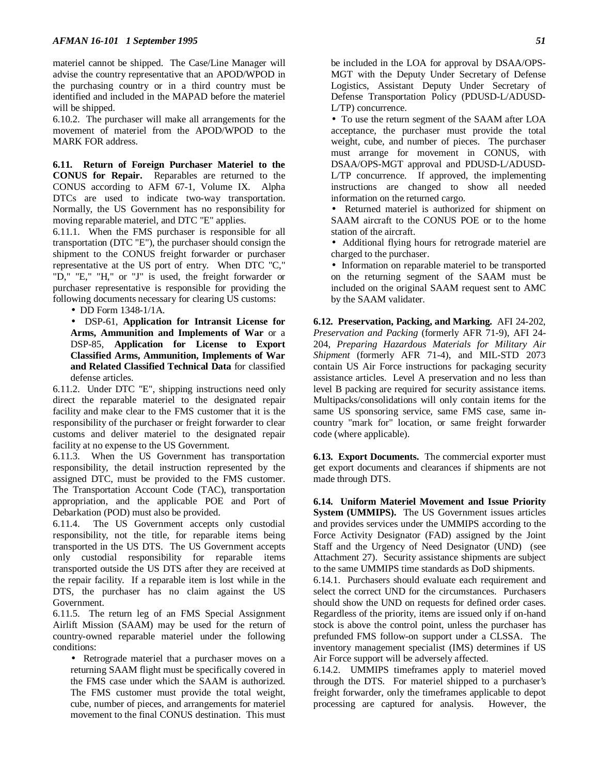materiel cannot be shipped. The Case/Line Manager will advise the country representative that an APOD/WPOD in the purchasing country or in a third country must be identified and included in the MAPAD before the materiel will be shipped.

6.10.2. The purchaser will make all arrangements for the movement of materiel from the APOD/WPOD to the MARK FOR address.

**6.11. Return of Foreign Purchaser Materiel to the CONUS for Repair.** Reparables are returned to the CONUS according to AFM 67-1, Volume IX. Alpha DTCs are used to indicate two-way transportation. Normally, the US Government has no responsibility for moving reparable materiel, and DTC "E" applies.

6.11.1. When the FMS purchaser is responsible for all transportation (DTC "E"), the purchaser should consign the shipment to the CONUS freight forwarder or purchaser representative at the US port of entry. When DTC "C," "D," "E," "H," or "J" is used, the freight forwarder or purchaser representative is responsible for providing the following documents necessary for clearing US customs:

• DD Form 1348-1/1A.

• DSP-61, **Application for Intransit License for Arms, Ammunition and Implements of War** or a DSP-85, **Application for License to Export Classified Arms, Ammunition, Implements of War and Related Classified Technical Data** for classified defense articles.

6.11.2. Under DTC "E", shipping instructions need only direct the reparable materiel to the designated repair facility and make clear to the FMS customer that it is the responsibility of the purchaser or freight forwarder to clear customs and deliver materiel to the designated repair facility at no expense to the US Government.

6.11.3. When the US Government has transportation responsibility, the detail instruction represented by the assigned DTC, must be provided to the FMS customer. The Transportation Account Code (TAC), transportation appropriation, and the applicable POE and Port of Debarkation (POD) must also be provided.

6.11.4. The US Government accepts only custodial responsibility, not the title, for reparable items being transported in the US DTS. The US Government accepts only custodial responsibility for reparable items transported outside the US DTS after they are received at the repair facility. If a reparable item is lost while in the DTS, the purchaser has no claim against the US Government.

6.11.5. The return leg of an FMS Special Assignment Airlift Mission (SAAM) may be used for the return of country-owned reparable materiel under the following conditions:

• Retrograde materiel that a purchaser moves on a returning SAAM flight must be specifically covered in the FMS case under which the SAAM is authorized. The FMS customer must provide the total weight, cube, number of pieces, and arrangements for materiel movement to the final CONUS destination. This must

be included in the LOA for approval by DSAA/OPS-MGT with the Deputy Under Secretary of Defense Logistics, Assistant Deputy Under Secretary of Defense Transportation Policy (PDUSD-L/ADUSD-L/TP) concurrence.

• To use the return segment of the SAAM after LOA acceptance, the purchaser must provide the total weight, cube, and number of pieces. The purchaser must arrange for movement in CONUS, with DSAA/OPS-MGT approval and PDUSD-L/ADUSD-L/TP concurrence. If approved, the implementing instructions are changed to show all needed information on the returned cargo.

• Returned materiel is authorized for shipment on SAAM aircraft to the CONUS POE or to the home station of the aircraft.

• Additional flying hours for retrograde materiel are charged to the purchaser.

• Information on reparable materiel to be transported on the returning segment of the SAAM must be included on the original SAAM request sent to AMC by the SAAM validater.

**6.12. Preservation, Packing, and Marking.** AFI 24-202, *Preservation and Packing* (formerly AFR 71-9), AFI 24- 204, *Preparing Hazardous Materials for Military Air Shipment* (formerly AFR 71-4), and MIL-STD 2073 contain US Air Force instructions for packaging security assistance articles. Level A preservation and no less than level B packing are required for security assistance items. Multipacks/consolidations will only contain items for the same US sponsoring service, same FMS case, same incountry "mark for" location, or same freight forwarder code (where applicable).

**6.13. Export Documents.** The commercial exporter must get export documents and clearances if shipments are not made through DTS.

**6.14. Uniform Materiel Movement and Issue Priority System (UMMIPS).** The US Government issues articles and provides services under the UMMIPS according to the Force Activity Designator (FAD) assigned by the Joint Staff and the Urgency of Need Designator (UND) (see Attachment 27). Security assistance shipments are subject to the same UMMIPS time standards as DoD shipments.

6.14.1. Purchasers should evaluate each requirement and select the correct UND for the circumstances. Purchasers should show the UND on requests for defined order cases. Regardless of the priority, items are issued only if on-hand stock is above the control point, unless the purchaser has prefunded FMS follow-on support under a CLSSA. The inventory management specialist (IMS) determines if US Air Force support will be adversely affected.

6.14.2. UMMIPS timeframes apply to materiel moved through the DTS. For materiel shipped to a purchaser's freight forwarder, only the timeframes applicable to depot processing are captured for analysis. However, the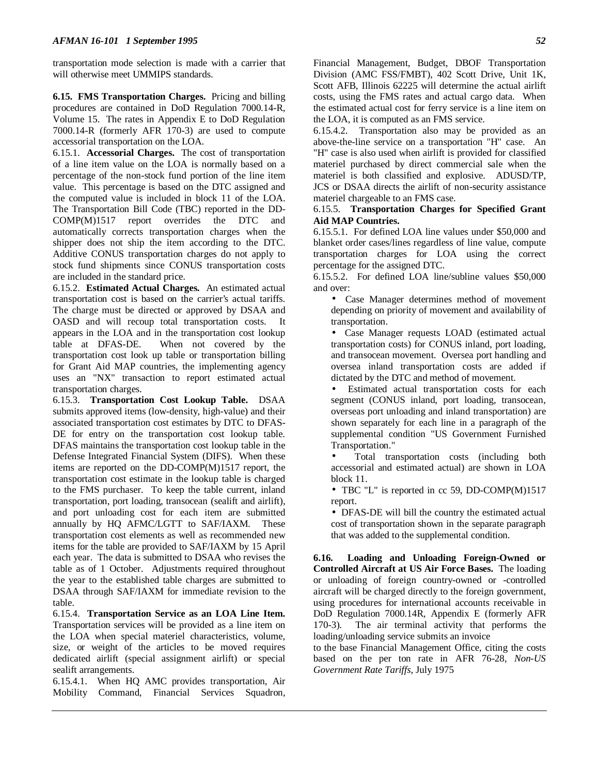transportation mode selection is made with a carrier that will otherwise meet UMMIPS standards.

**6.15. FMS Transportation Charges.** Pricing and billing procedures are contained in DoD Regulation 7000.14-R, Volume 15. The rates in Appendix E to DoD Regulation 7000.14-R (formerly AFR 170-3) are used to compute accessorial transportation on the LOA.

6.15.1. **Accessorial Charges.** The cost of transportation of a line item value on the LOA is normally based on a percentage of the non-stock fund portion of the line item value. This percentage is based on the DTC assigned and the computed value is included in block 11 of the LOA. The Transportation Bill Code (TBC) reported in the DD-COMP(M)1517 report overrides the DTC and automatically corrects transportation charges when the shipper does not ship the item according to the DTC. Additive CONUS transportation charges do not apply to stock fund shipments since CONUS transportation costs are included in the standard price.

6.15.2. **Estimated Actual Charges.** An estimated actual transportation cost is based on the carrier's actual tariffs. The charge must be directed or approved by DSAA and OASD and will recoup total transportation costs. It appears in the LOA and in the transportation cost lookup table at DFAS-DE. When not covered by the transportation cost look up table or transportation billing for Grant Aid MAP countries, the implementing agency uses an "NX" transaction to report estimated actual transportation charges.

6.15.3. **Transportation Cost Lookup Table.** DSAA submits approved items (low-density, high-value) and their associated transportation cost estimates by DTC to DFAS-DE for entry on the transportation cost lookup table. DFAS maintains the transportation cost lookup table in the Defense Integrated Financial System (DIFS). When these items are reported on the DD-COMP(M)1517 report, the transportation cost estimate in the lookup table is charged to the FMS purchaser. To keep the table current, inland transportation, port loading, transocean (sealift and airlift), and port unloading cost for each item are submitted annually by HQ AFMC/LGTT to SAF/IAXM. These transportation cost elements as well as recommended new items for the table are provided to SAF/IAXM by 15 April each year. The data is submitted to DSAA who revises the table as of 1 October. Adjustments required throughout the year to the established table charges are submitted to DSAA through SAF/IAXM for immediate revision to the table.

6.15.4. **Transportation Service as an LOA Line Item.** Transportation services will be provided as a line item on the LOA when special materiel characteristics, volume, size, or weight of the articles to be moved requires dedicated airlift (special assignment airlift) or special sealift arrangements.

6.15.4.1. When HQ AMC provides transportation, Air Mobility Command, Financial Services Squadron, Financial Management, Budget, DBOF Transportation Division (AMC FSS/FMBT), 402 Scott Drive, Unit 1K, Scott AFB, Illinois 62225 will determine the actual airlift costs, using the FMS rates and actual cargo data. When the estimated actual cost for ferry service is a line item on the LOA, it is computed as an FMS service.

6.15.4.2. Transportation also may be provided as an above-the-line service on a transportation "H" case. An "H" case is also used when airlift is provided for classified materiel purchased by direct commercial sale when the materiel is both classified and explosive. ADUSD/TP, JCS or DSAA directs the airlift of non-security assistance materiel chargeable to an FMS case.

# 6.15.5. **Transportation Charges for Specified Grant Aid MAP Countries.**

6.15.5.1. For defined LOA line values under \$50,000 and blanket order cases/lines regardless of line value, compute transportation charges for LOA using the correct percentage for the assigned DTC.

6.15.5.2. For defined LOA line/subline values \$50,000 and over:

- Case Manager determines method of movement depending on priority of movement and availability of transportation.
- Case Manager requests LOAD (estimated actual transportation costs) for CONUS inland, port loading, and transocean movement. Oversea port handling and oversea inland transportation costs are added if dictated by the DTC and method of movement.
- Estimated actual transportation costs for each segment (CONUS inland, port loading, transocean, overseas port unloading and inland transportation) are shown separately for each line in a paragraph of the supplemental condition "US Government Furnished Transportation."
- Total transportation costs (including both accessorial and estimated actual) are shown in LOA block 11.
- TBC "L" is reported in cc 59, DD-COMP(M)1517 report.
- DFAS-DE will bill the country the estimated actual cost of transportation shown in the separate paragraph that was added to the supplemental condition.

**6.16. Loading and Unloading Foreign-Owned or Controlled Aircraft at US Air Force Bases.** The loading or unloading of foreign country-owned or -controlled aircraft will be charged directly to the foreign government, using procedures for international accounts receivable in DoD Regulation 7000.14R, Appendix E (formerly AFR 170-3). The air terminal activity that performs the loading/unloading service submits an invoice

to the base Financial Management Office, citing the costs based on the per ton rate in AFR 76-28, *Non-US Government Rate Tariffs*, July 1975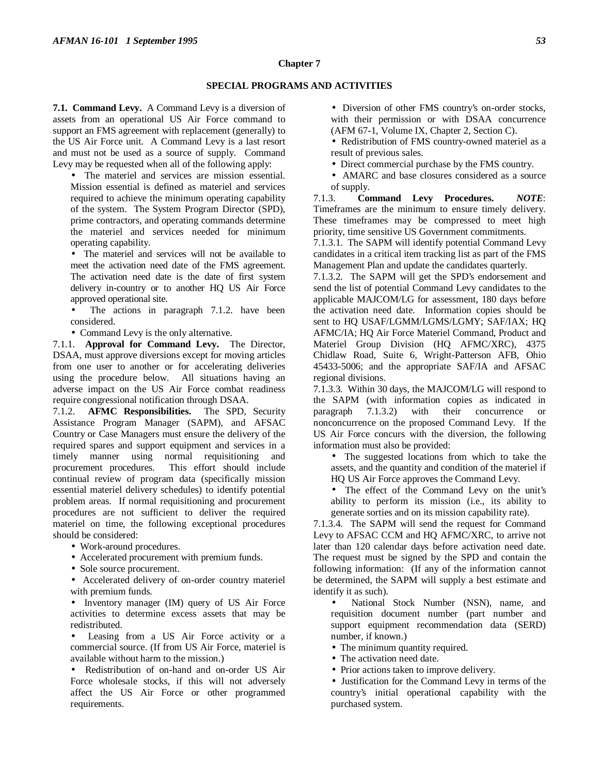### **Chapter 7**

# **SPECIAL PROGRAMS AND ACTIVITIES**

**7.1. Command Levy.** A Command Levy is a diversion of assets from an operational US Air Force command to support an FMS agreement with replacement (generally) to the US Air Force unit. A Command Levy is a last resort and must not be used as a source of supply. Command Levy may be requested when all of the following apply:

• The materiel and services are mission essential. Mission essential is defined as materiel and services required to achieve the minimum operating capability of the system. The System Program Director (SPD), prime contractors, and operating commands determine the materiel and services needed for minimum operating capability.

• The materiel and services will not be available to meet the activation need date of the FMS agreement. The activation need date is the date of first system delivery in-country or to another HQ US Air Force approved operational site.

The actions in paragraph 7.1.2. have been considered.

• Command Levy is the only alternative.

7.1.1. **Approval for Command Levy.** The Director, DSAA, must approve diversions except for moving articles from one user to another or for accelerating deliveries using the procedure below. All situations having an adverse impact on the US Air Force combat readiness require congressional notification through DSAA.

7.1.2. **AFMC Responsibilities.** The SPD, Security Assistance Program Manager (SAPM), and AFSAC Country or Case Managers must ensure the delivery of the required spares and support equipment and services in a timely manner using normal requisitioning and procurement procedures. This effort should include continual review of program data (specifically mission essential materiel delivery schedules) to identify potential problem areas. If normal requisitioning and procurement procedures are not sufficient to deliver the required materiel on time, the following exceptional procedures should be considered:

- Work-around procedures.
- Accelerated procurement with premium funds.
- Sole source procurement.

• Accelerated delivery of on-order country materiel with premium funds.

• Inventory manager (IM) query of US Air Force activities to determine excess assets that may be redistributed.

• Leasing from a US Air Force activity or a commercial source. (If from US Air Force, materiel is available without harm to the mission.)

• Redistribution of on-hand and on-order US Air Force wholesale stocks, if this will not adversely affect the US Air Force or other programmed requirements.

• Diversion of other FMS country's on-order stocks, with their permission or with DSAA concurrence (AFM 67-1, Volume IX, Chapter 2, Section C).

• Redistribution of FMS country-owned materiel as a result of previous sales.

• Direct commercial purchase by the FMS country.

• AMARC and base closures considered as a source of supply.

7.1.3. **Command Levy Procedures.** *NOTE*: Timeframes are the minimum to ensure timely delivery. These timeframes may be compressed to meet high priority, time sensitive US Government commitments.

7.1.3.1. The SAPM will identify potential Command Levy candidates in a critical item tracking list as part of the FMS Management Plan and update the candidates quarterly.

7.1.3.2. The SAPM will get the SPD's endorsement and send the list of potential Command Levy candidates to the applicable MAJCOM/LG for assessment, 180 days before the activation need date. Information copies should be sent to HQ USAF/LGMM/LGMS/LGMY; SAF/IAX; HQ AFMC/IA; HQ Air Force Materiel Command, Product and Materiel Group Division (HQ AFMC/XRC), 4375 Chidlaw Road, Suite 6, Wright-Patterson AFB, Ohio 45433-5006; and the appropriate SAF/IA and AFSAC regional divisions.

7.1.3.3. Within 30 days, the MAJCOM/LG will respond to the SAPM (with information copies as indicated in paragraph 7.1.3.2) with their concurrence or nonconcurrence on the proposed Command Levy. If the US Air Force concurs with the diversion, the following information must also be provided:

• The suggested locations from which to take the assets, and the quantity and condition of the materiel if HQ US Air Force approves the Command Levy.

• The effect of the Command Levy on the unit's ability to perform its mission (i.e., its ability to generate sorties and on its mission capability rate).

7.1.3.4. The SAPM will send the request for Command Levy to AFSAC CCM and HQ AFMC/XRC, to arrive not later than 120 calendar days before activation need date. The request must be signed by the SPD and contain the following information: (If any of the information cannot be determined, the SAPM will supply a best estimate and identify it as such).

• National Stock Number (NSN), name, and requisition document number (part number and support equipment recommendation data (SERD) number, if known.)

- The minimum quantity required.
- The activation need date.
- Prior actions taken to improve delivery.

• Justification for the Command Levy in terms of the country's initial operational capability with the purchased system.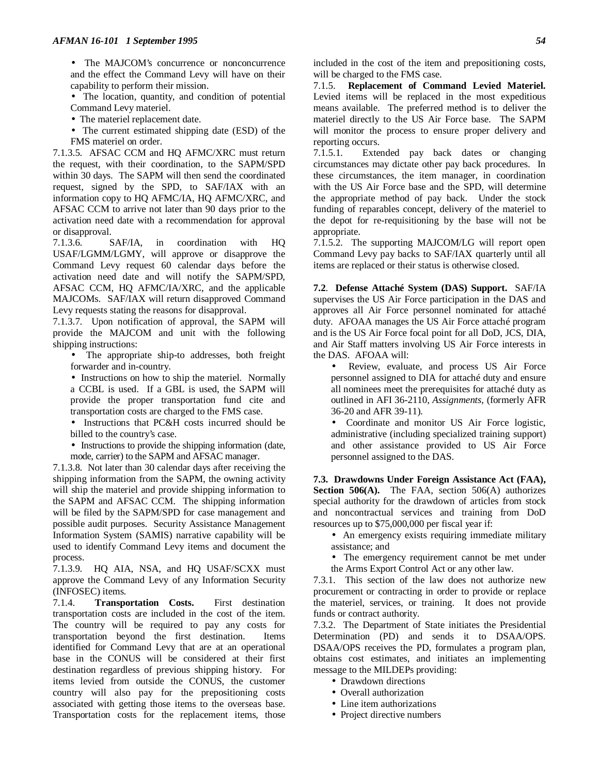- The MAJCOM's concurrence or nonconcurrence and the effect the Command Levy will have on their capability to perform their mission.
- The location, quantity, and condition of potential Command Levy materiel.
- The materiel replacement date.
- The current estimated shipping date (ESD) of the FMS materiel on order.

7.1.3.5. AFSAC CCM and HQ AFMC/XRC must return the request, with their coordination, to the SAPM/SPD within 30 days. The SAPM will then send the coordinated request, signed by the SPD, to SAF/IAX with an information copy to HQ AFMC/IA, HQ AFMC/XRC, and AFSAC CCM to arrive not later than 90 days prior to the activation need date with a recommendation for approval or disapproval.

7.1.3.6. SAF/IA, in coordination with HQ USAF/LGMM/LGMY, will approve or disapprove the Command Levy request 60 calendar days before the activation need date and will notify the SAPM/SPD, AFSAC CCM, HQ AFMC/IA/XRC, and the applicable MAJCOMs. SAF/IAX will return disapproved Command Levy requests stating the reasons for disapproval.

7.1.3.7. Upon notification of approval, the SAPM will provide the MAJCOM and unit with the following shipping instructions:

- The appropriate ship-to addresses, both freight forwarder and in-country.
- Instructions on how to ship the materiel. Normally a CCBL is used. If a GBL is used, the SAPM will provide the proper transportation fund cite and transportation costs are charged to the FMS case.
- Instructions that PC&H costs incurred should be billed to the country's case.
- Instructions to provide the shipping information (date, mode, carrier) to the SAPM and AFSAC manager.

7.1.3.8. Not later than 30 calendar days after receiving the shipping information from the SAPM, the owning activity will ship the materiel and provide shipping information to the SAPM and AFSAC CCM. The shipping information will be filed by the SAPM/SPD for case management and possible audit purposes. Security Assistance Management Information System (SAMIS) narrative capability will be used to identify Command Levy items and document the process.

7.1.3.9. HQ AIA, NSA, and HQ USAF/SCXX must approve the Command Levy of any Information Security (INFOSEC) items.

7.1.4. **Transportation Costs.** First destination transportation costs are included in the cost of the item. The country will be required to pay any costs for transportation beyond the first destination. Items identified for Command Levy that are at an operational base in the CONUS will be considered at their first destination regardless of previous shipping history. For items levied from outside the CONUS, the customer country will also pay for the prepositioning costs associated with getting those items to the overseas base. Transportation costs for the replacement items, those

included in the cost of the item and prepositioning costs, will be charged to the FMS case.

7.1.5. **Replacement of Command Levied Materiel.** Levied items will be replaced in the most expeditious means available. The preferred method is to deliver the materiel directly to the US Air Force base. The SAPM will monitor the process to ensure proper delivery and reporting occurs.

7.1.5.1. Extended pay back dates or changing circumstances may dictate other pay back procedures. In these circumstances, the item manager, in coordination with the US Air Force base and the SPD, will determine the appropriate method of pay back. Under the stock funding of reparables concept, delivery of the materiel to the depot for re-requisitioning by the base will not be appropriate.

7.1.5.2. The supporting MAJCOM/LG will report open Command Levy pay backs to SAF/IAX quarterly until all items are replaced or their status is otherwise closed.

**7.2**. **Defense Attaché System (DAS) Support.** SAF/IA supervises the US Air Force participation in the DAS and approves all Air Force personnel nominated for attaché duty. AFOAA manages the US Air Force attaché program and is the US Air Force focal point for all DoD, JCS, DIA, and Air Staff matters involving US Air Force interests in the DAS. AFOAA will:

- Review, evaluate, and process US Air Force personnel assigned to DIA for attaché duty and ensure all nominees meet the prerequisites for attaché duty as outlined in AFI 36-2110, *Assignments*, (formerly AFR 36-20 and AFR 39-11).
- Coordinate and monitor US Air Force logistic, administrative (including specialized training support) and other assistance provided to US Air Force personnel assigned to the DAS.

**7.3. Drawdowns Under Foreign Assistance Act (FAA),** Section 506(A). The FAA, section 506(A) authorizes special authority for the drawdown of articles from stock and noncontractual services and training from DoD resources up to \$75,000,000 per fiscal year if:

- An emergency exists requiring immediate military assistance; and
- The emergency requirement cannot be met under the Arms Export Control Act or any other law.

7.3.1. This section of the law does not authorize new procurement or contracting in order to provide or replace the materiel, services, or training. It does not provide funds or contract authority.

7.3.2. The Department of State initiates the Presidential Determination (PD) and sends it to DSAA/OPS. DSAA/OPS receives the PD, formulates a program plan, obtains cost estimates, and initiates an implementing message to the MILDEPs providing:

- Drawdown directions
- Overall authorization
- Line item authorizations
- Project directive numbers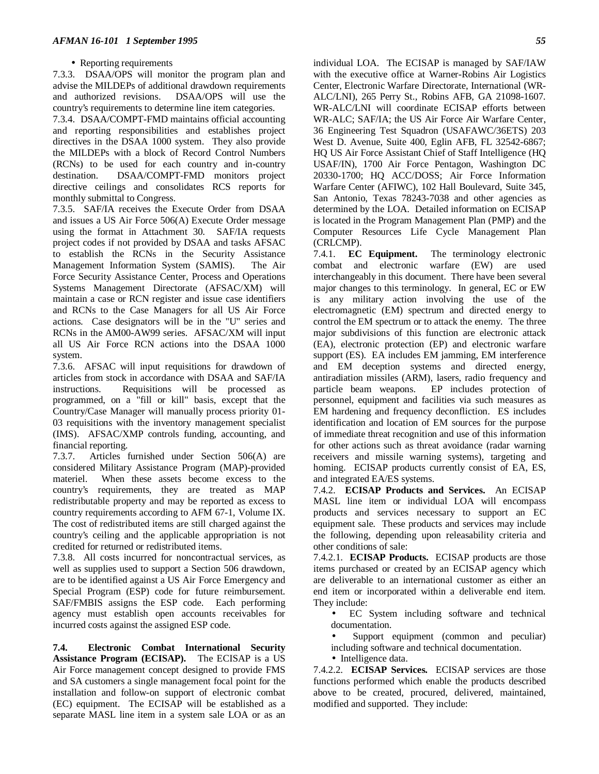• Reporting requirements

7.3.3. DSAA/OPS will monitor the program plan and advise the MILDEPs of additional drawdown requirements and authorized revisions. DSAA/OPS will use the country's requirements to determine line item categories.

7.3.4. DSAA/COMPT-FMD maintains official accounting and reporting responsibilities and establishes project directives in the DSAA 1000 system. They also provide the MILDEPs with a block of Record Control Numbers (RCNs) to be used for each country and in-country destination. DSAA/COMPT-FMD monitors project directive ceilings and consolidates RCS reports for monthly submittal to Congress.

7.3.5. SAF/IA receives the Execute Order from DSAA and issues a US Air Force 506(A) Execute Order message using the format in Attachment 30. SAF/IA requests project codes if not provided by DSAA and tasks AFSAC to establish the RCNs in the Security Assistance Management Information System (SAMIS). The Air Force Security Assistance Center, Process and Operations Systems Management Directorate (AFSAC/XM) will maintain a case or RCN register and issue case identifiers and RCNs to the Case Managers for all US Air Force actions. Case designators will be in the "U" series and RCNs in the AM00-AW99 series. AFSAC/XM will input all US Air Force RCN actions into the DSAA 1000 system.

7.3.6. AFSAC will input requisitions for drawdown of articles from stock in accordance with DSAA and SAF/IA instructions. Requisitions will be processed as programmed, on a "fill or kill" basis, except that the Country/Case Manager will manually process priority 01- 03 requisitions with the inventory management specialist (IMS). AFSAC/XMP controls funding, accounting, and financial reporting.

7.3.7. Articles furnished under Section 506(A) are considered Military Assistance Program (MAP)-provided materiel. When these assets become excess to the country's requirements, they are treated as MAP redistributable property and may be reported as excess to country requirements according to AFM 67-1, Volume IX. The cost of redistributed items are still charged against the country's ceiling and the applicable appropriation is not credited for returned or redistributed items.

7.3.8. All costs incurred for noncontractual services, as well as supplies used to support a Section 506 drawdown, are to be identified against a US Air Force Emergency and Special Program (ESP) code for future reimbursement. SAF/FMBIS assigns the ESP code. Each performing agency must establish open accounts receivables for incurred costs against the assigned ESP code.

**7.4. Electronic Combat International Security Assistance Program (ECISAP).** The ECISAP is a US Air Force management concept designed to provide FMS and SA customers a single management focal point for the installation and follow-on support of electronic combat (EC) equipment. The ECISAP will be established as a separate MASL line item in a system sale LOA or as an

individual LOA. The ECISAP is managed by SAF/IAW with the executive office at Warner-Robins Air Logistics Center, Electronic Warfare Directorate, International (WR-ALC/LNI), 265 Perry St., Robins AFB, GA 21098-1607. WR-ALC/LNI will coordinate ECISAP efforts between WR-ALC; SAF/IA; the US Air Force Air Warfare Center, 36 Engineering Test Squadron (USAFAWC/36ETS) 203 West D. Avenue, Suite 400, Eglin AFB, FL 32542-6867; HQ US Air Force Assistant Chief of Staff Intelligence (HQ USAF/IN), 1700 Air Force Pentagon, Washington DC 20330-1700; HQ ACC/DOSS; Air Force Information Warfare Center (AFIWC), 102 Hall Boulevard, Suite 345, San Antonio, Texas 78243-7038 and other agencies as determined by the LOA. Detailed information on ECISAP is located in the Program Management Plan (PMP) and the Computer Resources Life Cycle Management Plan (CRLCMP).

7.4.1. **EC Equipment.** The terminology electronic combat and electronic warfare (EW) are used interchangeably in this document. There have been several major changes to this terminology. In general, EC or EW is any military action involving the use of the electromagnetic (EM) spectrum and directed energy to control the EM spectrum or to attack the enemy. The three major subdivisions of this function are electronic attack (EA), electronic protection (EP) and electronic warfare support (ES). EA includes EM jamming, EM interference and EM deception systems and directed energy, antiradiation missiles (ARM), lasers, radio frequency and particle beam weapons. EP includes protection of personnel, equipment and facilities via such measures as EM hardening and frequency deconfliction. ES includes identification and location of EM sources for the purpose of immediate threat recognition and use of this information for other actions such as threat avoidance (radar warning receivers and missile warning systems), targeting and homing. ECISAP products currently consist of EA, ES, and integrated EA/ES systems.

7.4.2. **ECISAP Products and Services.** An ECISAP MASL line item or individual LOA will encompass products and services necessary to support an EC equipment sale. These products and services may include the following, depending upon releasability criteria and other conditions of sale:

7.4.2.1. **ECISAP Products.** ECISAP products are those items purchased or created by an ECISAP agency which are deliverable to an international customer as either an end item or incorporated within a deliverable end item. They include:

- EC System including software and technical documentation.
- Support equipment (common and peculiar) including software and technical documentation.
- Intelligence data.

7.4.2.2. **ECISAP Services.** ECISAP services are those functions performed which enable the products described above to be created, procured, delivered, maintained, modified and supported. They include: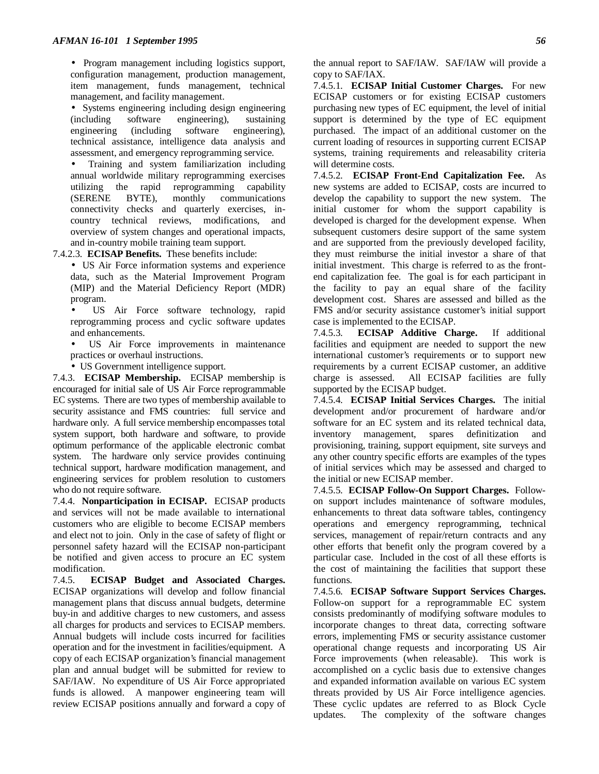• Program management including logistics support, configuration management, production management, item management, funds management, technical management, and facility management.

• Systems engineering including design engineering (including software engineering), sustaining engineering (including software engineering), technical assistance, intelligence data analysis and assessment, and emergency reprogramming service.

• Training and system familiarization including annual worldwide military reprogramming exercises utilizing the rapid reprogramming capability (SERENE BYTE), monthly communications connectivity checks and quarterly exercises, incountry technical reviews, modifications, and overview of system changes and operational impacts, and in-country mobile training team support.

7.4.2.3. **ECISAP Benefits.** These benefits include:

• US Air Force information systems and experience data, such as the Material Improvement Program (MIP) and the Material Deficiency Report (MDR) program.

• US Air Force software technology, rapid reprogramming process and cyclic software updates and enhancements.

US Air Force improvements in maintenance practices or overhaul instructions.

• US Government intelligence support.

7.4.3. **ECISAP Membership.** ECISAP membership is encouraged for initial sale of US Air Force reprogrammable EC systems. There are two types of membership available to security assistance and FMS countries: full service and hardware only. A full service membership encompasses total system support, both hardware and software, to provide optimum performance of the applicable electronic combat system. The hardware only service provides continuing technical support, hardware modification management, and engineering services for problem resolution to customers who do not require software.

7.4.4. **Nonparticipation in ECISAP.** ECISAP products and services will not be made available to international customers who are eligible to become ECISAP members and elect not to join. Only in the case of safety of flight or personnel safety hazard will the ECISAP non-participant be notified and given access to procure an EC system modification.

7.4.5. **ECISAP Budget and Associated Charges.** ECISAP organizations will develop and follow financial management plans that discuss annual budgets, determine buy-in and additive charges to new customers, and assess all charges for products and services to ECISAP members. Annual budgets will include costs incurred for facilities operation and for the investment in facilities/equipment. A copy of each ECISAP organization's financial management plan and annual budget will be submitted for review to SAF/IAW. No expenditure of US Air Force appropriated funds is allowed. A manpower engineering team will review ECISAP positions annually and forward a copy of the annual report to SAF/IAW. SAF/IAW will provide a copy to SAF/IAX.

7.4.5.1. **ECISAP Initial Customer Charges.** For new ECISAP customers or for existing ECISAP customers purchasing new types of EC equipment, the level of initial support is determined by the type of EC equipment purchased. The impact of an additional customer on the current loading of resources in supporting current ECISAP systems, training requirements and releasability criteria will determine costs.

7.4.5.2. **ECISAP Front-End Capitalization Fee.** As new systems are added to ECISAP, costs are incurred to develop the capability to support the new system. The initial customer for whom the support capability is developed is charged for the development expense. When subsequent customers desire support of the same system and are supported from the previously developed facility, they must reimburse the initial investor a share of that initial investment. This charge is referred to as the frontend capitalization fee. The goal is for each participant in the facility to pay an equal share of the facility development cost. Shares are assessed and billed as the FMS and/or security assistance customer's initial support case is implemented to the ECISAP.

7.4.5.3. **ECISAP Additive Charge.** If additional facilities and equipment are needed to support the new international customer's requirements or to support new requirements by a current ECISAP customer, an additive charge is assessed. All ECISAP facilities are fully supported by the ECISAP budget.

7.4.5.4. **ECISAP Initial Services Charges.** The initial development and/or procurement of hardware and/or software for an EC system and its related technical data, inventory management, spares definitization and provisioning, training, support equipment, site surveys and any other country specific efforts are examples of the types of initial services which may be assessed and charged to the initial or new ECISAP member.

7.4.5.5. **ECISAP Follow-On Support Charges.** Followon support includes maintenance of software modules, enhancements to threat data software tables, contingency operations and emergency reprogramming, technical services, management of repair/return contracts and any other efforts that benefit only the program covered by a particular case. Included in the cost of all these efforts is the cost of maintaining the facilities that support these functions.

7.4.5.6. **ECISAP Software Support Services Charges.** Follow-on support for a reprogrammable EC system consists predominantly of modifying software modules to incorporate changes to threat data, correcting software errors, implementing FMS or security assistance customer operational change requests and incorporating US Air Force improvements (when releasable). This work is accomplished on a cyclic basis due to extensive changes and expanded information available on various EC system threats provided by US Air Force intelligence agencies. These cyclic updates are referred to as Block Cycle updates. The complexity of the software changes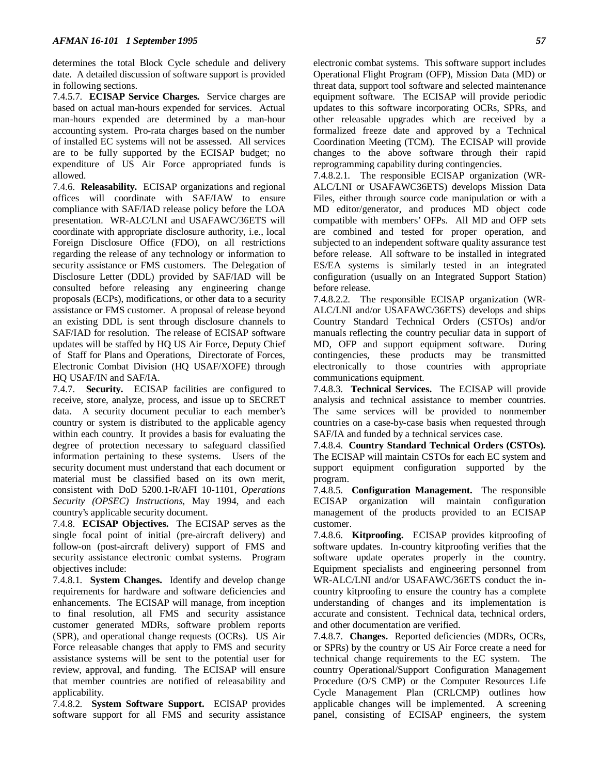determines the total Block Cycle schedule and delivery date. A detailed discussion of software support is provided in following sections.

7.4.5.7. **ECISAP Service Charges.** Service charges are based on actual man-hours expended for services. Actual man-hours expended are determined by a man-hour accounting system. Pro-rata charges based on the number of installed EC systems will not be assessed. All services are to be fully supported by the ECISAP budget; no expenditure of US Air Force appropriated funds is allowed.

7.4.6. **Releasability.** ECISAP organizations and regional offices will coordinate with SAF/IAW to ensure compliance with SAF/IAD release policy before the LOA presentation. WR-ALC/LNI and USAFAWC/36ETS will coordinate with appropriate disclosure authority, i.e., local Foreign Disclosure Office (FDO), on all restrictions regarding the release of any technology or information to security assistance or FMS customers. The Delegation of Disclosure Letter (DDL) provided by SAF/IAD will be consulted before releasing any engineering change proposals (ECPs), modifications, or other data to a security assistance or FMS customer. A proposal of release beyond an existing DDL is sent through disclosure channels to SAF/IAD for resolution. The release of ECISAP software updates will be staffed by HQ US Air Force, Deputy Chief of Staff for Plans and Operations, Directorate of Forces, Electronic Combat Division (HQ USAF/XOFE) through HQ USAF/IN and SAF/IA.

7.4.7. **Security.** ECISAP facilities are configured to receive, store, analyze, process, and issue up to SECRET data. A security document peculiar to each member's country or system is distributed to the applicable agency within each country. It provides a basis for evaluating the degree of protection necessary to safeguard classified information pertaining to these systems. Users of the security document must understand that each document or material must be classified based on its own merit, consistent with DoD 5200.1-R/AFI 10-1101, *Operations Security (OPSEC) Instructions*, May 1994, and each country's applicable security document.

7.4.8. **ECISAP Objectives.** The ECISAP serves as the single focal point of initial (pre-aircraft delivery) and follow-on (post-aircraft delivery) support of FMS and security assistance electronic combat systems. Program objectives include:

7.4.8.1. **System Changes.** Identify and develop change requirements for hardware and software deficiencies and enhancements. The ECISAP will manage, from inception to final resolution, all FMS and security assistance customer generated MDRs, software problem reports (SPR), and operational change requests (OCRs). US Air Force releasable changes that apply to FMS and security assistance systems will be sent to the potential user for review, approval, and funding. The ECISAP will ensure that member countries are notified of releasability and applicability.

7.4.8.2. **System Software Support.** ECISAP provides software support for all FMS and security assistance electronic combat systems. This software support includes Operational Flight Program (OFP), Mission Data (MD) or threat data, support tool software and selected maintenance equipment software. The ECISAP will provide periodic updates to this software incorporating OCRs, SPRs, and other releasable upgrades which are received by a formalized freeze date and approved by a Technical Coordination Meeting (TCM). The ECISAP will provide changes to the above software through their rapid reprogramming capability during contingencies.

7.4.8.2.1. The responsible ECISAP organization (WR-ALC/LNI or USAFAWC36ETS) develops Mission Data Files, either through source code manipulation or with a MD editor/generator, and produces MD object code compatible with members' OFPs. All MD and OFP sets are combined and tested for proper operation, and subjected to an independent software quality assurance test before release. All software to be installed in integrated ES/EA systems is similarly tested in an integrated configuration (usually on an Integrated Support Station) before release.

7.4.8.2.2. The responsible ECISAP organization (WR-ALC/LNI and/or USAFAWC/36ETS) develops and ships Country Standard Technical Orders (CSTOs) and/or manuals reflecting the country peculiar data in support of MD, OFP and support equipment software. During contingencies, these products may be transmitted electronically to those countries with appropriate communications equipment.

7.4.8.3. **Technical Services.** The ECISAP will provide analysis and technical assistance to member countries. The same services will be provided to nonmember countries on a case-by-case basis when requested through SAF/IA and funded by a technical services case.

7.4.8.4. **Country Standard Technical Orders (CSTOs).** The ECISAP will maintain CSTOs for each EC system and support equipment configuration supported by the program.

7.4.8.5. **Configuration Management.** The responsible ECISAP organization will maintain configuration management of the products provided to an ECISAP customer.

7.4.8.6. **Kitproofing.** ECISAP provides kitproofing of software updates. In-country kitproofing verifies that the software update operates properly in the country. Equipment specialists and engineering personnel from WR-ALC/LNI and/or USAFAWC/36ETS conduct the incountry kitproofing to ensure the country has a complete understanding of changes and its implementation is accurate and consistent. Technical data, technical orders, and other documentation are verified.

7.4.8.7. **Changes.** Reported deficiencies (MDRs, OCRs, or SPRs) by the country or US Air Force create a need for technical change requirements to the EC system. The country Operational/Support Configuration Management Procedure (O/S CMP) or the Computer Resources Life Cycle Management Plan (CRLCMP) outlines how applicable changes will be implemented. A screening panel, consisting of ECISAP engineers, the system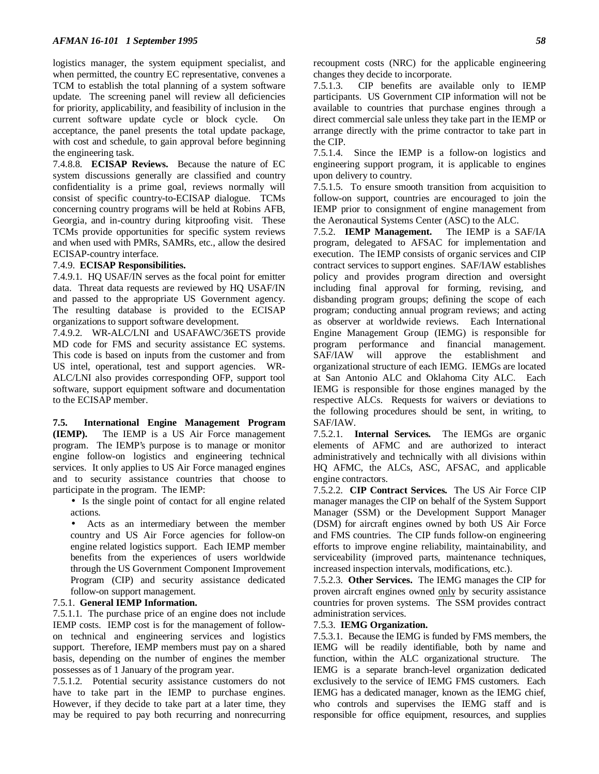logistics manager, the system equipment specialist, and when permitted, the country EC representative, convenes a TCM to establish the total planning of a system software update. The screening panel will review all deficiencies for priority, applicability, and feasibility of inclusion in the current software update cycle or block cycle. On acceptance, the panel presents the total update package, with cost and schedule, to gain approval before beginning the engineering task.

7.4.8.8. **ECISAP Reviews.** Because the nature of EC system discussions generally are classified and country confidentiality is a prime goal, reviews normally will consist of specific country-to-ECISAP dialogue. TCMs concerning country programs will be held at Robins AFB, Georgia, and in-country during kitproofing visit. These TCMs provide opportunities for specific system reviews and when used with PMRs, SAMRs, etc., allow the desired ECISAP-country interface.

### 7.4.9. **ECISAP Responsibilities.**

7.4.9.1. HQ USAF/IN serves as the focal point for emitter data. Threat data requests are reviewed by HQ USAF/IN and passed to the appropriate US Government agency. The resulting database is provided to the ECISAP organizations to support software development.

7.4.9.2. WR-ALC/LNI and USAFAWC/36ETS provide MD code for FMS and security assistance EC systems. This code is based on inputs from the customer and from US intel, operational, test and support agencies. WR-ALC/LNI also provides corresponding OFP, support tool software, support equipment software and documentation to the ECISAP member.

**7.5. International Engine Management Program (IEMP).** The IEMP is a US Air Force management program. The IEMP's purpose is to manage or monitor engine follow-on logistics and engineering technical services. It only applies to US Air Force managed engines and to security assistance countries that choose to participate in the program. The IEMP:

• Is the single point of contact for all engine related actions.

• Acts as an intermediary between the member country and US Air Force agencies for follow-on engine related logistics support. Each IEMP member benefits from the experiences of users worldwide through the US Government Component Improvement Program (CIP) and security assistance dedicated follow-on support management.

### 7.5.1. **General IEMP Information.**

7.5.1.1. The purchase price of an engine does not include IEMP costs. IEMP cost is for the management of followon technical and engineering services and logistics support. Therefore, IEMP members must pay on a shared basis, depending on the number of engines the member possesses as of 1 January of the program year.

7.5.1.2. Potential security assistance customers do not have to take part in the IEMP to purchase engines. However, if they decide to take part at a later time, they may be required to pay both recurring and nonrecurring recoupment costs (NRC) for the applicable engineering changes they decide to incorporate.

7.5.1.3. CIP benefits are available only to IEMP participants. US Government CIP information will not be available to countries that purchase engines through a direct commercial sale unless they take part in the IEMP or arrange directly with the prime contractor to take part in the CIP.

7.5.1.4. Since the IEMP is a follow-on logistics and engineering support program, it is applicable to engines upon delivery to country.

7.5.1.5. To ensure smooth transition from acquisition to follow-on support, countries are encouraged to join the IEMP prior to consignment of engine management from the Aeronautical Systems Center (ASC) to the ALC.

7.5.2. **IEMP Management.** The IEMP is a SAF/IA program, delegated to AFSAC for implementation and execution. The IEMP consists of organic services and CIP contract services to support engines. SAF/IAW establishes policy and provides program direction and oversight including final approval for forming, revising, and disbanding program groups; defining the scope of each program; conducting annual program reviews; and acting as observer at worldwide reviews. Each International Engine Management Group (IEMG) is responsible for program performance and financial management. SAF/IAW will approve the establishment and organizational structure of each IEMG. IEMGs are located at San Antonio ALC and Oklahoma City ALC. Each IEMG is responsible for those engines managed by the respective ALCs. Requests for waivers or deviations to the following procedures should be sent, in writing, to SAF/IAW.

7.5.2.1. **Internal Services.** The IEMGs are organic elements of AFMC and are authorized to interact administratively and technically with all divisions within HQ AFMC, the ALCs, ASC, AFSAC, and applicable engine contractors.

7.5.2.2. **CIP Contract Services.** The US Air Force CIP manager manages the CIP on behalf of the System Support Manager (SSM) or the Development Support Manager (DSM) for aircraft engines owned by both US Air Force and FMS countries. The CIP funds follow-on engineering efforts to improve engine reliability, maintainability, and serviceability (improved parts, maintenance techniques, increased inspection intervals, modifications, etc.).

7.5.2.3. **Other Services.** The IEMG manages the CIP for proven aircraft engines owned only by security assistance countries for proven systems. The SSM provides contract administration services.

### 7.5.3. **IEMG Organization.**

7.5.3.1. Because the IEMG is funded by FMS members, the IEMG will be readily identifiable, both by name and function, within the ALC organizational structure. The IEMG is a separate branch-level organization dedicated exclusively to the service of IEMG FMS customers. Each IEMG has a dedicated manager, known as the IEMG chief, who controls and supervises the IEMG staff and is responsible for office equipment, resources, and supplies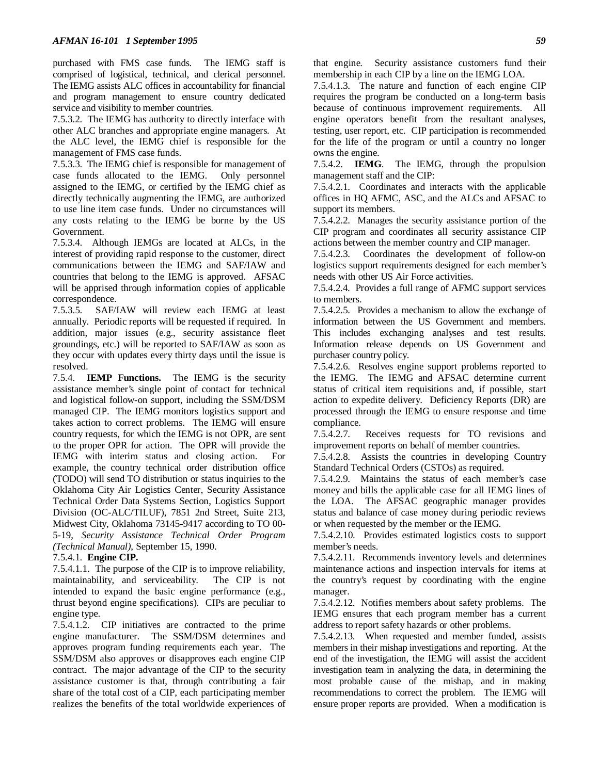purchased with FMS case funds. The IEMG staff is comprised of logistical, technical, and clerical personnel. The IEMG assists ALC offices in accountability for financial and program management to ensure country dedicated service and visibility to member countries.

7.5.3.2. The IEMG has authority to directly interface with other ALC branches and appropriate engine managers. At the ALC level, the IEMG chief is responsible for the management of FMS case funds.

7.5.3.3. The IEMG chief is responsible for management of case funds allocated to the IEMG. Only personnel assigned to the IEMG, or certified by the IEMG chief as directly technically augmenting the IEMG, are authorized to use line item case funds. Under no circumstances will any costs relating to the IEMG be borne by the US Government.

7.5.3.4. Although IEMGs are located at ALCs, in the interest of providing rapid response to the customer, direct communications between the IEMG and SAF/IAW and countries that belong to the IEMG is approved. AFSAC will be apprised through information copies of applicable correspondence.

7.5.3.5. SAF/IAW will review each IEMG at least annually. Periodic reports will be requested if required. In addition, major issues (e.g., security assistance fleet groundings, etc.) will be reported to SAF/IAW as soon as they occur with updates every thirty days until the issue is resolved.

7.5.4. **IEMP Functions.** The IEMG is the security assistance member's single point of contact for technical and logistical follow-on support, including the SSM/DSM managed CIP. The IEMG monitors logistics support and takes action to correct problems. The IEMG will ensure country requests, for which the IEMG is not OPR, are sent to the proper OPR for action. The OPR will provide the IEMG with interim status and closing action. For example, the country technical order distribution office (TODO) will send TO distribution or status inquiries to the Oklahoma City Air Logistics Center, Security Assistance Technical Order Data Systems Section, Logistics Support Division (OC-ALC/TILUF), 7851 2nd Street, Suite 213, Midwest City, Oklahoma 73145-9417 according to TO 00- 5-19, *Security Assistance Technical Order Program (Technical Manual)*, September 15, 1990.

## 7.5.4.1. **Engine CIP.**

7.5.4.1.1. The purpose of the CIP is to improve reliability, maintainability, and serviceability. The CIP is not intended to expand the basic engine performance (e.g., thrust beyond engine specifications). CIPs are peculiar to engine type.

7.5.4.1.2. CIP initiatives are contracted to the prime engine manufacturer. The SSM/DSM determines and approves program funding requirements each year. The SSM/DSM also approves or disapproves each engine CIP contract. The major advantage of the CIP to the security assistance customer is that, through contributing a fair share of the total cost of a CIP, each participating member realizes the benefits of the total worldwide experiences of

that engine. Security assistance customers fund their membership in each CIP by a line on the IEMG LOA.

7.5.4.1.3. The nature and function of each engine CIP requires the program be conducted on a long-term basis because of continuous improvement requirements. All engine operators benefit from the resultant analyses, testing, user report, etc. CIP participation is recommended for the life of the program or until a country no longer owns the engine.

7.5.4.2. **IEMG**. The IEMG, through the propulsion management staff and the CIP:

7.5.4.2.1. Coordinates and interacts with the applicable offices in HQ AFMC, ASC, and the ALCs and AFSAC to support its members.

7.5.4.2.2. Manages the security assistance portion of the CIP program and coordinates all security assistance CIP actions between the member country and CIP manager.

7.5.4.2.3. Coordinates the development of follow-on logistics support requirements designed for each member's needs with other US Air Force activities.

7.5.4.2.4. Provides a full range of AFMC support services to members.

7.5.4.2.5. Provides a mechanism to allow the exchange of information between the US Government and members. This includes exchanging analyses and test results. Information release depends on US Government and purchaser country policy.

7.5.4.2.6. Resolves engine support problems reported to the IEMG. The IEMG and AFSAC determine current status of critical item requisitions and, if possible, start action to expedite delivery. Deficiency Reports (DR) are processed through the IEMG to ensure response and time compliance.

7.5.4.2.7. Receives requests for TO revisions and improvement reports on behalf of member countries.

7.5.4.2.8. Assists the countries in developing Country Standard Technical Orders (CSTOs) as required.

7.5.4.2.9. Maintains the status of each member's case money and bills the applicable case for all IEMG lines of the LOA. The AFSAC geographic manager provides status and balance of case money during periodic reviews or when requested by the member or the IEMG.

7.5.4.2.10. Provides estimated logistics costs to support member's needs.

7.5.4.2.11. Recommends inventory levels and determines maintenance actions and inspection intervals for items at the country's request by coordinating with the engine manager.

7.5.4.2.12. Notifies members about safety problems. The IEMG ensures that each program member has a current address to report safety hazards or other problems.

7.5.4.2.13. When requested and member funded, assists members in their mishap investigations and reporting. At the end of the investigation, the IEMG will assist the accident investigation team in analyzing the data, in determining the most probable cause of the mishap, and in making recommendations to correct the problem. The IEMG will ensure proper reports are provided. When a modification is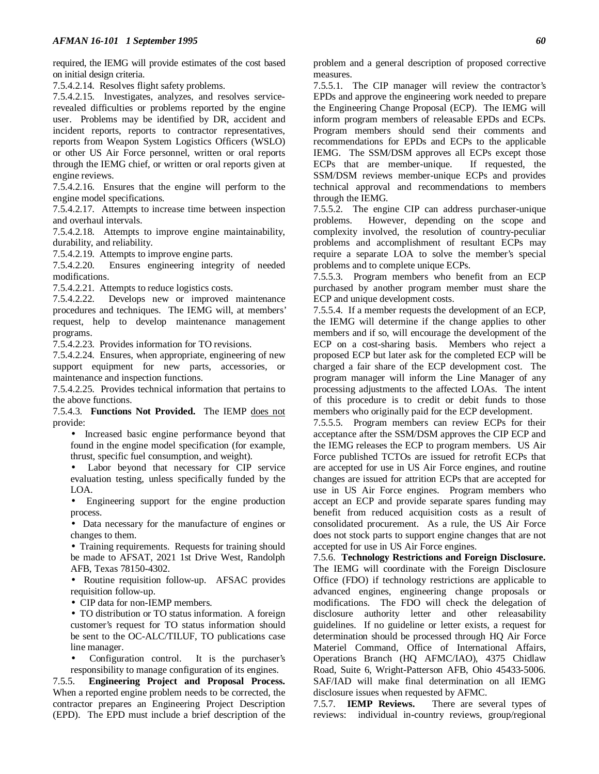required, the IEMG will provide estimates of the cost based on initial design criteria.

7.5.4.2.14. Resolves flight safety problems.

7.5.4.2.15. Investigates, analyzes, and resolves servicerevealed difficulties or problems reported by the engine user. Problems may be identified by DR, accident and incident reports, reports to contractor representatives, reports from Weapon System Logistics Officers (WSLO) or other US Air Force personnel, written or oral reports through the IEMG chief, or written or oral reports given at engine reviews.

7.5.4.2.16. Ensures that the engine will perform to the engine model specifications.

7.5.4.2.17. Attempts to increase time between inspection and overhaul intervals.

7.5.4.2.18. Attempts to improve engine maintainability, durability, and reliability.

7.5.4.2.19. Attempts to improve engine parts.

7.5.4.2.20. Ensures engineering integrity of needed modifications.

7.5.4.2.21. Attempts to reduce logistics costs.

7.5.4.2.22. Develops new or improved maintenance procedures and techniques. The IEMG will, at members' request, help to develop maintenance management programs.

7.5.4.2.23. Provides information for TO revisions.

7.5.4.2.24. Ensures, when appropriate, engineering of new support equipment for new parts, accessories, or maintenance and inspection functions.

7.5.4.2.25. Provides technical information that pertains to the above functions.

7.5.4.3. **Functions Not Provided.** The IEMP does not provide:

•Increased basic engine performance beyond that found in the engine model specification (for example, thrust, specific fuel consumption, and weight).

Labor beyond that necessary for CIP service evaluation testing, unless specifically funded by the LOA.

• Engineering support for the engine production process.

• Data necessary for the manufacture of engines or changes to them.

• Training requirements. Requests for training should be made to AFSAT, 2021 1st Drive West, Randolph AFB, Texas 78150-4302.

•Routine requisition follow-up. AFSAC provides requisition follow-up.

•CIP data for non-IEMP members.

• TO distribution or TO status information. A foreign customer's request for TO status information should be sent to the OC-ALC/TILUF, TO publications case line manager.

•Configuration control. It is the purchaser's responsibility to manage configuration of its engines.

7.5.5. **Engineering Project and Proposal Process.** When a reported engine problem needs to be corrected, the contractor prepares an Engineering Project Description (EPD). The EPD must include a brief description of the problem and a general description of proposed corrective measures.

7.5.5.1. The CIP manager will review the contractor's EPDs and approve the engineering work needed to prepare the Engineering Change Proposal (ECP). The IEMG will inform program members of releasable EPDs and ECPs. Program members should send their comments and recommendations for EPDs and ECPs to the applicable IEMG. The SSM/DSM approves all ECPs except those ECPs that are member-unique. If requested, the SSM/DSM reviews member-unique ECPs and provides technical approval and recommendations to members through the IEMG.

7.5.5.2. The engine CIP can address purchaser-unique problems. However, depending on the scope and complexity involved, the resolution of country-peculiar problems and accomplishment of resultant ECPs may require a separate LOA to solve the member's special problems and to complete unique ECPs.

7.5.5.3. Program members who benefit from an ECP purchased by another program member must share the ECP and unique development costs.

7.5.5.4. If a member requests the development of an ECP, the IEMG will determine if the change applies to other members and if so, will encourage the development of the ECP on a cost-sharing basis. Members who reject a proposed ECP but later ask for the completed ECP will be charged a fair share of the ECP development cost. The program manager will inform the Line Manager of any processing adjustments to the affected LOAs. The intent of this procedure is to credit or debit funds to those members who originally paid for the ECP development.

7.5.5.5. Program members can review ECPs for their acceptance after the SSM/DSM approves the CIP ECP and the IEMG releases the ECP to program members. US Air Force published TCTOs are issued for retrofit ECPs that are accepted for use in US Air Force engines, and routine changes are issued for attrition ECPs that are accepted for use in US Air Force engines. Program members who accept an ECP and provide separate spares funding may benefit from reduced acquisition costs as a result of consolidated procurement. As a rule, the US Air Force does not stock parts to support engine changes that are not accepted for use in US Air Force engines.

7.5.6. **Technology Restrictions and Foreign Disclosure.** The IEMG will coordinate with the Foreign Disclosure Office (FDO) if technology restrictions are applicable to advanced engines, engineering change proposals or modifications. The FDO will check the delegation of disclosure authority letter and other releasability guidelines. If no guideline or letter exists, a request for determination should be processed through HQ Air Force Materiel Command, Office of International Affairs, Operations Branch (HQ AFMC/IAO), 4375 Chidlaw Road, Suite 6, Wright-Patterson AFB, Ohio 45433-5006. SAF/IAD will make final determination on all IEMG disclosure issues when requested by AFMC.

7.5.7. **IEMP Reviews.** There are several types of reviews: individual in-country reviews, group/regional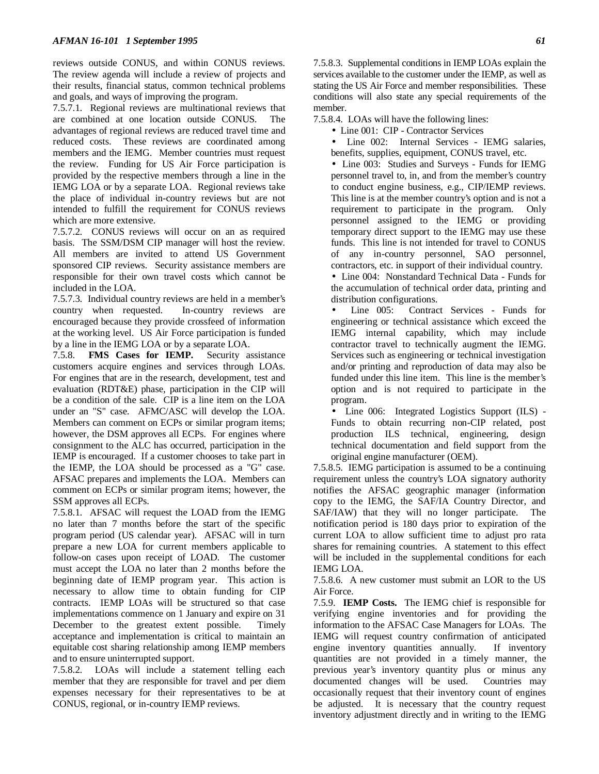reviews outside CONUS, and within CONUS reviews. The review agenda will include a review of projects and their results, financial status, common technical problems and goals, and ways of improving the program.

7.5.7.1. Regional reviews are multinational reviews that are combined at one location outside CONUS. The advantages of regional reviews are reduced travel time and reduced costs. These reviews are coordinated among members and the IEMG. Member countries must request the review. Funding for US Air Force participation is provided by the respective members through a line in the IEMG LOA or by a separate LOA. Regional reviews take the place of individual in-country reviews but are not intended to fulfill the requirement for CONUS reviews which are more extensive.

7.5.7.2. CONUS reviews will occur on an as required basis. The SSM/DSM CIP manager will host the review. All members are invited to attend US Government sponsored CIP reviews. Security assistance members are responsible for their own travel costs which cannot be included in the LOA.

7.5.7.3. Individual country reviews are held in a member's country when requested. In-country reviews are encouraged because they provide crossfeed of information at the working level. US Air Force participation is funded by a line in the IEMG LOA or by a separate LOA.

7.5.8. **FMS Cases for IEMP.** Security assistance customers acquire engines and services through LOAs. For engines that are in the research, development, test and evaluation (RDT&E) phase, participation in the CIP will be a condition of the sale. CIP is a line item on the LOA under an "S" case. AFMC/ASC will develop the LOA. Members can comment on ECPs or similar program items; however, the DSM approves all ECPs. For engines where consignment to the ALC has occurred, participation in the IEMP is encouraged. If a customer chooses to take part in the IEMP, the LOA should be processed as a "G" case. AFSAC prepares and implements the LOA. Members can comment on ECPs or similar program items; however, the SSM approves all ECPs.

7.5.8.1. AFSAC will request the LOAD from the IEMG no later than 7 months before the start of the specific program period (US calendar year). AFSAC will in turn prepare a new LOA for current members applicable to follow-on cases upon receipt of LOAD. The customer must accept the LOA no later than 2 months before the beginning date of IEMP program year. This action is necessary to allow time to obtain funding for CIP contracts. IEMP LOAs will be structured so that case implementations commence on 1 January and expire on 31 December to the greatest extent possible. Timely acceptance and implementation is critical to maintain an equitable cost sharing relationship among IEMP members and to ensure uninterrupted support.

7.5.8.2. LOAs will include a statement telling each member that they are responsible for travel and per diem expenses necessary for their representatives to be at CONUS, regional, or in-country IEMP reviews.

7.5.8.3. Supplemental conditions in IEMP LOAs explain the services available to the customer under the IEMP, as well as stating the US Air Force and member responsibilities. These conditions will also state any special requirements of the member.

7.5.8.4. LOAs will have the following lines:

•Line 001: CIP - Contractor Services

• Line 002: Internal Services - IEMG salaries, benefits, supplies, equipment, CONUS travel, etc.

• Line 003: Studies and Surveys - Funds for IEMG personnel travel to, in, and from the member's country to conduct engine business, e.g., CIP/IEMP reviews. This line is at the member country's option and is not a requirement to participate in the program. Only personnel assigned to the IEMG or providing temporary direct support to the IEMG may use these funds. This line is not intended for travel to CONUS of any in-country personnel, SAO personnel, contractors, etc. in support of their individual country.

•Line 004: Nonstandard Technical Data - Funds for the accumulation of technical order data, printing and distribution configurations.

•Line 005: Contract Services - Funds for engineering or technical assistance which exceed the IEMG internal capability, which may include contractor travel to technically augment the IEMG. Services such as engineering or technical investigation and/or printing and reproduction of data may also be funded under this line item. This line is the member's option and is not required to participate in the program.

• Line 006: Integrated Logistics Support (ILS) -Funds to obtain recurring non-CIP related, post production ILS technical, engineering, design technical documentation and field support from the original engine manufacturer (OEM).

7.5.8.5. IEMG participation is assumed to be a continuing requirement unless the country's LOA signatory authority notifies the AFSAC geographic manager (information copy to the IEMG, the SAF/IA Country Director, and SAF/IAW) that they will no longer participate. The notification period is 180 days prior to expiration of the current LOA to allow sufficient time to adjust pro rata shares for remaining countries. A statement to this effect will be included in the supplemental conditions for each IEMG LOA.

7.5.8.6. A new customer must submit an LOR to the US Air Force.

7.5.9. **IEMP Costs.** The IEMG chief is responsible for verifying engine inventories and for providing the information to the AFSAC Case Managers for LOAs. The IEMG will request country confirmation of anticipated engine inventory quantities annually. If inventory quantities are not provided in a timely manner, the previous year's inventory quantity plus or minus any documented changes will be used. Countries may occasionally request that their inventory count of engines be adjusted. It is necessary that the country request inventory adjustment directly and in writing to the IEMG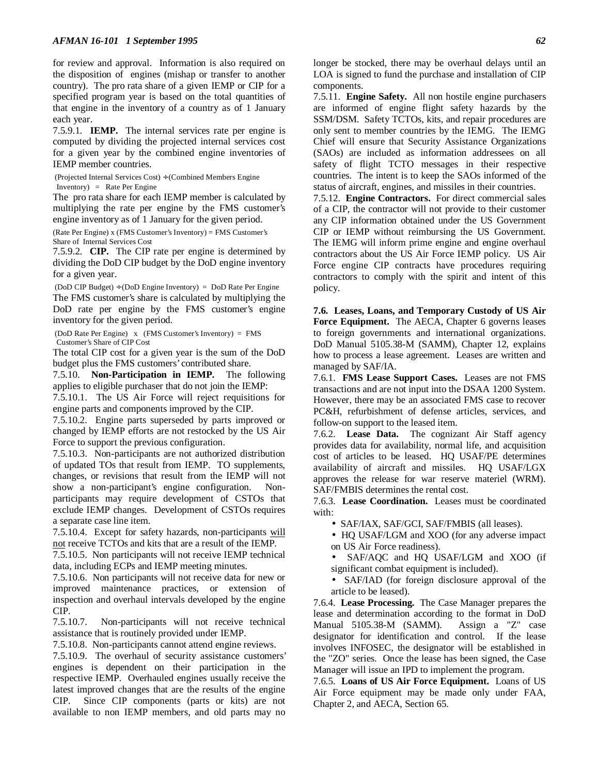for review and approval. Information is also required on the disposition of engines (mishap or transfer to another country). The pro rata share of a given IEMP or CIP for a specified program year is based on the total quantities of that engine in the inventory of a country as of 1 January each year.

7.5.9.1. **IEMP.** The internal services rate per engine is computed by dividing the projected internal services cost for a given year by the combined engine inventories of IEMP member countries.

 (Projected Internal Services Cost) ÷ (Combined Members Engine Inventory) = Rate Per Engine

The pro rata share for each IEMP member is calculated by multiplying the rate per engine by the FMS customer's engine inventory as of 1 January for the given period.

(Rate Per Engine) x (FMS Customer's Inventory) = FMS Customer's Share of Internal Services Cost

7.5.9.2. **CIP.** The CIP rate per engine is determined by dividing the DoD CIP budget by the DoD engine inventory for a given year.

 (DoD CIP Budget) ÷ (DoD Engine Inventory) = DoD Rate Per Engine The FMS customer's share is calculated by multiplying the DoD rate per engine by the FMS customer's engine inventory for the given period.

 (DoD Rate Per Engine) x (FMS Customer's Inventory) = FMS Customer's Share of CIP Cost

The total CIP cost for a given year is the sum of the DoD budget plus the FMS customers' contributed share.

7.5.10. **Non-Participation in IEMP.** The following applies to eligible purchaser that do not join the IEMP:

7.5.10.1. The US Air Force will reject requisitions for engine parts and components improved by the CIP.

7.5.10.2. Engine parts superseded by parts improved or changed by IEMP efforts are not restocked by the US Air Force to support the previous configuration.

7.5.10.3. Non-participants are not authorized distribution of updated TOs that result from IEMP. TO supplements, changes, or revisions that result from the IEMP will not show a non-participant's engine configuration. Nonparticipants may require development of CSTOs that exclude IEMP changes. Development of CSTOs requires a separate case line item.

7.5.10.4. Except for safety hazards, non-participants will not receive TCTOs and kits that are a result of the IEMP.

7.5.10.5. Non participants will not receive IEMP technical data, including ECPs and IEMP meeting minutes.

7.5.10.6. Non participants will not receive data for new or improved maintenance practices, or extension of inspection and overhaul intervals developed by the engine CIP.

7.5.10.7. Non-participants will not receive technical assistance that is routinely provided under IEMP.

7.5.10.8. Non-participants cannot attend engine reviews.

7.5.10.9. The overhaul of security assistance customers' engines is dependent on their participation in the respective IEMP. Overhauled engines usually receive the latest improved changes that are the results of the engine CIP. Since CIP components (parts or kits) are not available to non IEMP members, and old parts may no

longer be stocked, there may be overhaul delays until an LOA is signed to fund the purchase and installation of CIP components.

7.5.11. **Engine Safety.** All non hostile engine purchasers are informed of engine flight safety hazards by the SSM/DSM. Safety TCTOs, kits, and repair procedures are only sent to member countries by the IEMG. The IEMG Chief will ensure that Security Assistance Organizations (SAOs) are included as information addressees on all safety of flight TCTO messages in their respective countries. The intent is to keep the SAOs informed of the status of aircraft, engines, and missiles in their countries.

7.5.12. **Engine Contractors.** For direct commercial sales of a CIP, the contractor will not provide to their customer any CIP information obtained under the US Government CIP or IEMP without reimbursing the US Government. The IEMG will inform prime engine and engine overhaul contractors about the US Air Force IEMP policy. US Air Force engine CIP contracts have procedures requiring contractors to comply with the spirit and intent of this policy.

**7.6. Leases, Loans, and Temporary Custody of US Air** Force Equipment. The AECA, Chapter 6 governs leases to foreign governments and international organizations. DoD Manual 5105.38-M (SAMM), Chapter 12, explains how to process a lease agreement. Leases are written and managed by SAF/IA.

7.6.1. **FMS Lease Support Cases.** Leases are not FMS transactions and are not input into the DSAA 1200 System. However, there may be an associated FMS case to recover PC&H, refurbishment of defense articles, services, and follow-on support to the leased item.

7.6.2. **Lease Data.** The cognizant Air Staff agency provides data for availability, normal life, and acquisition cost of articles to be leased. HQ USAF/PE determines availability of aircraft and missiles. HQ USAF/LGX approves the release for war reserve materiel (WRM). SAF/FMBIS determines the rental cost.

7.6.3. **Lease Coordination.** Leases must be coordinated with:

- SAF/IAX, SAF/GCI, SAF/FMBIS (all leases).
- HQ USAF/LGM and XOO (for any adverse impact on US Air Force readiness).
- SAF/AQC and HQ USAF/LGM and XOO (if significant combat equipment is included).
- SAF/IAD (for foreign disclosure approval of the article to be leased).

7.6.4. **Lease Processing.** The Case Manager prepares the lease and determination according to the format in DoD Manual 5105.38-M (SAMM). Assign a "Z" case designator for identification and control. If the lease involves INFOSEC, the designator will be established in the "ZO" series. Once the lease has been signed, the Case Manager will issue an IPD to implement the program.

7.6.5. **Loans of US Air Force Equipment.** Loans of US Air Force equipment may be made only under FAA, Chapter 2, and AECA, Section 65.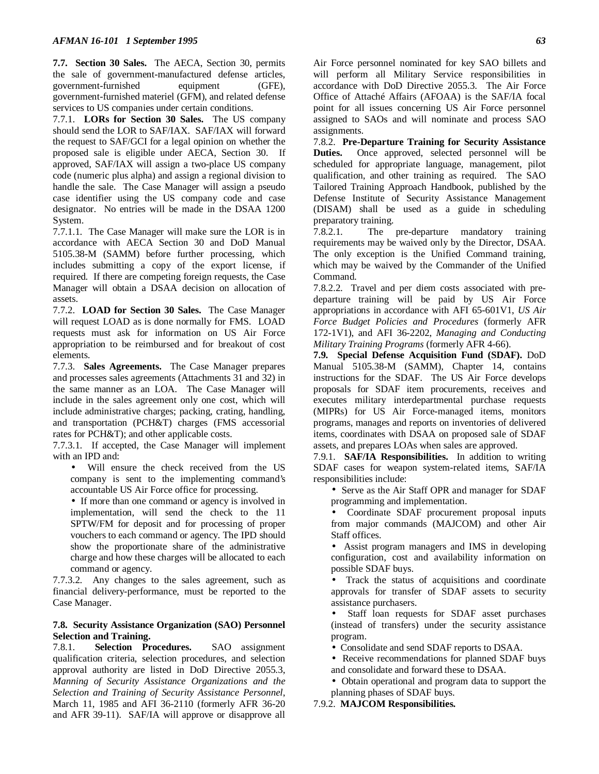**7.7. Section 30 Sales.** The AECA, Section 30, permits the sale of government-manufactured defense articles, government-furnished equipment (GFE), government-furnished materiel (GFM), and related defense services to US companies under certain conditions.

7.7.1. **LORs for Section 30 Sales.** The US company should send the LOR to SAF/IAX. SAF/IAX will forward the request to SAF/GCI for a legal opinion on whether the proposed sale is eligible under AECA, Section 30. If approved, SAF/IAX will assign a two-place US company code (numeric plus alpha) and assign a regional division to handle the sale. The Case Manager will assign a pseudo case identifier using the US company code and case designator. No entries will be made in the DSAA 1200 System.

7.7.1.1. The Case Manager will make sure the LOR is in accordance with AECA Section 30 and DoD Manual 5105.38-M (SAMM) before further processing, which includes submitting a copy of the export license, if required. If there are competing foreign requests, the Case Manager will obtain a DSAA decision on allocation of assets.

7.7.2. **LOAD for Section 30 Sales.** The Case Manager will request LOAD as is done normally for FMS. LOAD requests must ask for information on US Air Force appropriation to be reimbursed and for breakout of cost elements.

7.7.3. **Sales Agreements.** The Case Manager prepares and processes sales agreements (Attachments 31 and 32) in the same manner as an LOA. The Case Manager will include in the sales agreement only one cost, which will include administrative charges; packing, crating, handling, and transportation (PCH&T) charges (FMS accessorial rates for PCH&T); and other applicable costs.

7.7.3.1. If accepted, the Case Manager will implement with an IPD and:

- Will ensure the check received from the US company is sent to the implementing command's accountable US Air Force office for processing.
- If more than one command or agency is involved in implementation, will send the check to the 11 SPTW/FM for deposit and for processing of proper vouchers to each command or agency. The IPD should show the proportionate share of the administrative charge and how these charges will be allocated to each command or agency.

7.7.3.2. Any changes to the sales agreement, such as financial delivery-performance, must be reported to the Case Manager.

# **7.8. Security Assistance Organization (SAO) Personnel Selection and Training.**

7.8.1. **Selection Procedures.** SAO assignment qualification criteria, selection procedures, and selection approval authority are listed in DoD Directive 2055.3, *Manning of Security Assistance Organizations and the Selection and Training of Security Assistance Personnel*, March 11, 1985 and AFI 36-2110 (formerly AFR 36-20 and AFR 39-11). SAF/IA will approve or disapprove all

Air Force personnel nominated for key SAO billets and will perform all Military Service responsibilities in accordance with DoD Directive 2055.3. The Air Force Office of Attaché Affairs (AFOAA) is the SAF/IA focal point for all issues concerning US Air Force personnel assigned to SAOs and will nominate and process SAO assignments.

7.8.2. **Pre-Departure Training for Security Assistance Duties.** Once approved, selected personnel will be scheduled for appropriate language, management, pilot qualification, and other training as required. The SAO Tailored Training Approach Handbook, published by the Defense Institute of Security Assistance Management (DISAM) shall be used as a guide in scheduling preparatory training.

7.8.2.1. The pre-departure mandatory training requirements may be waived only by the Director, DSAA. The only exception is the Unified Command training, which may be waived by the Commander of the Unified Command.

7.8.2.2. Travel and per diem costs associated with predeparture training will be paid by US Air Force appropriations in accordance with AFI 65-601V1, *US Air Force Budget Policies and Procedures* (formerly AFR 172-1V1), and AFI 36-2202, *Managing and Conducting Military Training Programs* (formerly AFR 4-66).

**7.9. Special Defense Acquisition Fund (SDAF).** DoD Manual 5105.38-M (SAMM), Chapter 14, contains instructions for the SDAF. The US Air Force develops proposals for SDAF item procurements, receives and executes military interdepartmental purchase requests (MIPRs) for US Air Force-managed items, monitors programs, manages and reports on inventories of delivered items, coordinates with DSAA on proposed sale of SDAF assets, and prepares LOAs when sales are approved.

7.9.1. **SAF/IA Responsibilities.** In addition to writing SDAF cases for weapon system-related items, SAF/IA responsibilities include:

• Serve as the Air Staff OPR and manager for SDAF programming and implementation.

• Coordinate SDAF procurement proposal inputs from major commands (MAJCOM) and other Air Staff offices.

• Assist program managers and IMS in developing configuration, cost and availability information on possible SDAF buys.

• Track the status of acquisitions and coordinate approvals for transfer of SDAF assets to security assistance purchasers.

• Staff loan requests for SDAF asset purchases (instead of transfers) under the security assistance program.

• Consolidate and send SDAF reports to DSAA.

• Receive recommendations for planned SDAF buys and consolidate and forward these to DSAA.

• Obtain operational and program data to support the planning phases of SDAF buys.

7.9.2. **MAJCOM Responsibilities.**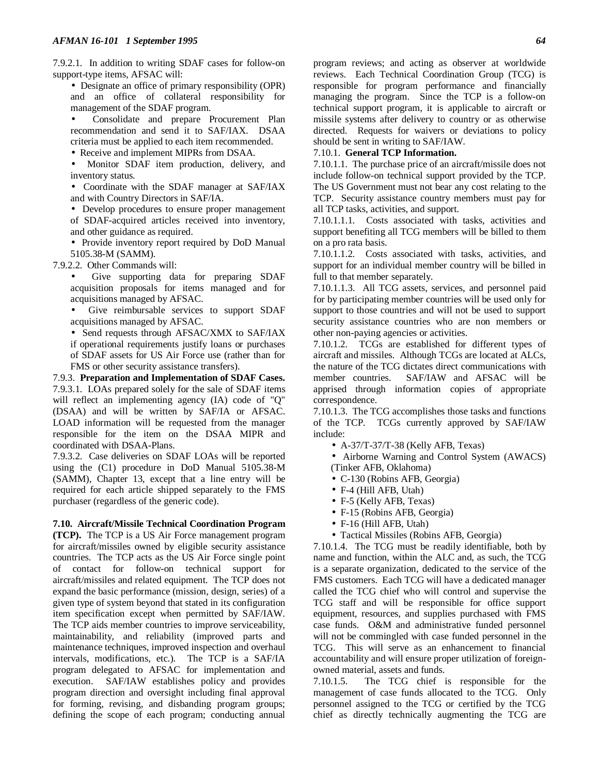7.9.2.1. In addition to writing SDAF cases for follow-on support-type items, AFSAC will:

• Designate an office of primary responsibility (OPR) and an office of collateral responsibility for management of the SDAF program.

• Consolidate and prepare Procurement Plan recommendation and send it to SAF/IAX. DSAA criteria must be applied to each item recommended.

• Receive and implement MIPRs from DSAA.

Monitor SDAF item production, delivery, and inventory status.

• Coordinate with the SDAF manager at SAF/IAX and with Country Directors in SAF/IA.

• Develop procedures to ensure proper management of SDAF-acquired articles received into inventory, and other guidance as required.

• Provide inventory report required by DoD Manual 5105.38-M (SAMM).

7.9.2.2. Other Commands will:

- Give supporting data for preparing SDAF acquisition proposals for items managed and for acquisitions managed by AFSAC.
- Give reimbursable services to support SDAF acquisitions managed by AFSAC.
- Send requests through AFSAC/XMX to SAF/IAX if operational requirements justify loans or purchases of SDAF assets for US Air Force use (rather than for FMS or other security assistance transfers).

7.9.3. **Preparation and Implementation of SDAF Cases.** 7.9.3.1. LOAs prepared solely for the sale of SDAF items will reflect an implementing agency (IA) code of "Q" (DSAA) and will be written by SAF/IA or AFSAC. LOAD information will be requested from the manager responsible for the item on the DSAA MIPR and coordinated with DSAA-Plans.

7.9.3.2. Case deliveries on SDAF LOAs will be reported using the (C1) procedure in DoD Manual 5105.38-M (SAMM), Chapter 13, except that a line entry will be required for each article shipped separately to the FMS purchaser (regardless of the generic code).

### **7.10. Aircraft/Missile Technical Coordination Program**

**(TCP).** The TCP is a US Air Force management program for aircraft/missiles owned by eligible security assistance countries. The TCP acts as the US Air Force single point of contact for follow-on technical support for aircraft/missiles and related equipment. The TCP does not expand the basic performance (mission, design, series) of a given type of system beyond that stated in its configuration item specification except when permitted by SAF/IAW. The TCP aids member countries to improve serviceability, maintainability, and reliability (improved parts and maintenance techniques, improved inspection and overhaul intervals, modifications, etc.). The TCP is a SAF/IA program delegated to AFSAC for implementation and execution. SAF/IAW establishes policy and provides program direction and oversight including final approval for forming, revising, and disbanding program groups; defining the scope of each program; conducting annual

program reviews; and acting as observer at worldwide reviews. Each Technical Coordination Group (TCG) is responsible for program performance and financially managing the program. Since the TCP is a follow-on technical support program, it is applicable to aircraft or missile systems after delivery to country or as otherwise directed. Requests for waivers or deviations to policy should be sent in writing to SAF/IAW.

### 7.10.1. **General TCP Information.**

7.10.1.1. The purchase price of an aircraft/missile does not include follow-on technical support provided by the TCP. The US Government must not bear any cost relating to the TCP. Security assistance country members must pay for all TCP tasks, activities, and support.

7.10.1.1.1. Costs associated with tasks, activities and support benefiting all TCG members will be billed to them on a pro rata basis.

7.10.1.1.2. Costs associated with tasks, activities, and support for an individual member country will be billed in full to that member separately.

7.10.1.1.3. All TCG assets, services, and personnel paid for by participating member countries will be used only for support to those countries and will not be used to support security assistance countries who are non members or other non-paying agencies or activities.

7.10.1.2. TCGs are established for different types of aircraft and missiles. Although TCGs are located at ALCs, the nature of the TCG dictates direct communications with member countries. SAF/IAW and AFSAC will be apprised through information copies of appropriate correspondence.

7.10.1.3. The TCG accomplishes those tasks and functions of the TCP. TCGs currently approved by SAF/IAW include:

- A-37/T-37/T-38 (Kelly AFB, Texas)
- Airborne Warning and Control System (AWACS) (Tinker AFB, Oklahoma)
- C-130 (Robins AFB, Georgia)
- F-4 (Hill AFB, Utah)
- F-5 (Kelly AFB, Texas)
- F-15 (Robins AFB, Georgia)
- F-16 (Hill AFB, Utah)
- Tactical Missiles (Robins AFB, Georgia)

7.10.1.4. The TCG must be readily identifiable, both by name and function, within the ALC and, as such, the TCG is a separate organization, dedicated to the service of the FMS customers. Each TCG will have a dedicated manager called the TCG chief who will control and supervise the TCG staff and will be responsible for office support equipment, resources, and supplies purchased with FMS case funds. O&M and administrative funded personnel will not be commingled with case funded personnel in the TCG. This will serve as an enhancement to financial accountability and will ensure proper utilization of foreignowned material, assets and funds.

7.10.1.5. The TCG chief is responsible for the management of case funds allocated to the TCG. Only personnel assigned to the TCG or certified by the TCG chief as directly technically augmenting the TCG are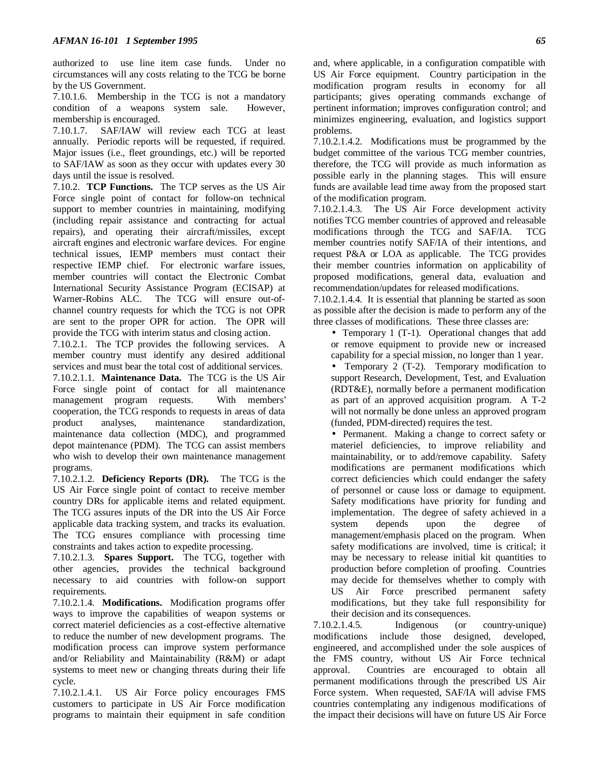authorized to use line item case funds. Under no circumstances will any costs relating to the TCG be borne by the US Government.

7.10.1.6. Membership in the TCG is not a mandatory condition of a weapons system sale. However, membership is encouraged.

7.10.1.7. SAF/IAW will review each TCG at least annually. Periodic reports will be requested, if required. Major issues (i.e., fleet groundings, etc.) will be reported to SAF/IAW as soon as they occur with updates every 30 days until the issue is resolved.

7.10.2. **TCP Functions.** The TCP serves as the US Air Force single point of contact for follow-on technical support to member countries in maintaining, modifying (including repair assistance and contracting for actual repairs), and operating their aircraft/missiles, except aircraft engines and electronic warfare devices. For engine technical issues, IEMP members must contact their respective IEMP chief. For electronic warfare issues, member countries will contact the Electronic Combat International Security Assistance Program (ECISAP) at Warner-Robins ALC. The TCG will ensure out-ofchannel country requests for which the TCG is not OPR are sent to the proper OPR for action. The OPR will provide the TCG with interim status and closing action.

7.10.2.1. The TCP provides the following services. A member country must identify any desired additional services and must bear the total cost of additional services. 7.10.2.1.1. **Maintenance Data.** The TCG is the US Air Force single point of contact for all maintenance management program requests. With members' cooperation, the TCG responds to requests in areas of data product analyses, maintenance standardization, maintenance data collection (MDC), and programmed depot maintenance (PDM). The TCG can assist members who wish to develop their own maintenance management programs.

7.10.2.1.2. **Deficiency Reports (DR).** The TCG is the US Air Force single point of contact to receive member country DRs for applicable items and related equipment. The TCG assures inputs of the DR into the US Air Force applicable data tracking system, and tracks its evaluation. The TCG ensures compliance with processing time constraints and takes action to expedite processing.

7.10.2.1.3. **Spares Support.** The TCG, together with other agencies, provides the technical background necessary to aid countries with follow-on support requirements.

7.10.2.1.4. **Modifications.** Modification programs offer ways to improve the capabilities of weapon systems or correct materiel deficiencies as a cost-effective alternative to reduce the number of new development programs. The modification process can improve system performance and/or Reliability and Maintainability (R&M) or adapt systems to meet new or changing threats during their life cycle.

7.10.2.1.4.1. US Air Force policy encourages FMS customers to participate in US Air Force modification programs to maintain their equipment in safe condition

and, where applicable, in a configuration compatible with US Air Force equipment. Country participation in the modification program results in economy for all participants; gives operating commands exchange of pertinent information; improves configuration control; and minimizes engineering, evaluation, and logistics support problems.

7.10.2.1.4.2. Modifications must be programmed by the budget committee of the various TCG member countries, therefore, the TCG will provide as much information as possible early in the planning stages. This will ensure funds are available lead time away from the proposed start of the modification program.

7.10.2.1.4.3. The US Air Force development activity notifies TCG member countries of approved and releasable modifications through the TCG and SAF/IA. TCG member countries notify SAF/IA of their intentions, and request P&A or LOA as applicable. The TCG provides their member countries information on applicability of proposed modifications, general data, evaluation and recommendation/updates for released modifications.

7.10.2.1.4.4. It is essential that planning be started as soon as possible after the decision is made to perform any of the three classes of modifications. These three classes are:

• Temporary 1 (T-1). Operational changes that add or remove equipment to provide new or increased capability for a special mission, no longer than 1 year.

• Temporary 2 (T-2). Temporary modification to support Research, Development, Test, and Evaluation (RDT&E), normally before a permanent modification as part of an approved acquisition program. A T-2 will not normally be done unless an approved program (funded, PDM-directed) requires the test.

• Permanent. Making a change to correct safety or materiel deficiencies, to improve reliability and maintainability, or to add/remove capability. Safety modifications are permanent modifications which correct deficiencies which could endanger the safety of personnel or cause loss or damage to equipment. Safety modifications have priority for funding and implementation. The degree of safety achieved in a system depends upon the degree of management/emphasis placed on the program. When safety modifications are involved, time is critical; it may be necessary to release initial kit quantities to production before completion of proofing. Countries may decide for themselves whether to comply with US Air Force prescribed permanent safety modifications, but they take full responsibility for their decision and its consequences.

7.10.2.1.4.5. Indigenous (or country-unique) modifications include those designed, developed, engineered, and accomplished under the sole auspices of the FMS country, without US Air Force technical approval. Countries are encouraged to obtain all permanent modifications through the prescribed US Air Force system. When requested, SAF/IA will advise FMS countries contemplating any indigenous modifications of the impact their decisions will have on future US Air Force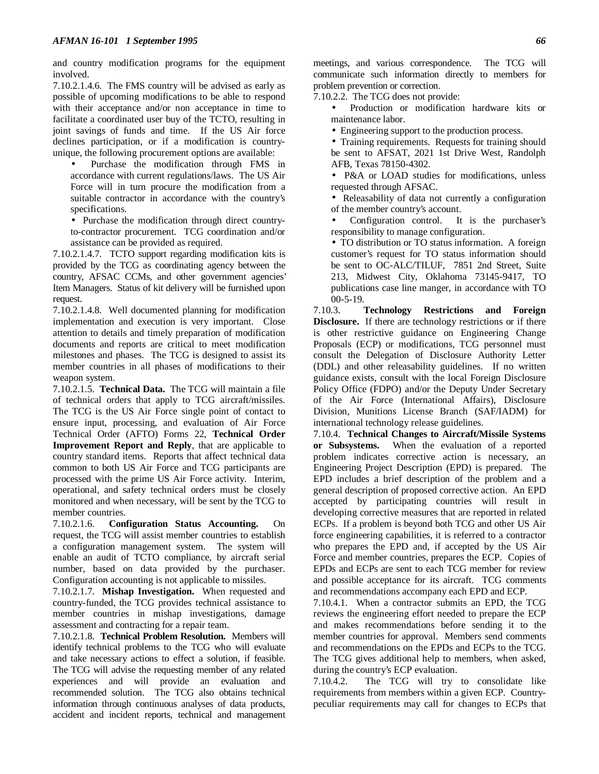and country modification programs for the equipment involved.

7.10.2.1.4.6. The FMS country will be advised as early as possible of upcoming modifications to be able to respond with their acceptance and/or non acceptance in time to facilitate a coordinated user buy of the TCTO, resulting in joint savings of funds and time. If the US Air force declines participation, or if a modification is countryunique, the following procurement options are available:

- Purchase the modification through FMS in accordance with current regulations/laws. The US Air Force will in turn procure the modification from a suitable contractor in accordance with the country's specifications.
- Purchase the modification through direct countryto-contractor procurement. TCG coordination and/or assistance can be provided as required.

7.10.2.1.4.7. TCTO support regarding modification kits is provided by the TCG as coordinating agency between the country, AFSAC CCMs, and other government agencies' Item Managers. Status of kit delivery will be furnished upon request.

7.10.2.1.4.8. Well documented planning for modification implementation and execution is very important. Close attention to details and timely preparation of modification documents and reports are critical to meet modification milestones and phases. The TCG is designed to assist its member countries in all phases of modifications to their weapon system.

7.10.2.1.5. **Technical Data.** The TCG will maintain a file of technical orders that apply to TCG aircraft/missiles. The TCG is the US Air Force single point of contact to ensure input, processing, and evaluation of Air Force Technical Order (AFTO) Forms 22, **Technical Order Improvement Report and Reply**, that are applicable to country standard items. Reports that affect technical data common to both US Air Force and TCG participants are processed with the prime US Air Force activity. Interim, operational, and safety technical orders must be closely monitored and when necessary, will be sent by the TCG to member countries.

7.10.2.1.6. **Configuration Status Accounting.** On request, the TCG will assist member countries to establish a configuration management system. The system will enable an audit of TCTO compliance, by aircraft serial number, based on data provided by the purchaser. Configuration accounting is not applicable to missiles.

7.10.2.1.7. **Mishap Investigation.** When requested and country-funded, the TCG provides technical assistance to member countries in mishap investigations, damage assessment and contracting for a repair team.

7.10.2.1.8. **Technical Problem Resolution.** Members will identify technical problems to the TCG who will evaluate and take necessary actions to effect a solution, if feasible. The TCG will advise the requesting member of any related experiences and will provide an evaluation and recommended solution. The TCG also obtains technical information through continuous analyses of data products, accident and incident reports, technical and management meetings, and various correspondence. The TCG will communicate such information directly to members for problem prevention or correction.

7.10.2.2. The TCG does not provide:

• Production or modification hardware kits or maintenance labor.

• Engineering support to the production process.

• Training requirements. Requests for training should be sent to AFSAT, 2021 1st Drive West, Randolph AFB, Texas 78150-4302.

• P&A or LOAD studies for modifications, unless requested through AFSAC.

• Releasability of data not currently a configuration of the member country's account.

• Configuration control. It is the purchaser's responsibility to manage configuration.

• TO distribution or TO status information. A foreign customer's request for TO status information should be sent to OC-ALC/TILUF, 7851 2nd Street, Suite 213, Midwest City, Oklahoma 73145-9417, TO publications case line manger, in accordance with TO 00-5-19.

7.10.3. **Technology Restrictions and Foreign Disclosure.** If there are technology restrictions or if there is other restrictive guidance on Engineering Change Proposals (ECP) or modifications, TCG personnel must consult the Delegation of Disclosure Authority Letter (DDL) and other releasability guidelines. If no written guidance exists, consult with the local Foreign Disclosure Policy Office (FDPO) and/or the Deputy Under Secretary of the Air Force (International Affairs), Disclosure Division, Munitions License Branch (SAF/IADM) for international technology release guidelines.

7.10.4. **Technical Changes to Aircraft/Missile Systems or Subsystems.** When the evaluation of a reported problem indicates corrective action is necessary, an Engineering Project Description (EPD) is prepared. The EPD includes a brief description of the problem and a general description of proposed corrective action. An EPD accepted by participating countries will result in developing corrective measures that are reported in related ECPs. If a problem is beyond both TCG and other US Air force engineering capabilities, it is referred to a contractor who prepares the EPD and, if accepted by the US Air Force and member countries, prepares the ECP. Copies of EPDs and ECPs are sent to each TCG member for review and possible acceptance for its aircraft. TCG comments and recommendations accompany each EPD and ECP.

7.10.4.1. When a contractor submits an EPD, the TCG reviews the engineering effort needed to prepare the ECP and makes recommendations before sending it to the member countries for approval. Members send comments and recommendations on the EPDs and ECPs to the TCG. The TCG gives additional help to members, when asked, during the country's ECP evaluation.

7.10.4.2. The TCG will try to consolidate like requirements from members within a given ECP. Countrypeculiar requirements may call for changes to ECPs that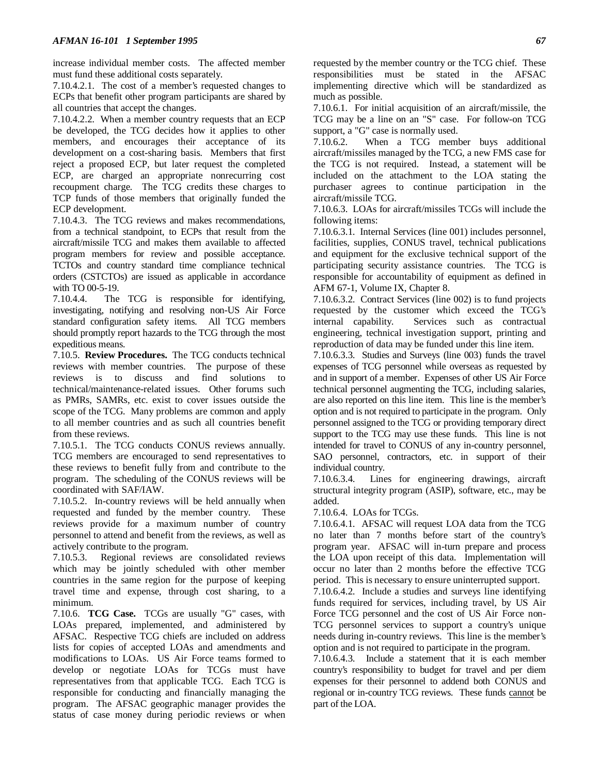increase individual member costs. The affected member must fund these additional costs separately.

7.10.4.2.1. The cost of a member's requested changes to ECPs that benefit other program participants are shared by all countries that accept the changes.

7.10.4.2.2. When a member country requests that an ECP be developed, the TCG decides how it applies to other members, and encourages their acceptance of its development on a cost-sharing basis. Members that first reject a proposed ECP, but later request the completed ECP, are charged an appropriate nonrecurring cost recoupment charge. The TCG credits these charges to TCP funds of those members that originally funded the ECP development.

7.10.4.3. The TCG reviews and makes recommendations, from a technical standpoint, to ECPs that result from the aircraft/missile TCG and makes them available to affected program members for review and possible acceptance. TCTOs and country standard time compliance technical orders (CSTCTOs) are issued as applicable in accordance with TO 00-5-19.

7.10.4.4. The TCG is responsible for identifying, investigating, notifying and resolving non-US Air Force standard configuration safety items. All TCG members should promptly report hazards to the TCG through the most expeditious means.

7.10.5. **Review Procedures.** The TCG conducts technical reviews with member countries. The purpose of these reviews is to discuss and find solutions to technical/maintenance-related issues. Other forums such as PMRs, SAMRs, etc. exist to cover issues outside the scope of the TCG. Many problems are common and apply to all member countries and as such all countries benefit from these reviews.

7.10.5.1. The TCG conducts CONUS reviews annually. TCG members are encouraged to send representatives to these reviews to benefit fully from and contribute to the program. The scheduling of the CONUS reviews will be coordinated with SAF/IAW.

7.10.5.2. In-country reviews will be held annually when requested and funded by the member country. These reviews provide for a maximum number of country personnel to attend and benefit from the reviews, as well as actively contribute to the program.

7.10.5.3. Regional reviews are consolidated reviews which may be jointly scheduled with other member countries in the same region for the purpose of keeping travel time and expense, through cost sharing, to a minimum.

7.10.6. **TCG Case.** TCGs are usually "G" cases, with LOAs prepared, implemented, and administered by AFSAC. Respective TCG chiefs are included on address lists for copies of accepted LOAs and amendments and modifications to LOAs. US Air Force teams formed to develop or negotiate LOAs for TCGs must have representatives from that applicable TCG. Each TCG is responsible for conducting and financially managing the program. The AFSAC geographic manager provides the status of case money during periodic reviews or when

requested by the member country or the TCG chief. These responsibilities must be stated in the AFSAC implementing directive which will be standardized as much as possible.

7.10.6.1. For initial acquisition of an aircraft/missile, the TCG may be a line on an "S" case. For follow-on TCG support, a "G" case is normally used.

7.10.6.2. When a TCG member buys additional aircraft/missiles managed by the TCG, a new FMS case for the TCG is not required. Instead, a statement will be included on the attachment to the LOA stating the purchaser agrees to continue participation in the aircraft/missile TCG.

7.10.6.3. LOAs for aircraft/missiles TCGs will include the following items:

7.10.6.3.1. Internal Services (line 001) includes personnel, facilities, supplies, CONUS travel, technical publications and equipment for the exclusive technical support of the participating security assistance countries. The TCG is responsible for accountability of equipment as defined in AFM 67-1, Volume IX, Chapter 8.

7.10.6.3.2. Contract Services (line 002) is to fund projects requested by the customer which exceed the TCG's internal capability. Services such as contractual engineering, technical investigation support, printing and reproduction of data may be funded under this line item.

7.10.6.3.3. Studies and Surveys (line 003) funds the travel expenses of TCG personnel while overseas as requested by and in support of a member. Expenses of other US Air Force technical personnel augmenting the TCG, including salaries, are also reported on this line item. This line is the member's option and is not required to participate in the program. Only personnel assigned to the TCG or providing temporary direct support to the TCG may use these funds. This line is not intended for travel to CONUS of any in-country personnel, SAO personnel, contractors, etc. in support of their individual country.

7.10.6.3.4. Lines for engineering drawings, aircraft structural integrity program (ASIP), software, etc., may be added.

7.10.6.4. LOAs for TCGs.

7.10.6.4.1. AFSAC will request LOA data from the TCG no later than 7 months before start of the country's program year. AFSAC will in-turn prepare and process the LOA upon receipt of this data. Implementation will occur no later than 2 months before the effective TCG period. This is necessary to ensure uninterrupted support.

7.10.6.4.2. Include a studies and surveys line identifying funds required for services, including travel, by US Air Force TCG personnel and the cost of US Air Force non-TCG personnel services to support a country's unique needs during in-country reviews. This line is the member's option and is not required to participate in the program.

7.10.6.4.3. Include a statement that it is each member country's responsibility to budget for travel and per diem expenses for their personnel to addend both CONUS and regional or in-country TCG reviews. These funds cannot be part of the LOA.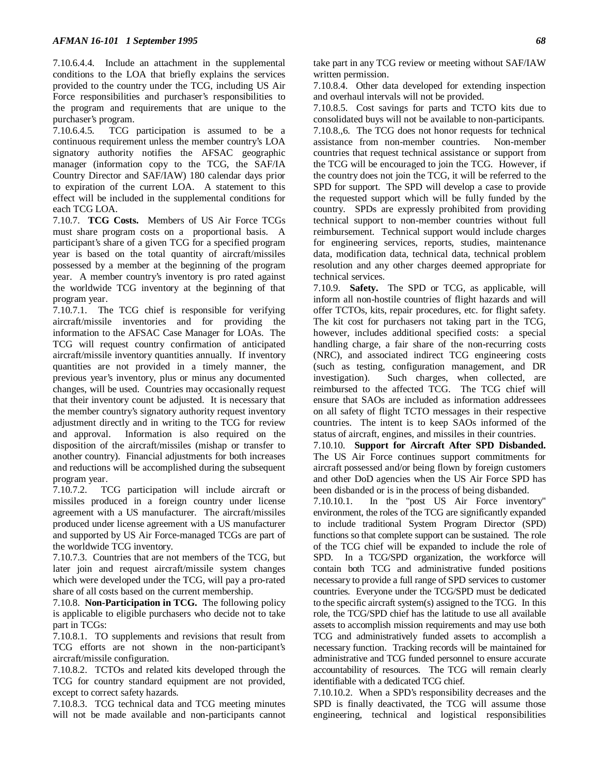7.10.6.4.4. Include an attachment in the supplemental conditions to the LOA that briefly explains the services provided to the country under the TCG, including US Air Force responsibilities and purchaser's responsibilities to the program and requirements that are unique to the purchaser's program.

7.10.6.4.5. TCG participation is assumed to be a continuous requirement unless the member country's LOA signatory authority notifies the AFSAC geographic manager (information copy to the TCG, the SAF/IA Country Director and SAF/IAW) 180 calendar days prior to expiration of the current LOA. A statement to this effect will be included in the supplemental conditions for each TCG LOA.

7.10.7. **TCG Costs.** Members of US Air Force TCGs must share program costs on a proportional basis. A participant's share of a given TCG for a specified program year is based on the total quantity of aircraft/missiles possessed by a member at the beginning of the program year. A member country's inventory is pro rated against the worldwide TCG inventory at the beginning of that program year.

7.10.7.1. The TCG chief is responsible for verifying aircraft/missile inventories and for providing the information to the AFSAC Case Manager for LOAs. The TCG will request country confirmation of anticipated aircraft/missile inventory quantities annually. If inventory quantities are not provided in a timely manner, the previous year's inventory, plus or minus any documented changes, will be used. Countries may occasionally request that their inventory count be adjusted. It is necessary that the member country's signatory authority request inventory adjustment directly and in writing to the TCG for review and approval. Information is also required on the disposition of the aircraft/missiles (mishap or transfer to another country). Financial adjustments for both increases and reductions will be accomplished during the subsequent program year.

7.10.7.2. TCG participation will include aircraft or missiles produced in a foreign country under license agreement with a US manufacturer. The aircraft/missiles produced under license agreement with a US manufacturer and supported by US Air Force-managed TCGs are part of the worldwide TCG inventory.

7.10.7.3. Countries that are not members of the TCG, but later join and request aircraft/missile system changes which were developed under the TCG, will pay a pro-rated share of all costs based on the current membership.

7.10.8. **Non-Participation in TCG.** The following policy is applicable to eligible purchasers who decide not to take part in TCGs:

7.10.8.1. TO supplements and revisions that result from TCG efforts are not shown in the non-participant's aircraft/missile configuration.

7.10.8.2. TCTOs and related kits developed through the TCG for country standard equipment are not provided, except to correct safety hazards.

7.10.8.3. TCG technical data and TCG meeting minutes will not be made available and non-participants cannot take part in any TCG review or meeting without SAF/IAW written permission.

7.10.8.4. Other data developed for extending inspection and overhaul intervals will not be provided.

7.10.8.5. Cost savings for parts and TCTO kits due to consolidated buys will not be available to non-participants. 7.10.8.,6. The TCG does not honor requests for technical assistance from non-member countries. Non-member countries that request technical assistance or support from the TCG will be encouraged to join the TCG. However, if the country does not join the TCG, it will be referred to the SPD for support. The SPD will develop a case to provide the requested support which will be fully funded by the country. SPDs are expressly prohibited from providing technical support to non-member countries without full reimbursement. Technical support would include charges for engineering services, reports, studies, maintenance data, modification data, technical data, technical problem resolution and any other charges deemed appropriate for technical services.

7.10.9. **Safety.** The SPD or TCG, as applicable, will inform all non-hostile countries of flight hazards and will offer TCTOs, kits, repair procedures, etc. for flight safety. The kit cost for purchasers not taking part in the TCG, however, includes additional specified costs: a special handling charge, a fair share of the non-recurring costs (NRC), and associated indirect TCG engineering costs (such as testing, configuration management, and DR investigation). Such charges, when collected, are reimbursed to the affected TCG. The TCG chief will ensure that SAOs are included as information addressees on all safety of flight TCTO messages in their respective countries. The intent is to keep SAOs informed of the status of aircraft, engines, and missiles in their countries.

7.10.10. **Support for Aircraft After SPD Disbanded.** The US Air Force continues support commitments for aircraft possessed and/or being flown by foreign customers and other DoD agencies when the US Air Force SPD has been disbanded or is in the process of being disbanded.

7.10.10.1. In the "post US Air Force inventory" environment, the roles of the TCG are significantly expanded to include traditional System Program Director (SPD) functions so that complete support can be sustained. The role of the TCG chief will be expanded to include the role of SPD. In a TCG/SPD organization, the workforce will contain both TCG and administrative funded positions necessary to provide a full range of SPD services to customer countries. Everyone under the TCG/SPD must be dedicated to the specific aircraft system(s) assigned to the TCG. In this role, the TCG/SPD chief has the latitude to use all available assets to accomplish mission requirements and may use both TCG and administratively funded assets to accomplish a necessary function. Tracking records will be maintained for administrative and TCG funded personnel to ensure accurate accountability of resources. The TCG will remain clearly identifiable with a dedicated TCG chief.

7.10.10.2. When a SPD's responsibility decreases and the SPD is finally deactivated, the TCG will assume those engineering, technical and logistical responsibilities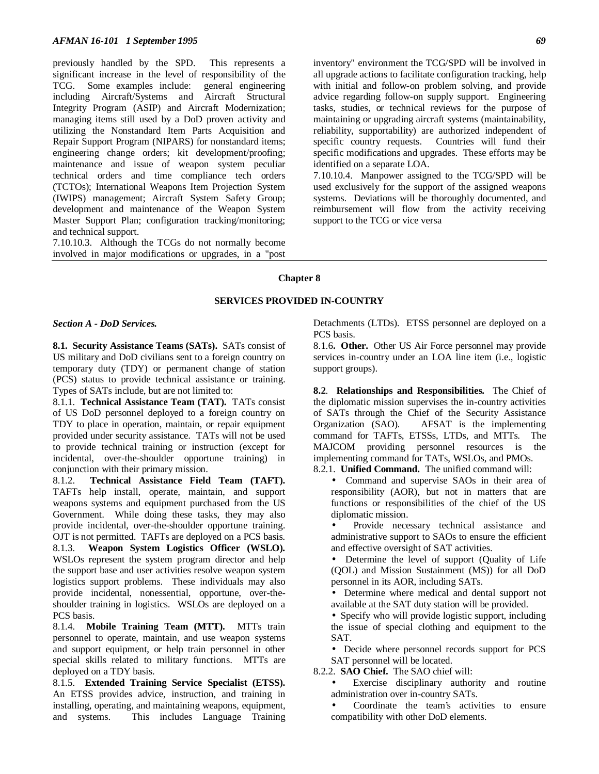previously handled by the SPD. This represents a significant increase in the level of responsibility of the TCG. Some examples include: general engineering including Aircraft/Systems and Aircraft Structural Integrity Program (ASIP) and Aircraft Modernization; managing items still used by a DoD proven activity and utilizing the Nonstandard Item Parts Acquisition and Repair Support Program (NIPARS) for nonstandard items; engineering change orders; kit development/proofing; maintenance and issue of weapon system peculiar technical orders and time compliance tech orders (TCTOs); International Weapons Item Projection System (IWIPS) management; Aircraft System Safety Group; development and maintenance of the Weapon System Master Support Plan; configuration tracking/monitoring; and technical support.

7.10.10.3. Although the TCGs do not normally become involved in major modifications or upgrades, in a "post

inventory" environment the TCG/SPD will be involved in all upgrade actions to facilitate configuration tracking, help with initial and follow-on problem solving, and provide advice regarding follow-on supply support. Engineering tasks, studies, or technical reviews for the purpose of maintaining or upgrading aircraft systems (maintainability, reliability, supportability) are authorized independent of specific country requests. Countries will fund their specific modifications and upgrades. These efforts may be identified on a separate LOA.

7.10.10.4. Manpower assigned to the TCG/SPD will be used exclusively for the support of the assigned weapons systems. Deviations will be thoroughly documented, and reimbursement will flow from the activity receiving support to the TCG or vice versa

### **Chapter 8**

#### **SERVICES PROVIDED IN-COUNTRY**

# *Section A - DoD Services.*

**8.1. Security Assistance Teams (SATs).** SATs consist of US military and DoD civilians sent to a foreign country on temporary duty (TDY) or permanent change of station (PCS) status to provide technical assistance or training. Types of SATs include, but are not limited to:

8.1.1. **Technical Assistance Team (TAT).** TATs consist of US DoD personnel deployed to a foreign country on TDY to place in operation, maintain, or repair equipment provided under security assistance. TATs will not be used to provide technical training or instruction (except for incidental, over-the-shoulder opportune training) in conjunction with their primary mission.

8.1.2. **Technical Assistance Field Team (TAFT).** TAFTs help install, operate, maintain, and support weapons systems and equipment purchased from the US Government. While doing these tasks, they may also provide incidental, over-the-shoulder opportune training. OJT is not permitted. TAFTs are deployed on a PCS basis. 8.1.3. **Weapon System Logistics Officer (WSLO).** WSLOs represent the system program director and help the support base and user activities resolve weapon system logistics support problems. These individuals may also provide incidental, nonessential, opportune, over-theshoulder training in logistics. WSLOs are deployed on a PCS basis.

8.1.4. **Mobile Training Team (MTT).** MTTs train personnel to operate, maintain, and use weapon systems and support equipment, or help train personnel in other special skills related to military functions. MTTs are deployed on a TDY basis.

8.1.5. **Extended Training Service Specialist (ETSS).** An ETSS provides advice, instruction, and training in installing, operating, and maintaining weapons, equipment, and systems. This includes Language Training Detachments (LTDs). ETSS personnel are deployed on a PCS basis.

8.1.6**. Other.** Other US Air Force personnel may provide services in-country under an LOA line item (i.e., logistic support groups).

**8.2**. **Relationships and Responsibilities.** The Chief of the diplomatic mission supervises the in-country activities of SATs through the Chief of the Security Assistance<br>Organization (SAO). AFSAT is the implementing AFSAT is the implementing command for TAFTs, ETSSs, LTDs, and MTTs. The MAJCOM providing personnel resources is the implementing command for TATs, WSLOs, and PMOs. 8.2.1. **Unified Command.** The unified command will:

- Command and supervise SAOs in their area of responsibility (AOR), but not in matters that are functions or responsibilities of the chief of the US diplomatic mission.
- Provide necessary technical assistance and administrative support to SAOs to ensure the efficient and effective oversight of SAT activities.
- Determine the level of support (Quality of Life (QOL) and Mission Sustainment (MS)) for all DoD personnel in its AOR, including SATs.
- Determine where medical and dental support not available at the SAT duty station will be provided.
- Specify who will provide logistic support, including the issue of special clothing and equipment to the SAT.
- Decide where personnel records support for PCS SAT personnel will be located.

8.2.2. **SAO Chief.** The SAO chief will:

- Exercise disciplinary authority and routine administration over in-country SATs.
- Coordinate the team's activities to ensure compatibility with other DoD elements.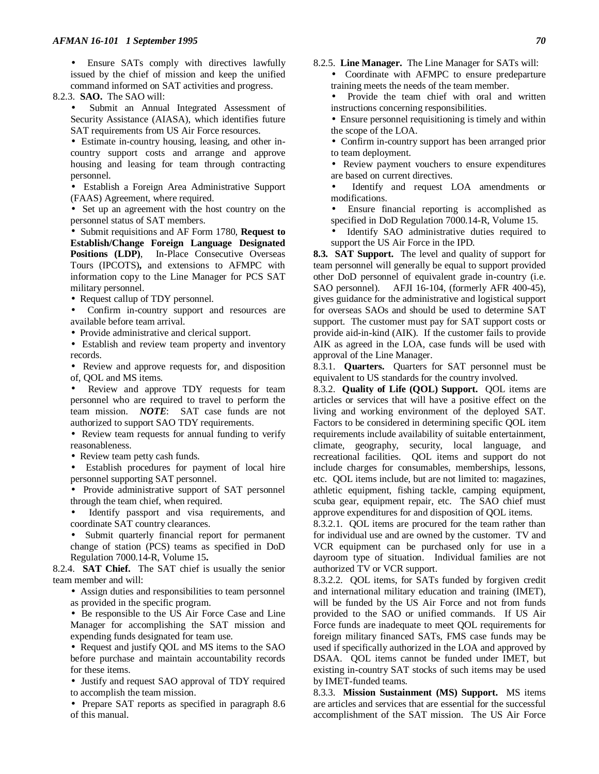• Ensure SATs comply with directives lawfully issued by the chief of mission and keep the unified command informed on SAT activities and progress.

### 8.2.3. **SAO.** The SAO will:

- Submit an Annual Integrated Assessment of Security Assistance (AIASA), which identifies future SAT requirements from US Air Force resources.
- Estimate in-country housing, leasing, and other incountry support costs and arrange and approve housing and leasing for team through contracting personnel.
- Establish a Foreign Area Administrative Support (FAAS) Agreement, where required.
- Set up an agreement with the host country on the personnel status of SAT members.
- Submit requisitions and AF Form 1780, **Request to Establish/Change Foreign Language Designated Positions (LDP)**, In-Place Consecutive Overseas Tours (IPCOTS)**,** and extensions to AFMPC with information copy to the Line Manager for PCS SAT military personnel.
- Request callup of TDY personnel.
- Confirm in-country support and resources are available before team arrival.
- Provide administrative and clerical support.
- Establish and review team property and inventory records.
- Review and approve requests for, and disposition of, QOL and MS items.
- Review and approve TDY requests for team personnel who are required to travel to perform the team mission. *NOTE*: SAT case funds are not authorized to support SAO TDY requirements.
- Review team requests for annual funding to verify reasonableness.
- Review team petty cash funds.
- Establish procedures for payment of local hire personnel supporting SAT personnel.
- Provide administrative support of SAT personnel through the team chief, when required.
- Identify passport and visa requirements, and coordinate SAT country clearances.
- Submit quarterly financial report for permanent change of station (PCS) teams as specified in DoD Regulation 7000.14-R, Volume 15**.**

8.2.4. **SAT Chief.** The SAT chief is usually the senior team member and will:

- Assign duties and responsibilities to team personnel as provided in the specific program.
- Be responsible to the US Air Force Case and Line Manager for accomplishing the SAT mission and expending funds designated for team use.
- Request and justify QOL and MS items to the SAO before purchase and maintain accountability records for these items.
- Justify and request SAO approval of TDY required to accomplish the team mission.
- Prepare SAT reports as specified in paragraph 8.6 of this manual.

8.2.5. **Line Manager.** The Line Manager for SATs will:

- Coordinate with AFMPC to ensure predeparture training meets the needs of the team member.
- Provide the team chief with oral and written instructions concerning responsibilities.
- Ensure personnel requisitioning is timely and within the scope of the LOA.
- Confirm in-country support has been arranged prior to team deployment.
- Review payment vouchers to ensure expenditures are based on current directives.
- Identify and request LOA amendments or modifications.
- Ensure financial reporting is accomplished as specified in DoD Regulation 7000.14-R, Volume 15.
- Identify SAO administrative duties required to support the US Air Force in the IPD.

**8.3. SAT Support.** The level and quality of support for team personnel will generally be equal to support provided other DoD personnel of equivalent grade in-country (i.e. SAO personnel). AFJI 16-104, (formerly AFR 400-45), gives guidance for the administrative and logistical support for overseas SAOs and should be used to determine SAT support. The customer must pay for SAT support costs or provide aid-in-kind (AIK). If the customer fails to provide AIK as agreed in the LOA, case funds will be used with approval of the Line Manager.

8.3.1. **Quarters.** Quarters for SAT personnel must be equivalent to US standards for the country involved.

8.3.2. **Quality of Life (QOL) Support.** QOL items are articles or services that will have a positive effect on the living and working environment of the deployed SAT. Factors to be considered in determining specific QOL item requirements include availability of suitable entertainment, climate, geography, security, local language, and recreational facilities. QOL items and support do not include charges for consumables, memberships, lessons, etc. QOL items include, but are not limited to: magazines, athletic equipment, fishing tackle, camping equipment, scuba gear, equipment repair, etc. The SAO chief must approve expenditures for and disposition of QOL items.

8.3.2.1. QOL items are procured for the team rather than for individual use and are owned by the customer. TV and VCR equipment can be purchased only for use in a dayroom type of situation. Individual families are not authorized TV or VCR support.

8.3.2.2. QOL items, for SATs funded by forgiven credit and international military education and training (IMET), will be funded by the US Air Force and not from funds provided to the SAO or unified commands. If US Air Force funds are inadequate to meet QOL requirements for foreign military financed SATs, FMS case funds may be used if specifically authorized in the LOA and approved by DSAA. QOL items cannot be funded under IMET, but existing in-country SAT stocks of such items may be used by IMET-funded teams.

8.3.3. **Mission Sustainment (MS) Support.** MS items are articles and services that are essential for the successful accomplishment of the SAT mission. The US Air Force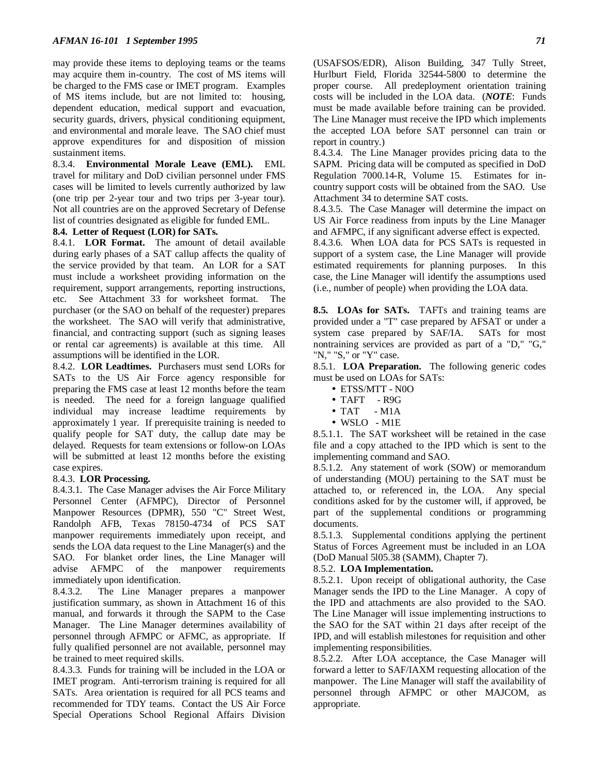may provide these items to deploying teams or the teams may acquire them in-country. The cost of MS items will be charged to the FMS case or IMET program. Examples of MS items include, but are not limited to: housing, dependent education, medical support and evacuation, security guards, drivers, physical conditioning equipment, and environmental and morale leave. The SAO chief must approve expenditures for and disposition of mission sustainment items.

8.3.4. **Environmental Morale Leave (EML).** EML travel for military and DoD civilian personnel under FMS cases will be limited to levels currently authorized by law (one trip per 2-year tour and two trips per 3-year tour). Not all countries are on the approved Secretary of Defense list of countries designated as eligible for funded EML.

#### **8.4. Letter of Request (LOR) for SATs.**

8.4.1. **LOR Format.** The amount of detail available during early phases of a SAT callup affects the quality of the service provided by that team. An LOR for a SAT must include a worksheet providing information on the requirement, support arrangements, reporting instructions, etc. See Attachment 33 for worksheet format. The purchaser (or the SAO on behalf of the requester) prepares the worksheet. The SAO will verify that administrative, financial, and contracting support (such as signing leases or rental car agreements) is available at this time. All assumptions will be identified in the LOR.

8.4.2. **LOR Leadtimes.** Purchasers must send LORs for SATs to the US Air Force agency responsible for preparing the FMS case at least 12 months before the team is needed. The need for a foreign language qualified individual may increase leadtime requirements by approximately 1 year. If prerequisite training is needed to qualify people for SAT duty, the callup date may be delayed. Requests for team extensions or follow-on LOAs will be submitted at least 12 months before the existing case expires.

### 8.4.3. **LOR Processing.**

8.4.3.1. The Case Manager advises the Air Force Military Personnel Center (AFMPC), Director of Personnel Manpower Resources (DPMR), 550 "C" Street West, Randolph AFB, Texas 78150-4734 of PCS SAT manpower requirements immediately upon receipt, and sends the LOA data request to the Line Manager(s) and the SAO. For blanket order lines, the Line Manager will advise AFMPC of the manpower requirements immediately upon identification.

8.4.3.2. The Line Manager prepares a manpower justification summary, as shown in Attachment 16 of this manual, and forwards it through the SAPM to the Case Manager. The Line Manager determines availability of personnel through AFMPC or AFMC, as appropriate. If fully qualified personnel are not available, personnel may be trained to meet required skills.

8.4.3.3. Funds for training will be included in the LOA or IMET program. Anti-terrorism training is required for all SATs. Area orientation is required for all PCS teams and recommended for TDY teams. Contact the US Air Force Special Operations School Regional Affairs Division

(USAFSOS/EDR), Alison Building, 347 Tully Street, Hurlburt Field, Florida 32544-5800 to determine the proper course. All predeployment orientation training costs will be included in the LOA data. (*NOTE*: Funds must be made available before training can be provided. The Line Manager must receive the IPD which implements the accepted LOA before SAT personnel can train or report in country.)

8.4.3.4. The Line Manager provides pricing data to the SAPM. Pricing data will be computed as specified in DoD Regulation 7000.14-R, Volume 15. Estimates for incountry support costs will be obtained from the SAO. Use Attachment 34 to determine SAT costs.

8.4.3.5. The Case Manager will determine the impact on US Air Force readiness from inputs by the Line Manager and AFMPC, if any significant adverse effect is expected.

8.4.3.6. When LOA data for PCS SATs is requested in support of a system case, the Line Manager will provide estimated requirements for planning purposes. In this case, the Line Manager will identify the assumptions used (i.e., number of people) when providing the LOA data.

**8.5. LOAs for SATs.** TAFTs and training teams are provided under a "T" case prepared by AFSAT or under a system case prepared by SAF/IA. SATs for most nontraining services are provided as part of a "D," "G," "N," "S," or "Y" case.

8.5.1. **LOA Preparation.** The following generic codes must be used on LOAs for SATs:

- ETSS/MTT N0O
- TAFT R9G
- $\bullet$  TAT  $-M1A$
- WSLO M1E

8.5.1.1. The SAT worksheet will be retained in the case file and a copy attached to the IPD which is sent to the implementing command and SAO.

8.5.1.2. Any statement of work (SOW) or memorandum of understanding (MOU) pertaining to the SAT must be attached to, or referenced in, the LOA. Any special conditions asked for by the customer will, if approved, be part of the supplemental conditions or programming documents.

8.5.1.3. Supplemental conditions applying the pertinent Status of Forces Agreement must be included in an LOA (DoD Manual 5l05.38 (SAMM), Chapter 7).

### 8.5.2. **LOA Implementation.**

8.5.2.1. Upon receipt of obligational authority, the Case Manager sends the IPD to the Line Manager. A copy of the IPD and attachments are also provided to the SAO. The Line Manager will issue implementing instructions to the SAO for the SAT within 21 days after receipt of the IPD, and will establish milestones for requisition and other implementing responsibilities.

8.5.2.2. After LOA acceptance, the Case Manager will forward a letter to SAF/IAXM requesting allocation of the manpower. The Line Manager will staff the availability of personnel through AFMPC or other MAJCOM, as appropriate.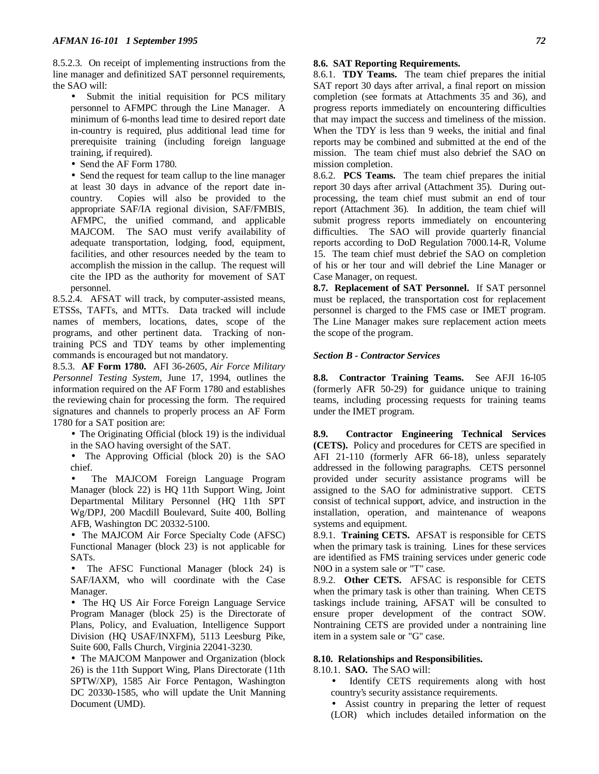8.5.2.3. On receipt of implementing instructions from the line manager and definitized SAT personnel requirements, the SAO will:

- Submit the initial requisition for PCS military personnel to AFMPC through the Line Manager. A minimum of 6-months lead time to desired report date in-country is required, plus additional lead time for prerequisite training (including foreign language training, if required).
- Send the AF Form 1780.

• Send the request for team callup to the line manager at least 30 days in advance of the report date incountry. Copies will also be provided to the appropriate SAF/IA regional division, SAF/FMBIS, AFMPC, the unified command, and applicable MAJCOM. The SAO must verify availability of adequate transportation, lodging, food, equipment, facilities, and other resources needed by the team to accomplish the mission in the callup. The request will cite the IPD as the authority for movement of SAT personnel.

8.5.2.4. AFSAT will track, by computer-assisted means, ETSSs, TAFTs, and MTTs. Data tracked will include names of members, locations, dates, scope of the programs, and other pertinent data. Tracking of nontraining PCS and TDY teams by other implementing commands is encouraged but not mandatory.

8.5.3. **AF Form 1780.** AFI 36-2605, *Air Force Military Personnel Testing System*, June 17, 1994, outlines the information required on the AF Form 1780 and establishes the reviewing chain for processing the form. The required signatures and channels to properly process an AF Form 1780 for a SAT position are:

• The Originating Official (block 19) is the individual in the SAO having oversight of the SAT.

• The Approving Official (block 20) is the SAO chief.

The MAJCOM Foreign Language Program Manager (block 22) is HQ 11th Support Wing, Joint Departmental Military Personnel (HQ 11th SPT Wg/DPJ, 200 Macdill Boulevard, Suite 400, Bolling AFB, Washington DC 20332-5100.

• The MAJCOM Air Force Specialty Code (AFSC) Functional Manager (block 23) is not applicable for SATs.

• The AFSC Functional Manager (block 24) is SAF/IAXM, who will coordinate with the Case Manager.

• The HQ US Air Force Foreign Language Service Program Manager (block 25) is the Directorate of Plans, Policy, and Evaluation, Intelligence Support Division (HQ USAF/INXFM), 5113 Leesburg Pike, Suite 600, Falls Church, Virginia 22041-3230.

• The MAJCOM Manpower and Organization (block 26) is the 11th Support Wing, Plans Directorate (11th SPTW/XP), 1585 Air Force Pentagon, Washington DC 20330-1585, who will update the Unit Manning Document (UMD).

# **8.6. SAT Reporting Requirements.**

8.6.1. **TDY Teams.** The team chief prepares the initial SAT report 30 days after arrival, a final report on mission completion (see formats at Attachments 35 and 36), and progress reports immediately on encountering difficulties that may impact the success and timeliness of the mission. When the TDY is less than 9 weeks, the initial and final reports may be combined and submitted at the end of the mission. The team chief must also debrief the SAO on mission completion.

8.6.2. **PCS Teams.** The team chief prepares the initial report 30 days after arrival (Attachment 35). During outprocessing, the team chief must submit an end of tour report (Attachment 36). In addition, the team chief will submit progress reports immediately on encountering difficulties. The SAO will provide quarterly financial reports according to DoD Regulation 7000.14-R, Volume 15. The team chief must debrief the SAO on completion of his or her tour and will debrief the Line Manager or Case Manager, on request.

**8.7. Replacement of SAT Personnel.** If SAT personnel must be replaced, the transportation cost for replacement personnel is charged to the FMS case or IMET program. The Line Manager makes sure replacement action meets the scope of the program.

#### *Section B - Contractor Services*

**8.8. Contractor Training Teams.** See AFJI 16-l05 (formerly AFR 50-29) for guidance unique to training teams, including processing requests for training teams under the IMET program.

**8.9. Contractor Engineering Technical Services (CETS).** Policy and procedures for CETS are specified in AFI 21-110 (formerly AFR 66-18), unless separately addressed in the following paragraphs. CETS personnel provided under security assistance programs will be assigned to the SAO for administrative support. CETS consist of technical support, advice, and instruction in the installation, operation, and maintenance of weapons systems and equipment.

8.9.1. **Training CETS.** AFSAT is responsible for CETS when the primary task is training. Lines for these services are identified as FMS training services under generic code N0O in a system sale or "T" case.

8.9.2. **Other CETS.** AFSAC is responsible for CETS when the primary task is other than training. When CETS taskings include training, AFSAT will be consulted to ensure proper development of the contract SOW. Nontraining CETS are provided under a nontraining line item in a system sale or "G" case.

### **8.10. Relationships and Responsibilities.**

8.10.1. **SAO.** The SAO will:

- Identify CETS requirements along with host country's security assistance requirements.
- Assist country in preparing the letter of request (LOR) which includes detailed information on the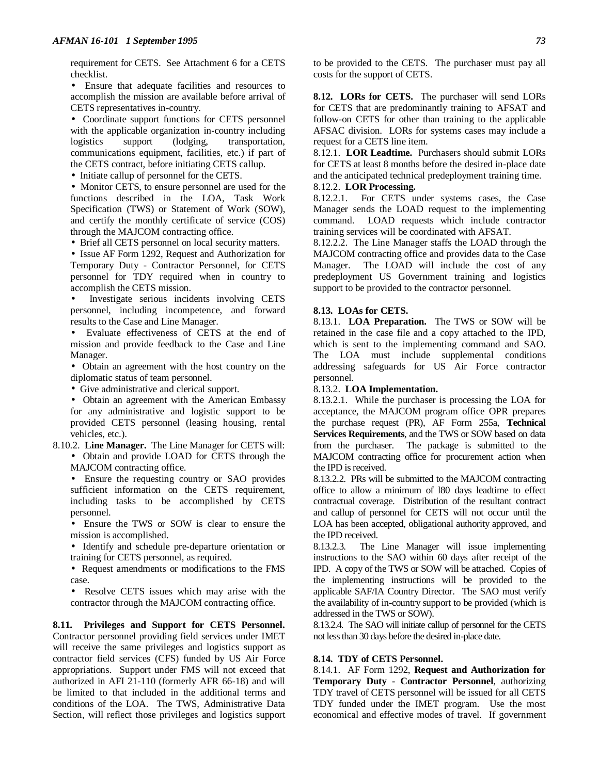requirement for CETS. See Attachment 6 for a CETS checklist.

• Ensure that adequate facilities and resources to accomplish the mission are available before arrival of CETS representatives in-country.

• Coordinate support functions for CETS personnel with the applicable organization in-country including logistics support (lodging, transportation, communications equipment, facilities, etc.) if part of the CETS contract, before initiating CETS callup.

• Initiate callup of personnel for the CETS.

• Monitor CETS, to ensure personnel are used for the functions described in the LOA, Task Work Specification (TWS) or Statement of Work (SOW), and certify the monthly certificate of service (COS) through the MAJCOM contracting office.

• Brief all CETS personnel on local security matters.

• Issue AF Form 1292, Request and Authorization for Temporary Duty - Contractor Personnel, for CETS personnel for TDY required when in country to accomplish the CETS mission.

Investigate serious incidents involving CETS personnel, including incompetence, and forward results to the Case and Line Manager.

• Evaluate effectiveness of CETS at the end of mission and provide feedback to the Case and Line Manager.

• Obtain an agreement with the host country on the diplomatic status of team personnel.

• Give administrative and clerical support.

• Obtain an agreement with the American Embassy for any administrative and logistic support to be provided CETS personnel (leasing housing, rental vehicles, etc.).

8.10.2. **Line Manager.** The Line Manager for CETS will:

• Obtain and provide LOAD for CETS through the MAJCOM contracting office.

• Ensure the requesting country or SAO provides sufficient information on the CETS requirement, including tasks to be accomplished by CETS personnel.

• Ensure the TWS or SOW is clear to ensure the mission is accomplished.

• Identify and schedule pre-departure orientation or training for CETS personnel, as required.

• Request amendments or modifications to the FMS case.

• Resolve CETS issues which may arise with the contractor through the MAJCOM contracting office.

**8.11. Privileges and Support for CETS Personnel.** Contractor personnel providing field services under IMET will receive the same privileges and logistics support as contractor field services (CFS) funded by US Air Force appropriations. Support under FMS will not exceed that authorized in AFI 21-110 (formerly AFR 66-18) and will be limited to that included in the additional terms and conditions of the LOA. The TWS, Administrative Data Section, will reflect those privileges and logistics support to be provided to the CETS. The purchaser must pay all costs for the support of CETS.

**8.12. LORs for CETS.** The purchaser will send LORs for CETS that are predominantly training to AFSAT and follow-on CETS for other than training to the applicable AFSAC division. LORs for systems cases may include a request for a CETS line item.

8.12.1. **LOR Leadtime.** Purchasers should submit LORs for CETS at least 8 months before the desired in-place date and the anticipated technical predeployment training time. 8.12.2. **LOR Processing.**

8.12.2.1. For CETS under systems cases, the Case Manager sends the LOAD request to the implementing command. LOAD requests which include contractor training services will be coordinated with AFSAT.

8.12.2.2. The Line Manager staffs the LOAD through the MAJCOM contracting office and provides data to the Case Manager. The LOAD will include the cost of any predeployment US Government training and logistics support to be provided to the contractor personnel.

#### **8.13. LOAs for CETS.**

8.13.1. **LOA Preparation.** The TWS or SOW will be retained in the case file and a copy attached to the IPD, which is sent to the implementing command and SAO. The LOA must include supplemental conditions addressing safeguards for US Air Force contractor personnel.

#### 8.13.2. **LOA Implementation.**

8.13.2.1. While the purchaser is processing the LOA for acceptance, the MAJCOM program office OPR prepares the purchase request (PR), AF Form 255a, **Technical Services Requirements**, and the TWS or SOW based on data from the purchaser. The package is submitted to the MAJCOM contracting office for procurement action when the IPD is received.

8.13.2.2. PRs will be submitted to the MAJCOM contracting office to allow a minimum of l80 days leadtime to effect contractual coverage. Distribution of the resultant contract and callup of personnel for CETS will not occur until the LOA has been accepted, obligational authority approved, and the IPD received.

8.13.2.3. The Line Manager will issue implementing instructions to the SAO within 60 days after receipt of the IPD. A copy of the TWS or SOW will be attached. Copies of the implementing instructions will be provided to the applicable SAF/IA Country Director. The SAO must verify the availability of in-country support to be provided (which is addressed in the TWS or SOW).

8.13.2.4. The SAO will initiate callup of personnel for the CETS not less than 30 days before the desired in-place date.

#### **8.14. TDY of CETS Personnel.**

8.14.1. AF Form 1292, **Request and Authorization for Temporary Duty - Contractor Personnel**, authorizing TDY travel of CETS personnel will be issued for all CETS TDY funded under the IMET program. Use the most economical and effective modes of travel. If government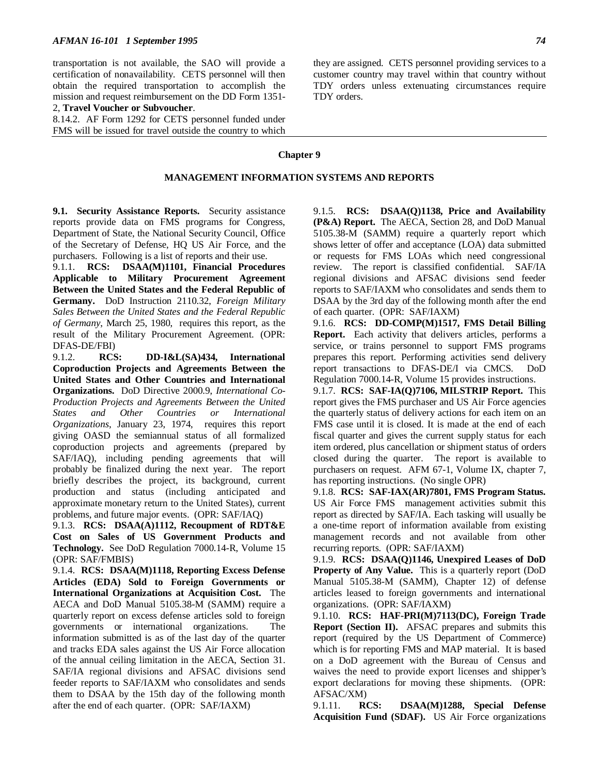transportation is not available, the SAO will provide a certification of nonavailability. CETS personnel will then obtain the required transportation to accomplish the mission and request reimbursement on the DD Form 1351-

## 2, **Travel Voucher or Subvoucher**.

8.14.2. AF Form 1292 for CETS personnel funded under FMS will be issued for travel outside the country to which

they are assigned. CETS personnel providing services to a customer country may travel within that country without TDY orders unless extenuating circumstances require TDY orders.

#### **Chapter 9**

#### **MANAGEMENT INFORMATION SYSTEMS AND REPORTS**

**9.1. Security Assistance Reports.** Security assistance reports provide data on FMS programs for Congress, Department of State, the National Security Council, Office of the Secretary of Defense, HQ US Air Force, and the purchasers. Following is a list of reports and their use.

9.1.1. **RCS: DSAA(M)1101, Financial Procedures Applicable to Military Procurement Agreement Between the United States and the Federal Republic of Germany.** DoD Instruction 2110.32, *Foreign Military Sales Between the United States and the Federal Republic of Germany*, March 25, 1980, requires this report, as the result of the Military Procurement Agreement. (OPR: DFAS-DE/FBI)

9.1.2. **RCS: DD-I&L(SA)434, International Coproduction Projects and Agreements Between the United States and Other Countries and International Organizations.** DoD Directive 2000.9, *International Co-Production Projects and Agreements Between the United States and Other Countries or International Organizations*, January 23, 1974, requires this report giving OASD the semiannual status of all formalized coproduction projects and agreements (prepared by SAF/IAQ), including pending agreements that will probably be finalized during the next year. The report briefly describes the project, its background, current production and status (including anticipated and approximate monetary return to the United States), current problems, and future major events. (OPR: SAF/IAQ)

9.1.3. **RCS: DSAA(A)1112, Recoupment of RDT&E Cost on Sales of US Government Products and Technology.** See DoD Regulation 7000.14-R, Volume 15 (OPR: SAF/FMBIS)

9.1.4. **RCS: DSAA(M)1118, Reporting Excess Defense Articles (EDA) Sold to Foreign Governments or International Organizations at Acquisition Cost.** The AECA and DoD Manual 5105.38-M (SAMM) require a quarterly report on excess defense articles sold to foreign governments or international organizations. The information submitted is as of the last day of the quarter and tracks EDA sales against the US Air Force allocation of the annual ceiling limitation in the AECA, Section 31. SAF/IA regional divisions and AFSAC divisions send feeder reports to SAF/IAXM who consolidates and sends them to DSAA by the 15th day of the following month after the end of each quarter. (OPR: SAF/IAXM)

9.1.5. **RCS: DSAA(Q)1138, Price and Availability (P&A) Report.** The AECA, Section 28, and DoD Manual 5105.38-M (SAMM) require a quarterly report which shows letter of offer and acceptance (LOA) data submitted or requests for FMS LOAs which need congressional review. The report is classified confidential. SAF/IA regional divisions and AFSAC divisions send feeder reports to SAF/IAXM who consolidates and sends them to DSAA by the 3rd day of the following month after the end of each quarter. (OPR: SAF/IAXM)

9.1.6. **RCS: DD-COMP(M)1517, FMS Detail Billing Report.** Each activity that delivers articles, performs a service, or trains personnel to support FMS programs prepares this report. Performing activities send delivery report transactions to DFAS-DE/I via CMCS. DoD Regulation 7000.14-R, Volume 15 provides instructions.

9.1.7. **RCS: SAF-IA(Q)7106, MILSTRIP Report.** This report gives the FMS purchaser and US Air Force agencies the quarterly status of delivery actions for each item on an FMS case until it is closed. It is made at the end of each fiscal quarter and gives the current supply status for each item ordered, plus cancellation or shipment status of orders closed during the quarter. The report is available to purchasers on request. AFM 67-1, Volume IX, chapter 7, has reporting instructions. (No single OPR)

9.1.8. **RCS: SAF-IAX(AR)7801, FMS Program Status.** US Air Force FMS management activities submit this report as directed by SAF/IA. Each tasking will usually be a one-time report of information available from existing management records and not available from other recurring reports. (OPR: SAF/IAXM)

9.1.9. **RCS: DSAA(Q)1146, Unexpired Leases of DoD Property of Any Value.** This is a quarterly report (DoD) Manual 5105.38-M (SAMM), Chapter 12) of defense articles leased to foreign governments and international organizations. (OPR: SAF/IAXM)

9.1.10. **RCS: HAF-PRI(M)7113(DC), Foreign Trade Report (Section II).** AFSAC prepares and submits this report (required by the US Department of Commerce) which is for reporting FMS and MAP material. It is based on a DoD agreement with the Bureau of Census and waives the need to provide export licenses and shipper's export declarations for moving these shipments. (OPR: AFSAC/XM)

9.1.11. **RCS: DSAA(M)1288, Special Defense Acquisition Fund (SDAF).** US Air Force organizations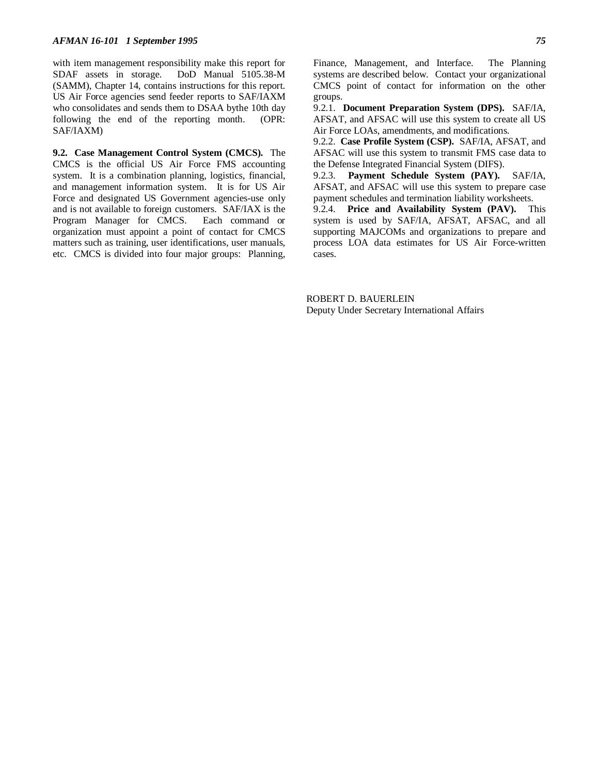with item management responsibility make this report for SDAF assets in storage. DoD Manual 5105.38-M (SAMM), Chapter 14, contains instructions for this report. US Air Force agencies send feeder reports to SAF/IAXM who consolidates and sends them to DSAA bythe 10th day following the end of the reporting month. (OPR: SAF/IAXM)

**9.2. Case Management Control System (CMCS).** The CMCS is the official US Air Force FMS accounting system. It is a combination planning, logistics, financial, and management information system. It is for US Air Force and designated US Government agencies-use only and is not available to foreign customers. SAF/IAX is the Program Manager for CMCS. Each command or organization must appoint a point of contact for CMCS matters such as training, user identifications, user manuals, etc. CMCS is divided into four major groups: Planning,

Finance, Management, and Interface. The Planning systems are described below. Contact your organizational CMCS point of contact for information on the other groups.

9.2.1. **Document Preparation System (DPS).** SAF/IA, AFSAT, and AFSAC will use this system to create all US Air Force LOAs, amendments, and modifications.

9.2.2. **Case Profile System (CSP).** SAF/IA, AFSAT, and AFSAC will use this system to transmit FMS case data to the Defense Integrated Financial System (DIFS).

9.2.3. **Payment Schedule System (PAY).** SAF/IA, AFSAT, and AFSAC will use this system to prepare case payment schedules and termination liability worksheets.

9.2.4. **Price and Availability System (PAV).** This system is used by SAF/IA, AFSAT, AFSAC, and all supporting MAJCOMs and organizations to prepare and process LOA data estimates for US Air Force-written cases.

ROBERT D. BAUERLEIN Deputy Under Secretary International Affairs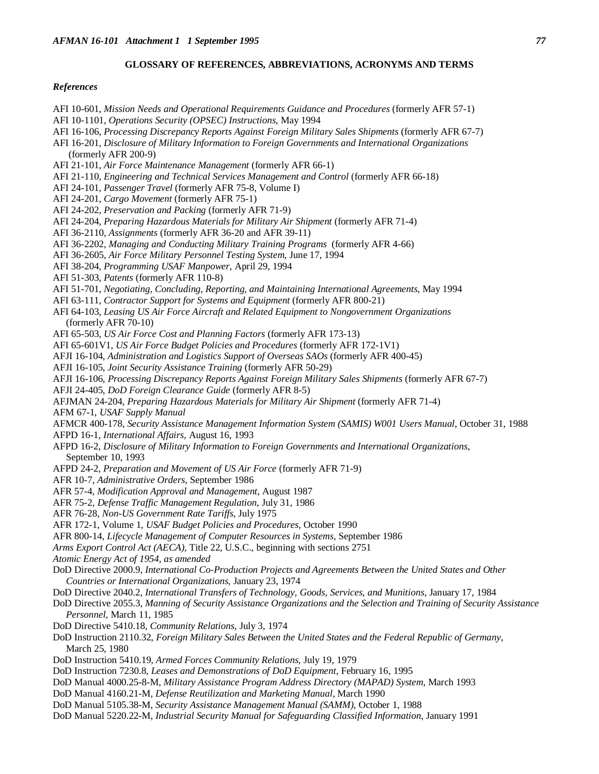#### **GLOSSARY OF REFERENCES, ABBREVIATIONS, ACRONYMS AND TERMS**

#### *References*

- AFI 10-601, *Mission Needs and Operational Requirements Guidance and Procedures* (formerly AFR 57-1) AFI 10-1101, *Operations Security (OPSEC) Instructions*, May 1994 AFI 16-106, *Processing Discrepancy Reports Against Foreign Military Sales Shipments* (formerly AFR 67-7) AFI 16-201, *Disclosure of Military Information to Foreign Governments and International Organizations* (formerly AFR 200-9) AFI 21-101, *Air Force Maintenance Management* (formerly AFR 66-1) AFI 21-110, *Engineering and Technical Services Management and Control* (formerly AFR 66-18) AFI 24-101, *Passenger Travel* (formerly AFR 75-8, Volume I) AFI 24-201, *Cargo Movement* (formerly AFR 75-1) AFI 24-202, *Preservation and Packing* (formerly AFR 71-9) AFI 24-204, *Preparing Hazardous Materials for Military Air Shipment* (formerly AFR 71-4) AFI 36-2110, *Assignments* (formerly AFR 36-20 and AFR 39-11) AFI 36-2202, *Managing and Conducting Military Training Programs* (formerly AFR 4-66) AFI 36-2605, *Air Force Military Personnel Testing System*, June 17, 1994 AFI 38-204, *Programming USAF Manpower*, April 29, 1994 AFI 51-303, *Patents* (formerly AFR 110-8) AFI 51-701, *Negotiating, Concluding, Reporting, and Maintaining International Agreements,* May 1994 AFI 63-111, *Contractor Support for Systems and Equipment* (formerly AFR 800-21) AFI 64-103, *Leasing US Air Force Aircraft and Related Equipment to Nongovernment Organizations* (formerly AFR 70-10) AFI 65-503, *US Air Force Cost and Planning Factors* (formerly AFR 173-13) AFI 65-601V1, *US Air Force Budget Policies and Procedures* (formerly AFR 172-1V1) AFJI 16-104, *Administration and Logistics Support of Overseas SAOs* (formerly AFR 400-45) AFJI 16-105, *Joint Security Assistance Training* (formerly AFR 50-29) AFJI 16-106, *Processing Discrepancy Reports Against Foreign Military Sales Shipments* (formerly AFR 67-7) AFJI 24-405, *DoD Foreign Clearance Guide* (formerly AFR 8-5) AFJMAN 24-204, *Preparing Hazardous Materials for Military Air Shipment* (formerly AFR 71-4) AFM 67-1, *USAF Supply Manual* AFMCR 400-178, *Security Assistance Management Information System (SAMIS) W001 Users Manual*, October 31, 1988 AFPD 16-1, *International Affairs,* August 16, 1993 AFPD 16-2, *Disclosure of Military Information to Foreign Governments and International Organizations*, September 10, 1993 AFPD 24-2, *Preparation and Movement of US Air Force* (formerly AFR 71-9) AFR 10-7, *Administrative Orders*, September 1986 AFR 57-4, *Modification Approval and Management*, August 1987 AFR 75-2, *Defense Traffic Management Regulation*, July 31, 1986 AFR 76-28, *Non-US Government Rate Tariffs*, July 1975 AFR 172-1, Volume 1, *USAF Budget Policies and Procedures*, October 1990 AFR 800-14, *Lifecycle Management of Computer Resources in Systems*, September 1986 *Arms Export Control Act (AECA),* Title 22, U.S.C., beginning with sections 2751 *Atomic Energy Act of 1954, as amended* DoD Directive 2000.9, *International Co-Production Projects and Agreements Between the United States and Other Countries or International Organizations*, January 23, 1974 DoD Directive 2040.2, *International Transfers of Technology, Goods, Services, and Munitions*, January 17, 1984 DoD Directive 2055.3, *Manning of Security Assistance Organizations and the Selection and Training of Security Assistance Personnel*, March 11, 1985 DoD Directive 5410.18, *Community Relations*, July 3, 1974 DoD Instruction 2110.32, *Foreign Military Sales Between the United States and the Federal Republic of Germany*, March 25, 1980 DoD Instruction 5410.19, *Armed Forces Community Relations,* July 19, 1979 DoD Instruction 7230.8, *Leases and Demonstrations of DoD Equipment*, February 16, 1995 DoD Manual 4000.25-8-M, *Military Assistance Program Address Directory (MAPAD) System*, March 1993 DoD Manual 4160.21-M, *Defense Reutilization and Marketing Manual*, March 1990 DoD Manual 5105.38-M, *Security Assistance Management Manual (SAMM)*, October 1, 1988
	- DoD Manual 5220.22-M, *Industrial Security Manual for Safeguarding Classified Information*, January 1991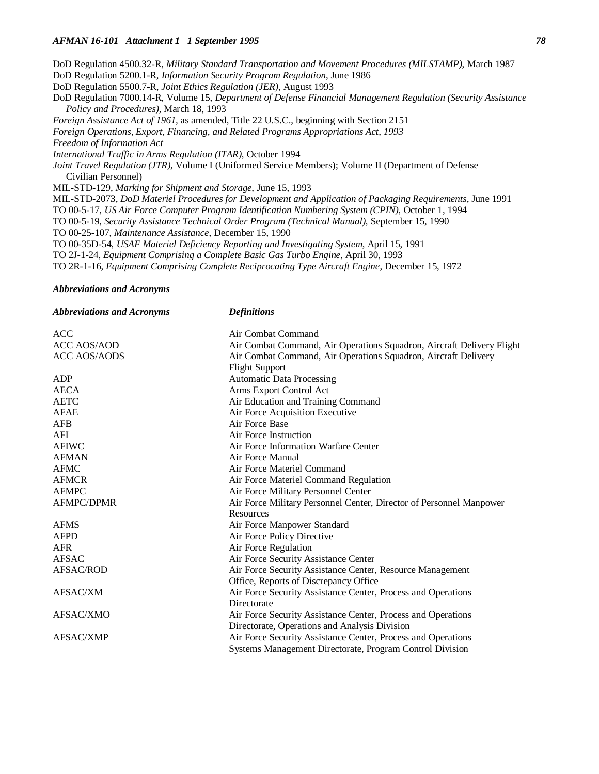DoD Regulation 4500.32-R, *Military Standard Transportation and Movement Procedures (MILSTAMP)*, March 1987 DoD Regulation 5200.1-R, *Information Security Program Regulation*, June 1986 DoD Regulation 5500.7-R, *Joint Ethics Regulation (JER)*, August 1993 DoD Regulation 7000.14-R, Volume 15, *Department of Defense Financial Management Regulation (Security Assistance Policy and Procedures)*, March 18, 1993 *Foreign Assistance Act of 1961,* as amended, Title 22 U.S.C., beginning with Section 2151 *Foreign Operations, Export, Financing, and Related Programs Appropriations Act, 1993 Freedom of Information Act International Traffic in Arms Regulation (ITAR)*, October 1994 *Joint Travel Regulation (JTR)*, Volume I (Uniformed Service Members); Volume II (Department of Defense Civilian Personnel) MIL-STD-129, *Marking for Shipment and Storage*, June 15, 1993 MIL-STD-2073, *DoD Materiel Procedures for Development and Application of Packaging Requirements*, June 1991 TO 00-5-17, *US Air Force Computer Program Identification Numbering System (CPIN)*, October 1, 1994 TO 00-5-19, *Security Assistance Technical Order Program (Technical Manual)*, September 15, 1990 TO 00-25-107, *Maintenance Assistance*, December 15, 1990 TO 00-35D-54, *USAF Materiel Deficiency Reporting and Investigating System*, April 15, 1991 TO 2J-1-24, *Equipment Comprising a Complete Basic Gas Turbo Engine*, April 30, 1993 TO 2R-1-16, *Equipment Comprising Complete Reciprocating Type Aircraft Engine*, December 15, 1972

#### *Abbreviations and Acronyms*

| <b>Abbreviations and Acronyms</b> | <b>Definitions</b>                                                    |
|-----------------------------------|-----------------------------------------------------------------------|
| <b>ACC</b>                        | Air Combat Command                                                    |
| <b>ACC AOS/AOD</b>                | Air Combat Command, Air Operations Squadron, Aircraft Delivery Flight |
| <b>ACC AOS/AODS</b>               | Air Combat Command, Air Operations Squadron, Aircraft Delivery        |
|                                   | <b>Flight Support</b>                                                 |
| ADP                               | <b>Automatic Data Processing</b>                                      |
| <b>AECA</b>                       | Arms Export Control Act                                               |
| <b>AETC</b>                       | Air Education and Training Command                                    |
| <b>AFAE</b>                       | Air Force Acquisition Executive                                       |
| AFB                               | Air Force Base                                                        |
| AFI                               | Air Force Instruction                                                 |
| <b>AFIWC</b>                      | Air Force Information Warfare Center                                  |
| <b>AFMAN</b>                      | Air Force Manual                                                      |
| <b>AFMC</b>                       | Air Force Materiel Command                                            |
| <b>AFMCR</b>                      | Air Force Materiel Command Regulation                                 |
| <b>AFMPC</b>                      | Air Force Military Personnel Center                                   |
| <b>AFMPC/DPMR</b>                 | Air Force Military Personnel Center, Director of Personnel Manpower   |
|                                   | <b>Resources</b>                                                      |
| <b>AFMS</b>                       | Air Force Manpower Standard                                           |
| <b>AFPD</b>                       | Air Force Policy Directive                                            |
| <b>AFR</b>                        | Air Force Regulation                                                  |
| AFSAC                             | Air Force Security Assistance Center                                  |
| <b>AFSAC/ROD</b>                  | Air Force Security Assistance Center, Resource Management             |
|                                   | Office, Reports of Discrepancy Office                                 |
| AFSAC/XM                          | Air Force Security Assistance Center, Process and Operations          |
|                                   | Directorate                                                           |
| AFSAC/XMO                         | Air Force Security Assistance Center, Process and Operations          |
|                                   | Directorate, Operations and Analysis Division                         |
| <b>AFSAC/XMP</b>                  | Air Force Security Assistance Center, Process and Operations          |
|                                   | Systems Management Directorate, Program Control Division              |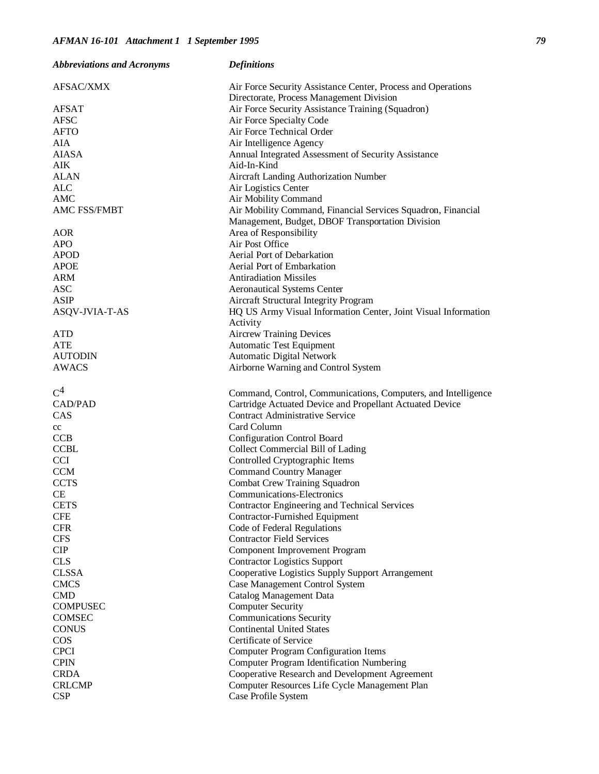| <b>Abbreviations and Acronyms</b> | <b>Definitions</b>                                             |
|-----------------------------------|----------------------------------------------------------------|
| AFSAC/XMX                         | Air Force Security Assistance Center, Process and Operations   |
|                                   | Directorate, Process Management Division                       |
| <b>AFSAT</b>                      | Air Force Security Assistance Training (Squadron)              |
| <b>AFSC</b>                       | Air Force Specialty Code                                       |
| <b>AFTO</b>                       | Air Force Technical Order                                      |
| AIA                               | Air Intelligence Agency                                        |
| <b>AIASA</b>                      | Annual Integrated Assessment of Security Assistance            |
| AIK                               | Aid-In-Kind                                                    |
| <b>ALAN</b>                       | Aircraft Landing Authorization Number                          |
| <b>ALC</b>                        | Air Logistics Center                                           |
| AMC                               | Air Mobility Command                                           |
| <b>AMC FSS/FMBT</b>               | Air Mobility Command, Financial Services Squadron, Financial   |
|                                   | Management, Budget, DBOF Transportation Division               |
| AOR                               | Area of Responsibility                                         |
| <b>APO</b>                        | Air Post Office                                                |
| <b>APOD</b>                       | Aerial Port of Debarkation                                     |
| <b>APOE</b>                       | Aerial Port of Embarkation                                     |
| <b>ARM</b>                        | <b>Antiradiation Missiles</b>                                  |
| <b>ASC</b>                        | <b>Aeronautical Systems Center</b>                             |
| <b>ASIP</b>                       | Aircraft Structural Integrity Program                          |
| ASQV-JVIA-T-AS                    | HQ US Army Visual Information Center, Joint Visual Information |
|                                   | Activity                                                       |
| <b>ATD</b>                        | <b>Aircrew Training Devices</b>                                |
| <b>ATE</b>                        | Automatic Test Equipment                                       |
| <b>AUTODIN</b>                    | Automatic Digital Network                                      |
| <b>AWACS</b>                      | Airborne Warning and Control System                            |
| C <sup>4</sup>                    | Command, Control, Communications, Computers, and Intelligence  |
| CAD/PAD                           | Cartridge Actuated Device and Propellant Actuated Device       |
| CAS                               | <b>Contract Administrative Service</b>                         |
| cc                                | Card Column                                                    |
| <b>CCB</b>                        | <b>Configuration Control Board</b>                             |
| <b>CCBL</b>                       | Collect Commercial Bill of Lading                              |
| <b>CCI</b>                        | Controlled Cryptographic Items                                 |
| CCM                               | <b>Command Country Manager</b>                                 |
| <b>CCTS</b>                       | <b>Combat Crew Training Squadron</b>                           |
| <b>CE</b>                         | Communications-Electronics                                     |
| <b>CETS</b>                       | Contractor Engineering and Technical Services                  |
| <b>CFE</b>                        | Contractor-Furnished Equipment                                 |
| <b>CFR</b>                        | Code of Federal Regulations                                    |
| <b>CFS</b>                        | <b>Contractor Field Services</b>                               |
| CIP                               | Component Improvement Program                                  |
| <b>CLS</b>                        | <b>Contractor Logistics Support</b>                            |
| <b>CLSSA</b>                      | Cooperative Logistics Supply Support Arrangement               |
| <b>CMCS</b>                       | Case Management Control System                                 |
| <b>CMD</b>                        | Catalog Management Data                                        |
| <b>COMPUSEC</b>                   | <b>Computer Security</b>                                       |
| COMSEC                            | <b>Communications Security</b>                                 |
| <b>CONUS</b>                      | <b>Continental United States</b>                               |
| <b>COS</b>                        | Certificate of Service                                         |
| <b>CPCI</b>                       | <b>Computer Program Configuration Items</b>                    |
| <b>CPIN</b>                       | <b>Computer Program Identification Numbering</b>               |
| <b>CRDA</b>                       | Cooperative Research and Development Agreement                 |
| <b>CRLCMP</b>                     | Computer Resources Life Cycle Management Plan                  |
| <b>CSP</b>                        | Case Profile System                                            |
|                                   |                                                                |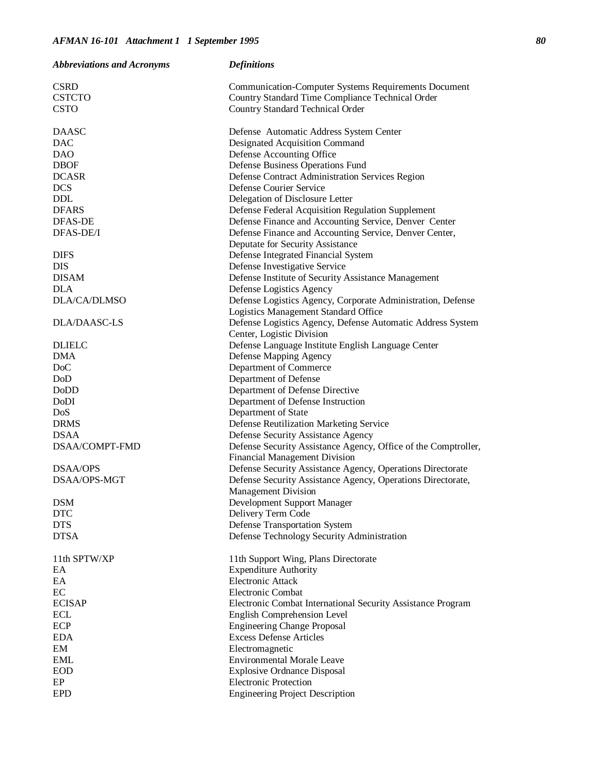| <b>Abbreviations and Acronyms</b> | <b>Definitions</b>                                                                                     |
|-----------------------------------|--------------------------------------------------------------------------------------------------------|
| <b>CSRD</b>                       | <b>Communication-Computer Systems Requirements Document</b>                                            |
| <b>CSTCTO</b>                     | Country Standard Time Compliance Technical Order                                                       |
| <b>CSTO</b>                       | Country Standard Technical Order                                                                       |
|                                   |                                                                                                        |
| <b>DAASC</b>                      | Defense Automatic Address System Center                                                                |
| <b>DAC</b>                        | Designated Acquisition Command                                                                         |
| <b>DAO</b>                        | Defense Accounting Office                                                                              |
| <b>DBOF</b>                       | Defense Business Operations Fund                                                                       |
| <b>DCASR</b>                      | Defense Contract Administration Services Region                                                        |
| <b>DCS</b>                        | Defense Courier Service                                                                                |
| <b>DDL</b>                        | Delegation of Disclosure Letter                                                                        |
| <b>DFARS</b>                      | Defense Federal Acquisition Regulation Supplement                                                      |
| DFAS-DE                           | Defense Finance and Accounting Service, Denver Center                                                  |
| DFAS-DE/I                         | Defense Finance and Accounting Service, Denver Center,                                                 |
|                                   | Deputate for Security Assistance                                                                       |
| <b>DIFS</b>                       | Defense Integrated Financial System                                                                    |
| <b>DIS</b>                        | Defense Investigative Service                                                                          |
| <b>DISAM</b>                      | Defense Institute of Security Assistance Management                                                    |
| <b>DLA</b>                        | Defense Logistics Agency                                                                               |
| DLA/CA/DLMSO                      | Defense Logistics Agency, Corporate Administration, Defense                                            |
|                                   | Logistics Management Standard Office                                                                   |
| <b>DLA/DAASC-LS</b>               | Defense Logistics Agency, Defense Automatic Address System                                             |
|                                   | Center, Logistic Division                                                                              |
| <b>DLIELC</b>                     | Defense Language Institute English Language Center                                                     |
| <b>DMA</b>                        | Defense Mapping Agency                                                                                 |
| D <sub>o</sub> C                  | Department of Commerce                                                                                 |
| DoD                               | Department of Defense                                                                                  |
| DoDD                              | Department of Defense Directive                                                                        |
| <b>DoDI</b>                       | Department of Defense Instruction                                                                      |
| DoS                               | Department of State                                                                                    |
| <b>DRMS</b>                       | Defense Reutilization Marketing Service                                                                |
| <b>DSAA</b>                       | Defense Security Assistance Agency                                                                     |
| DSAA/COMPT-FMD                    | Defense Security Assistance Agency, Office of the Comptroller,<br><b>Financial Management Division</b> |
| <b>DSAA/OPS</b>                   | Defense Security Assistance Agency, Operations Directorate                                             |
| DSAA/OPS-MGT                      | Defense Security Assistance Agency, Operations Directorate,                                            |
|                                   | <b>Management Division</b>                                                                             |
| <b>DSM</b>                        | Development Support Manager                                                                            |
| <b>DTC</b>                        | Delivery Term Code                                                                                     |
| <b>DTS</b>                        | <b>Defense Transportation System</b>                                                                   |
| <b>DTSA</b>                       | Defense Technology Security Administration                                                             |
|                                   |                                                                                                        |
| 11th SPTW/XP                      | 11th Support Wing, Plans Directorate                                                                   |
| EA                                | <b>Expenditure Authority</b>                                                                           |
| EA                                | Electronic Attack                                                                                      |
| EC                                | Electronic Combat                                                                                      |
| <b>ECISAP</b>                     | Electronic Combat International Security Assistance Program                                            |
| <b>ECL</b>                        | English Comprehension Level                                                                            |
| ECP                               | <b>Engineering Change Proposal</b>                                                                     |
| <b>EDA</b>                        | <b>Excess Defense Articles</b>                                                                         |
| EM                                | Electromagnetic                                                                                        |
| <b>EML</b>                        | <b>Environmental Morale Leave</b>                                                                      |
| <b>EOD</b>                        | <b>Explosive Ordnance Disposal</b>                                                                     |
| EP                                | <b>Electronic Protection</b>                                                                           |
| <b>EPD</b>                        | <b>Engineering Project Description</b>                                                                 |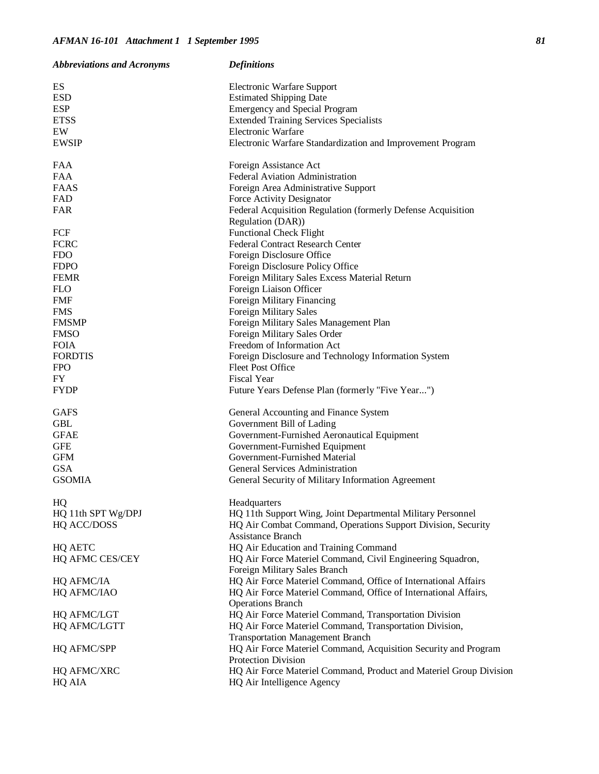| <b>Abbreviations and Acronyms</b> | <b>Definitions</b>                                                                          |  |
|-----------------------------------|---------------------------------------------------------------------------------------------|--|
| ES                                | <b>Electronic Warfare Support</b>                                                           |  |
| <b>ESD</b>                        | <b>Estimated Shipping Date</b>                                                              |  |
| <b>ESP</b>                        | <b>Emergency and Special Program</b>                                                        |  |
| <b>ETSS</b>                       | <b>Extended Training Services Specialists</b>                                               |  |
| EW                                | <b>Electronic Warfare</b>                                                                   |  |
| <b>EWSIP</b>                      | Electronic Warfare Standardization and Improvement Program                                  |  |
|                                   |                                                                                             |  |
| <b>FAA</b>                        | Foreign Assistance Act                                                                      |  |
| <b>FAA</b>                        | Federal Aviation Administration                                                             |  |
| FAAS                              | Foreign Area Administrative Support                                                         |  |
| FAD                               | Force Activity Designator                                                                   |  |
| <b>FAR</b>                        | Federal Acquisition Regulation (formerly Defense Acquisition                                |  |
|                                   | Regulation (DAR))                                                                           |  |
| FCF                               | <b>Functional Check Flight</b>                                                              |  |
| <b>FCRC</b>                       | Federal Contract Research Center                                                            |  |
| <b>FDO</b>                        | Foreign Disclosure Office                                                                   |  |
| <b>FDPO</b>                       | Foreign Disclosure Policy Office                                                            |  |
| <b>FEMR</b>                       | Foreign Military Sales Excess Material Return                                               |  |
| <b>FLO</b>                        | Foreign Liaison Officer                                                                     |  |
| FMF                               | Foreign Military Financing                                                                  |  |
| <b>FMS</b>                        | Foreign Military Sales                                                                      |  |
| <b>FMSMP</b>                      | Foreign Military Sales Management Plan                                                      |  |
| <b>FMSO</b>                       | Foreign Military Sales Order                                                                |  |
| <b>FOIA</b>                       | Freedom of Information Act                                                                  |  |
| <b>FORDTIS</b>                    | Foreign Disclosure and Technology Information System                                        |  |
| <b>FPO</b>                        | <b>Fleet Post Office</b>                                                                    |  |
| FY                                | <b>Fiscal Year</b>                                                                          |  |
| <b>FYDP</b>                       | Future Years Defense Plan (formerly "Five Year")                                            |  |
| <b>GAFS</b>                       | General Accounting and Finance System                                                       |  |
| <b>GBL</b>                        | Government Bill of Lading                                                                   |  |
| <b>GFAE</b>                       | Government-Furnished Aeronautical Equipment                                                 |  |
| <b>GFE</b>                        | Government-Furnished Equipment                                                              |  |
| <b>GFM</b>                        | Government-Furnished Material                                                               |  |
| <b>GSA</b>                        | General Services Administration                                                             |  |
| <b>GSOMIA</b>                     |                                                                                             |  |
|                                   | General Security of Military Information Agreement                                          |  |
| HQ                                | Headquarters                                                                                |  |
| HQ 11th SPT Wg/DPJ                | HQ 11th Support Wing, Joint Departmental Military Personnel                                 |  |
| HQ ACC/DOSS                       | HQ Air Combat Command, Operations Support Division, Security                                |  |
|                                   | <b>Assistance Branch</b>                                                                    |  |
| <b>HQ AETC</b>                    | HQ Air Education and Training Command                                                       |  |
| <b>HQ AFMC CES/CEY</b>            | HQ Air Force Materiel Command, Civil Engineering Squadron,<br>Foreign Military Sales Branch |  |
|                                   | HQ Air Force Materiel Command, Office of International Affairs                              |  |
| <b>HQ AFMC/IA</b>                 |                                                                                             |  |
| HQ AFMC/IAO                       | HQ Air Force Materiel Command, Office of International Affairs,<br><b>Operations Branch</b> |  |
| <b>HQ AFMC/LGT</b>                | HQ Air Force Materiel Command, Transportation Division                                      |  |
| <b>HQ AFMC/LGTT</b>               | HQ Air Force Materiel Command, Transportation Division,                                     |  |
|                                   | <b>Transportation Management Branch</b>                                                     |  |
| <b>HQ AFMC/SPP</b>                | HQ Air Force Materiel Command, Acquisition Security and Program                             |  |
|                                   | Protection Division                                                                         |  |
| HQ AFMC/XRC                       | HQ Air Force Materiel Command, Product and Materiel Group Division                          |  |
| HQ AIA                            | HQ Air Intelligence Agency                                                                  |  |
|                                   |                                                                                             |  |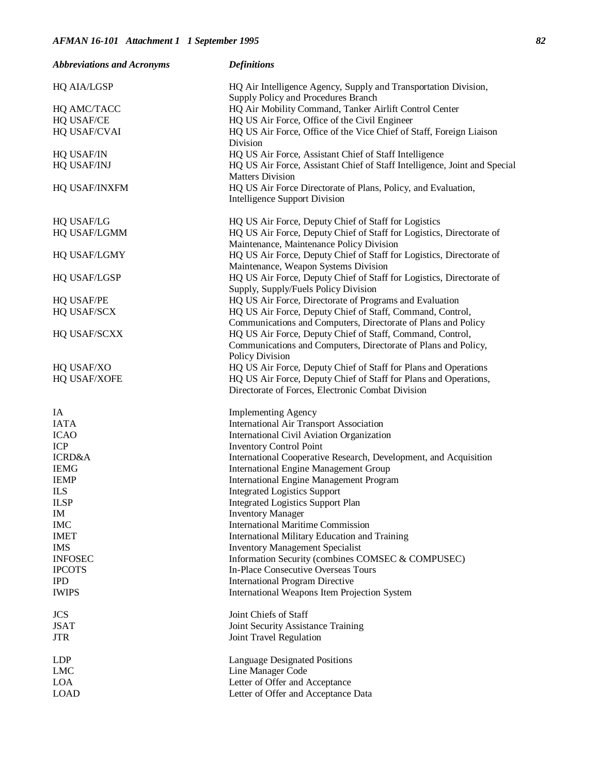| <b>Abbreviations and Acronyms</b> | <b>Definitions</b>                                                        |  |
|-----------------------------------|---------------------------------------------------------------------------|--|
| <b>HQ AIA/LGSP</b>                | HQ Air Intelligence Agency, Supply and Transportation Division,           |  |
|                                   | Supply Policy and Procedures Branch                                       |  |
| HQ AMC/TACC                       | HQ Air Mobility Command, Tanker Airlift Control Center                    |  |
| <b>HQ USAF/CE</b>                 | HQ US Air Force, Office of the Civil Engineer                             |  |
| HQ USAF/CVAI                      | HQ US Air Force, Office of the Vice Chief of Staff, Foreign Liaison       |  |
|                                   | Division                                                                  |  |
| <b>HQ USAF/IN</b>                 | HQ US Air Force, Assistant Chief of Staff Intelligence                    |  |
| HQ USAF/INJ                       | HQ US Air Force, Assistant Chief of Staff Intelligence, Joint and Special |  |
|                                   | <b>Matters Division</b>                                                   |  |
| HQ USAF/INXFM                     | HQ US Air Force Directorate of Plans, Policy, and Evaluation,             |  |
|                                   | <b>Intelligence Support Division</b>                                      |  |
| HQ USAF/LG                        | HQ US Air Force, Deputy Chief of Staff for Logistics                      |  |
| <b>HQ USAF/LGMM</b>               | HQ US Air Force, Deputy Chief of Staff for Logistics, Directorate of      |  |
|                                   | Maintenance, Maintenance Policy Division                                  |  |
| <b>HQ USAF/LGMY</b>               | HQ US Air Force, Deputy Chief of Staff for Logistics, Directorate of      |  |
|                                   | Maintenance, Weapon Systems Division                                      |  |
| HQ USAF/LGSP                      | HQ US Air Force, Deputy Chief of Staff for Logistics, Directorate of      |  |
|                                   | Supply, Supply/Fuels Policy Division                                      |  |
| <b>HQ USAF/PE</b>                 | HQ US Air Force, Directorate of Programs and Evaluation                   |  |
| <b>HQ USAF/SCX</b>                | HQ US Air Force, Deputy Chief of Staff, Command, Control,                 |  |
|                                   | Communications and Computers, Directorate of Plans and Policy             |  |
| HQ USAF/SCXX                      | HQ US Air Force, Deputy Chief of Staff, Command, Control,                 |  |
|                                   | Communications and Computers, Directorate of Plans and Policy,            |  |
|                                   | Policy Division                                                           |  |
| HQ USAF/XO                        | HQ US Air Force, Deputy Chief of Staff for Plans and Operations           |  |
| <b>HQ USAF/XOFE</b>               | HQ US Air Force, Deputy Chief of Staff for Plans and Operations,          |  |
|                                   | Directorate of Forces, Electronic Combat Division                         |  |
| IA                                | <b>Implementing Agency</b>                                                |  |
| <b>IATA</b>                       | <b>International Air Transport Association</b>                            |  |
| <b>ICAO</b>                       | International Civil Aviation Organization                                 |  |
| ICP                               | <b>Inventory Control Point</b>                                            |  |
| <b>ICRD&amp;A</b>                 | International Cooperative Research, Development, and Acquisition          |  |
| <b>IEMG</b>                       | <b>International Engine Management Group</b>                              |  |
| <b>IEMP</b>                       | <b>International Engine Management Program</b>                            |  |
| ILS                               | <b>Integrated Logistics Support</b>                                       |  |
| <b>ILSP</b>                       | <b>Integrated Logistics Support Plan</b>                                  |  |
| IM                                | <b>Inventory Manager</b>                                                  |  |
| $IMC$                             | <b>International Maritime Commission</b>                                  |  |
| <b>IMET</b>                       | International Military Education and Training                             |  |
| <b>IMS</b>                        | <b>Inventory Management Specialist</b>                                    |  |
| <b>INFOSEC</b>                    | Information Security (combines COMSEC & COMPUSEC)                         |  |
| <b>IPCOTS</b>                     | In-Place Consecutive Overseas Tours                                       |  |
| <b>IPD</b>                        | <b>International Program Directive</b>                                    |  |
| <b>IWIPS</b>                      | International Weapons Item Projection System                              |  |
| JCS                               | Joint Chiefs of Staff                                                     |  |
| <b>JSAT</b>                       | Joint Security Assistance Training                                        |  |
| <b>JTR</b>                        | Joint Travel Regulation                                                   |  |
| <b>LDP</b>                        | <b>Language Designated Positions</b>                                      |  |
| <b>LMC</b>                        | Line Manager Code                                                         |  |
| <b>LOA</b>                        | Letter of Offer and Acceptance                                            |  |
| <b>LOAD</b>                       | Letter of Offer and Acceptance Data                                       |  |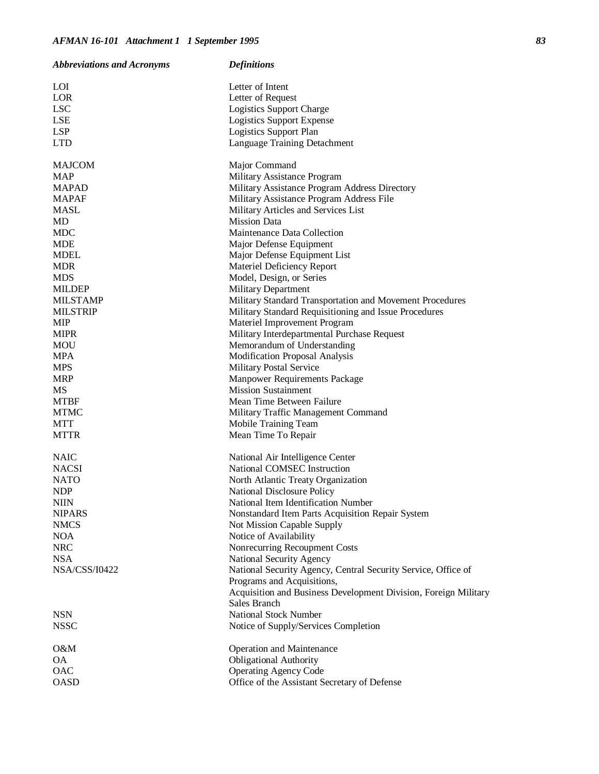| <b>Abbreviations and Acronyms</b> | <b>Definitions</b>                                              |
|-----------------------------------|-----------------------------------------------------------------|
| <b>LOI</b>                        | Letter of Intent                                                |
| LOR                               | Letter of Request                                               |
| <b>LSC</b>                        | <b>Logistics Support Charge</b>                                 |
| <b>LSE</b>                        | <b>Logistics Support Expense</b>                                |
| LSP                               | <b>Logistics Support Plan</b>                                   |
| <b>LTD</b>                        | Language Training Detachment                                    |
| <b>MAJCOM</b>                     | Major Command                                                   |
| <b>MAP</b>                        | Military Assistance Program                                     |
| MAPAD                             | Military Assistance Program Address Directory                   |
| <b>MAPAF</b>                      | Military Assistance Program Address File                        |
| <b>MASL</b>                       | Military Articles and Services List                             |
| MD                                | <b>Mission Data</b>                                             |
| <b>MDC</b>                        | Maintenance Data Collection                                     |
| <b>MDE</b>                        | Major Defense Equipment                                         |
| <b>MDEL</b>                       | Major Defense Equipment List                                    |
| <b>MDR</b>                        | Materiel Deficiency Report                                      |
| <b>MDS</b>                        | Model, Design, or Series                                        |
| <b>MILDEP</b>                     | <b>Military Department</b>                                      |
| <b>MILSTAMP</b>                   | Military Standard Transportation and Movement Procedures        |
| <b>MILSTRIP</b>                   | Military Standard Requisitioning and Issue Procedures           |
| <b>MIP</b>                        | Materiel Improvement Program                                    |
| <b>MIPR</b>                       | Military Interdepartmental Purchase Request                     |
| MOU                               | Memorandum of Understanding                                     |
| <b>MPA</b>                        | Modification Proposal Analysis                                  |
| <b>MPS</b>                        | <b>Military Postal Service</b>                                  |
| <b>MRP</b>                        | Manpower Requirements Package                                   |
| MS                                | <b>Mission Sustainment</b>                                      |
| <b>MTBF</b>                       | Mean Time Between Failure                                       |
| <b>MTMC</b>                       | Military Traffic Management Command                             |
| <b>MTT</b>                        | Mobile Training Team                                            |
| <b>MTTR</b>                       | Mean Time To Repair                                             |
| <b>NAIC</b>                       | National Air Intelligence Center                                |
| <b>NACSI</b>                      | National COMSEC Instruction                                     |
| <b>NATO</b>                       | North Atlantic Treaty Organization                              |
| <b>NDP</b>                        | National Disclosure Policy                                      |
| <b>NIIN</b>                       | National Item Identification Number                             |
| <b>NIPARS</b>                     | Nonstandard Item Parts Acquisition Repair System                |
| <b>NMCS</b>                       | Not Mission Capable Supply                                      |
| <b>NOA</b>                        | Notice of Availability                                          |
| <b>NRC</b>                        | Nonrecurring Recoupment Costs                                   |
| <b>NSA</b>                        | National Security Agency                                        |
| <b>NSA/CSS/I0422</b>              | National Security Agency, Central Security Service, Office of   |
|                                   | Programs and Acquisitions,                                      |
|                                   | Acquisition and Business Development Division, Foreign Military |
|                                   | Sales Branch                                                    |
| <b>NSN</b>                        | <b>National Stock Number</b>                                    |
| <b>NSSC</b>                       | Notice of Supply/Services Completion                            |
| O&M                               | Operation and Maintenance                                       |
| <b>OA</b>                         | <b>Obligational Authority</b>                                   |
| OAC                               | <b>Operating Agency Code</b>                                    |
| <b>OASD</b>                       | Office of the Assistant Secretary of Defense                    |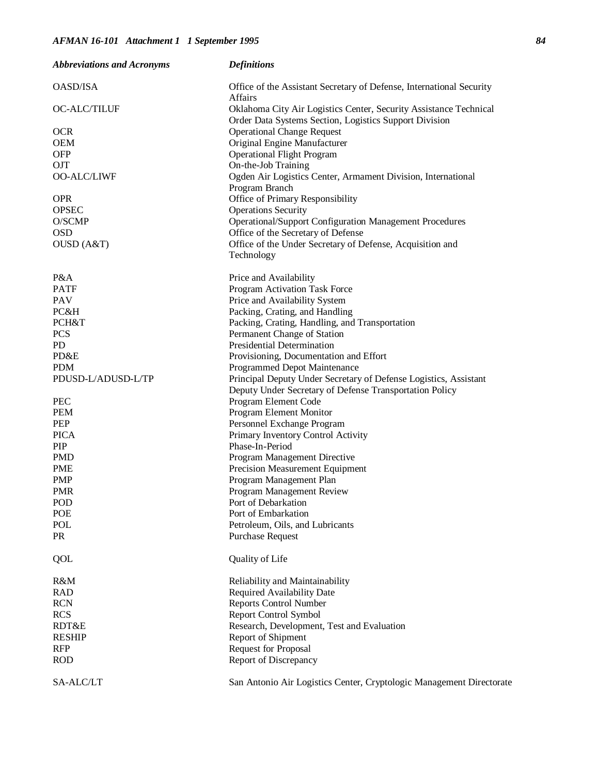| <b>Abbreviations and Acronyms</b> | <b>Definitions</b>                                                                                                          |  |
|-----------------------------------|-----------------------------------------------------------------------------------------------------------------------------|--|
| <b>OASD/ISA</b>                   | Office of the Assistant Secretary of Defense, International Security<br><b>Affairs</b>                                      |  |
| OC-ALC/TILUF                      | Oklahoma City Air Logistics Center, Security Assistance Technical<br>Order Data Systems Section, Logistics Support Division |  |
| <b>OCR</b>                        | <b>Operational Change Request</b>                                                                                           |  |
| <b>OEM</b>                        | Original Engine Manufacturer                                                                                                |  |
|                                   |                                                                                                                             |  |
| <b>OFP</b>                        | <b>Operational Flight Program</b>                                                                                           |  |
| OJT                               | On-the-Job Training                                                                                                         |  |
| <b>OO-ALC/LIWF</b>                | Ogden Air Logistics Center, Armament Division, International<br>Program Branch                                              |  |
| <b>OPR</b>                        | Office of Primary Responsibility                                                                                            |  |
| <b>OPSEC</b>                      | <b>Operations Security</b>                                                                                                  |  |
| O/SCMP                            | Operational/Support Configuration Management Procedures                                                                     |  |
| <b>OSD</b>                        | Office of the Secretary of Defense                                                                                          |  |
| OUSD (A&T)                        | Office of the Under Secretary of Defense, Acquisition and                                                                   |  |
|                                   | Technology                                                                                                                  |  |
|                                   |                                                                                                                             |  |
| P&A                               | Price and Availability                                                                                                      |  |
| <b>PATF</b>                       | Program Activation Task Force                                                                                               |  |
| PAV                               | Price and Availability System                                                                                               |  |
| PC&H                              | Packing, Crating, and Handling                                                                                              |  |
| PCH&T                             | Packing, Crating, Handling, and Transportation                                                                              |  |
| <b>PCS</b>                        | Permanent Change of Station                                                                                                 |  |
| <b>PD</b>                         | Presidential Determination                                                                                                  |  |
| PD&E                              | Provisioning, Documentation and Effort                                                                                      |  |
| <b>PDM</b>                        | Programmed Depot Maintenance                                                                                                |  |
|                                   |                                                                                                                             |  |
| PDUSD-L/ADUSD-L/TP                | Principal Deputy Under Secretary of Defense Logistics, Assistant                                                            |  |
|                                   | Deputy Under Secretary of Defense Transportation Policy                                                                     |  |
| <b>PEC</b>                        | Program Element Code                                                                                                        |  |
| <b>PEM</b>                        | Program Element Monitor                                                                                                     |  |
| PEP                               | Personnel Exchange Program                                                                                                  |  |
| <b>PICA</b>                       | Primary Inventory Control Activity                                                                                          |  |
| PIP                               | Phase-In-Period                                                                                                             |  |
| <b>PMD</b>                        | Program Management Directive                                                                                                |  |
| <b>PME</b>                        | Precision Measurement Equipment                                                                                             |  |
| <b>PMP</b>                        | Program Management Plan                                                                                                     |  |
| <b>PMR</b>                        | Program Management Review                                                                                                   |  |
| POD                               | Port of Debarkation                                                                                                         |  |
| POE                               | Port of Embarkation                                                                                                         |  |
| POL                               |                                                                                                                             |  |
|                                   | Petroleum, Oils, and Lubricants                                                                                             |  |
| <b>PR</b>                         | Purchase Request                                                                                                            |  |
| QOL                               | Quality of Life                                                                                                             |  |
| R&M                               | Reliability and Maintainability                                                                                             |  |
| <b>RAD</b>                        | Required Availability Date                                                                                                  |  |
| <b>RCN</b>                        | <b>Reports Control Number</b>                                                                                               |  |
| <b>RCS</b>                        | <b>Report Control Symbol</b>                                                                                                |  |
| RDT&E                             | Research, Development, Test and Evaluation                                                                                  |  |
| <b>RESHIP</b>                     | Report of Shipment                                                                                                          |  |
|                                   |                                                                                                                             |  |
| <b>RFP</b>                        | <b>Request for Proposal</b>                                                                                                 |  |
| <b>ROD</b>                        | Report of Discrepancy                                                                                                       |  |
| SA-ALC/LT                         | San Antonio Air Logistics Center, Cryptologic Management Directorate                                                        |  |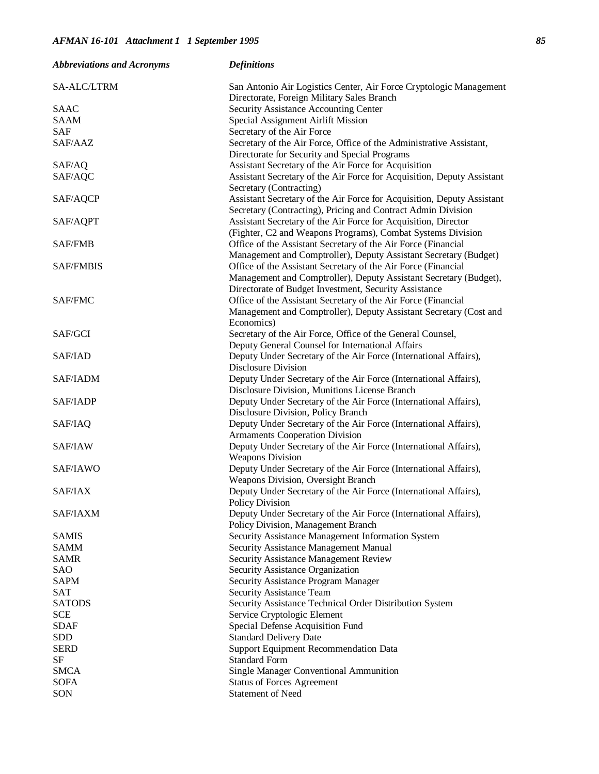| <b>Abbreviations and Acronyms</b> | <b>Definitions</b>                                                     |
|-----------------------------------|------------------------------------------------------------------------|
| SA-ALC/LTRM                       | San Antonio Air Logistics Center, Air Force Cryptologic Management     |
|                                   | Directorate, Foreign Military Sales Branch                             |
| SAAC                              | Security Assistance Accounting Center                                  |
| SAAM                              | Special Assignment Airlift Mission                                     |
| <b>SAF</b>                        | Secretary of the Air Force                                             |
| SAF/AAZ                           | Secretary of the Air Force, Office of the Administrative Assistant,    |
|                                   | Directorate for Security and Special Programs                          |
| SAF/AQ                            | Assistant Secretary of the Air Force for Acquisition                   |
| SAF/AQC                           | Assistant Secretary of the Air Force for Acquisition, Deputy Assistant |
|                                   | Secretary (Contracting)                                                |
| SAF/AQCP                          | Assistant Secretary of the Air Force for Acquisition, Deputy Assistant |
|                                   | Secretary (Contracting), Pricing and Contract Admin Division           |
| SAF/AQPT                          | Assistant Secretary of the Air Force for Acquisition, Director         |
|                                   | (Fighter, C2 and Weapons Programs), Combat Systems Division            |
| SAF/FMB                           | Office of the Assistant Secretary of the Air Force (Financial          |
|                                   |                                                                        |
|                                   | Management and Comptroller), Deputy Assistant Secretary (Budget)       |
| <b>SAF/FMBIS</b>                  | Office of the Assistant Secretary of the Air Force (Financial          |
|                                   | Management and Comptroller), Deputy Assistant Secretary (Budget),      |
|                                   | Directorate of Budget Investment, Security Assistance                  |
| SAF/FMC                           | Office of the Assistant Secretary of the Air Force (Financial          |
|                                   | Management and Comptroller), Deputy Assistant Secretary (Cost and      |
|                                   | Economics)                                                             |
| SAF/GCI                           | Secretary of the Air Force, Office of the General Counsel,             |
|                                   | Deputy General Counsel for International Affairs                       |
| SAF/IAD                           | Deputy Under Secretary of the Air Force (International Affairs),       |
|                                   | <b>Disclosure Division</b>                                             |
| SAF/IADM                          | Deputy Under Secretary of the Air Force (International Affairs),       |
|                                   | Disclosure Division, Munitions License Branch                          |
| SAF/IADP                          | Deputy Under Secretary of the Air Force (International Affairs),       |
|                                   | Disclosure Division, Policy Branch                                     |
| SAF/IAQ                           | Deputy Under Secretary of the Air Force (International Affairs),       |
|                                   | Armaments Cooperation Division                                         |
| SAF/IAW                           | Deputy Under Secretary of the Air Force (International Affairs),       |
|                                   | <b>Weapons Division</b>                                                |
| SAF/IAWO                          | Deputy Under Secretary of the Air Force (International Affairs),       |
|                                   | Weapons Division, Oversight Branch                                     |
| SAF/IAX                           | Deputy Under Secretary of the Air Force (International Affairs),       |
|                                   | Policy Division                                                        |
| <b>SAF/IAXM</b>                   | Deputy Under Secretary of the Air Force (International Affairs),       |
|                                   | Policy Division, Management Branch                                     |
| <b>SAMIS</b>                      | Security Assistance Management Information System                      |
|                                   |                                                                        |
| <b>SAMM</b>                       | Security Assistance Management Manual                                  |
| <b>SAMR</b>                       | Security Assistance Management Review                                  |
| SAO                               | Security Assistance Organization                                       |
| <b>SAPM</b>                       | Security Assistance Program Manager                                    |
| SAT                               | Security Assistance Team                                               |
| <b>SATODS</b>                     | Security Assistance Technical Order Distribution System                |
| <b>SCE</b>                        | Service Cryptologic Element                                            |
| <b>SDAF</b>                       | Special Defense Acquisition Fund                                       |
| <b>SDD</b>                        | <b>Standard Delivery Date</b>                                          |
| <b>SERD</b>                       | Support Equipment Recommendation Data                                  |
| SF                                | <b>Standard Form</b>                                                   |
| <b>SMCA</b>                       | Single Manager Conventional Ammunition                                 |
| <b>SOFA</b>                       | <b>Status of Forces Agreement</b>                                      |
| SON                               | <b>Statement of Need</b>                                               |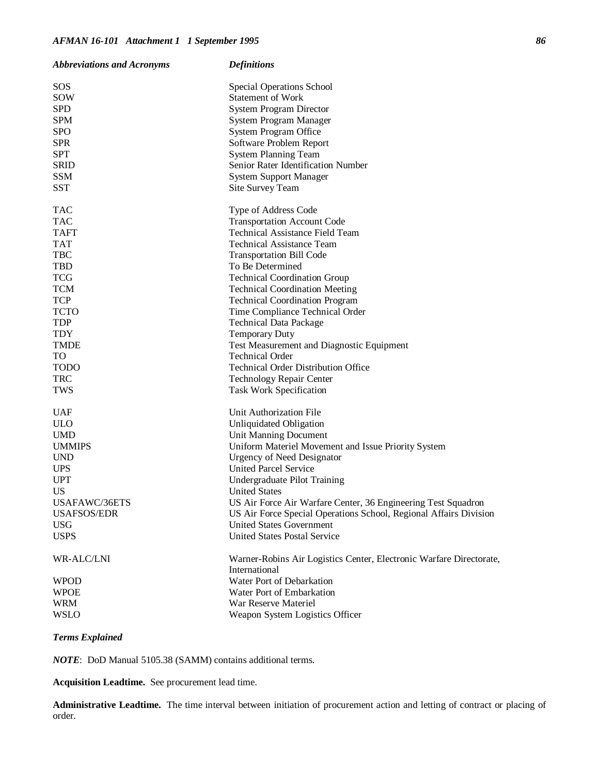| <b>Abbreviations and Acronyms</b> | <b>Definitions</b>                                                                   |
|-----------------------------------|--------------------------------------------------------------------------------------|
| SOS                               | Special Operations School                                                            |
| <b>SOW</b>                        | <b>Statement of Work</b>                                                             |
| <b>SPD</b>                        | <b>System Program Director</b>                                                       |
| <b>SPM</b>                        | System Program Manager                                                               |
| <b>SPO</b>                        | System Program Office                                                                |
| <b>SPR</b>                        | Software Problem Report                                                              |
| <b>SPT</b>                        | <b>System Planning Team</b>                                                          |
| <b>SRID</b>                       | Senior Rater Identification Number                                                   |
| <b>SSM</b>                        | <b>System Support Manager</b>                                                        |
| <b>SST</b>                        | Site Survey Team                                                                     |
| <b>TAC</b>                        | Type of Address Code                                                                 |
| <b>TAC</b>                        | <b>Transportation Account Code</b>                                                   |
| <b>TAFT</b>                       | <b>Technical Assistance Field Team</b>                                               |
| <b>TAT</b>                        | <b>Technical Assistance Team</b>                                                     |
| <b>TBC</b>                        | <b>Transportation Bill Code</b>                                                      |
| <b>TBD</b>                        | To Be Determined                                                                     |
| <b>TCG</b>                        | <b>Technical Coordination Group</b>                                                  |
| <b>TCM</b>                        | <b>Technical Coordination Meeting</b>                                                |
| <b>TCP</b>                        | <b>Technical Coordination Program</b>                                                |
| <b>TCTO</b>                       | Time Compliance Technical Order                                                      |
| <b>TDP</b>                        | <b>Technical Data Package</b>                                                        |
| <b>TDY</b>                        | <b>Temporary Duty</b>                                                                |
| <b>TMDE</b>                       | Test Measurement and Diagnostic Equipment                                            |
| TO                                | <b>Technical Order</b>                                                               |
| <b>TODO</b>                       | <b>Technical Order Distribution Office</b>                                           |
| <b>TRC</b>                        | Technology Repair Center                                                             |
| <b>TWS</b>                        | <b>Task Work Specification</b>                                                       |
| <b>UAF</b>                        | Unit Authorization File                                                              |
| <b>ULO</b>                        | <b>Unliquidated Obligation</b>                                                       |
| <b>UMD</b>                        | Unit Manning Document                                                                |
| <b>UMMIPS</b>                     | Uniform Materiel Movement and Issue Priority System                                  |
| <b>UND</b>                        | <b>Urgency of Need Designator</b>                                                    |
| <b>UPS</b>                        | <b>United Parcel Service</b>                                                         |
| <b>UPT</b>                        | Undergraduate Pilot Training                                                         |
| US                                | <b>United States</b>                                                                 |
| USAFAWC/36ETS                     | US Air Force Air Warfare Center, 36 Engineering Test Squadron                        |
| <b>USAFSOS/EDR</b>                | US Air Force Special Operations School, Regional Affairs Division                    |
| <b>USG</b>                        | <b>United States Government</b>                                                      |
| <b>USPS</b>                       | <b>United States Postal Service</b>                                                  |
| WR-ALC/LNI                        | Warner-Robins Air Logistics Center, Electronic Warfare Directorate,<br>International |
| <b>WPOD</b>                       | Water Port of Debarkation                                                            |
| <b>WPOE</b>                       | Water Port of Embarkation                                                            |
| <b>WRM</b>                        | War Reserve Materiel                                                                 |
| <b>WSLO</b>                       | Weapon System Logistics Officer                                                      |

#### *Terms Explained*

*NOTE*: DoD Manual 5105.38 (SAMM) contains additional terms.

**Acquisition Leadtime.** See procurement lead time.

**Administrative Leadtime.** The time interval between initiation of procurement action and letting of contract or placing of order.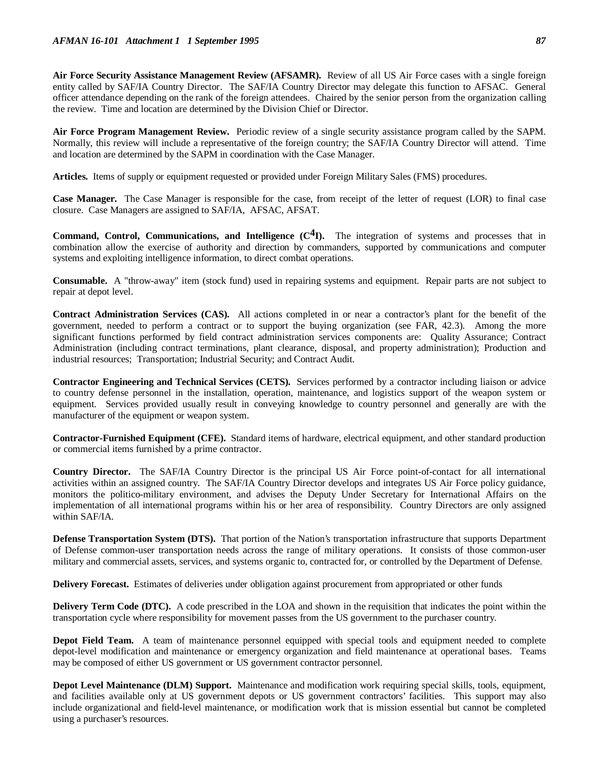**Air Force Security Assistance Management Review (AFSAMR).** Review of all US Air Force cases with a single foreign entity called by SAF/IA Country Director. The SAF/IA Country Director may delegate this function to AFSAC. General officer attendance depending on the rank of the foreign attendees. Chaired by the senior person from the organization calling the review. Time and location are determined by the Division Chief or Director.

**Air Force Program Management Review.** Periodic review of a single security assistance program called by the SAPM. Normally, this review will include a representative of the foreign country; the SAF/IA Country Director will attend. Time and location are determined by the SAPM in coordination with the Case Manager.

**Articles.** Items of supply or equipment requested or provided under Foreign Military Sales (FMS) procedures.

**Case Manager.** The Case Manager is responsible for the case, from receipt of the letter of request (LOR) to final case closure. Case Managers are assigned to SAF/IA, AFSAC, AFSAT.

**Command, Control, Communications, and Intelligence**  $(C<sup>4</sup>I)$ **.** The integration of systems and processes that in combination allow the exercise of authority and direction by commanders, supported by communications and computer systems and exploiting intelligence information, to direct combat operations.

**Consumable.** A "throw-away" item (stock fund) used in repairing systems and equipment. Repair parts are not subject to repair at depot level.

**Contract Administration Services (CAS).** All actions completed in or near a contractor's plant for the benefit of the government, needed to perform a contract or to support the buying organization (see FAR, 42.3). Among the more significant functions performed by field contract administration services components are: Quality Assurance; Contract Administration (including contract terminations, plant clearance, disposal, and property administration); Production and industrial resources; Transportation; Industrial Security; and Contract Audit.

**Contractor Engineering and Technical Services (CETS).** Services performed by a contractor including liaison or advice to country defense personnel in the installation, operation, maintenance, and logistics support of the weapon system or equipment. Services provided usually result in conveying knowledge to country personnel and generally are with the manufacturer of the equipment or weapon system.

**Contractor-Furnished Equipment (CFE).** Standard items of hardware, electrical equipment, and other standard production or commercial items furnished by a prime contractor.

**Country Director.** The SAF/IA Country Director is the principal US Air Force point-of-contact for all international activities within an assigned country. The SAF/IA Country Director develops and integrates US Air Force policy guidance, monitors the politico-military environment, and advises the Deputy Under Secretary for International Affairs on the implementation of all international programs within his or her area of responsibility. Country Directors are only assigned within SAF/IA.

**Defense Transportation System (DTS).** That portion of the Nation's transportation infrastructure that supports Department of Defense common-user transportation needs across the range of military operations. It consists of those common-user military and commercial assets, services, and systems organic to, contracted for, or controlled by the Department of Defense.

**Delivery Forecast.** Estimates of deliveries under obligation against procurement from appropriated or other funds

**Delivery Term Code (DTC).** A code prescribed in the LOA and shown in the requisition that indicates the point within the transportation cycle where responsibility for movement passes from the US government to the purchaser country.

**Depot Field Team.** A team of maintenance personnel equipped with special tools and equipment needed to complete depot-level modification and maintenance or emergency organization and field maintenance at operational bases. Teams may be composed of either US government or US government contractor personnel.

**Depot Level Maintenance (DLM) Support.** Maintenance and modification work requiring special skills, tools, equipment, and facilities available only at US government depots or US government contractors' facilities. This support may also include organizational and field-level maintenance, or modification work that is mission essential but cannot be completed using a purchaser's resources.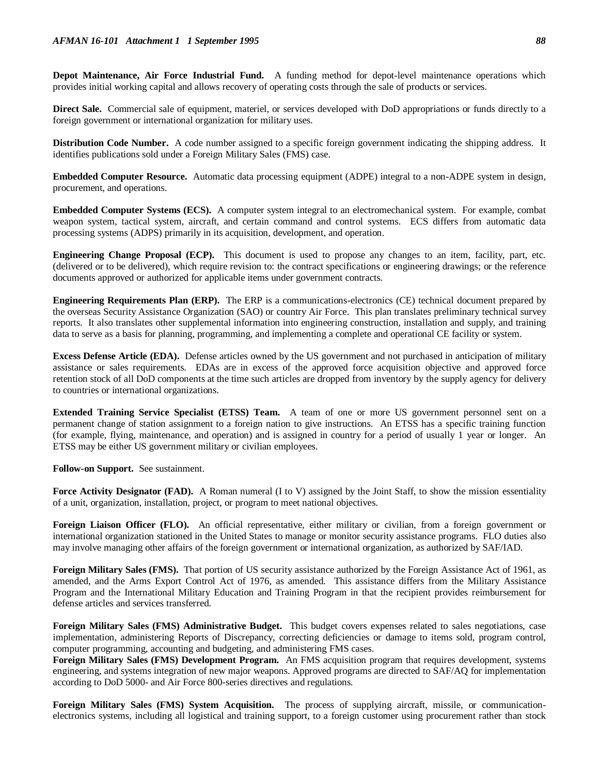**Depot Maintenance, Air Force Industrial Fund.** A funding method for depot-level maintenance operations which provides initial working capital and allows recovery of operating costs through the sale of products or services.

**Direct Sale.** Commercial sale of equipment, materiel, or services developed with DoD appropriations or funds directly to a foreign government or international organization for military uses.

**Distribution Code Number.** A code number assigned to a specific foreign government indicating the shipping address. It identifies publications sold under a Foreign Military Sales (FMS) case.

**Embedded Computer Resource.** Automatic data processing equipment (ADPE) integral to a non-ADPE system in design, procurement, and operations.

**Embedded Computer Systems (ECS).** A computer system integral to an electromechanical system. For example, combat weapon system, tactical system, aircraft, and certain command and control systems. ECS differs from automatic data processing systems (ADPS) primarily in its acquisition, development, and operation.

**Engineering Change Proposal (ECP).** This document is used to propose any changes to an item, facility, part, etc. (delivered or to be delivered), which require revision to: the contract specifications or engineering drawings; or the reference documents approved or authorized for applicable items under government contracts.

**Engineering Requirements Plan (ERP).** The ERP is a communications-electronics (CE) technical document prepared by the overseas Security Assistance Organization (SAO) or country Air Force. This plan translates preliminary technical survey reports. It also translates other supplemental information into engineering construction, installation and supply, and training data to serve as a basis for planning, programming, and implementing a complete and operational CE facility or system.

**Excess Defense Article (EDA).** Defense articles owned by the US government and not purchased in anticipation of military assistance or sales requirements. EDAs are in excess of the approved force acquisition objective and approved force retention stock of all DoD components at the time such articles are dropped from inventory by the supply agency for delivery to countries or international organizations.

**Extended Training Service Specialist (ETSS) Team.** A team of one or more US government personnel sent on a permanent change of station assignment to a foreign nation to give instructions. An ETSS has a specific training function (for example, flying, maintenance, and operation) and is assigned in country for a period of usually 1 year or longer. An ETSS may be either US government military or civilian employees.

**Follow-on Support.** See sustainment.

**Force Activity Designator (FAD).** A Roman numeral (I to V) assigned by the Joint Staff, to show the mission essentiality of a unit, organization, installation, project, or program to meet national objectives.

**Foreign Liaison Officer (FLO).** An official representative, either military or civilian, from a foreign government or international organization stationed in the United States to manage or monitor security assistance programs. FLO duties also may involve managing other affairs of the foreign government or international organization, as authorized by SAF/IAD.

**Foreign Military Sales (FMS).** That portion of US security assistance authorized by the Foreign Assistance Act of 1961, as amended, and the Arms Export Control Act of 1976, as amended. This assistance differs from the Military Assistance Program and the International Military Education and Training Program in that the recipient provides reimbursement for defense articles and services transferred.

**Foreign Military Sales (FMS) Administrative Budget.** This budget covers expenses related to sales negotiations, case implementation, administering Reports of Discrepancy, correcting deficiencies or damage to items sold, program control, computer programming, accounting and budgeting, and administering FMS cases.

**Foreign Military Sales (FMS) Development Program.** An FMS acquisition program that requires development, systems engineering, and systems integration of new major weapons. Approved programs are directed to SAF/AQ for implementation according to DoD 5000- and Air Force 800-series directives and regulations.

**Foreign Military Sales (FMS) System Acquisition.** The process of supplying aircraft, missile, or communicationelectronics systems, including all logistical and training support, to a foreign customer using procurement rather than stock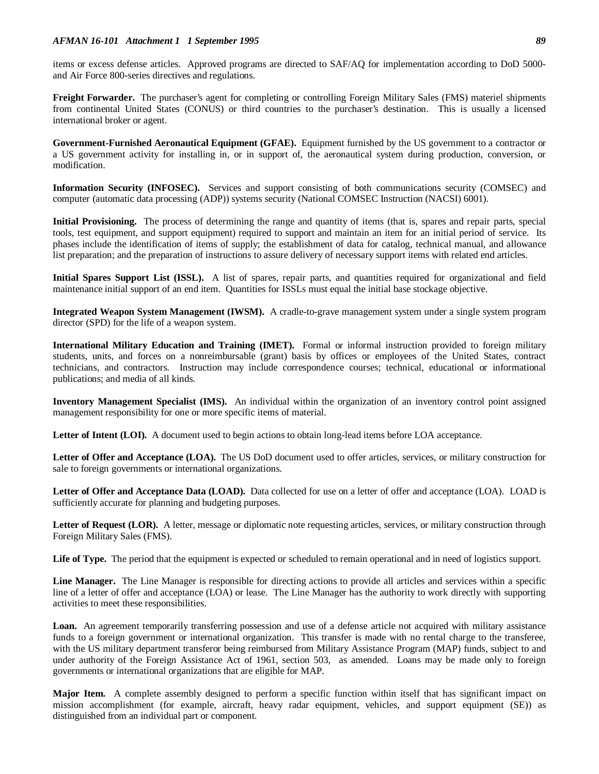#### *AFMAN 16-101 Attachment 1 1 September 1995 89*

items or excess defense articles. Approved programs are directed to SAF/AQ for implementation according to DoD 5000 and Air Force 800-series directives and regulations.

**Freight Forwarder.** The purchaser's agent for completing or controlling Foreign Military Sales (FMS) materiel shipments from continental United States (CONUS) or third countries to the purchaser's destination. This is usually a licensed international broker or agent.

**Government-Furnished Aeronautical Equipment (GFAE).** Equipment furnished by the US government to a contractor or a US government activity for installing in, or in support of, the aeronautical system during production, conversion, or modification.

**Information Security (INFOSEC).** Services and support consisting of both communications security (COMSEC) and computer (automatic data processing (ADP)) systems security (National COMSEC Instruction (NACSI) 6001).

**Initial Provisioning.** The process of determining the range and quantity of items (that is, spares and repair parts, special tools, test equipment, and support equipment) required to support and maintain an item for an initial period of service. Its phases include the identification of items of supply; the establishment of data for catalog, technical manual, and allowance list preparation; and the preparation of instructions to assure delivery of necessary support items with related end articles.

**Initial Spares Support List (ISSL).** A list of spares, repair parts, and quantities required for organizational and field maintenance initial support of an end item. Quantities for ISSLs must equal the initial base stockage objective.

**Integrated Weapon System Management (IWSM).** A cradle-to-grave management system under a single system program director (SPD) for the life of a weapon system.

**International Military Education and Training (IMET).** Formal or informal instruction provided to foreign military students, units, and forces on a nonreimbursable (grant) basis by offices or employees of the United States, contract technicians, and contractors. Instruction may include correspondence courses; technical, educational or informational publications; and media of all kinds.

**Inventory Management Specialist (IMS).** An individual within the organization of an inventory control point assigned management responsibility for one or more specific items of material.

**Letter of Intent (LOI).** A document used to begin actions to obtain long-lead items before LOA acceptance.

**Letter of Offer and Acceptance (LOA).** The US DoD document used to offer articles, services, or military construction for sale to foreign governments or international organizations.

Letter of Offer and Acceptance Data (LOAD). Data collected for use on a letter of offer and acceptance (LOA). LOAD is sufficiently accurate for planning and budgeting purposes.

Letter of Request (LOR). A letter, message or diplomatic note requesting articles, services, or military construction through Foreign Military Sales (FMS).

Life of Type. The period that the equipment is expected or scheduled to remain operational and in need of logistics support.

**Line Manager.** The Line Manager is responsible for directing actions to provide all articles and services within a specific line of a letter of offer and acceptance (LOA) or lease. The Line Manager has the authority to work directly with supporting activities to meet these responsibilities.

Loan. An agreement temporarily transferring possession and use of a defense article not acquired with military assistance funds to a foreign government or international organization. This transfer is made with no rental charge to the transferee, with the US military department transferor being reimbursed from Military Assistance Program (MAP) funds, subject to and under authority of the Foreign Assistance Act of 1961, section 503, as amended. Loans may be made only to foreign governments or international organizations that are eligible for MAP.

**Major Item.** A complete assembly designed to perform a specific function within itself that has significant impact on mission accomplishment (for example, aircraft, heavy radar equipment, vehicles, and support equipment (SE)) as distinguished from an individual part or component.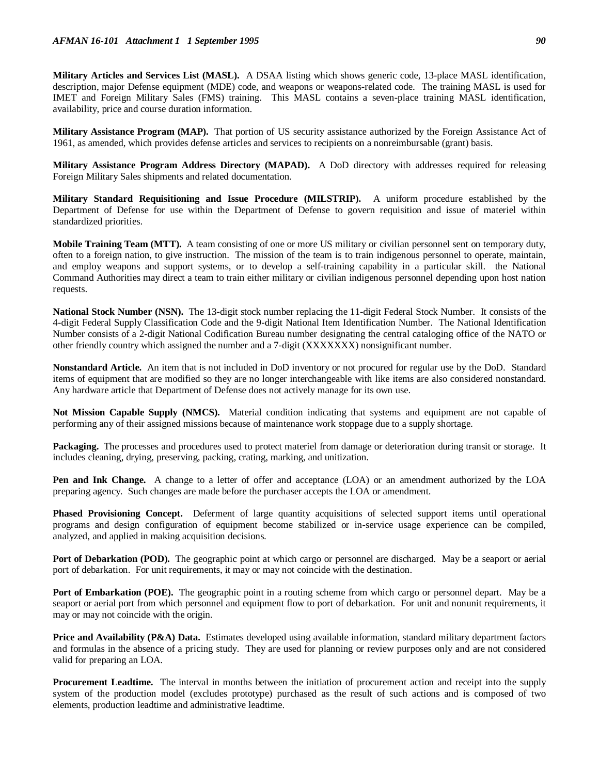**Military Articles and Services List (MASL).** A DSAA listing which shows generic code, 13-place MASL identification, description, major Defense equipment (MDE) code, and weapons or weapons-related code. The training MASL is used for IMET and Foreign Military Sales (FMS) training. This MASL contains a seven-place training MASL identification, availability, price and course duration information.

**Military Assistance Program (MAP).** That portion of US security assistance authorized by the Foreign Assistance Act of 1961, as amended, which provides defense articles and services to recipients on a nonreimbursable (grant) basis.

**Military Assistance Program Address Directory (MAPAD).** A DoD directory with addresses required for releasing Foreign Military Sales shipments and related documentation.

**Military Standard Requisitioning and Issue Procedure (MILSTRIP).** A uniform procedure established by the Department of Defense for use within the Department of Defense to govern requisition and issue of materiel within standardized priorities.

**Mobile Training Team (MTT).** A team consisting of one or more US military or civilian personnel sent on temporary duty, often to a foreign nation, to give instruction. The mission of the team is to train indigenous personnel to operate, maintain, and employ weapons and support systems, or to develop a self-training capability in a particular skill. the National Command Authorities may direct a team to train either military or civilian indigenous personnel depending upon host nation requests.

**National Stock Number (NSN).** The 13-digit stock number replacing the 11-digit Federal Stock Number. It consists of the 4-digit Federal Supply Classification Code and the 9-digit National Item Identification Number. The National Identification Number consists of a 2-digit National Codification Bureau number designating the central cataloging office of the NATO or other friendly country which assigned the number and a 7-digit (XXXXXXX) nonsignificant number.

**Nonstandard Article.** An item that is not included in DoD inventory or not procured for regular use by the DoD. Standard items of equipment that are modified so they are no longer interchangeable with like items are also considered nonstandard. Any hardware article that Department of Defense does not actively manage for its own use.

Not Mission Capable Supply (NMCS). Material condition indicating that systems and equipment are not capable of performing any of their assigned missions because of maintenance work stoppage due to a supply shortage.

**Packaging.** The processes and procedures used to protect materiel from damage or deterioration during transit or storage. It includes cleaning, drying, preserving, packing, crating, marking, and unitization.

**Pen and Ink Change.** A change to a letter of offer and acceptance (LOA) or an amendment authorized by the LOA preparing agency. Such changes are made before the purchaser accepts the LOA or amendment.

**Phased Provisioning Concept.** Deferment of large quantity acquisitions of selected support items until operational programs and design configuration of equipment become stabilized or in-service usage experience can be compiled, analyzed, and applied in making acquisition decisions.

Port of Debarkation (POD). The geographic point at which cargo or personnel are discharged. May be a seaport or aerial port of debarkation. For unit requirements, it may or may not coincide with the destination.

**Port of Embarkation (POE).** The geographic point in a routing scheme from which cargo or personnel depart. May be a seaport or aerial port from which personnel and equipment flow to port of debarkation. For unit and nonunit requirements, it may or may not coincide with the origin.

**Price and Availability (P&A) Data.** Estimates developed using available information, standard military department factors and formulas in the absence of a pricing study. They are used for planning or review purposes only and are not considered valid for preparing an LOA.

**Procurement Leadtime.** The interval in months between the initiation of procurement action and receipt into the supply system of the production model (excludes prototype) purchased as the result of such actions and is composed of two elements, production leadtime and administrative leadtime.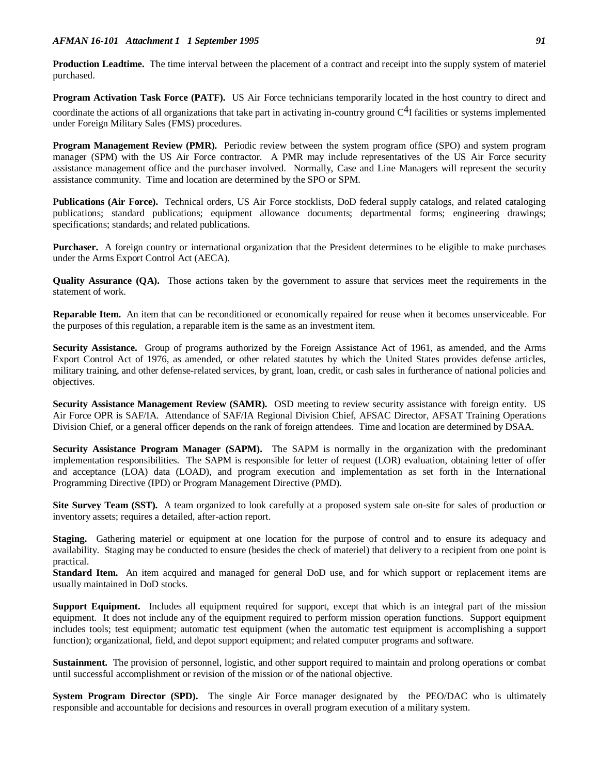**Production Leadtime.** The time interval between the placement of a contract and receipt into the supply system of materiel purchased.

**Program Activation Task Force (PATF).** US Air Force technicians temporarily located in the host country to direct and coordinate the actions of all organizations that take part in activating in-country ground  $C<sup>4</sup>I$  facilities or systems implemented under Foreign Military Sales (FMS) procedures.

**Program Management Review (PMR).** Periodic review between the system program office (SPO) and system program manager (SPM) with the US Air Force contractor. A PMR may include representatives of the US Air Force security assistance management office and the purchaser involved. Normally, Case and Line Managers will represent the security assistance community. Time and location are determined by the SPO or SPM.

Publications (Air Force). Technical orders, US Air Force stocklists, DoD federal supply catalogs, and related cataloging publications; standard publications; equipment allowance documents; departmental forms; engineering drawings; specifications; standards; and related publications.

**Purchaser.** A foreign country or international organization that the President determines to be eligible to make purchases under the Arms Export Control Act (AECA).

**Quality Assurance (QA).** Those actions taken by the government to assure that services meet the requirements in the statement of work.

**Reparable Item.** An item that can be reconditioned or economically repaired for reuse when it becomes unserviceable. For the purposes of this regulation, a reparable item is the same as an investment item.

**Security Assistance.** Group of programs authorized by the Foreign Assistance Act of 1961, as amended, and the Arms Export Control Act of 1976, as amended, or other related statutes by which the United States provides defense articles, military training, and other defense-related services, by grant, loan, credit, or cash sales in furtherance of national policies and objectives.

**Security Assistance Management Review (SAMR).** OSD meeting to review security assistance with foreign entity. US Air Force OPR is SAF/IA. Attendance of SAF/IA Regional Division Chief, AFSAC Director, AFSAT Training Operations Division Chief, or a general officer depends on the rank of foreign attendees. Time and location are determined by DSAA.

**Security Assistance Program Manager (SAPM).** The SAPM is normally in the organization with the predominant implementation responsibilities. The SAPM is responsible for letter of request (LOR) evaluation, obtaining letter of offer and acceptance (LOA) data (LOAD), and program execution and implementation as set forth in the International Programming Directive (IPD) or Program Management Directive (PMD).

**Site Survey Team (SST).** A team organized to look carefully at a proposed system sale on-site for sales of production or inventory assets; requires a detailed, after-action report.

**Staging.** Gathering materiel or equipment at one location for the purpose of control and to ensure its adequacy and availability. Staging may be conducted to ensure (besides the check of materiel) that delivery to a recipient from one point is practical.

**Standard Item.** An item acquired and managed for general DoD use, and for which support or replacement items are usually maintained in DoD stocks.

**Support Equipment.** Includes all equipment required for support, except that which is an integral part of the mission equipment. It does not include any of the equipment required to perform mission operation functions. Support equipment includes tools; test equipment; automatic test equipment (when the automatic test equipment is accomplishing a support function); organizational, field, and depot support equipment; and related computer programs and software.

**Sustainment.** The provision of personnel, logistic, and other support required to maintain and prolong operations or combat until successful accomplishment or revision of the mission or of the national objective.

**System Program Director (SPD).** The single Air Force manager designated by the PEO/DAC who is ultimately responsible and accountable for decisions and resources in overall program execution of a military system.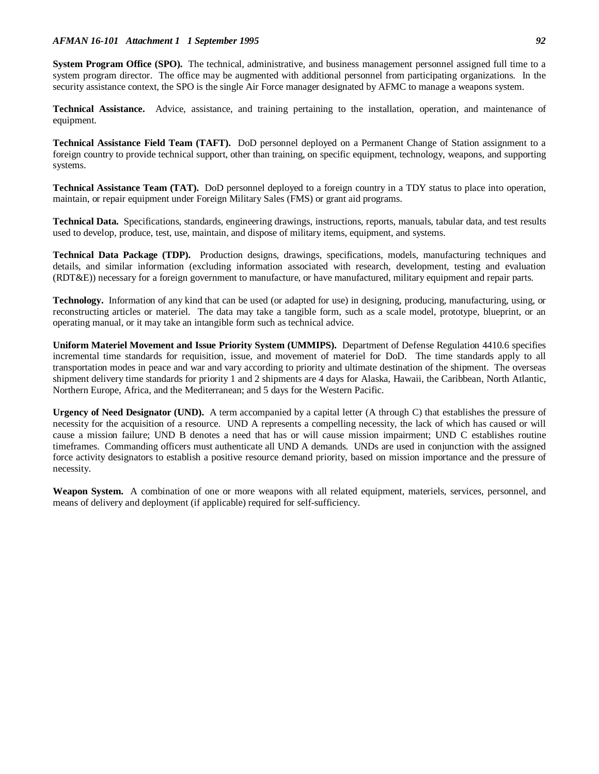#### *AFMAN 16-101 Attachment 1 1 September 1995 92*

**System Program Office (SPO).** The technical, administrative, and business management personnel assigned full time to a system program director. The office may be augmented with additional personnel from participating organizations. In the security assistance context, the SPO is the single Air Force manager designated by AFMC to manage a weapons system.

**Technical Assistance.** Advice, assistance, and training pertaining to the installation, operation, and maintenance of equipment.

**Technical Assistance Field Team (TAFT).** DoD personnel deployed on a Permanent Change of Station assignment to a foreign country to provide technical support, other than training, on specific equipment, technology, weapons, and supporting systems.

**Technical Assistance Team (TAT).** DoD personnel deployed to a foreign country in a TDY status to place into operation, maintain, or repair equipment under Foreign Military Sales (FMS) or grant aid programs.

**Technical Data.** Specifications, standards, engineering drawings, instructions, reports, manuals, tabular data, and test results used to develop, produce, test, use, maintain, and dispose of military items, equipment, and systems.

**Technical Data Package (TDP).** Production designs, drawings, specifications, models, manufacturing techniques and details, and similar information (excluding information associated with research, development, testing and evaluation (RDT&E)) necessary for a foreign government to manufacture, or have manufactured, military equipment and repair parts.

**Technology.** Information of any kind that can be used (or adapted for use) in designing, producing, manufacturing, using, or reconstructing articles or materiel. The data may take a tangible form, such as a scale model, prototype, blueprint, or an operating manual, or it may take an intangible form such as technical advice.

**Uniform Materiel Movement and Issue Priority System (UMMIPS).** Department of Defense Regulation 4410.6 specifies incremental time standards for requisition, issue, and movement of materiel for DoD. The time standards apply to all transportation modes in peace and war and vary according to priority and ultimate destination of the shipment. The overseas shipment delivery time standards for priority 1 and 2 shipments are 4 days for Alaska, Hawaii, the Caribbean, North Atlantic, Northern Europe, Africa, and the Mediterranean; and 5 days for the Western Pacific.

**Urgency of Need Designator (UND).** A term accompanied by a capital letter (A through C) that establishes the pressure of necessity for the acquisition of a resource. UND A represents a compelling necessity, the lack of which has caused or will cause a mission failure; UND B denotes a need that has or will cause mission impairment; UND C establishes routine timeframes. Commanding officers must authenticate all UND A demands. UNDs are used in conjunction with the assigned force activity designators to establish a positive resource demand priority, based on mission importance and the pressure of necessity.

**Weapon System.** A combination of one or more weapons with all related equipment, materiels, services, personnel, and means of delivery and deployment (if applicable) required for self-sufficiency.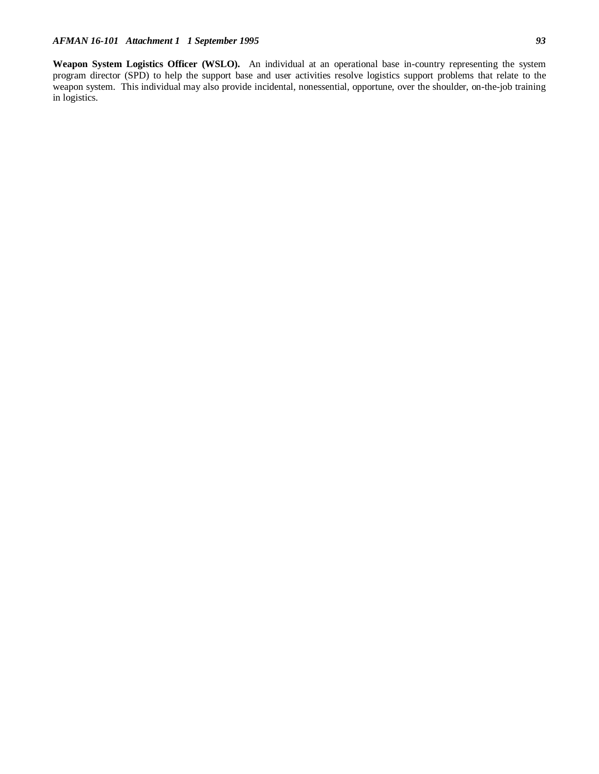**Weapon System Logistics Officer (WSLO).** An individual at an operational base in-country representing the system program director (SPD) to help the support base and user activities resolve logistics support problems that relate to the weapon system. This individual may also provide incidental, nonessential, opportune, over the shoulder, on-the-job training in logistics.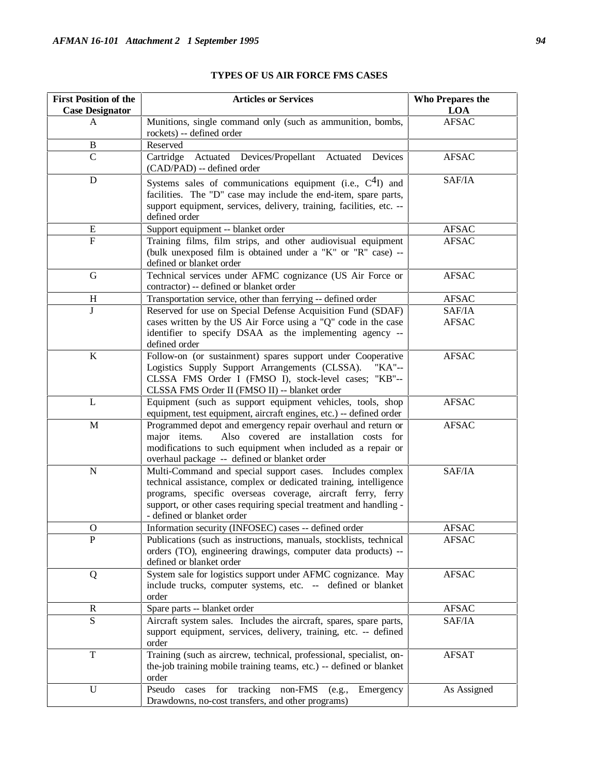| <b>First Position of the</b><br><b>Case Designator</b> | <b>Articles or Services</b>                                                                                                                                                                                                                                                                       | Who Prepares the<br><b>LOA</b> |
|--------------------------------------------------------|---------------------------------------------------------------------------------------------------------------------------------------------------------------------------------------------------------------------------------------------------------------------------------------------------|--------------------------------|
| A                                                      | Munitions, single command only (such as ammunition, bombs,<br>rockets) -- defined order                                                                                                                                                                                                           | <b>AFSAC</b>                   |
| B                                                      | Reserved                                                                                                                                                                                                                                                                                          |                                |
| $\overline{C}$                                         | Cartridge Actuated Devices/Propellant Actuated Devices<br>(CAD/PAD) -- defined order                                                                                                                                                                                                              | <b>AFSAC</b>                   |
| D                                                      | Systems sales of communications equipment (i.e., $C4I$ ) and<br>facilities. The "D" case may include the end-item, spare parts,<br>support equipment, services, delivery, training, facilities, etc. --<br>defined order                                                                          | SAF/IA                         |
| E                                                      | Support equipment -- blanket order                                                                                                                                                                                                                                                                | AFSAC                          |
| $\overline{F}$                                         | Training films, film strips, and other audiovisual equipment<br>(bulk unexposed film is obtained under a "K" or "R" case) --<br>defined or blanket order                                                                                                                                          | <b>AFSAC</b>                   |
| $\mathbf G$                                            | Technical services under AFMC cognizance (US Air Force or<br>contractor) -- defined or blanket order                                                                                                                                                                                              | <b>AFSAC</b>                   |
| H                                                      | Transportation service, other than ferrying -- defined order                                                                                                                                                                                                                                      | AFSAC                          |
| $\overline{J}$                                         | Reserved for use on Special Defense Acquisition Fund (SDAF)<br>cases written by the US Air Force using a "Q" code in the case<br>identifier to specify DSAA as the implementing agency --<br>defined order                                                                                        | SAF/IA<br><b>AFSAC</b>         |
| $\bf K$                                                | Follow-on (or sustainment) spares support under Cooperative<br>Logistics Supply Support Arrangements (CLSSA).<br>"KA"--<br>CLSSA FMS Order I (FMSO I), stock-level cases; "KB"--<br>CLSSA FMS Order II (FMSO II) -- blanket order                                                                 | <b>AFSAC</b>                   |
| L                                                      | Equipment (such as support equipment vehicles, tools, shop<br>equipment, test equipment, aircraft engines, etc.) -- defined order                                                                                                                                                                 | <b>AFSAC</b>                   |
| M                                                      | Programmed depot and emergency repair overhaul and return or<br>Also covered are installation costs for<br>major items.<br>modifications to such equipment when included as a repair or<br>overhaul package -- defined or blanket order                                                           | <b>AFSAC</b>                   |
| ${\bf N}$                                              | Multi-Command and special support cases. Includes complex<br>technical assistance, complex or dedicated training, intelligence<br>programs, specific overseas coverage, aircraft ferry, ferry<br>support, or other cases requiring special treatment and handling -<br>- defined or blanket order | SAF/IA                         |
|                                                        | Information security (INFOSEC) cases -- defined order                                                                                                                                                                                                                                             | <b>AFSAC</b>                   |
| $\overline{P}$                                         | Publications (such as instructions, manuals, stocklists, technical<br>orders (TO), engineering drawings, computer data products) --<br>defined or blanket order                                                                                                                                   | <b>AFSAC</b>                   |
| Q                                                      | System sale for logistics support under AFMC cognizance. May<br>include trucks, computer systems, etc. -- defined or blanket<br>order                                                                                                                                                             | <b>AFSAC</b>                   |
| R                                                      | Spare parts -- blanket order                                                                                                                                                                                                                                                                      | <b>AFSAC</b>                   |
| S                                                      | Aircraft system sales. Includes the aircraft, spares, spare parts,<br>support equipment, services, delivery, training, etc. -- defined<br>order                                                                                                                                                   | SAF/IA                         |
| T                                                      | Training (such as aircrew, technical, professional, specialist, on-<br>the-job training mobile training teams, etc.) -- defined or blanket<br>order                                                                                                                                               | <b>AFSAT</b>                   |
| U                                                      | Pseudo<br>for tracking non-FMS<br>Emergency<br>cases<br>(e.g.,<br>Drawdowns, no-cost transfers, and other programs)                                                                                                                                                                               | As Assigned                    |

# **TYPES OF US AIR FORCE FMS CASES**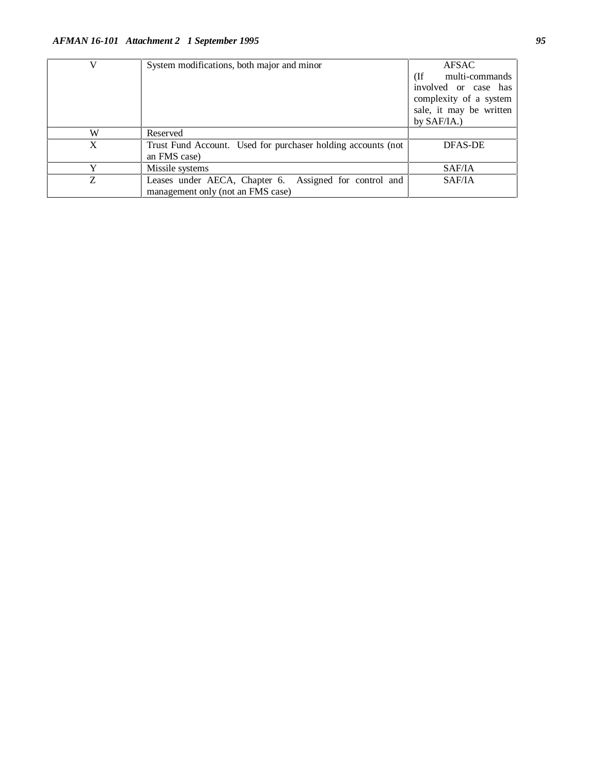|   | System modifications, both major and minor                   | <b>AFSAC</b>            |
|---|--------------------------------------------------------------|-------------------------|
|   |                                                              | multi-commands<br>(If   |
|   |                                                              | involved or case has    |
|   |                                                              | complexity of a system  |
|   |                                                              | sale, it may be written |
|   |                                                              | by $SAF/IA.$ )          |
| W | Reserved                                                     |                         |
| X | Trust Fund Account. Used for purchaser holding accounts (not | DFAS-DE                 |
|   | an FMS case)                                                 |                         |
| v | Missile systems                                              | SAF/IA                  |
| Z | Leases under AECA, Chapter 6. Assigned for control and       | SAF/IA                  |
|   | management only (not an FMS case)                            |                         |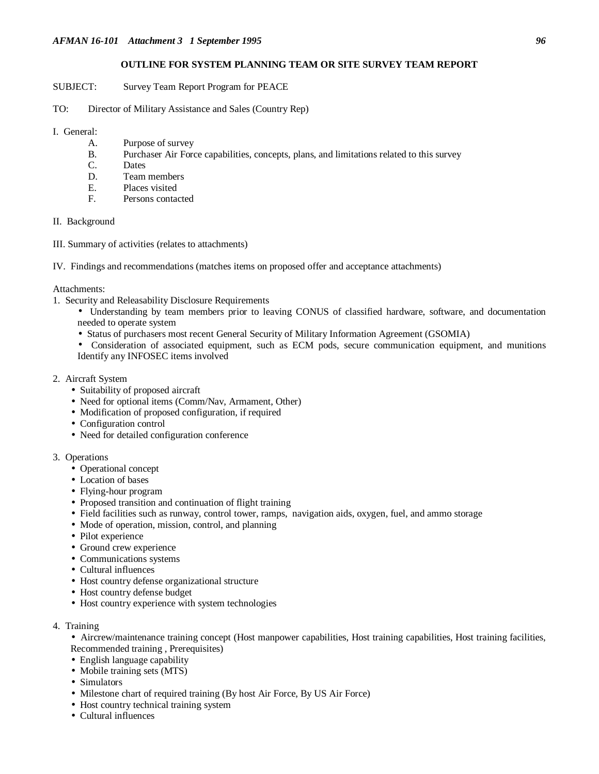## **OUTLINE FOR SYSTEM PLANNING TEAM OR SITE SURVEY TEAM REPORT**

SUBJECT: Survey Team Report Program for PEACE

TO: Director of Military Assistance and Sales (Country Rep)

I. General:

- A. Purpose of survey
- B. Purchaser Air Force capabilities, concepts, plans, and limitations related to this survey
- C. Dates<br>D. Team
- Team members
- E. Places visited
- F. Persons contacted
- II. Background
- III. Summary of activities (relates to attachments)
- IV. Findings and recommendations (matches items on proposed offer and acceptance attachments)

Attachments:

- 1. Security and Releasability Disclosure Requirements
	- Understanding by team members prior to leaving CONUS of classified hardware, software, and documentation needed to operate system
	- Status of purchasers most recent General Security of Military Information Agreement (GSOMIA)
	- Consideration of associated equipment, such as ECM pods, secure communication equipment, and munitions Identify any INFOSEC items involved
- 2. Aircraft System
	- Suitability of proposed aircraft
	- Need for optional items (Comm/Nav, Armament, Other)
	- Modification of proposed configuration, if required
	- Configuration control
	- Need for detailed configuration conference
- 3. Operations
	- Operational concept
	- Location of bases
	- Flying-hour program
	- Proposed transition and continuation of flight training
	- Field facilities such as runway, control tower, ramps, navigation aids, oxygen, fuel, and ammo storage
	- Mode of operation, mission, control, and planning
	- Pilot experience
	- Ground crew experience
	- Communications systems
	- Cultural influences
	- Host country defense organizational structure
	- Host country defense budget
	- Host country experience with system technologies
- 4. Training

• Aircrew/maintenance training concept (Host manpower capabilities, Host training capabilities, Host training facilities, Recommended training , Prerequisites)

- English language capability
- Mobile training sets (MTS)
- Simulators
- Milestone chart of required training (By host Air Force, By US Air Force)
- Host country technical training system
- Cultural influences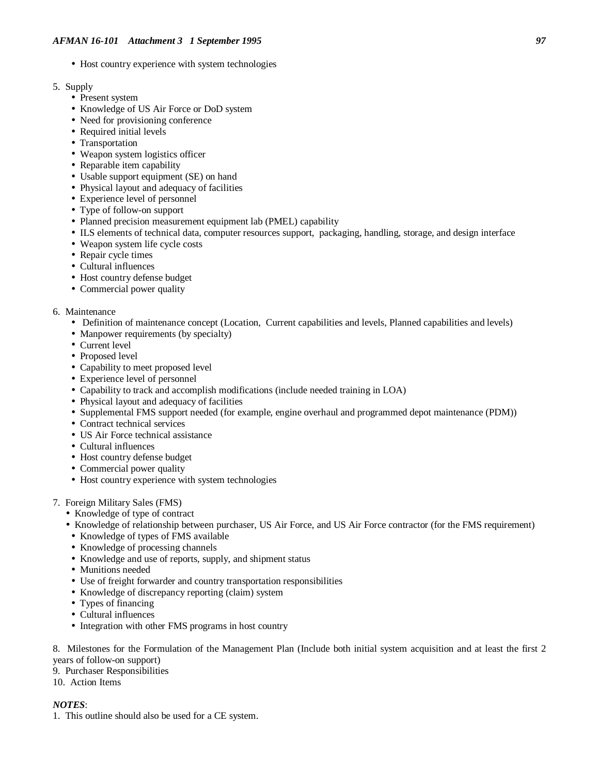- Host country experience with system technologies
- 5. Supply
	- Present system
	- Knowledge of US Air Force or DoD system
	- Need for provisioning conference
	- Required initial levels
	- Transportation
	- Weapon system logistics officer
	- Reparable item capability
	- Usable support equipment (SE) on hand
	- Physical layout and adequacy of facilities
	- Experience level of personnel
	- Type of follow-on support
	- Planned precision measurement equipment lab (PMEL) capability
	- ILS elements of technical data, computer resources support, packaging, handling, storage, and design interface
	- Weapon system life cycle costs
	- Repair cycle times
	- Cultural influences
	- Host country defense budget
	- Commercial power quality
- 6. Maintenance
	- Definition of maintenance concept (Location, Current capabilities and levels, Planned capabilities and levels)
	- Manpower requirements (by specialty)
	- Current level
	- Proposed level
	- Capability to meet proposed level
	- Experience level of personnel
	- Capability to track and accomplish modifications (include needed training in LOA)
	- Physical layout and adequacy of facilities
	- Supplemental FMS support needed (for example, engine overhaul and programmed depot maintenance (PDM))
	- Contract technical services
	- US Air Force technical assistance
	- Cultural influences
	- Host country defense budget
	- Commercial power quality
	- Host country experience with system technologies
- 7. Foreign Military Sales (FMS)
	- Knowledge of type of contract
	- Knowledge of relationship between purchaser, US Air Force, and US Air Force contractor (for the FMS requirement)
	- Knowledge of types of FMS available
	- Knowledge of processing channels
	- Knowledge and use of reports, supply, and shipment status
	- Munitions needed
	- Use of freight forwarder and country transportation responsibilities
	- Knowledge of discrepancy reporting (claim) system
	- Types of financing
	- Cultural influences
	- Integration with other FMS programs in host country

8. Milestones for the Formulation of the Management Plan (Include both initial system acquisition and at least the first 2 years of follow-on support)

9. Purchaser Responsibilities

10. Action Items

#### *NOTES*:

1. This outline should also be used for a CE system.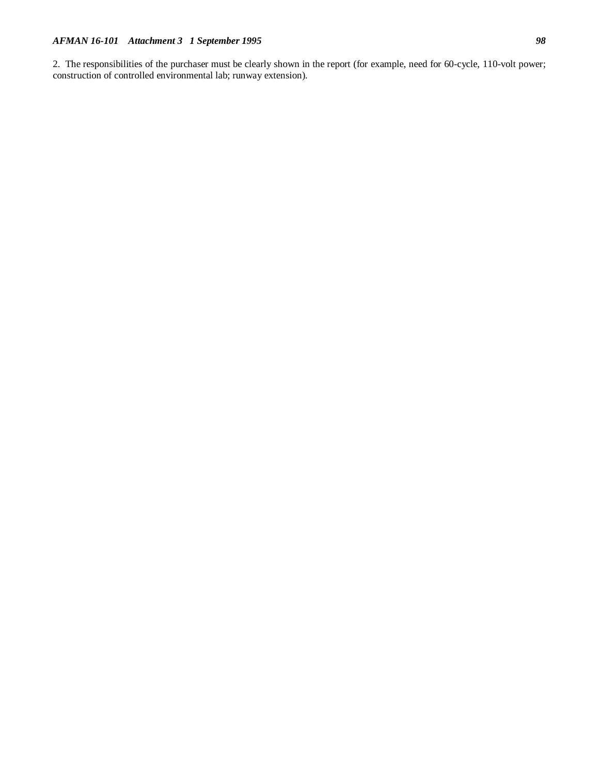2. The responsibilities of the purchaser must be clearly shown in the report (for example, need for 60-cycle, 110-volt power; construction of controlled environmental lab; runway extension).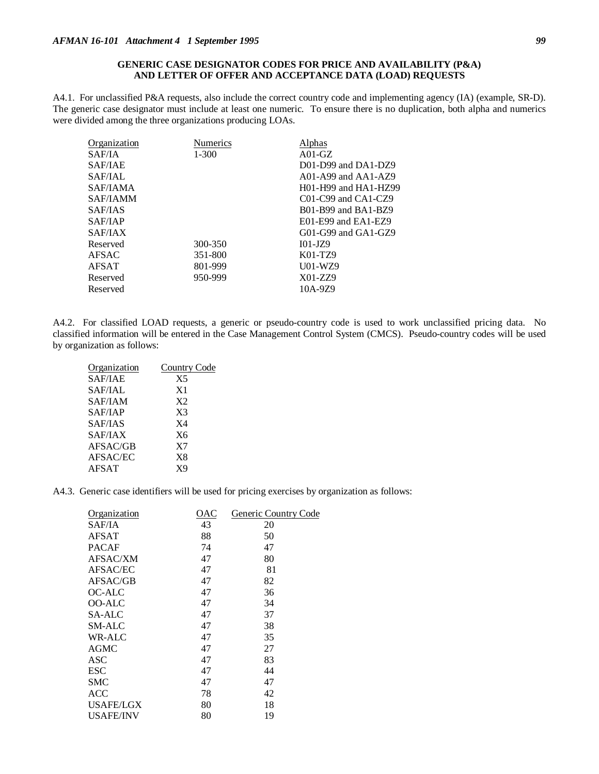#### **GENERIC CASE DESIGNATOR CODES FOR PRICE AND AVAILABILITY (P&A) AND LETTER OF OFFER AND ACCEPTANCE DATA (LOAD) REQUESTS**

A4.1. For unclassified P&A requests, also include the correct country code and implementing agency (IA) (example, SR-D). The generic case designator must include at least one numeric. To ensure there is no duplication, both alpha and numerics were divided among the three organizations producing LOAs.

| <b>Numerics</b> | Alphas                  |
|-----------------|-------------------------|
| $1 - 300$       | $A01-GZ$                |
|                 | $D01-D99$ and $DAI-DZ9$ |
|                 | $A01-A99$ and $A41-AZ9$ |
|                 | H01-H99 and HA1-HZ99    |
|                 | $C01-C99$ and $CAI-CZ9$ |
|                 | B01-B99 and BA1-BZ9     |
|                 | $E01-E99$ and $EA1-EZ9$ |
|                 | $G01-G99$ and $GA1-GZ9$ |
| 300-350         | $I01$ -JZ9              |
| 351-800         | K01-TZ9                 |
| 801-999         | U01-WZ9                 |
| 950-999         | X01-ZZ9                 |
|                 | 10A-9Z9                 |
|                 |                         |

A4.2. For classified LOAD requests, a generic or pseudo-country code is used to work unclassified pricing data. No classified information will be entered in the Case Management Control System (CMCS). Pseudo-country codes will be used by organization as follows:

| Organization   | Country Code   |
|----------------|----------------|
| SAF/IAE        | X5             |
| <b>SAF/IAL</b> | X1             |
| SAF/IAM        | X <sub>2</sub> |
| SAF/IAP        | X3             |
| SAF/IAS        | X4             |
| SAF/IAX        | X6             |
| AFSAC/GB       | X7             |
| AFSAC/EC       | X8             |
| <b>AFSAT</b>   | X9             |
|                |                |

A4.3. Generic case identifiers will be used for pricing exercises by organization as follows:

| Organization     | OAC | Generic Country Code |
|------------------|-----|----------------------|
| SAF/IA           | 43  | 20                   |
| AFSAT            | 88  | 50                   |
| PACAF            | 74  | 47                   |
| AFSAC/XM         | 47  | 80                   |
| AFSAC/EC         | 47  | 81                   |
| AFSAC/GB         | 47  | 82                   |
| OC-ALC           | 47  | 36                   |
| OO-ALC           | 47  | 34                   |
| SA-ALC           | 47  | 37                   |
| SM-ALC           | 47  | 38                   |
| WR-ALC           | 47  | 35                   |
| AGMC             | 47  | 27                   |
| ASC              | 47  | 83                   |
| ESC              | 47  | 44                   |
| SMC              | 47  | 47                   |
| ACC              | 78  | 42                   |
| USAFE/LGX        | 80  | 18                   |
| <b>USAFE/INV</b> | 80  | 19                   |
|                  |     |                      |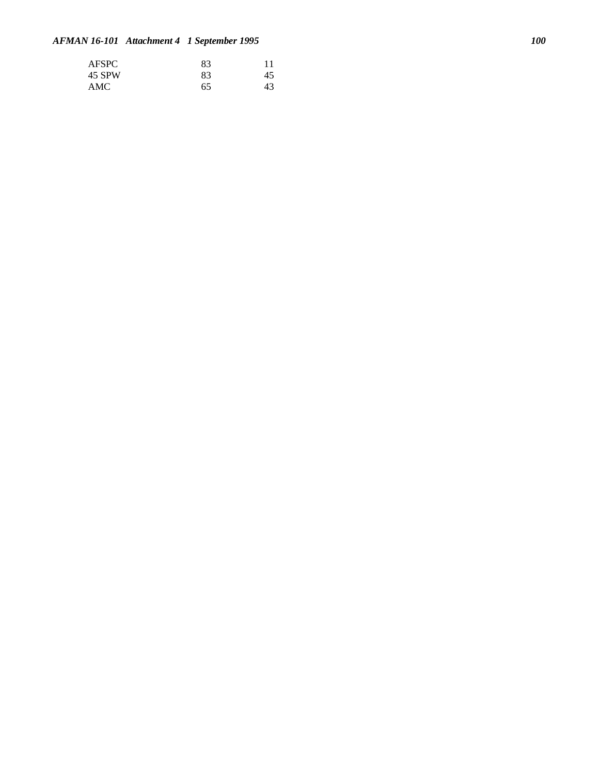# *AFMAN 16-101 Attachment 4 1 September 1995 100*

| <b>AFSPC</b> | 83 |    |
|--------------|----|----|
| 45 SPW       | 83 | 45 |
| AMC          | 65 | 43 |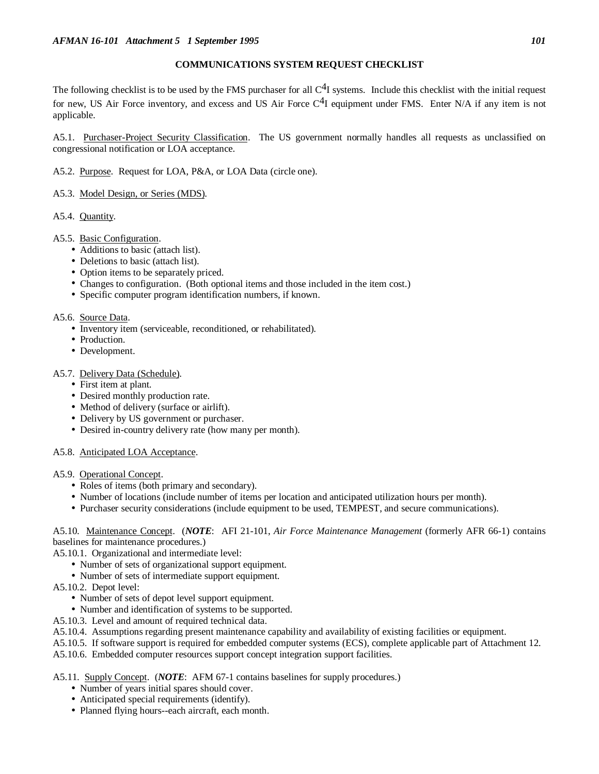## **COMMUNICATIONS SYSTEM REQUEST CHECKLIST**

The following checklist is to be used by the FMS purchaser for all  $C<sup>4</sup>I$  systems. Include this checklist with the initial request for new. US Air Force inventory, and excess and US Air Force  $C<sup>4</sup>I$  equipment under FMS. Enter N/A if any item is not applicable.

A5.1. Purchaser-Project Security Classification. The US government normally handles all requests as unclassified on congressional notification or LOA acceptance.

A5.2. Purpose. Request for LOA, P&A, or LOA Data (circle one).

A5.3. Model Design, or Series (MDS).

A5.4. Quantity.

- A5.5. Basic Configuration.
	- Additions to basic (attach list).
	- Deletions to basic (attach list).
	- Option items to be separately priced.
	- Changes to configuration. (Both optional items and those included in the item cost.)
	- Specific computer program identification numbers, if known.

### A5.6. Source Data.

- Inventory item (serviceable, reconditioned, or rehabilitated).
- Production.
- Development.

A5.7. Delivery Data (Schedule).

- First item at plant.
- Desired monthly production rate.
- Method of delivery (surface or airlift).
- Delivery by US government or purchaser.
- Desired in-country delivery rate (how many per month).

### A5.8. Anticipated LOA Acceptance.

A5.9. Operational Concept.

- Roles of items (both primary and secondary).
- Number of locations (include number of items per location and anticipated utilization hours per month).
- Purchaser security considerations (include equipment to be used, TEMPEST, and secure communications).

A5.10. Maintenance Concept. (*NOTE*: AFI 21-101, *Air Force Maintenance Management* (formerly AFR 66-1) contains baselines for maintenance procedures.)

A5.10.1. Organizational and intermediate level:

- Number of sets of organizational support equipment.
- Number of sets of intermediate support equipment.
- A5.10.2. Depot level:
	- Number of sets of depot level support equipment.
	- Number and identification of systems to be supported.
- A5.10.3. Level and amount of required technical data.
- A5.10.4. Assumptions regarding present maintenance capability and availability of existing facilities or equipment.
- A5.10.5. If software support is required for embedded computer systems (ECS), complete applicable part of Attachment 12.

A5.10.6. Embedded computer resources support concept integration support facilities.

A5.11. Supply Concept. (*NOTE*: AFM 67-1 contains baselines for supply procedures.)

- Number of years initial spares should cover.
- Anticipated special requirements (identify).
- Planned flying hours--each aircraft, each month.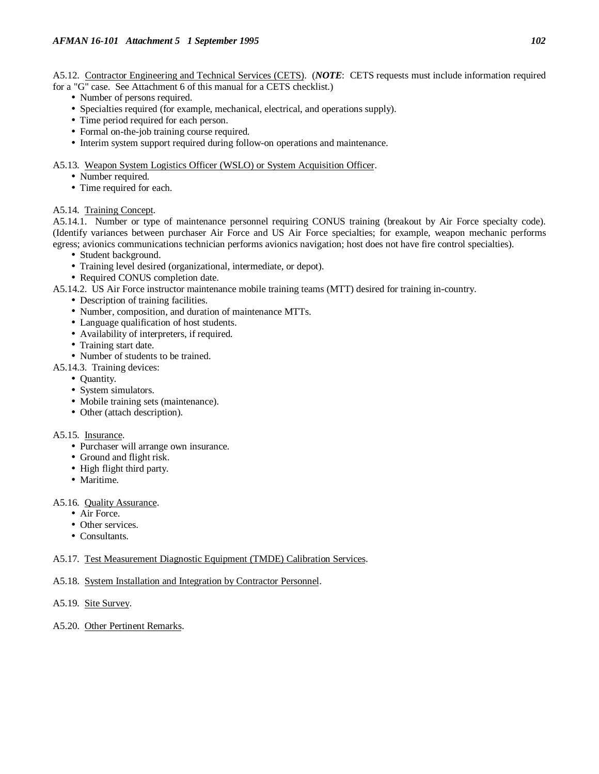A5.12. Contractor Engineering and Technical Services (CETS). (*NOTE*: CETS requests must include information required for a "G" case. See Attachment 6 of this manual for a CETS checklist.)

- Number of persons required.
- Specialties required (for example, mechanical, electrical, and operations supply).
- Time period required for each person.
- Formal on-the-job training course required.
- Interim system support required during follow-on operations and maintenance.

A5.13. Weapon System Logistics Officer (WSLO) or System Acquisition Officer.

- Number required.
- Time required for each.

# A5.14. Training Concept.

A5.14.1. Number or type of maintenance personnel requiring CONUS training (breakout by Air Force specialty code). (Identify variances between purchaser Air Force and US Air Force specialties; for example, weapon mechanic performs egress; avionics communications technician performs avionics navigation; host does not have fire control specialties).

- Student background.
- Training level desired (organizational, intermediate, or depot).
- Required CONUS completion date.
- A5.14.2. US Air Force instructor maintenance mobile training teams (MTT) desired for training in-country.
	- Description of training facilities.
	- Number, composition, and duration of maintenance MTTs.
	- Language qualification of host students.
	- Availability of interpreters, if required.
	- Training start date.

• Number of students to be trained.

- A5.14.3. Training devices:
	- Quantity.
	- System simulators.
	- Mobile training sets (maintenance).
	- Other (attach description).

### A5.15. Insurance.

- Purchaser will arrange own insurance.
- Ground and flight risk.
- High flight third party.
- Maritime.

### A5.16. Quality Assurance.

- Air Force.
- Other services.
- Consultants.

A5.17. Test Measurement Diagnostic Equipment (TMDE) Calibration Services.

# A5.18. System Installation and Integration by Contractor Personnel.

- A5.19. Site Survey.
- A5.20. Other Pertinent Remarks.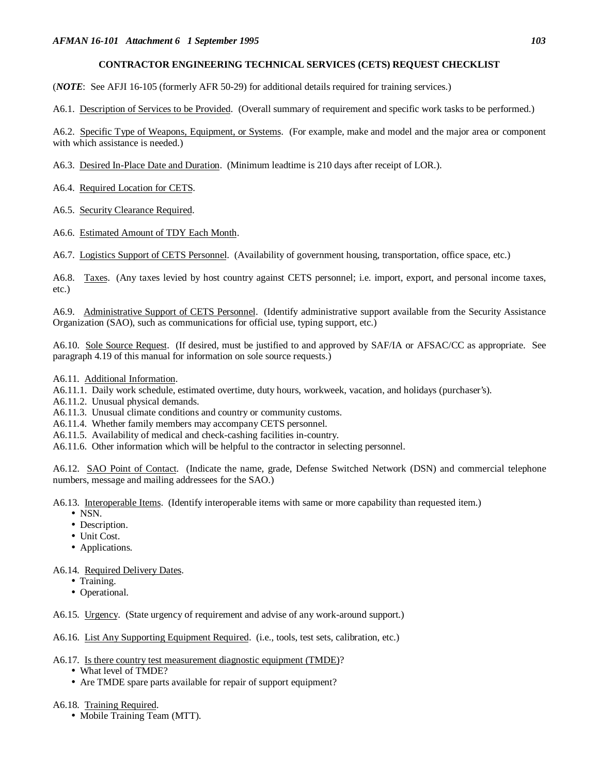## **CONTRACTOR ENGINEERING TECHNICAL SERVICES (CETS) REQUEST CHECKLIST**

(*NOTE*: See AFJI 16-105 (formerly AFR 50-29) for additional details required for training services.)

A6.1. Description of Services to be Provided. (Overall summary of requirement and specific work tasks to be performed.)

A6.2. Specific Type of Weapons, Equipment, or Systems. (For example, make and model and the major area or component with which assistance is needed.)

A6.3. Desired In-Place Date and Duration. (Minimum leadtime is 210 days after receipt of LOR.).

A6.4. Required Location for CETS.

A6.5. Security Clearance Required.

A6.6. Estimated Amount of TDY Each Month.

A6.7. Logistics Support of CETS Personnel. (Availability of government housing, transportation, office space, etc.)

A6.8. Taxes. (Any taxes levied by host country against CETS personnel; i.e. import, export, and personal income taxes, etc.)

A6.9. Administrative Support of CETS Personnel. (Identify administrative support available from the Security Assistance Organization (SAO), such as communications for official use, typing support, etc.)

A6.10. Sole Source Request. (If desired, must be justified to and approved by SAF/IA or AFSAC/CC as appropriate. See paragraph 4.19 of this manual for information on sole source requests.)

- A6.11. Additional Information.
- A6.11.1. Daily work schedule, estimated overtime, duty hours, workweek, vacation, and holidays (purchaser's).
- A6.11.2. Unusual physical demands.
- A6.11.3. Unusual climate conditions and country or community customs.
- A6.11.4. Whether family members may accompany CETS personnel.
- A6.11.5. Availability of medical and check-cashing facilities in-country.
- A6.11.6. Other information which will be helpful to the contractor in selecting personnel.

A6.12. SAO Point of Contact. (Indicate the name, grade, Defense Switched Network (DSN) and commercial telephone numbers, message and mailing addressees for the SAO.)

A6.13. Interoperable Items. (Identify interoperable items with same or more capability than requested item.)

- NSN.
- Description.
- Unit Cost.
- Applications.

A6.14. Required Delivery Dates.

- Training.
- Operational.

A6.15. Urgency. (State urgency of requirement and advise of any work-around support.)

A6.16. List Any Supporting Equipment Required. (i.e., tools, test sets, calibration, etc.)

- A6.17. Is there country test measurement diagnostic equipment (TMDE)?
	- What level of TMDE?
	- Are TMDE spare parts available for repair of support equipment?

#### A6.18. Training Required.

• Mobile Training Team (MTT).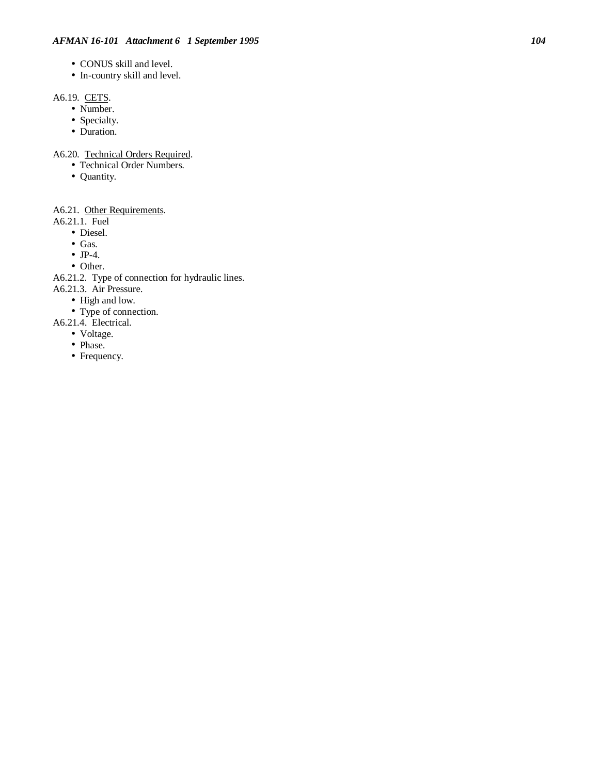- CONUS skill and level.
- In-country skill and level.

A6.19. CETS.

- Number.
- Specialty.
- Duration.

A6.20. Technical Orders Required.

- Technical Order Numbers.
- Quantity.

# A6.21. Other Requirements.

- A6.21.1. Fuel
	- Diesel.
	- Gas.
	- JP-4.
	- Other.

A6.21.2. Type of connection for hydraulic lines.

- A6.21.3. Air Pressure.
	- High and low.
	- Type of connection.
- A6.21.4. Electrical.
	- Voltage.
	- Phase.
	- Frequency.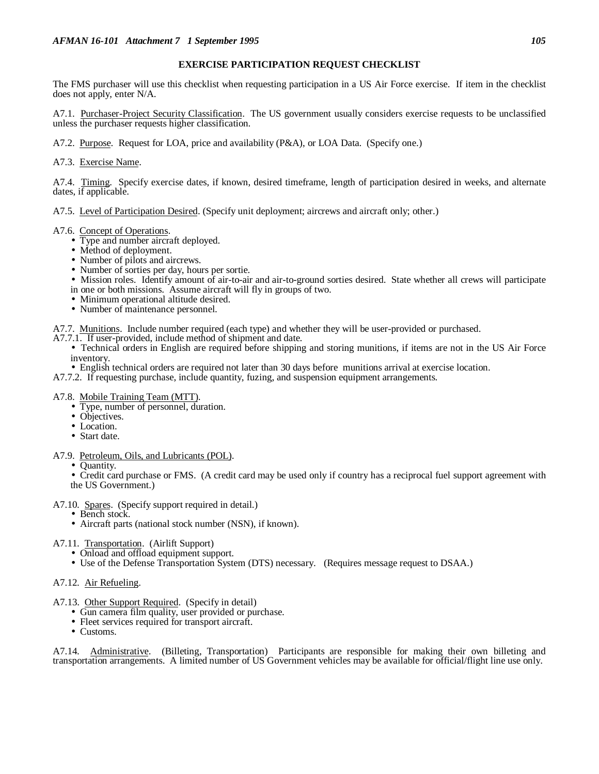## **EXERCISE PARTICIPATION REQUEST CHECKLIST**

The FMS purchaser will use this checklist when requesting participation in a US Air Force exercise. If item in the checklist does not apply, enter N/A.

A7.1. Purchaser-Project Security Classification. The US government usually considers exercise requests to be unclassified unless the purchaser requests higher classification.

- A7.2. Purpose. Request for LOA, price and availability (P&A), or LOA Data. (Specify one.)
- A7.3. Exercise Name.

A7.4. Timing. Specify exercise dates, if known, desired timeframe, length of participation desired in weeks, and alternate dates, if applicable.

- A7.5. Level of Participation Desired. (Specify unit deployment; aircrews and aircraft only; other.)
- A7.6. Concept of Operations.
	- Type and number aircraft deployed.
	- Method of deployment.
	- Number of pilots and aircrews.
	- Number of sorties per day, hours per sortie.
	- Mission roles. Identify amount of air-to-air and air-to-ground sorties desired. State whether all crews will participate in one or both missions. Assume aircraft will fly in groups of two. • Minimum operational altitude desired.
	-
	- Number of maintenance personnel.

A7.7. Munitions. Include number required (each type) and whether they will be user-provided or purchased. A7.7.1. If user-provided, include method of shipment and date.

- - Technical orders in English are required before shipping and storing munitions, if items are not in the US Air Force inventory.
- English technical orders are required not later than 30 days before munitions arrival at exercise location.
- A7.7.2. If requesting purchase, include quantity, fuzing, and suspension equipment arrangements.

#### A7.8. Mobile Training Team (MTT).

- Type, number of personnel, duration.
- Objectives.
- Location.
- Start date.
- A7.9. Petroleum, Oils, and Lubricants (POL).
	- Quantity.
	- Credit card purchase or FMS. (A credit card may be used only if country has a reciprocal fuel support agreement with the US Government.)
- A7.10. Spares. (Specify support required in detail.) Bench stock.
	-
	- Aircraft parts (national stock number (NSN), if known).
- A7.11. Transportation. (Airlift Support)
	- Onload and offload equipment support.
	- Use of the Defense Transportation System (DTS) necessary. (Requires message request to DSAA.)
- A7.12. Air Refueling.
- A7.13. Other Support Required. (Specify in detail)
	- Gun camera film quality, user provided or purchase.
	- Fleet services required for transport aircraft.
	- Customs.

A7.14. Administrative. (Billeting, Transportation) Participants are responsible for making their own billeting and transportation arrangements. A limited number of US Government vehicles may be available for official/flight line use only.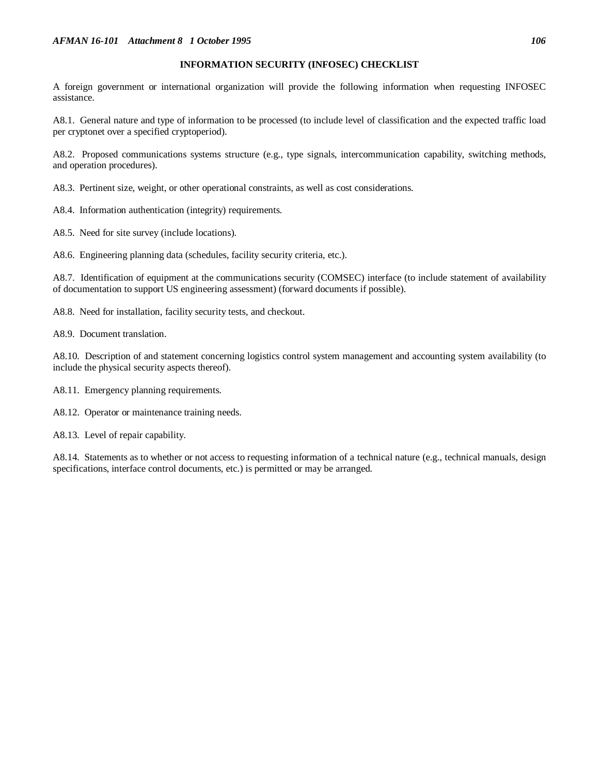### **INFORMATION SECURITY (INFOSEC) CHECKLIST**

A foreign government or international organization will provide the following information when requesting INFOSEC assistance.

A8.1. General nature and type of information to be processed (to include level of classification and the expected traffic load per cryptonet over a specified cryptoperiod).

A8.2. Proposed communications systems structure (e.g., type signals, intercommunication capability, switching methods, and operation procedures).

A8.3. Pertinent size, weight, or other operational constraints, as well as cost considerations.

- A8.4. Information authentication (integrity) requirements.
- A8.5. Need for site survey (include locations).

A8.6. Engineering planning data (schedules, facility security criteria, etc.).

A8.7. Identification of equipment at the communications security (COMSEC) interface (to include statement of availability of documentation to support US engineering assessment) (forward documents if possible).

A8.8. Need for installation, facility security tests, and checkout.

A8.9. Document translation.

A8.10. Description of and statement concerning logistics control system management and accounting system availability (to include the physical security aspects thereof).

A8.11. Emergency planning requirements.

A8.12. Operator or maintenance training needs.

A8.13. Level of repair capability.

A8.14. Statements as to whether or not access to requesting information of a technical nature (e.g., technical manuals, design specifications, interface control documents, etc.) is permitted or may be arranged.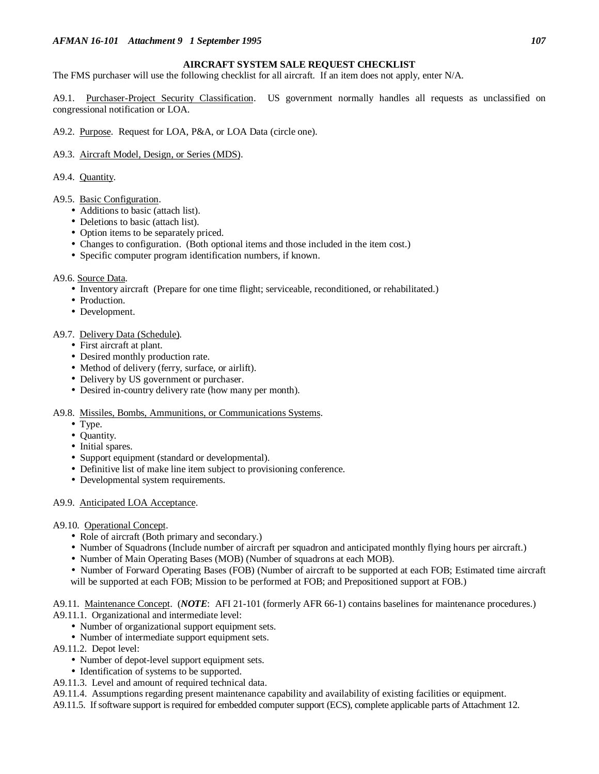# **AIRCRAFT SYSTEM SALE REQUEST CHECKLIST**

The FMS purchaser will use the following checklist for all aircraft. If an item does not apply, enter N/A.

Purchaser-Project Security Classification. US government normally handles all requests as unclassified on congressional notification or LOA.

A9.2. Purpose. Request for LOA, P&A, or LOA Data (circle one).

- A9.3. Aircraft Model, Design, or Series (MDS).
- A9.4. Quantity.

#### A9.5. Basic Configuration.

- Additions to basic (attach list).
- Deletions to basic (attach list).
- Option items to be separately priced.
- Changes to configuration. (Both optional items and those included in the item cost.)
- Specific computer program identification numbers, if known.

#### A9.6. Source Data.

- Inventory aircraft (Prepare for one time flight; serviceable, reconditioned, or rehabilitated.)
- Production.
- Development.

#### A9.7. Delivery Data (Schedule).

- First aircraft at plant.
- Desired monthly production rate.
- Method of delivery (ferry, surface, or airlift).
- Delivery by US government or purchaser.
- Desired in-country delivery rate (how many per month).

### A9.8. Missiles, Bombs, Ammunitions, or Communications Systems.

- Type.
- Quantity.
- Initial spares.
- Support equipment (standard or developmental).
- Definitive list of make line item subject to provisioning conference.
- Developmental system requirements.

### A9.9. Anticipated LOA Acceptance.

- A9.10. Operational Concept.
	- Role of aircraft (Both primary and secondary.)
	- Number of Squadrons (Include number of aircraft per squadron and anticipated monthly flying hours per aircraft.)
	- Number of Main Operating Bases (MOB) (Number of squadrons at each MOB).
	- Number of Forward Operating Bases (FOB) (Number of aircraft to be supported at each FOB; Estimated time aircraft will be supported at each FOB; Mission to be performed at FOB; and Prepositioned support at FOB.)

A9.11. Maintenance Concept. (*NOTE*: AFI 21-101 (formerly AFR 66-1) contains baselines for maintenance procedures.) A9.11.1. Organizational and intermediate level:

- Number of organizational support equipment sets.
- Number of intermediate support equipment sets.
- A9.11.2. Depot level:
	- Number of depot-level support equipment sets.
	- Identification of systems to be supported.
- A9.11.3. Level and amount of required technical data.

A9.11.4. Assumptions regarding present maintenance capability and availability of existing facilities or equipment.

A9.11.5. If software support is required for embedded computer support (ECS), complete applicable parts of Attachment 12.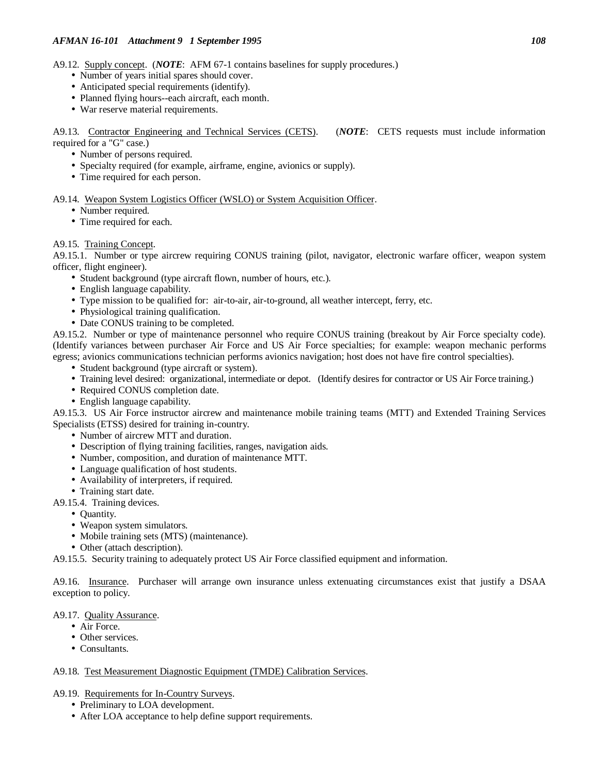A9.12. Supply concept. (*NOTE*: AFM 67-1 contains baselines for supply procedures.)

- Number of years initial spares should cover.
- Anticipated special requirements (identify).
- Planned flying hours--each aircraft, each month.
- War reserve material requirements.

A9.13. Contractor Engineering and Technical Services (CETS). (*NOTE*: CETS requests must include information required for a "G" case.)

- Number of persons required.
- Specialty required (for example, airframe, engine, avionics or supply).
- Time required for each person.

A9.14. Weapon System Logistics Officer (WSLO) or System Acquisition Officer.

- Number required.
- Time required for each.

# A9.15. Training Concept.

A9.15.1. Number or type aircrew requiring CONUS training (pilot, navigator, electronic warfare officer, weapon system officer, flight engineer).

- Student background (type aircraft flown, number of hours, etc.).
- English language capability.
- Type mission to be qualified for: air-to-air, air-to-ground, all weather intercept, ferry, etc.
- Physiological training qualification.
- Date CONUS training to be completed.

A9.15.2. Number or type of maintenance personnel who require CONUS training (breakout by Air Force specialty code). (Identify variances between purchaser Air Force and US Air Force specialties; for example: weapon mechanic performs egress; avionics communications technician performs avionics navigation; host does not have fire control specialties).

- Student background (type aircraft or system).
- Training level desired: organizational, intermediate or depot. (Identify desires for contractor or US Air Force training.)
- Required CONUS completion date.
- English language capability.

A9.15.3. US Air Force instructor aircrew and maintenance mobile training teams (MTT) and Extended Training Services Specialists (ETSS) desired for training in-country.

- Number of aircrew MTT and duration.
- Description of flying training facilities, ranges, navigation aids.
- Number, composition, and duration of maintenance MTT.
- Language qualification of host students.
- Availability of interpreters, if required.
- Training start date.

A9.15.4. Training devices.

- Quantity.
- Weapon system simulators.
- Mobile training sets (MTS) (maintenance).
- Other (attach description).

A9.15.5. Security training to adequately protect US Air Force classified equipment and information.

A9.16. Insurance. Purchaser will arrange own insurance unless extenuating circumstances exist that justify a DSAA exception to policy.

### A9.17. Quality Assurance.

- Air Force.
- Other services.
- Consultants.

# A9.18. Test Measurement Diagnostic Equipment (TMDE) Calibration Services.

### A9.19. Requirements for In-Country Surveys.

- Preliminary to LOA development.
- After LOA acceptance to help define support requirements.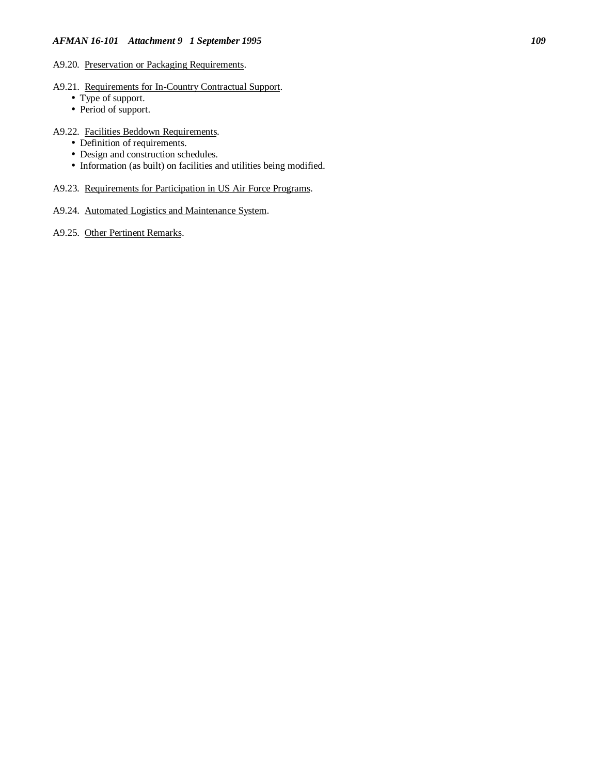#### A9.20. Preservation or Packaging Requirements.

# A9.21. Requirements for In-Country Contractual Support.

- Type of support.
- Period of support.

#### A9.22. Facilities Beddown Requirements.

- Definition of requirements.
- Design and construction schedules.
- Information (as built) on facilities and utilities being modified.

# A9.23. Requirements for Participation in US Air Force Programs.

## A9.24. Automated Logistics and Maintenance System.

A9.25. Other Pertinent Remarks.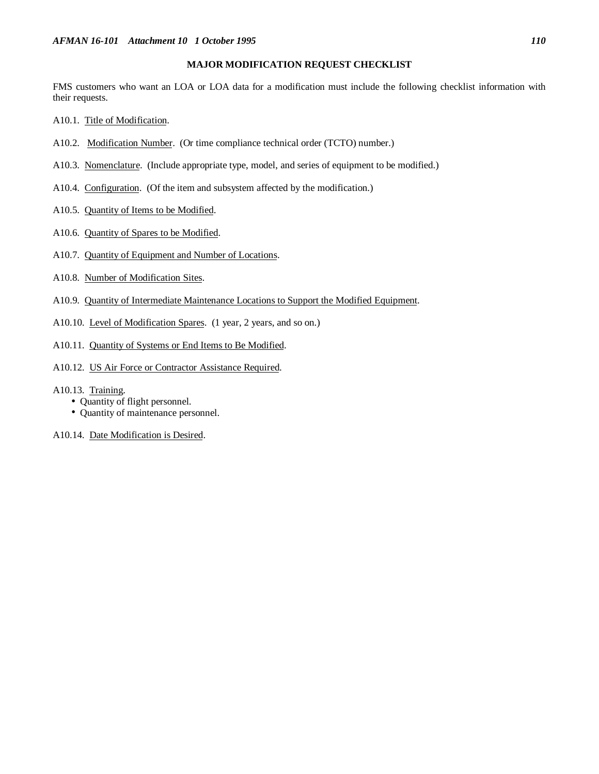# **MAJOR MODIFICATION REQUEST CHECKLIST**

FMS customers who want an LOA or LOA data for a modification must include the following checklist information with their requests.

A10.1. Title of Modification.

- A10.2. Modification Number. (Or time compliance technical order (TCTO) number.)
- A10.3. Nomenclature. (Include appropriate type, model, and series of equipment to be modified.)
- A10.4. Configuration. (Of the item and subsystem affected by the modification.)
- A10.5. Quantity of Items to be Modified.
- A10.6. Quantity of Spares to be Modified.
- A10.7. Quantity of Equipment and Number of Locations.
- A10.8. Number of Modification Sites.
- A10.9. Quantity of Intermediate Maintenance Locations to Support the Modified Equipment.
- A10.10. Level of Modification Spares. (1 year, 2 years, and so on.)
- A10.11. Quantity of Systems or End Items to Be Modified.
- A10.12. US Air Force or Contractor Assistance Required.
- A10.13. Training.
	- Quantity of flight personnel.
	- Quantity of maintenance personnel.
- A10.14. Date Modification is Desired.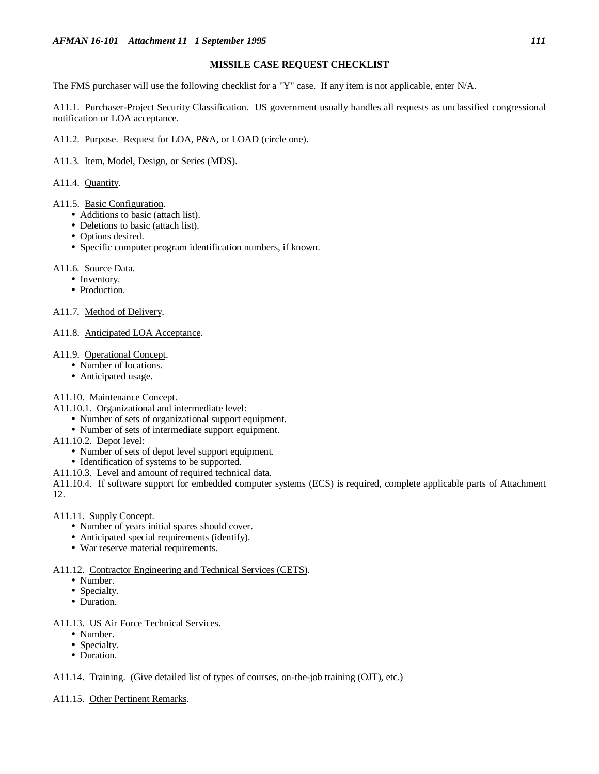# **MISSILE CASE REQUEST CHECKLIST**

The FMS purchaser will use the following checklist for a "Y" case. If any item is not applicable, enter N/A.

A11.1. Purchaser-Project Security Classification. US government usually handles all requests as unclassified congressional notification or LOA acceptance.

A11.2. Purpose. Request for LOA, P&A, or LOAD (circle one).

A11.3. Item, Model, Design, or Series (MDS).

A11.4. Quantity.

- A11.5. Basic Configuration.
	- Additions to basic (attach list).
	- Deletions to basic (attach list).
	- Options desired.
	- Specific computer program identification numbers, if known.
- A11.6. Source Data.
	- Inventory.
	- Production.

A11.7. Method of Delivery.

- A11.8. Anticipated LOA Acceptance.
- A11.9. Operational Concept.
	- Number of locations.
	- Anticipated usage.

A11.10. Maintenance Concept.

- A11.10.1. Organizational and intermediate level:
	- Number of sets of organizational support equipment.
	- Number of sets of intermediate support equipment.
- A11.10.2. Depot level:
	- Number of sets of depot level support equipment.
	- Identification of systems to be supported.
- A11.10.3. Level and amount of required technical data.

A11.10.4. If software support for embedded computer systems (ECS) is required, complete applicable parts of Attachment 12.

A11.11. Supply Concept.

- Number of years initial spares should cover.
- Anticipated special requirements (identify).
- War reserve material requirements.

# A11.12. Contractor Engineering and Technical Services (CETS).

- Number.
- Specialty.
- Duration.

# A11.13. US Air Force Technical Services.

- Number.
- Specialty.
- Duration.

A11.14. Training. (Give detailed list of types of courses, on-the-job training (OJT), etc.)

A11.15. Other Pertinent Remarks.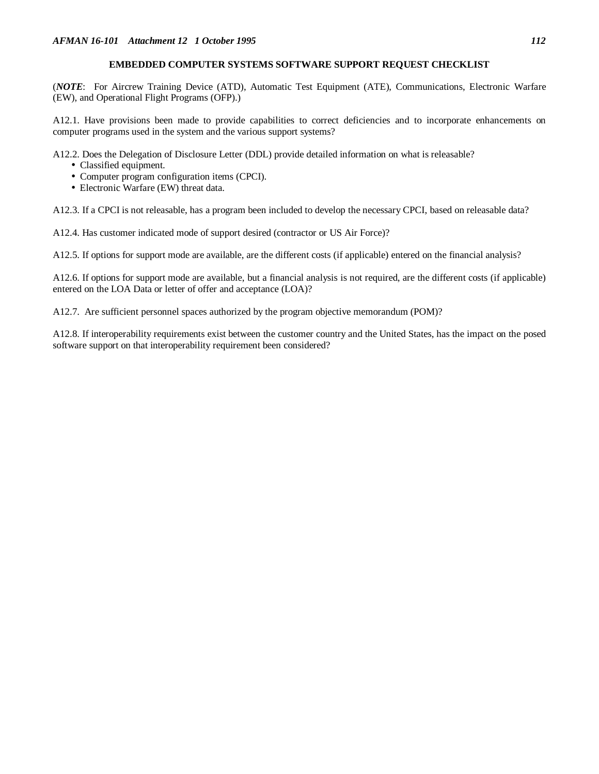# **EMBEDDED COMPUTER SYSTEMS SOFTWARE SUPPORT REQUEST CHECKLIST**

(*NOTE*: For Aircrew Training Device (ATD), Automatic Test Equipment (ATE), Communications, Electronic Warfare (EW), and Operational Flight Programs (OFP).)

A12.1. Have provisions been made to provide capabilities to correct deficiencies and to incorporate enhancements on computer programs used in the system and the various support systems?

- A12.2. Does the Delegation of Disclosure Letter (DDL) provide detailed information on what is releasable?
	- Classified equipment.
	- Computer program configuration items (CPCI).
	- Electronic Warfare (EW) threat data.

A12.3. If a CPCI is not releasable, has a program been included to develop the necessary CPCI, based on releasable data?

A12.4. Has customer indicated mode of support desired (contractor or US Air Force)?

A12.5. If options for support mode are available, are the different costs (if applicable) entered on the financial analysis?

A12.6. If options for support mode are available, but a financial analysis is not required, are the different costs (if applicable) entered on the LOA Data or letter of offer and acceptance (LOA)?

A12.7. Are sufficient personnel spaces authorized by the program objective memorandum (POM)?

A12.8. If interoperability requirements exist between the customer country and the United States, has the impact on the posed software support on that interoperability requirement been considered?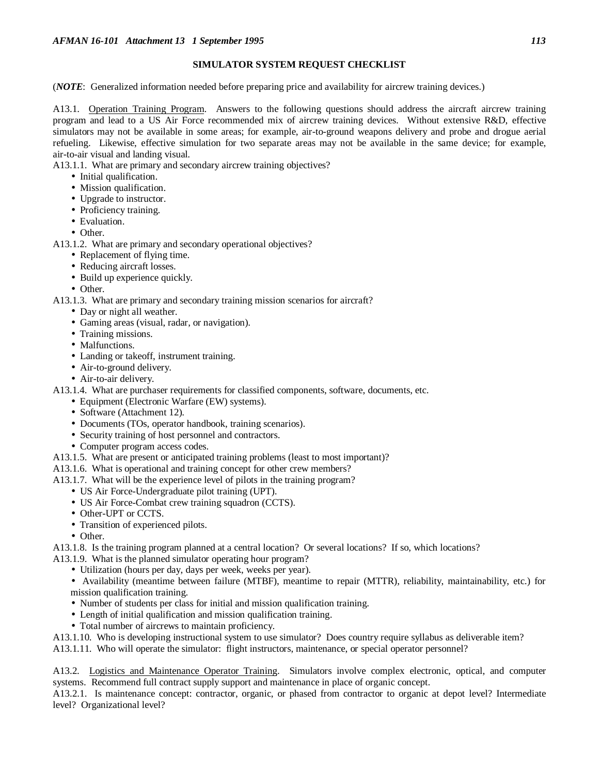# **SIMULATOR SYSTEM REQUEST CHECKLIST**

(*NOTE*: Generalized information needed before preparing price and availability for aircrew training devices.)

A13.1. Operation Training Program. Answers to the following questions should address the aircraft aircrew training program and lead to a US Air Force recommended mix of aircrew training devices. Without extensive R&D, effective simulators may not be available in some areas; for example, air-to-ground weapons delivery and probe and drogue aerial refueling. Likewise, effective simulation for two separate areas may not be available in the same device; for example, air-to-air visual and landing visual.

A13.1.1. What are primary and secondary aircrew training objectives?

- Initial qualification.
- Mission qualification.
- Upgrade to instructor.
- Proficiency training.
- Evaluation.
- Other.

A13.1.2. What are primary and secondary operational objectives?

- Replacement of flying time.
- Reducing aircraft losses.
- Build up experience quickly.
- Other.
- A13.1.3. What are primary and secondary training mission scenarios for aircraft?
	- Day or night all weather.
	- Gaming areas (visual, radar, or navigation).
	- Training missions.
	- Malfunctions.
	- Landing or takeoff, instrument training.
	- Air-to-ground delivery.
	- Air-to-air delivery.

A13.1.4. What are purchaser requirements for classified components, software, documents, etc.

- Equipment (Electronic Warfare (EW) systems).
- Software (Attachment 12).
- Documents (TOs, operator handbook, training scenarios).
- Security training of host personnel and contractors.
- Computer program access codes.
- A13.1.5. What are present or anticipated training problems (least to most important)?
- A13.1.6. What is operational and training concept for other crew members?
- A13.1.7. What will be the experience level of pilots in the training program?
	- US Air Force-Undergraduate pilot training (UPT).
	- US Air Force-Combat crew training squadron (CCTS).
	- Other-UPT or CCTS.
	- Transition of experienced pilots.
	- Other.
- A13.1.8. Is the training program planned at a central location? Or several locations? If so, which locations?
- A13.1.9. What is the planned simulator operating hour program?
	- Utilization (hours per day, days per week, weeks per year).
	- Availability (meantime between failure (MTBF), meantime to repair (MTTR), reliability, maintainability, etc.) for mission qualification training.
	- Number of students per class for initial and mission qualification training.
	- Length of initial qualification and mission qualification training.
	- Total number of aircrews to maintain proficiency.
- A13.1.10. Who is developing instructional system to use simulator? Does country require syllabus as deliverable item?

A13.1.11. Who will operate the simulator: flight instructors, maintenance, or special operator personnel?

A13.2. Logistics and Maintenance Operator Training. Simulators involve complex electronic, optical, and computer systems. Recommend full contract supply support and maintenance in place of organic concept.

A13.2.1. Is maintenance concept: contractor, organic, or phased from contractor to organic at depot level? Intermediate level? Organizational level?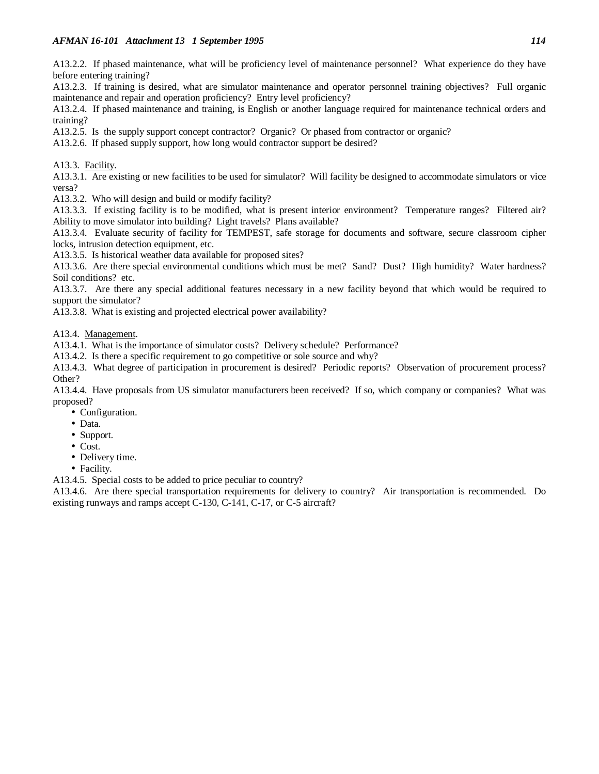A13.2.2. If phased maintenance, what will be proficiency level of maintenance personnel? What experience do they have before entering training?

A13.2.3. If training is desired, what are simulator maintenance and operator personnel training objectives? Full organic maintenance and repair and operation proficiency? Entry level proficiency?

A13.2.4. If phased maintenance and training, is English or another language required for maintenance technical orders and training?

A13.2.5. Is the supply support concept contractor? Organic? Or phased from contractor or organic?

A13.2.6. If phased supply support, how long would contractor support be desired?

# A13.3. Facility.

A13.3.1. Are existing or new facilities to be used for simulator? Will facility be designed to accommodate simulators or vice versa?

A13.3.2. Who will design and build or modify facility?

A13.3.3. If existing facility is to be modified, what is present interior environment? Temperature ranges? Filtered air? Ability to move simulator into building? Light travels? Plans available?

A13.3.4. Evaluate security of facility for TEMPEST, safe storage for documents and software, secure classroom cipher locks, intrusion detection equipment, etc.

A13.3.5. Is historical weather data available for proposed sites?

A13.3.6. Are there special environmental conditions which must be met? Sand? Dust? High humidity? Water hardness? Soil conditions? etc.

A13.3.7. Are there any special additional features necessary in a new facility beyond that which would be required to support the simulator?

A13.3.8. What is existing and projected electrical power availability?

A13.4. Management.

A13.4.1. What is the importance of simulator costs? Delivery schedule? Performance?

A13.4.2. Is there a specific requirement to go competitive or sole source and why?

A13.4.3. What degree of participation in procurement is desired? Periodic reports? Observation of procurement process? Other?

A13.4.4. Have proposals from US simulator manufacturers been received? If so, which company or companies? What was proposed?

- Configuration.
- Data.
- Support.
- Cost.
- Delivery time.
- Facility.

A13.4.5. Special costs to be added to price peculiar to country?

A13.4.6. Are there special transportation requirements for delivery to country? Air transportation is recommended. Do existing runways and ramps accept C-130, C-141, C-17, or C-5 aircraft?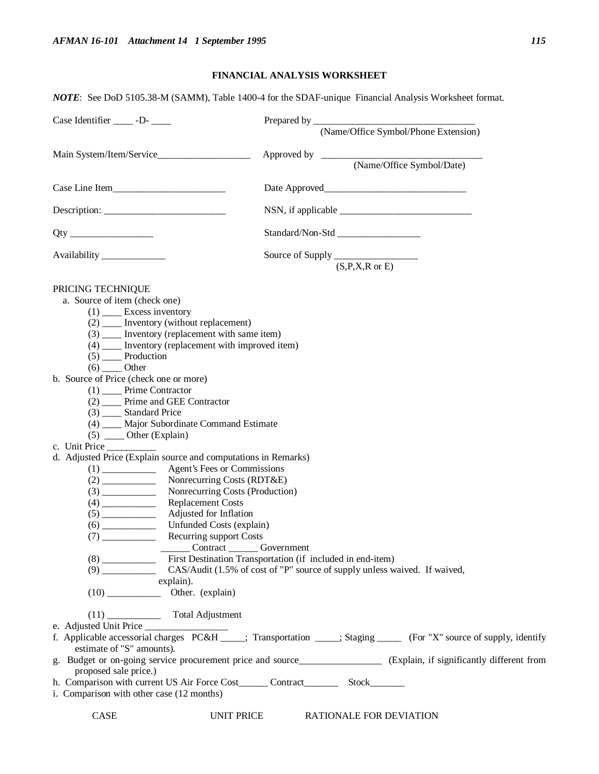# **FINANCIAL ANALYSIS WORKSHEET**

*NOTE*: See DoD 5105.38-M (SAMM), Table 1400-4 for the SDAF-unique Financial Analysis Worksheet format.

| Case Identifier _____ -D- ____                                                                                                                                                                                                                                                                                                             |                                                                                                                      |
|--------------------------------------------------------------------------------------------------------------------------------------------------------------------------------------------------------------------------------------------------------------------------------------------------------------------------------------------|----------------------------------------------------------------------------------------------------------------------|
|                                                                                                                                                                                                                                                                                                                                            | (Name/Office Symbol/Phone Extension)                                                                                 |
|                                                                                                                                                                                                                                                                                                                                            |                                                                                                                      |
|                                                                                                                                                                                                                                                                                                                                            |                                                                                                                      |
|                                                                                                                                                                                                                                                                                                                                            |                                                                                                                      |
|                                                                                                                                                                                                                                                                                                                                            |                                                                                                                      |
|                                                                                                                                                                                                                                                                                                                                            | Standard/Non-Std___________________                                                                                  |
| Availability                                                                                                                                                                                                                                                                                                                               | Source of Supply $\underbrace{(S, P, X, R \text{ or } E)}$                                                           |
| PRICING TECHNIQUE                                                                                                                                                                                                                                                                                                                          |                                                                                                                      |
| a. Source of item (check one)                                                                                                                                                                                                                                                                                                              |                                                                                                                      |
| $(1)$ Excess inventory                                                                                                                                                                                                                                                                                                                     |                                                                                                                      |
| (2) _____ Inventory (without replacement)                                                                                                                                                                                                                                                                                                  |                                                                                                                      |
| (3) _____ Inventory (replacement with same item)                                                                                                                                                                                                                                                                                           |                                                                                                                      |
| (4) _____ Inventory (replacement with improved item)                                                                                                                                                                                                                                                                                       |                                                                                                                      |
| $(5)$ Production                                                                                                                                                                                                                                                                                                                           |                                                                                                                      |
| $(6)$ Other                                                                                                                                                                                                                                                                                                                                |                                                                                                                      |
| b. Source of Price (check one or more)                                                                                                                                                                                                                                                                                                     |                                                                                                                      |
| $(1)$ ______ Prime Contractor                                                                                                                                                                                                                                                                                                              |                                                                                                                      |
| (2) ____ Prime and GEE Contractor                                                                                                                                                                                                                                                                                                          |                                                                                                                      |
| (3) _____ Standard Price                                                                                                                                                                                                                                                                                                                   |                                                                                                                      |
| (4) ___ Major Subordinate Command Estimate                                                                                                                                                                                                                                                                                                 |                                                                                                                      |
| $(5)$ ______ Other (Explain)                                                                                                                                                                                                                                                                                                               |                                                                                                                      |
| c. Unit Price                                                                                                                                                                                                                                                                                                                              |                                                                                                                      |
| d. Adjusted Price (Explain source and computations in Remarks)                                                                                                                                                                                                                                                                             |                                                                                                                      |
| (1) ___________________ Agent's Fees or Commissions                                                                                                                                                                                                                                                                                        |                                                                                                                      |
|                                                                                                                                                                                                                                                                                                                                            |                                                                                                                      |
|                                                                                                                                                                                                                                                                                                                                            | Nonrecurring Costs (RDT&E)                                                                                           |
|                                                                                                                                                                                                                                                                                                                                            | Nonrecurring Costs (Production)                                                                                      |
| <b>Replacement Costs</b>                                                                                                                                                                                                                                                                                                                   |                                                                                                                      |
| Adjusted for Inflation                                                                                                                                                                                                                                                                                                                     |                                                                                                                      |
| Unfunded Costs (explain)                                                                                                                                                                                                                                                                                                                   |                                                                                                                      |
| Recurring support Costs                                                                                                                                                                                                                                                                                                                    |                                                                                                                      |
| <u> 1980 - John Stein, Amerikaansk kon</u>                                                                                                                                                                                                                                                                                                 | Contract ________ Government                                                                                         |
|                                                                                                                                                                                                                                                                                                                                            | (8) First Destination Transportation (if included in end-item)                                                       |
|                                                                                                                                                                                                                                                                                                                                            | CAS/Audit (1.5% of cost of "P" source of supply unless waived. If waived,                                            |
| explain).                                                                                                                                                                                                                                                                                                                                  |                                                                                                                      |
| $(10)$ $\qquad$ $\qquad$ $\qquad$ $\qquad$ $\qquad$ $\qquad$ $\qquad$ $\qquad$ $\qquad$ $\qquad$ $\qquad$ $\qquad$ $\qquad$ $\qquad$ $\qquad$ $\qquad$ $\qquad$ $\qquad$ $\qquad$ $\qquad$ $\qquad$ $\qquad$ $\qquad$ $\qquad$ $\qquad$ $\qquad$ $\qquad$ $\qquad$ $\qquad$ $\qquad$ $\qquad$ $\qquad$ $\qquad$ $\qquad$ $\qquad$ $\qquad$ |                                                                                                                      |
| (11) ___________________ Total Adjustment                                                                                                                                                                                                                                                                                                  |                                                                                                                      |
|                                                                                                                                                                                                                                                                                                                                            |                                                                                                                      |
| estimate of "S" amounts).                                                                                                                                                                                                                                                                                                                  |                                                                                                                      |
|                                                                                                                                                                                                                                                                                                                                            | g. Budget or on-going service procurement price and source________________ (Explain, if significantly different from |
| proposed sale price.)                                                                                                                                                                                                                                                                                                                      |                                                                                                                      |
|                                                                                                                                                                                                                                                                                                                                            | h. Comparison with current US Air Force Cost______ Contract___________ Stock_________                                |
| i. Comparison with other case (12 months)                                                                                                                                                                                                                                                                                                  |                                                                                                                      |
|                                                                                                                                                                                                                                                                                                                                            |                                                                                                                      |
| CASE                                                                                                                                                                                                                                                                                                                                       | UNIT PRICE<br>RATIONALE FOR DEVIATION                                                                                |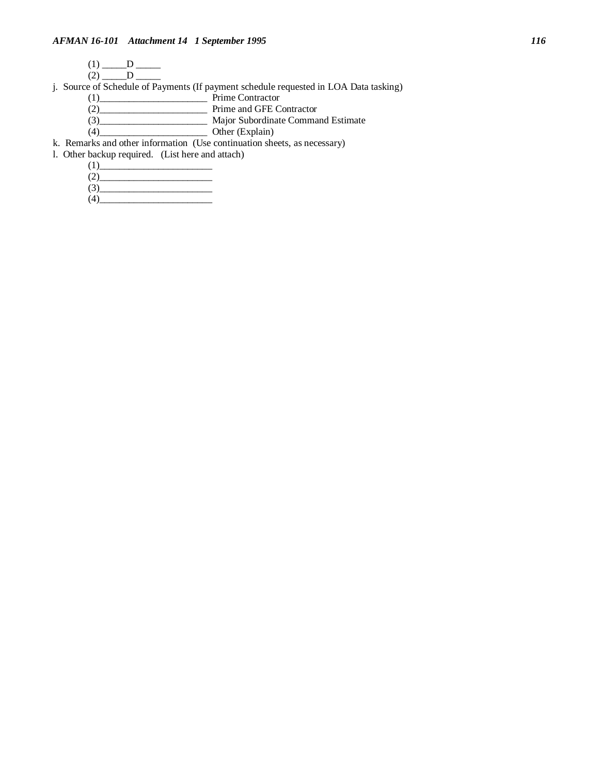- (1) \_\_\_\_\_D \_\_\_\_\_ (2) \_\_\_\_\_D \_\_\_\_\_
- j. Source of Schedule of Payments (If payment schedule requested in LOA Data tasking)
	- (1)\_\_\_\_\_\_\_\_\_\_\_\_\_\_\_\_\_\_\_\_\_\_ Prime Contractor
	- (2)\_\_\_\_\_\_\_\_\_\_\_\_\_\_\_\_\_\_\_\_\_\_ Prime and GFE Contractor
	- (3)\_\_\_\_\_\_\_\_\_\_\_\_\_\_\_\_\_\_\_\_\_\_ Major Subordinate Command Estimate
	- (4)\_\_\_\_\_\_\_\_\_\_\_\_\_\_\_\_\_\_\_\_\_\_ Other (Explain)
- k. Remarks and other information (Use continuation sheets, as necessary)
- l. Other backup required. (List here and attach)
	- (1)\_\_\_\_\_\_\_\_\_\_\_\_\_\_\_\_\_\_\_\_\_\_\_ (2)\_\_\_\_\_\_\_\_\_\_\_\_\_\_\_\_\_\_\_\_\_\_\_
	- (3)\_\_\_\_\_\_\_\_\_\_\_\_\_\_\_\_\_\_\_\_\_\_\_
	- (4)\_\_\_\_\_\_\_\_\_\_\_\_\_\_\_\_\_\_\_\_\_\_\_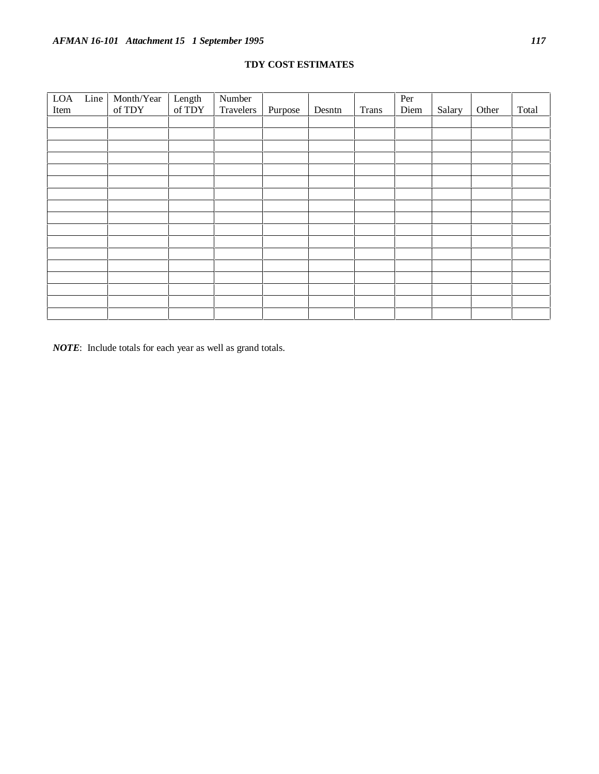| <b>LOA</b><br>Item | Line | Month/Year<br>of TDY | Length<br>of $TDY$ | Number<br>Travelers | Purpose | Desntn | Trans | Per<br>Diem | Salary | Other | Total |
|--------------------|------|----------------------|--------------------|---------------------|---------|--------|-------|-------------|--------|-------|-------|
|                    |      |                      |                    |                     |         |        |       |             |        |       |       |
|                    |      |                      |                    |                     |         |        |       |             |        |       |       |
|                    |      |                      |                    |                     |         |        |       |             |        |       |       |
|                    |      |                      |                    |                     |         |        |       |             |        |       |       |
|                    |      |                      |                    |                     |         |        |       |             |        |       |       |
|                    |      |                      |                    |                     |         |        |       |             |        |       |       |
|                    |      |                      |                    |                     |         |        |       |             |        |       |       |
|                    |      |                      |                    |                     |         |        |       |             |        |       |       |
|                    |      |                      |                    |                     |         |        |       |             |        |       |       |
|                    |      |                      |                    |                     |         |        |       |             |        |       |       |
|                    |      |                      |                    |                     |         |        |       |             |        |       |       |
|                    |      |                      |                    |                     |         |        |       |             |        |       |       |
|                    |      |                      |                    |                     |         |        |       |             |        |       |       |
|                    |      |                      |                    |                     |         |        |       |             |        |       |       |
|                    |      |                      |                    |                     |         |        |       |             |        |       |       |
|                    |      |                      |                    |                     |         |        |       |             |        |       |       |
|                    |      |                      |                    |                     |         |        |       |             |        |       |       |

# **TDY COST ESTIMATES**

*NOTE*: Include totals for each year as well as grand totals.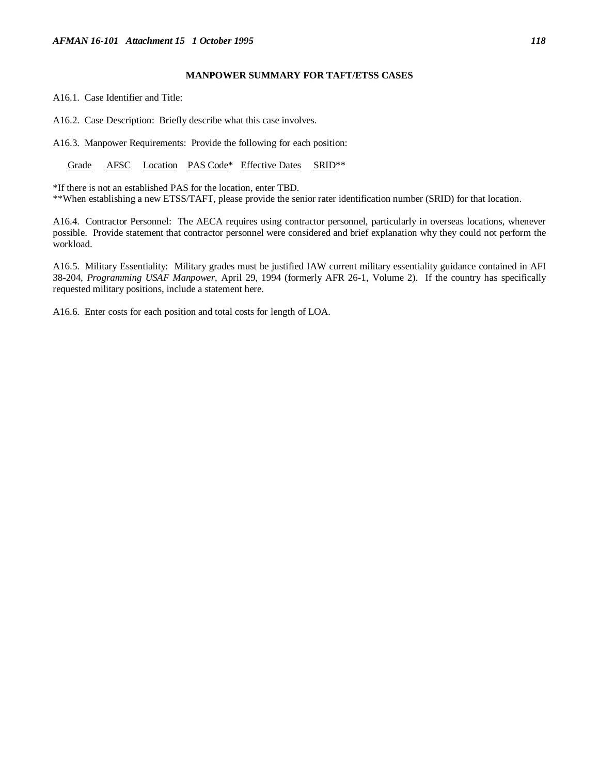# **MANPOWER SUMMARY FOR TAFT/ETSS CASES**

A16.1. Case Identifier and Title:

A16.2. Case Description: Briefly describe what this case involves.

A16.3. Manpower Requirements: Provide the following for each position:

Grade AFSC Location PAS Code\* Effective Dates SRID\*\*

\*If there is not an established PAS for the location, enter TBD. \*\*When establishing a new ETSS/TAFT, please provide the senior rater identification number (SRID) for that location.

A16.4. Contractor Personnel: The AECA requires using contractor personnel, particularly in overseas locations, whenever possible. Provide statement that contractor personnel were considered and brief explanation why they could not perform the workload.

A16.5. Military Essentiality: Military grades must be justified IAW current military essentiality guidance contained in AFI 38-204, *Programming USAF Manpower*, April 29, 1994 (formerly AFR 26-1, Volume 2). If the country has specifically requested military positions, include a statement here.

A16.6. Enter costs for each position and total costs for length of LOA.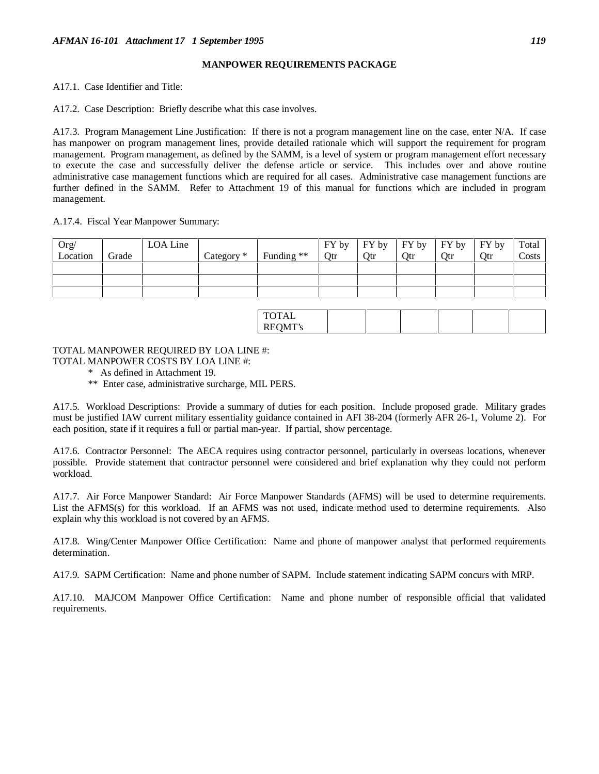## **MANPOWER REQUIREMENTS PACKAGE**

A17.1. Case Identifier and Title:

A17.2. Case Description: Briefly describe what this case involves.

A17.3. Program Management Line Justification: If there is not a program management line on the case, enter N/A. If case has manpower on program management lines, provide detailed rationale which will support the requirement for program management. Program management, as defined by the SAMM, is a level of system or program management effort necessary to execute the case and successfully deliver the defense article or service. This includes over and above routine administrative case management functions which are required for all cases. Administrative case management functions are further defined in the SAMM. Refer to Attachment 19 of this manual for functions which are included in program management.

A.17.4. Fiscal Year Manpower Summary:

| Org/     |       | LOA Line |              |              | FY by | FY by      | FY by      | FY by      | FY by      | Total |
|----------|-------|----------|--------------|--------------|-------|------------|------------|------------|------------|-------|
| Location | Grade |          | Category $*$ | Funding $**$ | Otr   | <b>Qtr</b> | <b>Qtr</b> | <b>Qtr</b> | <b>Qtr</b> | Costs |
|          |       |          |              |              |       |            |            |            |            |       |
|          |       |          |              |              |       |            |            |            |            |       |
|          |       |          |              |              |       |            |            |            |            |       |

| <b>TOTAL</b>              |  |  |  |
|---------------------------|--|--|--|
| $FOMT$ 's<br>DГ<br>1 LL U |  |  |  |

TOTAL MANPOWER REQUIRED BY LOA LINE #:

TOTAL MANPOWER COSTS BY LOA LINE #:

- \* As defined in Attachment 19.
- \*\* Enter case, administrative surcharge, MIL PERS.

A17.5. Workload Descriptions: Provide a summary of duties for each position. Include proposed grade. Military grades must be justified IAW current military essentiality guidance contained in AFI 38-204 (formerly AFR 26-1, Volume 2). For each position, state if it requires a full or partial man-year. If partial, show percentage.

A17.6. Contractor Personnel: The AECA requires using contractor personnel, particularly in overseas locations, whenever possible. Provide statement that contractor personnel were considered and brief explanation why they could not perform workload.

A17.7. Air Force Manpower Standard: Air Force Manpower Standards (AFMS) will be used to determine requirements. List the AFMS(s) for this workload. If an AFMS was not used, indicate method used to determine requirements. Also explain why this workload is not covered by an AFMS.

A17.8. Wing/Center Manpower Office Certification: Name and phone of manpower analyst that performed requirements determination.

A17.9. SAPM Certification: Name and phone number of SAPM. Include statement indicating SAPM concurs with MRP.

A17.10. MAJCOM Manpower Office Certification: Name and phone number of responsible official that validated requirements.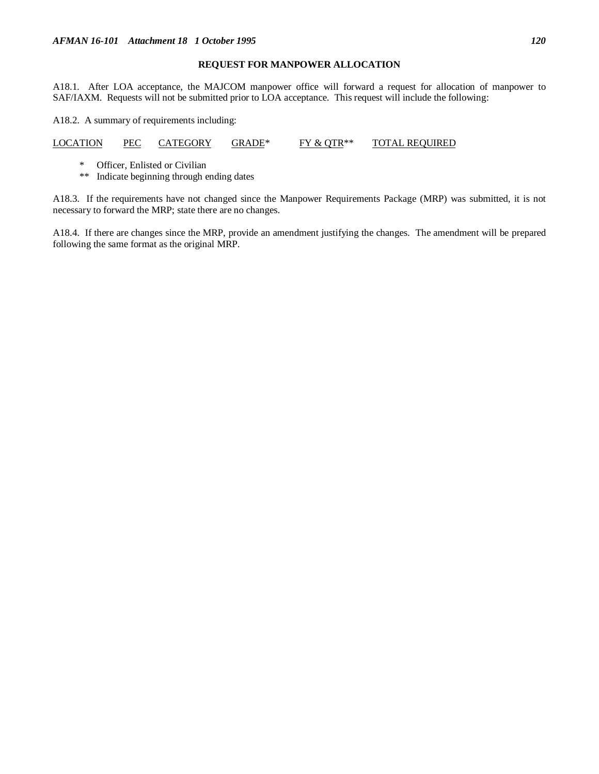### **REQUEST FOR MANPOWER ALLOCATION**

A18.1. After LOA acceptance, the MAJCOM manpower office will forward a request for allocation of manpower to SAF/IAXM. Requests will not be submitted prior to LOA acceptance. This request will include the following:

A18.2. A summary of requirements including:

#### LOCATION PEC CATEGORY GRADE\* FY & QTR\*\* TOTAL REQUIRED

- \* Officer, Enlisted or Civilian
- \*\* Indicate beginning through ending dates

A18.3. If the requirements have not changed since the Manpower Requirements Package (MRP) was submitted, it is not necessary to forward the MRP; state there are no changes.

A18.4. If there are changes since the MRP, provide an amendment justifying the changes. The amendment will be prepared following the same format as the original MRP.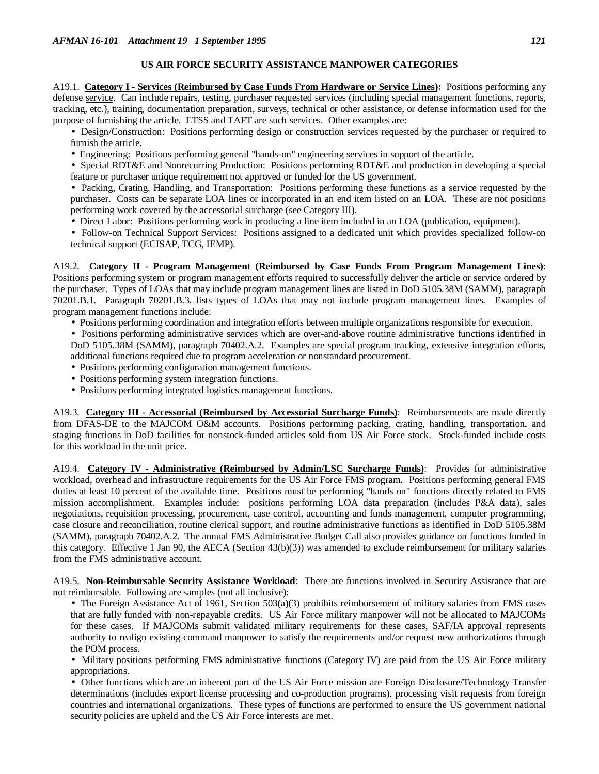# **US AIR FORCE SECURITY ASSISTANCE MANPOWER CATEGORIES**

A19.1. **Category I - Services (Reimbursed by Case Funds From Hardware or Service Lines):** Positions performing any defense service. Can include repairs, testing, purchaser requested services (including special management functions, reports, tracking, etc.), training, documentation preparation, surveys, technical or other assistance, or defense information used for the purpose of furnishing the article. ETSS and TAFT are such services. Other examples are:

• Design/Construction: Positions performing design or construction services requested by the purchaser or required to furnish the article.

- Engineering: Positions performing general "hands-on" engineering services in support of the article.
- Special RDT&E and Nonrecurring Production: Positions performing RDT&E and production in developing a special feature or purchaser unique requirement not approved or funded for the US government.

• Packing, Crating, Handling, and Transportation: Positions performing these functions as a service requested by the purchaser. Costs can be separate LOA lines or incorporated in an end item listed on an LOA. These are not positions performing work covered by the accessorial surcharge (see Category III).

- Direct Labor: Positions performing work in producing a line item included in an LOA (publication, equipment).
- Follow-on Technical Support Services: Positions assigned to a dedicated unit which provides specialized follow-on technical support (ECISAP, TCG, IEMP).

### A19.2. **Category II - Program Management (Reimbursed by Case Funds From Program Management Lines)**: Positions performing system or program management efforts required to successfully deliver the article or service ordered by the purchaser. Types of LOAs that may include program management lines are listed in DoD 5105.38M (SAMM), paragraph 70201.B.1. Paragraph 70201.B.3. lists types of LOAs that may not include program management lines. Examples of

- program management functions include:
	- Positions performing coordination and integration efforts between multiple organizations responsible for execution.

• Positions performing administrative services which are over-and-above routine administrative functions identified in DoD 5105.38M (SAMM), paragraph 70402.A.2. Examples are special program tracking, extensive integration efforts, additional functions required due to program acceleration or nonstandard procurement.

- Positions performing configuration management functions.
- Positions performing system integration functions.
- Positions performing integrated logistics management functions.

A19.3. **Category III - Accessorial (Reimbursed by Accessorial Surcharge Funds)**: Reimbursements are made directly from DFAS-DE to the MAJCOM O&M accounts. Positions performing packing, crating, handling, transportation, and staging functions in DoD facilities for nonstock-funded articles sold from US Air Force stock. Stock-funded include costs for this workload in the unit price.

A19.4. **Category IV - Administrative (Reimbursed by Admin/LSC Surcharge Funds)**: Provides for administrative workload, overhead and infrastructure requirements for the US Air Force FMS program. Positions performing general FMS duties at least 10 percent of the available time. Positions must be performing "hands on" functions directly related to FMS mission accomplishment. Examples include: positions performing LOA data preparation (includes P&A data), sales negotiations, requisition processing, procurement, case control, accounting and funds management, computer programming, case closure and reconciliation, routine clerical support, and routine administrative functions as identified in DoD 5105.38M (SAMM), paragraph 70402.A.2. The annual FMS Administrative Budget Call also provides guidance on functions funded in this category. Effective 1 Jan 90, the AECA (Section 43(b)(3)) was amended to exclude reimbursement for military salaries from the FMS administrative account.

A19.5. **Non-Reimbursable Security Assistance Workload**: There are functions involved in Security Assistance that are not reimbursable. Following are samples (not all inclusive):

• The Foreign Assistance Act of 1961, Section 503(a)(3) prohibits reimbursement of military salaries from FMS cases that are fully funded with non-repayable credits. US Air Force military manpower will not be allocated to MAJCOMs for these cases. If MAJCOMs submit validated military requirements for these cases, SAF/IA approval represents authority to realign existing command manpower to satisfy the requirements and/or request new authorizations through the POM process.

• Military positions performing FMS administrative functions (Category IV) are paid from the US Air Force military appropriations.

• Other functions which are an inherent part of the US Air Force mission are Foreign Disclosure/Technology Transfer determinations (includes export license processing and co-production programs), processing visit requests from foreign countries and international organizations. These types of functions are performed to ensure the US government national security policies are upheld and the US Air Force interests are met.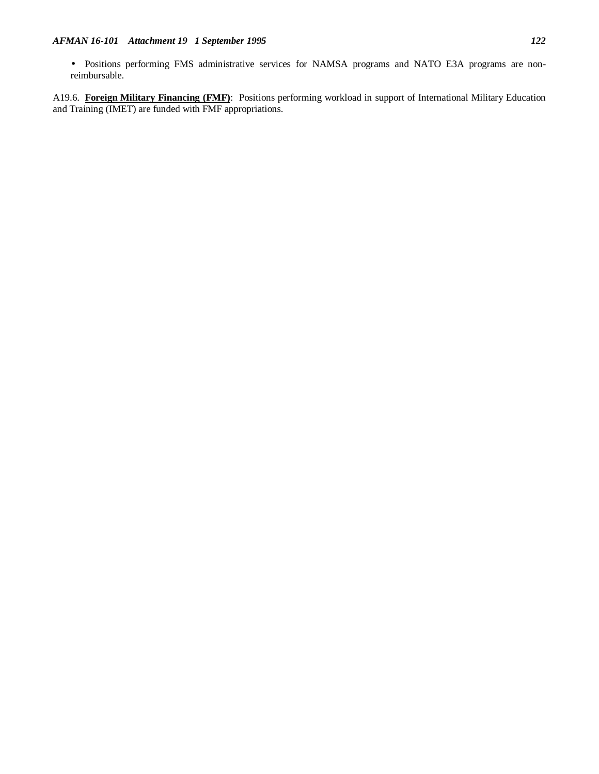A19.6. **Foreign Military Financing (FMF)**: Positions performing workload in support of International Military Education and Training (IMET) are funded with FMF appropriations.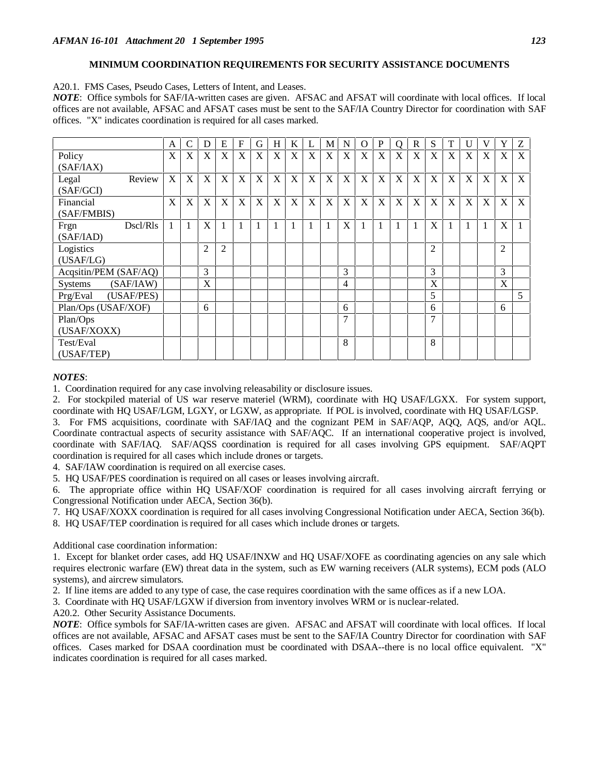## **MINIMUM COORDINATION REQUIREMENTS FOR SECURITY ASSISTANCE DOCUMENTS**

A20.1. FMS Cases, Pseudo Cases, Letters of Intent, and Leases.

*NOTE*: Office symbols for SAF/IA-written cases are given. AFSAC and AFSAT will coordinate with local offices. If local offices are not available, AFSAC and AFSAT cases must be sent to the SAF/IA Country Director for coordination with SAF offices. "X" indicates coordination is required for all cases marked.

|                        | A | C | D              | E | F | G | H | K | L | M | N | $\Omega$ | P | Q | R | S              | T | U | V | Y                         | Ζ |
|------------------------|---|---|----------------|---|---|---|---|---|---|---|---|----------|---|---|---|----------------|---|---|---|---------------------------|---|
| Policy                 | X | X | X              | X | X | X | X | X | X | X | X | X        | X | X | X | X              | X | X | X | X                         | X |
| (SAF/IAX)              |   |   |                |   |   |   |   |   |   |   |   |          |   |   |   |                |   |   |   |                           |   |
| Review<br>Legal        | X | X | X              | X | X | X | X | X | X | X | X | X        | X | X | X | X              | X | X | X | X                         | X |
| (SAF/GCI)              |   |   |                |   |   |   |   |   |   |   |   |          |   |   |   |                |   |   |   |                           |   |
| Financial              | X | X | X              | X | X | X | X | X | X | X | X | X        | X | X | X | X              | X | X | X | $\boldsymbol{\mathrm{X}}$ | X |
| (SAF/FMBIS)            |   |   |                |   |   |   |   |   |   |   |   |          |   |   |   |                |   |   |   |                           |   |
| Dscl/Rls<br>Frgn       |   | 1 | X              |   |   |   |   |   | 1 | 1 | X |          |   |   |   | X              |   | 1 |   | X                         |   |
| (SAF/IAD)              |   |   |                |   |   |   |   |   |   |   |   |          |   |   |   |                |   |   |   |                           |   |
| Logistics              |   |   | $\overline{2}$ | 2 |   |   |   |   |   |   |   |          |   |   |   | $\overline{c}$ |   |   |   | $\overline{2}$            |   |
| (USAF/LG)              |   |   |                |   |   |   |   |   |   |   |   |          |   |   |   |                |   |   |   |                           |   |
| Acqsitin/PEM (SAF/AQ)  |   |   | 3              |   |   |   |   |   |   |   | 3 |          |   |   |   | 3              |   |   |   | 3                         |   |
| (SAF/IAW)<br>Systems   |   |   | X              |   |   |   |   |   |   |   | 4 |          |   |   |   | X              |   |   |   | X                         |   |
| Prg/Eval<br>(USAF/PES) |   |   |                |   |   |   |   |   |   |   |   |          |   |   |   | 5              |   |   |   |                           | 5 |
| Plan/Ops (USAF/XOF)    |   |   | 6              |   |   |   |   |   |   |   | 6 |          |   |   |   | 6              |   |   |   | 6                         |   |
| Plan/Ops               |   |   |                |   |   |   |   |   |   |   | 7 |          |   |   |   | 7              |   |   |   |                           |   |
| (USAF/XOXX)            |   |   |                |   |   |   |   |   |   |   |   |          |   |   |   |                |   |   |   |                           |   |
| Test/Eval              |   |   |                |   |   |   |   |   |   |   | 8 |          |   |   |   | 8              |   |   |   |                           |   |
| (USAF/TEP)             |   |   |                |   |   |   |   |   |   |   |   |          |   |   |   |                |   |   |   |                           |   |

### *NOTES*:

1. Coordination required for any case involving releasability or disclosure issues.

2. For stockpiled material of US war reserve materiel (WRM), coordinate with HQ USAF/LGXX. For system support, coordinate with HQ USAF/LGM, LGXY, or LGXW, as appropriate. If POL is involved, coordinate with HQ USAF/LGSP.

3. For FMS acquisitions, coordinate with SAF/IAQ and the cognizant PEM in SAF/AQP, AQQ, AQS, and/or AQL. Coordinate contractual aspects of security assistance with SAF/AQC. If an international cooperative project is involved, coordinate with SAF/IAQ. SAF/AQSS coordination is required for all cases involving GPS equipment. SAF/AQPT coordination is required for all cases which include drones or targets.

4. SAF/IAW coordination is required on all exercise cases.

5. HQ USAF/PES coordination is required on all cases or leases involving aircraft.

6. The appropriate office within HQ USAF/XOF coordination is required for all cases involving aircraft ferrying or Congressional Notification under AECA, Section 36(b).

7. HQ USAF/XOXX coordination is required for all cases involving Congressional Notification under AECA, Section 36(b).

8. HQ USAF/TEP coordination is required for all cases which include drones or targets.

Additional case coordination information:

1. Except for blanket order cases, add HQ USAF/INXW and HQ USAF/XOFE as coordinating agencies on any sale which requires electronic warfare (EW) threat data in the system, such as EW warning receivers (ALR systems), ECM pods (ALO systems), and aircrew simulators.

2. If line items are added to any type of case, the case requires coordination with the same offices as if a new LOA.

3. Coordinate with HQ USAF/LGXW if diversion from inventory involves WRM or is nuclear-related.

A20.2. Other Security Assistance Documents.

*NOTE*: Office symbols for SAF/IA-written cases are given. AFSAC and AFSAT will coordinate with local offices. If local offices are not available, AFSAC and AFSAT cases must be sent to the SAF/IA Country Director for coordination with SAF offices. Cases marked for DSAA coordination must be coordinated with DSAA--there is no local office equivalent. "X" indicates coordination is required for all cases marked.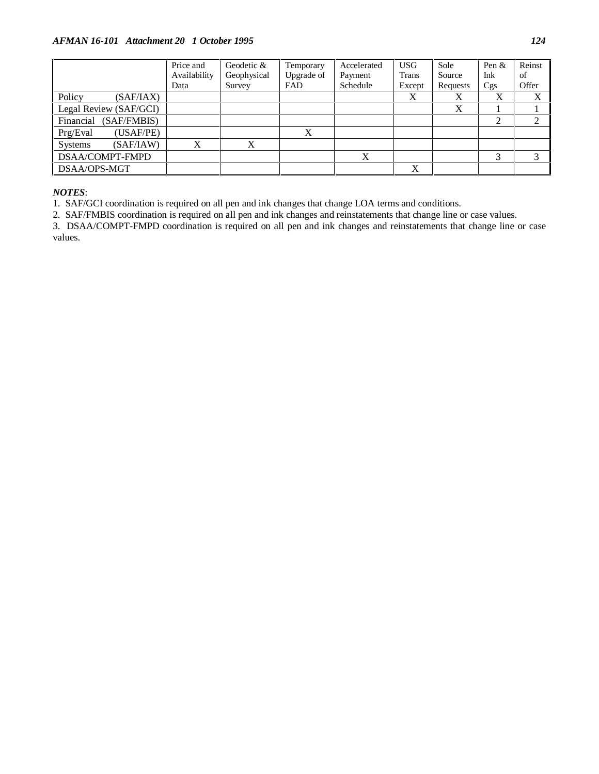# *AFMAN 16-101 Attachment 20 1 October 1995 124*

|                        |             | Price and    | Geodetic &  | Temporary  | Accelerated | <b>USG</b> | Sole     | Pen $&$ | Reinst |
|------------------------|-------------|--------------|-------------|------------|-------------|------------|----------|---------|--------|
|                        |             | Availability | Geophysical | Upgrade of | Payment     | Trans      | Source   | Ink     | of     |
|                        |             | Data         | Survey      | <b>FAD</b> | Schedule    | Except     | Requests | Cgs     | Offer  |
| Policy                 | (SAF/IAX)   |              |             |            |             | X          | X        | X       | X      |
| Legal Review (SAF/GCI) |             |              |             |            |             |            | X        |         |        |
| Financial              | (SAF/FMBIS) |              |             |            |             |            |          | ◠       | ↑      |
| Prg/Eval               | (USAF/PE)   |              |             | X          |             |            |          |         |        |
| <b>Systems</b>         | (SAF/IAW)   | X            | X           |            |             |            |          |         |        |
| DSAA/COMPT-FMPD        |             |              |             |            | X           |            |          | 3       | 3      |
| DSAA/OPS-MGT           |             |              |             |            |             | X          |          |         |        |

*NOTES*:

1. SAF/GCI coordination is required on all pen and ink changes that change LOA terms and conditions.

2. SAF/FMBIS coordination is required on all pen and ink changes and reinstatements that change line or case values.

3. DSAA/COMPT-FMPD coordination is required on all pen and ink changes and reinstatements that change line or case values.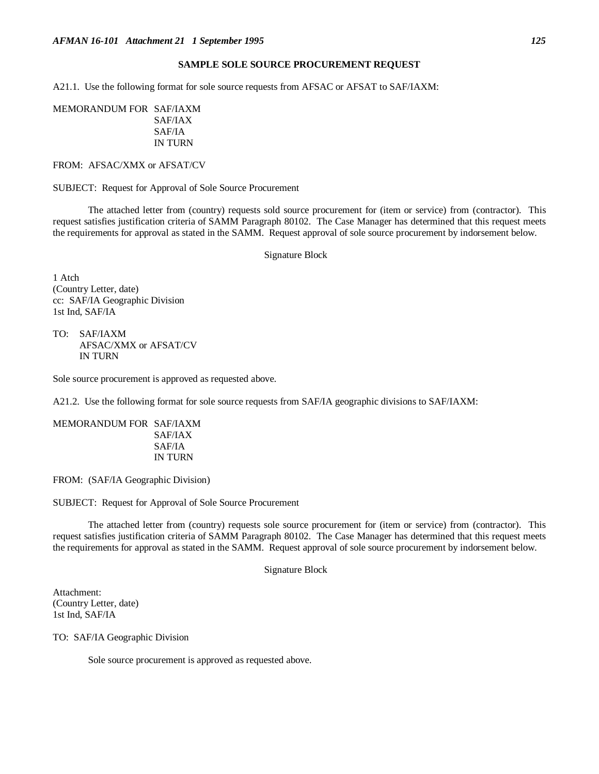## **SAMPLE SOLE SOURCE PROCUREMENT REQUEST**

A21.1. Use the following format for sole source requests from AFSAC or AFSAT to SAF/IAXM:

MEMORANDUM FOR SAF/IAXM SAF/IAX SAF/IA IN TURN

FROM: AFSAC/XMX or AFSAT/CV

SUBJECT: Request for Approval of Sole Source Procurement

The attached letter from (country) requests sold source procurement for (item or service) from (contractor). This request satisfies justification criteria of SAMM Paragraph 80102. The Case Manager has determined that this request meets the requirements for approval as stated in the SAMM. Request approval of sole source procurement by indorsement below.

Signature Block

1 Atch (Country Letter, date) cc: SAF/IA Geographic Division 1st Ind, SAF/IA

TO: SAF/IAXM AFSAC/XMX or AFSAT/CV IN TURN

Sole source procurement is approved as requested above.

A21.2. Use the following format for sole source requests from SAF/IA geographic divisions to SAF/IAXM:

MEMORANDUM FOR SAF/IAXM SAF/IAX SAF/IA IN TURN

FROM: (SAF/IA Geographic Division)

SUBJECT: Request for Approval of Sole Source Procurement

The attached letter from (country) requests sole source procurement for (item or service) from (contractor). This request satisfies justification criteria of SAMM Paragraph 80102. The Case Manager has determined that this request meets the requirements for approval as stated in the SAMM. Request approval of sole source procurement by indorsement below.

Signature Block

Attachment: (Country Letter, date) 1st Ind, SAF/IA

TO: SAF/IA Geographic Division

Sole source procurement is approved as requested above.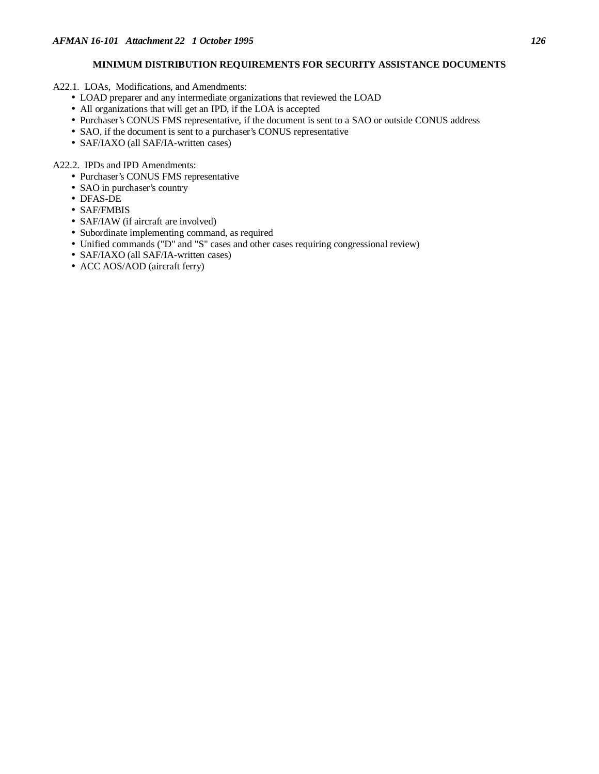# **MINIMUM DISTRIBUTION REQUIREMENTS FOR SECURITY ASSISTANCE DOCUMENTS**

A22.1. LOAs, Modifications, and Amendments:

- LOAD preparer and any intermediate organizations that reviewed the LOAD
- All organizations that will get an IPD, if the LOA is accepted
- Purchaser's CONUS FMS representative, if the document is sent to a SAO or outside CONUS address
- SAO, if the document is sent to a purchaser's CONUS representative
- SAF/IAXO (all SAF/IA-written cases)

A22.2. IPDs and IPD Amendments:

- Purchaser's CONUS FMS representative
- SAO in purchaser's country
- DFAS-DE
- SAF/FMBIS
- SAF/IAW (if aircraft are involved)
- Subordinate implementing command, as required
- Unified commands ("D" and "S" cases and other cases requiring congressional review)
- SAF/IAXO (all SAF/IA-written cases)
- ACC AOS/AOD (aircraft ferry)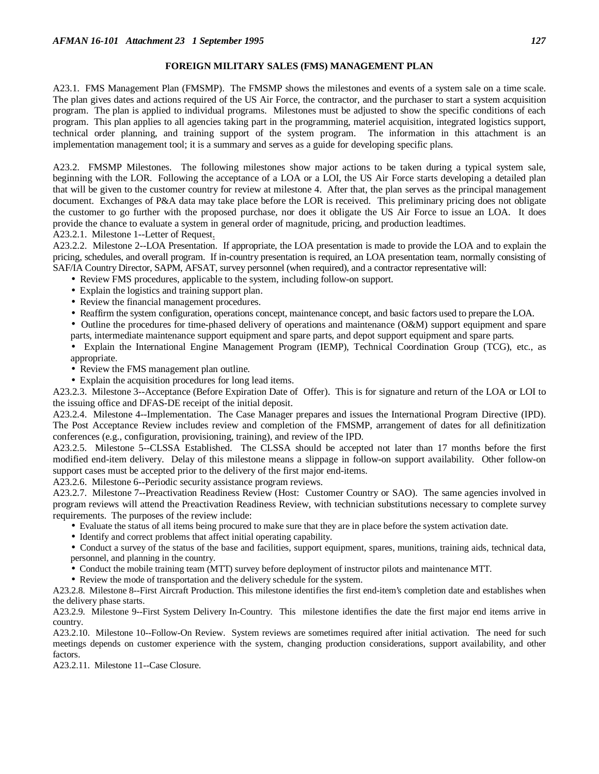### **FOREIGN MILITARY SALES (FMS) MANAGEMENT PLAN**

A23.1. FMS Management Plan (FMSMP). The FMSMP shows the milestones and events of a system sale on a time scale. The plan gives dates and actions required of the US Air Force, the contractor, and the purchaser to start a system acquisition program. The plan is applied to individual programs. Milestones must be adjusted to show the specific conditions of each program. This plan applies to all agencies taking part in the programming, materiel acquisition, integrated logistics support, technical order planning, and training support of the system program. The information in this attachment is an implementation management tool; it is a summary and serves as a guide for developing specific plans.

A23.2. FMSMP Milestones. The following milestones show major actions to be taken during a typical system sale, beginning with the LOR. Following the acceptance of a LOA or a LOI, the US Air Force starts developing a detailed plan that will be given to the customer country for review at milestone 4. After that, the plan serves as the principal management document. Exchanges of P&A data may take place before the LOR is received. This preliminary pricing does not obligate the customer to go further with the proposed purchase, nor does it obligate the US Air Force to issue an LOA. It does provide the chance to evaluate a system in general order of magnitude, pricing, and production leadtimes.

A23.2.1. Milestone 1--Letter of Request.

A23.2.2. Milestone 2--LOA Presentation. If appropriate, the LOA presentation is made to provide the LOA and to explain the pricing, schedules, and overall program. If in-country presentation is required, an LOA presentation team, normally consisting of SAF/IA Country Director, SAPM, AFSAT, survey personnel (when required), and a contractor representative will:

- Review FMS procedures, applicable to the system, including follow-on support.
- Explain the logistics and training support plan.
- Review the financial management procedures.
- Reaffirm the system configuration, operations concept, maintenance concept, and basic factors used to prepare the LOA.
- Outline the procedures for time-phased delivery of operations and maintenance (O&M) support equipment and spare parts, intermediate maintenance support equipment and spare parts, and depot support equipment and spare parts.

• Explain the International Engine Management Program (IEMP), Technical Coordination Group (TCG), etc., as appropriate.

- Review the FMS management plan outline.
- Explain the acquisition procedures for long lead items.

A23.2.3. Milestone 3--Acceptance (Before Expiration Date of Offer). This is for signature and return of the LOA or LOI to the issuing office and DFAS-DE receipt of the initial deposit.

A23.2.4. Milestone 4--Implementation. The Case Manager prepares and issues the International Program Directive (IPD). The Post Acceptance Review includes review and completion of the FMSMP, arrangement of dates for all definitization conferences (e.g., configuration, provisioning, training), and review of the IPD.

A23.2.5. Milestone 5--CLSSA Established. The CLSSA should be accepted not later than 17 months before the first modified end-item delivery. Delay of this milestone means a slippage in follow-on support availability. Other follow-on support cases must be accepted prior to the delivery of the first major end-items.

A23.2.6. Milestone 6--Periodic security assistance program reviews.

A23.2.7. Milestone 7--Preactivation Readiness Review (Host: Customer Country or SAO). The same agencies involved in program reviews will attend the Preactivation Readiness Review, with technician substitutions necessary to complete survey requirements. The purposes of the review include:

- Evaluate the status of all items being procured to make sure that they are in place before the system activation date.
- Identify and correct problems that affect initial operating capability.

• Conduct a survey of the status of the base and facilities, support equipment, spares, munitions, training aids, technical data, personnel, and planning in the country.

- Conduct the mobile training team (MTT) survey before deployment of instructor pilots and maintenance MTT.
- Review the mode of transportation and the delivery schedule for the system.

A23.2.8. Milestone 8--First Aircraft Production. This milestone identifies the first end-item's completion date and establishes when the delivery phase starts.

A23.2.9. Milestone 9--First System Delivery In-Country. This milestone identifies the date the first major end items arrive in country.

A23.2.10. Milestone 10--Follow-On Review. System reviews are sometimes required after initial activation. The need for such meetings depends on customer experience with the system, changing production considerations, support availability, and other factors.

A23.2.11. Milestone 11--Case Closure.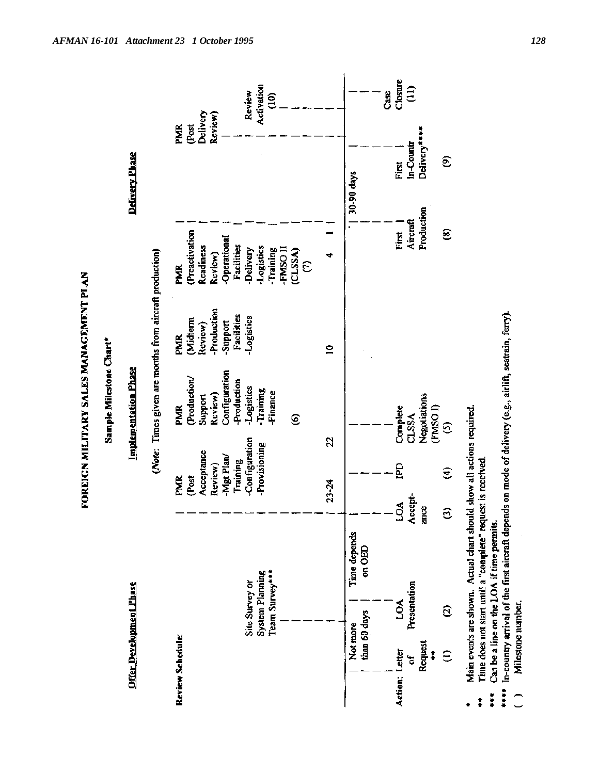|                |                         |                 |                                            |         |                            |          | Sample Milestone Chart* |                                                         |                          |                |                     |
|----------------|-------------------------|-----------------|--------------------------------------------|---------|----------------------------|----------|-------------------------|---------------------------------------------------------|--------------------------|----------------|---------------------|
|                | Offer Development Phase |                 |                                            |         |                            |          | Implementation Phase    |                                                         |                          | Delivery Phase |                     |
|                |                         |                 |                                            |         |                            |          |                         | (Note: Times given are months from aircraft production) |                          |                |                     |
|                | Review Schedule:        |                 |                                            |         | <b>PMR</b>                 |          | <b>PMR</b>              | <b>PMR</b>                                              | <b>PMR</b>               | <b>PMR</b>     |                     |
|                |                         |                 |                                            |         | (Post                      |          | (Production/            | (Midterm                                                | (Preactivation           | (Post          |                     |
|                |                         |                 |                                            |         | Acceptance<br>Review)      |          | Review)<br>Support      | <b>Production</b><br>Review)                            | Readiness<br>Review)     |                | Delivery<br>Review) |
|                |                         |                 |                                            |         | -Mgt Plan/                 |          | Configuration           | -Support                                                | Operational              |                |                     |
|                |                         |                 |                                            |         | Training                   |          | -Production             | Facilities                                              | Facilities               |                |                     |
|                |                         | Site Survey or  |                                            |         | -Configuration             |          | Logistics               | -Logistics                                              | -Delivery                |                | Review              |
|                |                         | System Planning |                                            |         | -Provisioning              |          | -Training               |                                                         | -Logistics               |                | Activation          |
|                |                         | Team Survey***  |                                            |         |                            |          | Finance                 |                                                         | -Training                |                | $\frac{1}{2}$       |
|                |                         |                 |                                            |         |                            |          |                         |                                                         | <b>TMSOII</b>            |                |                     |
|                |                         |                 |                                            |         |                            |          | ତି                      |                                                         | (CLSSA)<br>$\varepsilon$ |                |                     |
|                |                         |                 |                                            |         |                            |          |                         |                                                         |                          |                |                     |
|                |                         |                 |                                            | 23-24   |                            | 22       |                         | $\cong$                                                 | ∢                        |                |                     |
|                | Not more                |                 | Time depends                               |         |                            |          |                         |                                                         |                          | 30-90 days     |                     |
|                | than 60 days            |                 | on OED                                     |         |                            |          |                         |                                                         |                          |                |                     |
|                |                         |                 |                                            |         |                            |          |                         |                                                         |                          |                | Case                |
| Action: Letter |                         | LOA             |                                            | LOA     | E                          | Complete |                         |                                                         | First                    | First          | Closure             |
|                | ð                       | Presentation    |                                            | Accept- |                            | CLSSA    |                         |                                                         | Aircraft                 | In-Countr      | $\frac{1}{2}$       |
|                | Request<br>î,           |                 |                                            | ance    |                            | (108M)   | Negotiations            |                                                         | Production               | Delivery****   |                     |
|                | €                       | ව               |                                            | ම       | E                          | ତ        |                         |                                                         | ຣ                        | ව              |                     |
|                |                         |                 | Main events are shown. Actual chart should |         | show all actions required. |          |                         |                                                         |                          |                |                     |

Time does not start until a "complete" request is received.  $\ddot{r}$ 

\*\*\* Can be a line on the LOA if time permits.<br>\*\*\*\* In-country arrival of the first aircraft depends on mode of delivery (e.g., airlift, seatrain, ferry).

Milestone number,  $\hat{C}$ 

FOREIGN MILITARY SALES MANAGEMENT PLAN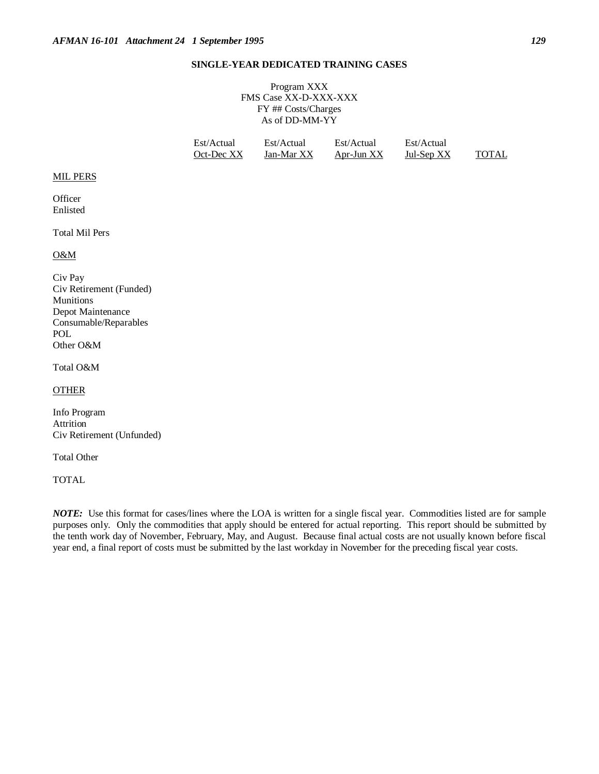### **SINGLE-YEAR DEDICATED TRAINING CASES**

Program XXX FMS Case XX-D-XXX-XXX FY ## Costs/Charges As of DD-MM-YY

| Est/Actual | Est/Actual | Est/Actual   | Est/Actual |              |
|------------|------------|--------------|------------|--------------|
| Oct-Dec XX | Jan-Mar XX | Apr-Jun $XX$ | Jul-Sep XX | <b>TOTAL</b> |

## MIL PERS

**Officer** Enlisted

### Total Mil Pers

O&M

Civ Pay Civ Retirement (Funded) Munitions Depot Maintenance Consumable/Reparables POL Other O&M

Total O&M

**OTHER** 

Info Program Attrition Civ Retirement (Unfunded)

Total Other

TOTAL

*NOTE:* Use this format for cases/lines where the LOA is written for a single fiscal year. Commodities listed are for sample purposes only. Only the commodities that apply should be entered for actual reporting. This report should be submitted by the tenth work day of November, February, May, and August. Because final actual costs are not usually known before fiscal year end, a final report of costs must be submitted by the last workday in November for the preceding fiscal year costs.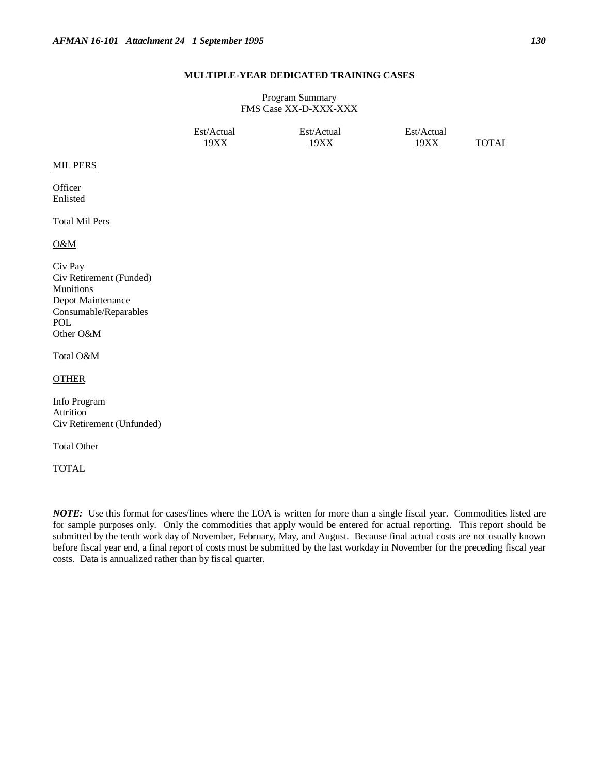# **MULTIPLE-YEAR DEDICATED TRAINING CASES**

Program Summary FMS Case XX-D-XXX-XXX

Est/Actual Est/Actual Est/Actual <u>19XX</u> 19XX 19XX 19XX TOTAL

#### MIL PERS

**Officer** Enlisted

## Total Mil Pers

O&M

Civ Pay Civ Retirement (Funded) Munitions Depot Maintenance Consumable/Reparables POL Other O&M

Total O&M

OTHER

Info Program Attrition Civ Retirement (Unfunded)

Total Other

TOTAL

*NOTE:* Use this format for cases/lines where the LOA is written for more than a single fiscal year. Commodities listed are for sample purposes only. Only the commodities that apply would be entered for actual reporting. This report should be submitted by the tenth work day of November, February, May, and August. Because final actual costs are not usually known before fiscal year end, a final report of costs must be submitted by the last workday in November for the preceding fiscal year costs. Data is annualized rather than by fiscal quarter.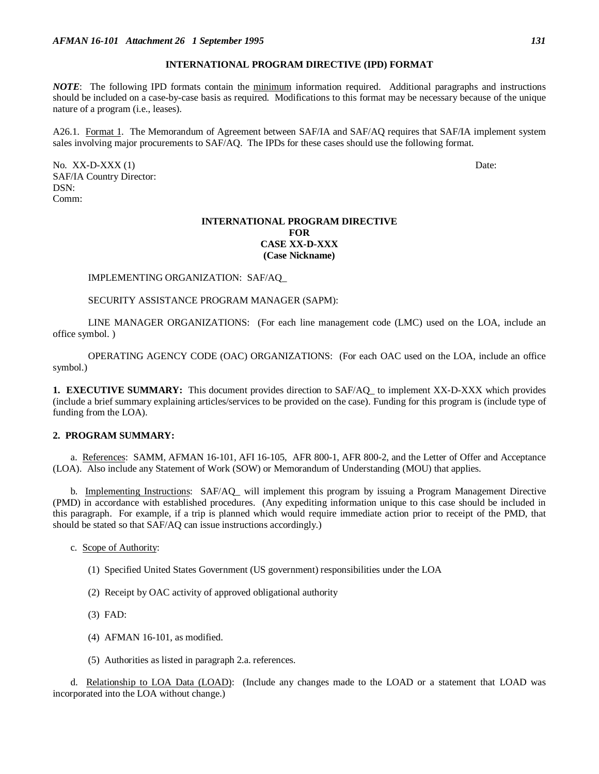## **INTERNATIONAL PROGRAM DIRECTIVE (IPD) FORMAT**

*NOTE*: The following IPD formats contain the minimum information required. Additional paragraphs and instructions should be included on a case-by-case basis as required. Modifications to this format may be necessary because of the unique nature of a program (i.e., leases).

A26.1. Format 1. The Memorandum of Agreement between SAF/IA and SAF/AQ requires that SAF/IA implement system sales involving major procurements to SAF/AQ. The IPDs for these cases should use the following format.

No. XX-D-XXX (1) Date: SAF/IA Country Director: DSN: Comm:

### **INTERNATIONAL PROGRAM DIRECTIVE FOR CASE XX-D-XXX (Case Nickname)**

#### IMPLEMENTING ORGANIZATION: SAF/AQ\_

### SECURITY ASSISTANCE PROGRAM MANAGER (SAPM):

LINE MANAGER ORGANIZATIONS: (For each line management code (LMC) used on the LOA, include an office symbol. )

OPERATING AGENCY CODE (OAC) ORGANIZATIONS: (For each OAC used on the LOA, include an office symbol.)

**1. EXECUTIVE SUMMARY:** This document provides direction to SAF/AQ\_ to implement XX-D-XXX which provides (include a brief summary explaining articles/services to be provided on the case). Funding for this program is (include type of funding from the LOA).

### **2. PROGRAM SUMMARY:**

a. References: SAMM, AFMAN 16-101, AFI 16-105, AFR 800-1, AFR 800-2, and the Letter of Offer and Acceptance (LOA). Also include any Statement of Work (SOW) or Memorandum of Understanding (MOU) that applies.

b. Implementing Instructions: SAF/AQ\_ will implement this program by issuing a Program Management Directive (PMD) in accordance with established procedures. (Any expediting information unique to this case should be included in this paragraph. For example, if a trip is planned which would require immediate action prior to receipt of the PMD, that should be stated so that SAF/AQ can issue instructions accordingly.)

c. Scope of Authority:

- (1) Specified United States Government (US government) responsibilities under the LOA
- (2) Receipt by OAC activity of approved obligational authority
- (3) FAD:
- (4) AFMAN 16-101, as modified.
- (5) Authorities as listed in paragraph 2.a. references.

d. Relationship to LOA Data (LOAD): (Include any changes made to the LOAD or a statement that LOAD was incorporated into the LOA without change.)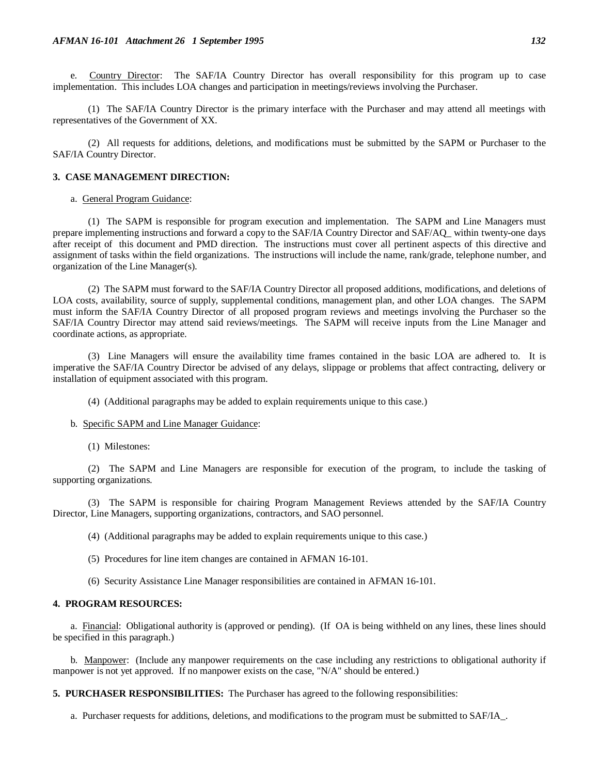e. Country Director: The SAF/IA Country Director has overall responsibility for this program up to case implementation. This includes LOA changes and participation in meetings/reviews involving the Purchaser.

(1) The SAF/IA Country Director is the primary interface with the Purchaser and may attend all meetings with representatives of the Government of XX.

(2) All requests for additions, deletions, and modifications must be submitted by the SAPM or Purchaser to the SAF/IA Country Director.

#### **3. CASE MANAGEMENT DIRECTION:**

a. General Program Guidance:

(1) The SAPM is responsible for program execution and implementation. The SAPM and Line Managers must prepare implementing instructions and forward a copy to the SAF/IA Country Director and SAF/AQ\_ within twenty-one days after receipt of this document and PMD direction. The instructions must cover all pertinent aspects of this directive and assignment of tasks within the field organizations. The instructions will include the name, rank/grade, telephone number, and organization of the Line Manager(s).

(2) The SAPM must forward to the SAF/IA Country Director all proposed additions, modifications, and deletions of LOA costs, availability, source of supply, supplemental conditions, management plan, and other LOA changes. The SAPM must inform the SAF/IA Country Director of all proposed program reviews and meetings involving the Purchaser so the SAF/IA Country Director may attend said reviews/meetings. The SAPM will receive inputs from the Line Manager and coordinate actions, as appropriate.

(3) Line Managers will ensure the availability time frames contained in the basic LOA are adhered to. It is imperative the SAF/IA Country Director be advised of any delays, slippage or problems that affect contracting, delivery or installation of equipment associated with this program.

- (4) (Additional paragraphs may be added to explain requirements unique to this case.)
- b. Specific SAPM and Line Manager Guidance:
	- (1) Milestones:

(2) The SAPM and Line Managers are responsible for execution of the program, to include the tasking of supporting organizations.

(3) The SAPM is responsible for chairing Program Management Reviews attended by the SAF/IA Country Director, Line Managers, supporting organizations, contractors, and SAO personnel.

(4) (Additional paragraphs may be added to explain requirements unique to this case.)

- (5) Procedures for line item changes are contained in AFMAN 16-101.
- (6) Security Assistance Line Manager responsibilities are contained in AFMAN 16-101.

### **4. PROGRAM RESOURCES:**

a. Financial: Obligational authority is (approved or pending). (If OA is being withheld on any lines, these lines should be specified in this paragraph.)

b. Manpower: (Include any manpower requirements on the case including any restrictions to obligational authority if manpower is not yet approved. If no manpower exists on the case, "N/A" should be entered.)

**5. PURCHASER RESPONSIBILITIES:** The Purchaser has agreed to the following responsibilities:

a. Purchaser requests for additions, deletions, and modifications to the program must be submitted to SAF/IA\_.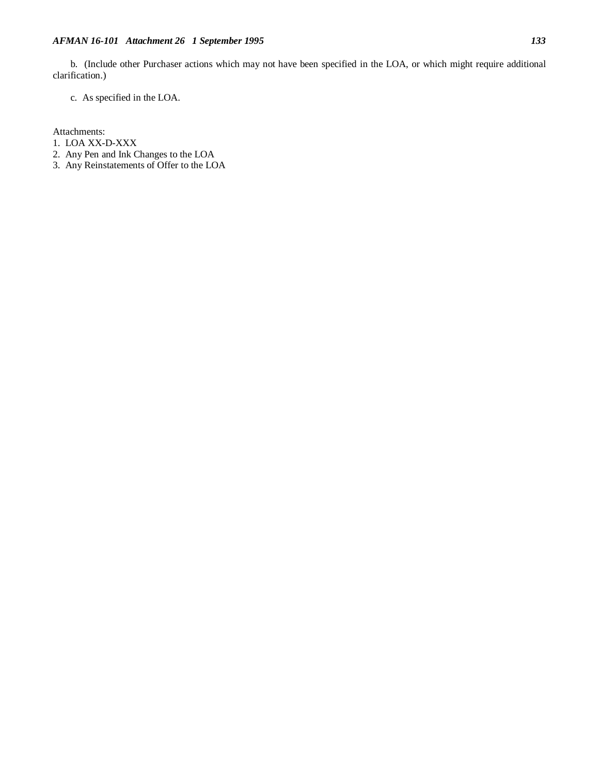b. (Include other Purchaser actions which may not have been specified in the LOA, or which might require additional clarification.)

c. As specified in the LOA.

Attachments:

- 1. LOA XX-D-XXX
- 2. Any Pen and Ink Changes to the LOA
- 3. Any Reinstatements of Offer to the LOA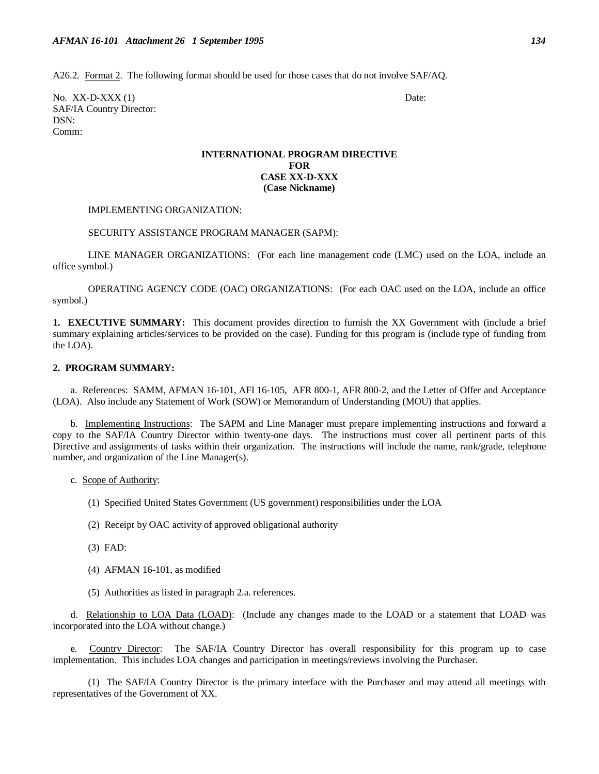A26.2. Format 2. The following format should be used for those cases that do not involve SAF/AQ.

No. XX-D-XXX (1) Date: SAF/IA Country Director: DSN: Comm:

> **INTERNATIONAL PROGRAM DIRECTIVE FOR CASE XX-D-XXX (Case Nickname)**

#### IMPLEMENTING ORGANIZATION:

#### SECURITY ASSISTANCE PROGRAM MANAGER (SAPM):

LINE MANAGER ORGANIZATIONS: (For each line management code (LMC) used on the LOA, include an office symbol.)

OPERATING AGENCY CODE (OAC) ORGANIZATIONS: (For each OAC used on the LOA, include an office symbol.)

**1. EXECUTIVE SUMMARY:** This document provides direction to furnish the XX Government with (include a brief summary explaining articles/services to be provided on the case). Funding for this program is (include type of funding from the LOA).

#### **2. PROGRAM SUMMARY:**

a. References: SAMM, AFMAN 16-101, AFI 16-105, AFR 800-1, AFR 800-2, and the Letter of Offer and Acceptance (LOA). Also include any Statement of Work (SOW) or Memorandum of Understanding (MOU) that applies.

b. Implementing Instructions: The SAPM and Line Manager must prepare implementing instructions and forward a copy to the SAF/IA Country Director within twenty-one days. The instructions must cover all pertinent parts of this Directive and assignments of tasks within their organization. The instructions will include the name, rank/grade, telephone number, and organization of the Line Manager(s).

- c. Scope of Authority:
	- (1) Specified United States Government (US government) responsibilities under the LOA
	- (2) Receipt by OAC activity of approved obligational authority
	- (3) FAD:
	- (4) AFMAN 16-101, as modified
	- (5) Authorities as listed in paragraph 2.a. references.

d. Relationship to LOA Data (LOAD): (Include any changes made to the LOAD or a statement that LOAD was incorporated into the LOA without change.)

e. Country Director: The SAF/IA Country Director has overall responsibility for this program up to case implementation. This includes LOA changes and participation in meetings/reviews involving the Purchaser.

(1) The SAF/IA Country Director is the primary interface with the Purchaser and may attend all meetings with representatives of the Government of XX.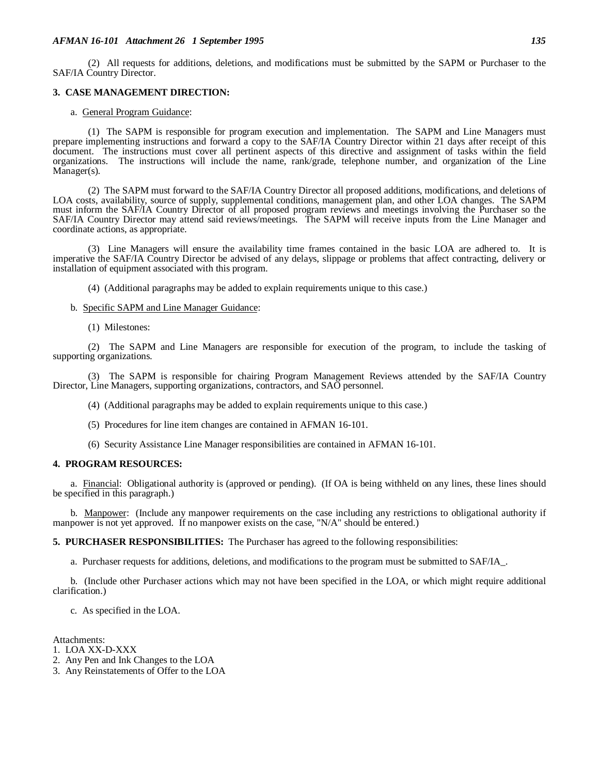#### *AFMAN 16-101 Attachment 26 1 September 1995 135*

(2) All requests for additions, deletions, and modifications must be submitted by the SAPM or Purchaser to the SAF/IA Country Director.

### **3. CASE MANAGEMENT DIRECTION:**

## a. General Program Guidance:

(1) The SAPM is responsible for program execution and implementation. The SAPM and Line Managers must prepare implementing instructions and forward a copy to the SAF/IA Country Director within 21 days after receipt of this document. The instructions must cover all pertinent aspects of this directive and assignment of tasks within the field organizations. The instructions will include the name, rank/grade, telephone number, and organization of the Line Manager(s).

(2) The SAPM must forward to the SAF/IA Country Director all proposed additions, modifications, and deletions of LOA costs, availability, source of supply, supplemental conditions, management plan, and other LOA changes. The SAPM must inform the SAF/IA Country Director of all proposed program reviews and meetings involving the Purchaser so the SAF/IA Country Director may attend said reviews/meetings. The SAPM will receive inputs from the Line Manager and coordinate actions, as appropriate.

(3) Line Managers will ensure the availability time frames contained in the basic LOA are adhered to. It is imperative the SAF/IA Country Director be advised of any delays, slippage or problems that affect contracting, delivery or installation of equipment associated with this program.

- (4) (Additional paragraphs may be added to explain requirements unique to this case.)
- b. Specific SAPM and Line Manager Guidance:
	- (1) Milestones:

(2) The SAPM and Line Managers are responsible for execution of the program, to include the tasking of supporting organizations.

(3) The SAPM is responsible for chairing Program Management Reviews attended by the SAF/IA Country Director, Line Managers, supporting organizations, contractors, and SAO personnel.

- (4) (Additional paragraphs may be added to explain requirements unique to this case.)
- (5) Procedures for line item changes are contained in AFMAN 16-101.
- (6) Security Assistance Line Manager responsibilities are contained in AFMAN 16-101.

#### **4. PROGRAM RESOURCES:**

a. Financial: Obligational authority is (approved or pending). (If OA is being withheld on any lines, these lines should be specified in this paragraph.)

b. Manpower: (Include any manpower requirements on the case including any restrictions to obligational authority if manpower is not yet approved. If no manpower exists on the case, "N/A" should be entered.)

**5. PURCHASER RESPONSIBILITIES:** The Purchaser has agreed to the following responsibilities:

a. Purchaser requests for additions, deletions, and modifications to the program must be submitted to SAF/IA\_.

b. (Include other Purchaser actions which may not have been specified in the LOA, or which might require additional clarification.)

c. As specified in the LOA.

Attachments:

- 1. LOA XX-D-XXX
- 2. Any Pen and Ink Changes to the LOA
- 3. Any Reinstatements of Offer to the LOA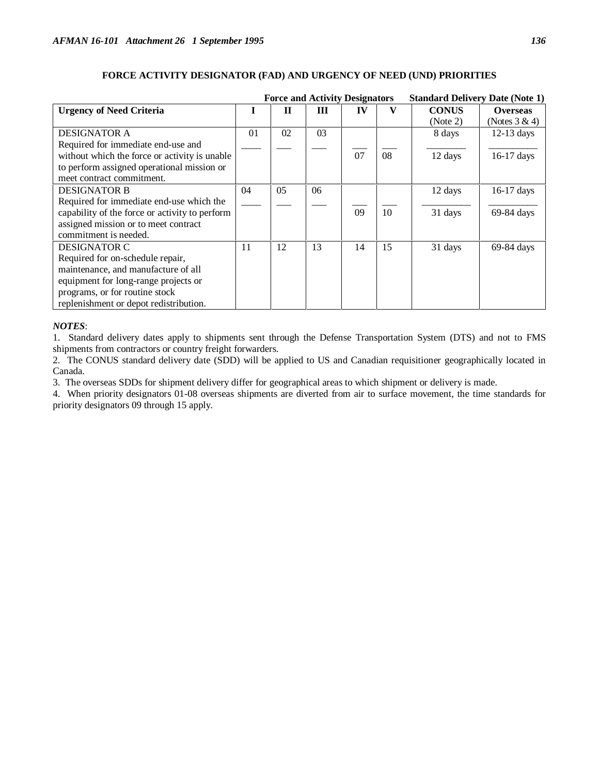# **FORCE ACTIVITY DESIGNATOR (FAD) AND URGENCY OF NEED (UND) PRIORITIES**

|                                                |    |    | <b>Force and Activity Designators</b> |    |    | <b>Standard Delivery Date (Note 1)</b> |                  |
|------------------------------------------------|----|----|---------------------------------------|----|----|----------------------------------------|------------------|
| <b>Urgency of Need Criteria</b>                |    | H  | Ш                                     | IV | V  | <b>CONUS</b>                           | <b>Overseas</b>  |
|                                                |    |    |                                       |    |    | (Note 2)                               | (Notes $3 & 4$ ) |
| <b>DESIGNATOR A</b>                            | 01 | 02 | 03                                    |    |    | 8 days                                 | $12-13$ days     |
| Required for immediate end-use and             |    |    |                                       |    |    |                                        |                  |
| without which the force or activity is unable  |    |    |                                       | 07 | 08 | 12 days                                | 16-17 days       |
| to perform assigned operational mission or     |    |    |                                       |    |    |                                        |                  |
| meet contract commitment.                      |    |    |                                       |    |    |                                        |                  |
| <b>DESIGNATOR B</b>                            | 04 | 05 | 06                                    |    |    | 12 days                                | 16-17 days       |
| Required for immediate end-use which the       |    |    |                                       |    |    |                                        |                  |
| capability of the force or activity to perform |    |    |                                       | 09 | 10 | 31 days                                | 69-84 days       |
| assigned mission or to meet contract           |    |    |                                       |    |    |                                        |                  |
| commitment is needed.                          |    |    |                                       |    |    |                                        |                  |
| <b>DESIGNATOR C</b>                            | 11 | 12 | 13                                    | 14 | 15 | 31 days                                | 69-84 days       |
| Required for on-schedule repair,               |    |    |                                       |    |    |                                        |                  |
| maintenance, and manufacture of all            |    |    |                                       |    |    |                                        |                  |
| equipment for long-range projects or           |    |    |                                       |    |    |                                        |                  |
| programs, or for routine stock                 |    |    |                                       |    |    |                                        |                  |
| replenishment or depot redistribution.         |    |    |                                       |    |    |                                        |                  |

## *NOTES*:

1. Standard delivery dates apply to shipments sent through the Defense Transportation System (DTS) and not to FMS shipments from contractors or country freight forwarders.

2. The CONUS standard delivery date (SDD) will be applied to US and Canadian requisitioner geographically located in Canada.

3. The overseas SDDs for shipment delivery differ for geographical areas to which shipment or delivery is made.

4. When priority designators 01-08 overseas shipments are diverted from air to surface movement, the time standards for priority designators 09 through 15 apply.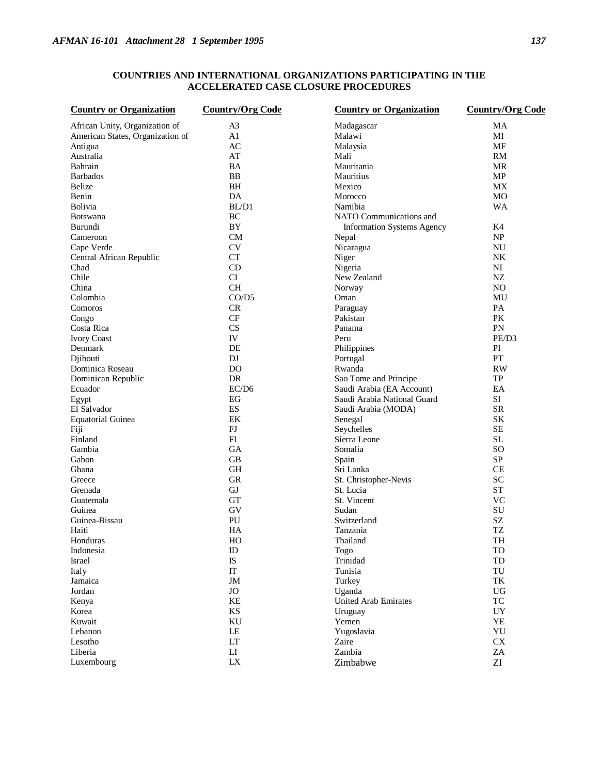# **COUNTRIES AND INTERNATIONAL ORGANIZATIONS PARTICIPATING IN THE ACCELERATED CASE CLOSURE PROCEDURES**

| <b>Country or Organization</b>   | <b>Country/Org Code</b>    | <b>Country or Organization</b>    | <b>Country/Org Code</b> |
|----------------------------------|----------------------------|-----------------------------------|-------------------------|
| African Unity, Organization of   | A3                         | Madagascar                        | МA                      |
| American States, Organization of | A1                         | Malawi                            | MI                      |
| Antigua                          | AC                         | Malaysia                          | MF                      |
| Australia                        | AT                         | Mali                              | RM                      |
| Bahrain                          | BA                         | Mauritania                        | MR                      |
| <b>Barbados</b>                  | <b>BB</b>                  | Mauritius                         | MP                      |
| Belize                           | BH                         | Mexico                            | MX                      |
| Benin                            | DA                         | Morocco                           | <b>MO</b>               |
| <b>Bolivia</b>                   | BL/D1                      | Namibia                           | WA                      |
|                                  |                            |                                   |                         |
| <b>Botswana</b>                  | BC                         | NATO Communications and           |                         |
| Burundi                          | BY                         | <b>Information Systems Agency</b> | K4                      |
| Cameroon                         | CM                         | Nepal                             | NP                      |
| Cape Verde                       | CV                         | Nicaragua                         | <b>NU</b>               |
| Central African Republic         | <b>CT</b>                  | Niger                             | <b>NK</b>               |
| Chad                             | CD                         | Nigeria                           | NI                      |
| Chile                            | CI                         | New Zealand                       | NZ                      |
| China                            | <b>CH</b>                  | Norway                            | NO                      |
| Colombia                         | CO/D5                      | Oman                              | MU                      |
| Comoros                          | <b>CR</b>                  | Paraguay                          | PA                      |
| Congo                            | CF                         | Pakistan                          | PK                      |
| Costa Rica                       | CS                         | Panama                            | PN                      |
| <b>Ivory Coast</b>               | IV                         | Peru                              | PE/D3                   |
| Denmark                          | DE                         | Philippines                       | PI                      |
| Djibouti                         | DJ                         | Portugal                          | PT                      |
| Dominica Roseau                  | DO                         | Rwanda                            | <b>RW</b>               |
|                                  |                            |                                   |                         |
| Dominican Republic               | DR                         | Sao Tome and Principe             | TP                      |
| Ecuador                          | EC/D6                      | Saudi Arabia (EA Account)         | EA                      |
| Egypt                            | EG                         | Saudi Arabia National Guard       | SI                      |
| El Salvador                      | ES                         | Saudi Arabia (MODA)               | <b>SR</b>               |
| <b>Equatorial Guinea</b>         | EK                         | Senegal                           | SK                      |
| Fiji                             | FJ                         | Seychelles                        | <b>SE</b>               |
| Finland                          | FI                         | Sierra Leone                      | <b>SL</b>               |
| Gambia                           | <b>GA</b>                  | Somalia                           | SO                      |
| Gabon                            | GB                         | Spain                             | SP                      |
| Ghana                            | <b>GH</b>                  | Sri Lanka                         | <b>CE</b>               |
| Greece                           | <b>GR</b>                  | St. Christopher-Nevis             | SC                      |
| Grenada                          | GJ                         | St. Lucia                         | <b>ST</b>               |
| Guatemala                        | GT                         | St. Vincent                       | <b>VC</b>               |
| Guinea                           | GV                         | Sudan                             | SU                      |
| Guinea-Bissau                    | PU                         | Switzerland                       | SZ                      |
| Haiti                            | HA                         | Tanzania                          | TZ                      |
| Honduras                         | HO                         | Thailand                          | TH                      |
| Indonesia                        | ID                         | Togo                              | <b>TO</b>               |
| Israel                           | ${\rm IS}$                 | Trinidad                          | ${\rm TD}$              |
|                                  | $\mathop{\mathrm{IT}}$     | Tunisia                           | $\mbox{TU}$             |
| Italy                            |                            |                                   |                         |
| Jamaica                          | $\mathbf{JM}$              | Turkey                            | TK                      |
| Jordan                           | $_{\rm JO}$                | Uganda                            | <b>UG</b>               |
| Kenya                            | $\mathbf{KE}$              | United Arab Emirates              | <b>TC</b>               |
| Korea                            | $\mathbf{K}\mathbf{S}$     | Uruguay                           | UY                      |
| Kuwait                           | KU                         | Yemen                             | ${\it YE}$              |
| Lebanon                          | $\rm LE$                   | Yugoslavia                        | YU                      |
| Lesotho                          | $\mathop{\rm LT}\nolimits$ | Zaire                             | ${\rm CX}$              |
| Liberia                          | ${\rm LI}$                 | Zambia                            | $\rm ZA$                |
| Luxembourg                       | ${\rm LX}$                 | Zimbabwe                          | ${\rm ZI}$              |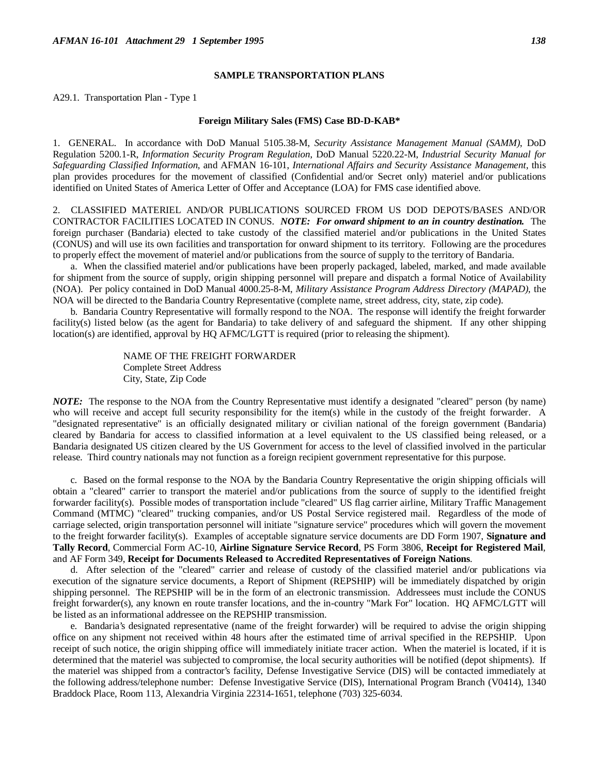### **SAMPLE TRANSPORTATION PLANS**

A29.1. Transportation Plan - Type 1

#### **Foreign Military Sales (FMS) Case BD-D-KAB\***

1. GENERAL. In accordance with DoD Manual 5105.38-M, *Security Assistance Management Manual (SAMM)*, DoD Regulation 5200.1-R, *Information Security Program Regulation*, DoD Manual 5220.22-M, *Industrial Security Manual for Safeguarding Classified Information*, and AFMAN 16-101, *International Affairs and Security Assistance Management*, this plan provides procedures for the movement of classified (Confidential and/or Secret only) materiel and/or publications identified on United States of America Letter of Offer and Acceptance (LOA) for FMS case identified above.

2. CLASSIFIED MATERIEL AND/OR PUBLICATIONS SOURCED FROM US DOD DEPOTS/BASES AND/OR CONTRACTOR FACILITIES LOCATED IN CONUS. *NOTE: For onward shipment to an in country destination.* The foreign purchaser (Bandaria) elected to take custody of the classified materiel and/or publications in the United States (CONUS) and will use its own facilities and transportation for onward shipment to its territory. Following are the procedures to properly effect the movement of materiel and/or publications from the source of supply to the territory of Bandaria.

a. When the classified materiel and/or publications have been properly packaged, labeled, marked, and made available for shipment from the source of supply, origin shipping personnel will prepare and dispatch a formal Notice of Availability (NOA). Per policy contained in DoD Manual 4000.25-8-M, *Military Assistance Program Address Directory (MAPAD)*, the NOA will be directed to the Bandaria Country Representative (complete name, street address, city, state, zip code).

b. Bandaria Country Representative will formally respond to the NOA. The response will identify the freight forwarder facility(s) listed below (as the agent for Bandaria) to take delivery of and safeguard the shipment. If any other shipping location(s) are identified, approval by HQ AFMC/LGTT is required (prior to releasing the shipment).

> NAME OF THE FREIGHT FORWARDER Complete Street Address City, State, Zip Code

*NOTE:* The response to the NOA from the Country Representative must identify a designated "cleared" person (by name) who will receive and accept full security responsibility for the item(s) while in the custody of the freight forwarder. A "designated representative" is an officially designated military or civilian national of the foreign government (Bandaria) cleared by Bandaria for access to classified information at a level equivalent to the US classified being released, or a Bandaria designated US citizen cleared by the US Government for access to the level of classified involved in the particular release. Third country nationals may not function as a foreign recipient government representative for this purpose.

c. Based on the formal response to the NOA by the Bandaria Country Representative the origin shipping officials will obtain a "cleared" carrier to transport the materiel and/or publications from the source of supply to the identified freight forwarder facility(s). Possible modes of transportation include "cleared" US flag carrier airline, Military Traffic Management Command (MTMC) "cleared" trucking companies, and/or US Postal Service registered mail. Regardless of the mode of carriage selected, origin transportation personnel will initiate "signature service" procedures which will govern the movement to the freight forwarder facility(s). Examples of acceptable signature service documents are DD Form 1907, **Signature and Tally Record**, Commercial Form AC-10, **Airline Signature Service Record**, PS Form 3806, **Receipt for Registered Mail**, and AF Form 349, **Receipt for Documents Released to Accredited Representatives of Foreign Nations**.

d. After selection of the "cleared" carrier and release of custody of the classified materiel and/or publications via execution of the signature service documents, a Report of Shipment (REPSHIP) will be immediately dispatched by origin shipping personnel. The REPSHIP will be in the form of an electronic transmission. Addressees must include the CONUS freight forwarder(s), any known en route transfer locations, and the in-country "Mark For" location. HQ AFMC/LGTT will be listed as an informational addressee on the REPSHIP transmission.

e. Bandaria's designated representative (name of the freight forwarder) will be required to advise the origin shipping office on any shipment not received within 48 hours after the estimated time of arrival specified in the REPSHIP. Upon receipt of such notice, the origin shipping office will immediately initiate tracer action. When the materiel is located, if it is determined that the materiel was subjected to compromise, the local security authorities will be notified (depot shipments). If the materiel was shipped from a contractor's facility, Defense Investigative Service (DIS) will be contacted immediately at the following address/telephone number: Defense Investigative Service (DIS), International Program Branch (V0414), 1340 Braddock Place, Room 113, Alexandria Virginia 22314-1651, telephone (703) 325-6034.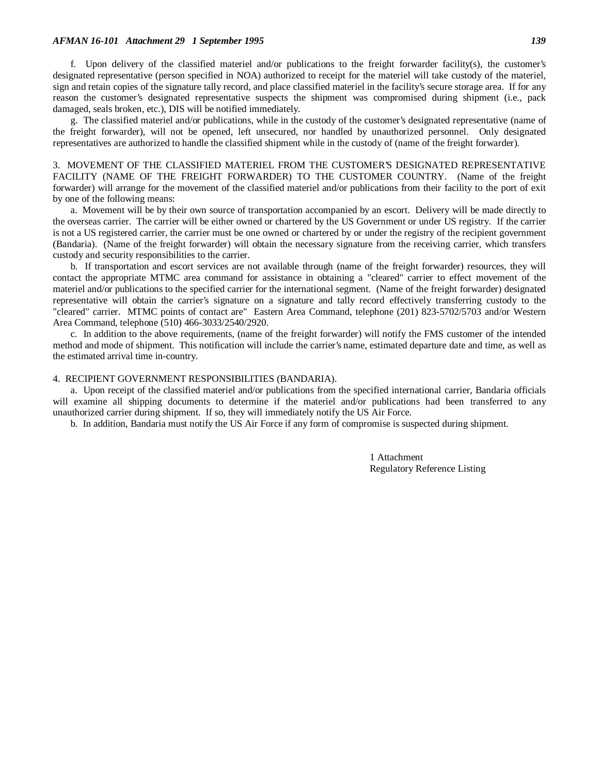#### *AFMAN 16-101 Attachment 29 1 September 1995 139*

f. Upon delivery of the classified materiel and/or publications to the freight forwarder facility(s), the customer's designated representative (person specified in NOA) authorized to receipt for the materiel will take custody of the materiel, sign and retain copies of the signature tally record, and place classified materiel in the facility's secure storage area. If for any reason the customer's designated representative suspects the shipment was compromised during shipment (i.e., pack damaged, seals broken, etc.), DIS will be notified immediately.

g. The classified materiel and/or publications, while in the custody of the customer's designated representative (name of the freight forwarder), will not be opened, left unsecured, nor handled by unauthorized personnel. Only designated representatives are authorized to handle the classified shipment while in the custody of (name of the freight forwarder).

3. MOVEMENT OF THE CLASSIFIED MATERIEL FROM THE CUSTOMER'S DESIGNATED REPRESENTATIVE FACILITY (NAME OF THE FREIGHT FORWARDER) TO THE CUSTOMER COUNTRY. (Name of the freight forwarder) will arrange for the movement of the classified materiel and/or publications from their facility to the port of exit by one of the following means:

a. Movement will be by their own source of transportation accompanied by an escort. Delivery will be made directly to the overseas carrier. The carrier will be either owned or chartered by the US Government or under US registry. If the carrier is not a US registered carrier, the carrier must be one owned or chartered by or under the registry of the recipient government (Bandaria). (Name of the freight forwarder) will obtain the necessary signature from the receiving carrier, which transfers custody and security responsibilities to the carrier.

b. If transportation and escort services are not available through (name of the freight forwarder) resources, they will contact the appropriate MTMC area command for assistance in obtaining a "cleared" carrier to effect movement of the materiel and/or publications to the specified carrier for the international segment. (Name of the freight forwarder) designated representative will obtain the carrier's signature on a signature and tally record effectively transferring custody to the "cleared" carrier. MTMC points of contact are" Eastern Area Command, telephone (201) 823-5702/5703 and/or Western Area Command, telephone (510) 466-3033/2540/2920.

c. In addition to the above requirements, (name of the freight forwarder) will notify the FMS customer of the intended method and mode of shipment. This notification will include the carrier's name, estimated departure date and time, as well as the estimated arrival time in-country.

#### 4. RECIPIENT GOVERNMENT RESPONSIBILITIES (BANDARIA).

a. Upon receipt of the classified materiel and/or publications from the specified international carrier, Bandaria officials will examine all shipping documents to determine if the materiel and/or publications had been transferred to any unauthorized carrier during shipment. If so, they will immediately notify the US Air Force.

b. In addition, Bandaria must notify the US Air Force if any form of compromise is suspected during shipment.

1 Attachment Regulatory Reference Listing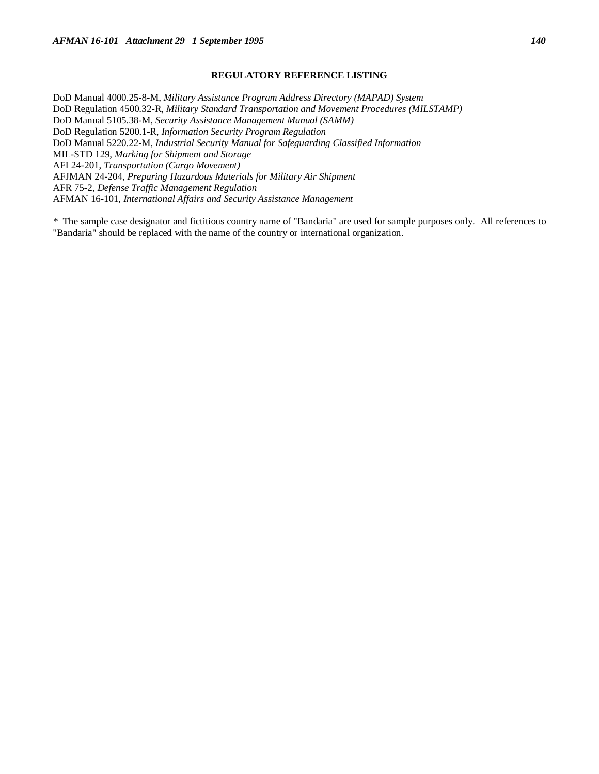# **REGULATORY REFERENCE LISTING**

DoD Manual 4000.25-8-M, *Military Assistance Program Address Directory (MAPAD) System* DoD Regulation 4500.32-R, *Military Standard Transportation and Movement Procedures (MILSTAMP)* DoD Manual 5105.38-M, *Security Assistance Management Manual (SAMM)* DoD Regulation 5200.1-R, *Information Security Program Regulation* DoD Manual 5220.22-M, *Industrial Security Manual for Safeguarding Classified Information* MIL-STD 129, *Marking for Shipment and Storage* AFI 24-201, *Transportation (Cargo Movement)* AFJMAN 24-204, *Preparing Hazardous Materials for Military Air Shipment* AFR 75-2, *Defense Traffic Management Regulation* AFMAN 16-101, *International Affairs and Security Assistance Management*

*\** The sample case designator and fictitious country name of "Bandaria" are used for sample purposes only. All references to "Bandaria" should be replaced with the name of the country or international organization.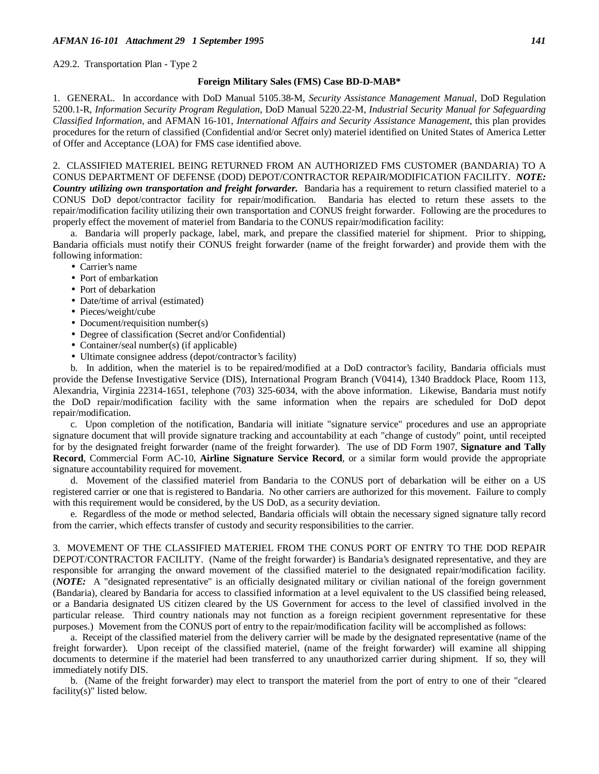A29.2. Transportation Plan - Type 2

#### **Foreign Military Sales (FMS) Case BD-D-MAB\***

1. GENERAL. In accordance with DoD Manual 5105.38-M, *Security Assistance Management Manual*, DoD Regulation 5200.1-R, *Information Security Program Regulation*, DoD Manual 5220.22-M, *Industrial Security Manual for Safeguarding Classified Information*, and AFMAN 16-101, *International Affairs and Security Assistance Management*, this plan provides procedures for the return of classified (Confidential and/or Secret only) materiel identified on United States of America Letter of Offer and Acceptance (LOA) for FMS case identified above.

2. CLASSIFIED MATERIEL BEING RETURNED FROM AN AUTHORIZED FMS CUSTOMER (BANDARIA) TO A CONUS DEPARTMENT OF DEFENSE (DOD) DEPOT/CONTRACTOR REPAIR/MODIFICATION FACILITY. *NOTE: Country utilizing own transportation and freight forwarder.* Bandaria has a requirement to return classified materiel to a CONUS DoD depot/contractor facility for repair/modification. Bandaria has elected to return these assets to the repair/modification facility utilizing their own transportation and CONUS freight forwarder. Following are the procedures to properly effect the movement of materiel from Bandaria to the CONUS repair/modification facility:

a. Bandaria will properly package, label, mark, and prepare the classified materiel for shipment. Prior to shipping, Bandaria officials must notify their CONUS freight forwarder (name of the freight forwarder) and provide them with the following information:

- Carrier's name
- Port of embarkation
- Port of debarkation
- Date/time of arrival (estimated)
- Pieces/weight/cube
- Document/requisition number(s)
- Degree of classification (Secret and/or Confidential)
- Container/seal number(s) (if applicable)
- Ultimate consignee address (depot/contractor's facility)

b. In addition, when the materiel is to be repaired/modified at a DoD contractor's facility, Bandaria officials must provide the Defense Investigative Service (DIS), International Program Branch (V0414), 1340 Braddock Place, Room 113, Alexandria, Virginia 22314-1651, telephone (703) 325-6034, with the above information. Likewise, Bandaria must notify the DoD repair/modification facility with the same information when the repairs are scheduled for DoD depot repair/modification.

c. Upon completion of the notification, Bandaria will initiate "signature service" procedures and use an appropriate signature document that will provide signature tracking and accountability at each "change of custody" point, until receipted for by the designated freight forwarder (name of the freight forwarder). The use of DD Form 1907, **Signature and Tally Record**, Commercial Form AC-10, **Airline Signature Service Record**, or a similar form would provide the appropriate signature accountability required for movement.

d. Movement of the classified materiel from Bandaria to the CONUS port of debarkation will be either on a US registered carrier or one that is registered to Bandaria. No other carriers are authorized for this movement. Failure to comply with this requirement would be considered, by the US DoD, as a security deviation.

e. Regardless of the mode or method selected, Bandaria officials will obtain the necessary signed signature tally record from the carrier, which effects transfer of custody and security responsibilities to the carrier.

3. MOVEMENT OF THE CLASSIFIED MATERIEL FROM THE CONUS PORT OF ENTRY TO THE DOD REPAIR DEPOT/CONTRACTOR FACILITY. (Name of the freight forwarder) is Bandaria's designated representative, and they are responsible for arranging the onward movement of the classified materiel to the designated repair/modification facility. (*NOTE:* A "designated representative" is an officially designated military or civilian national of the foreign government (Bandaria), cleared by Bandaria for access to classified information at a level equivalent to the US classified being released, or a Bandaria designated US citizen cleared by the US Government for access to the level of classified involved in the particular release. Third country nationals may not function as a foreign recipient government representative for these purposes.) Movement from the CONUS port of entry to the repair/modification facility will be accomplished as follows:

a. Receipt of the classified materiel from the delivery carrier will be made by the designated representative (name of the freight forwarder). Upon receipt of the classified materiel, (name of the freight forwarder) will examine all shipping documents to determine if the materiel had been transferred to any unauthorized carrier during shipment. If so, they will immediately notify DIS.

b. (Name of the freight forwarder) may elect to transport the materiel from the port of entry to one of their "cleared facility(s)" listed below.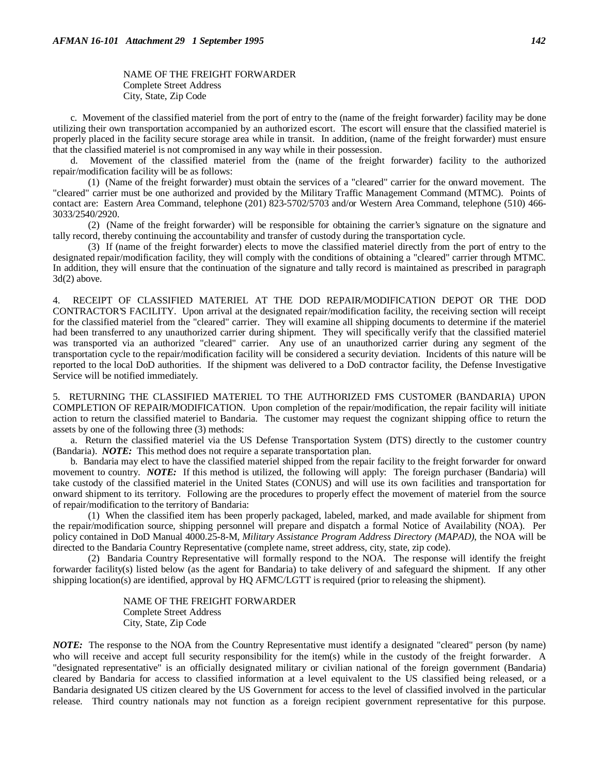NAME OF THE FREIGHT FORWARDER Complete Street Address City, State, Zip Code

c. Movement of the classified materiel from the port of entry to the (name of the freight forwarder) facility may be done utilizing their own transportation accompanied by an authorized escort. The escort will ensure that the classified materiel is properly placed in the facility secure storage area while in transit. In addition, (name of the freight forwarder) must ensure that the classified materiel is not compromised in any way while in their possession.

d. Movement of the classified materiel from the (name of the freight forwarder) facility to the authorized repair/modification facility will be as follows:

(1) (Name of the freight forwarder) must obtain the services of a "cleared" carrier for the onward movement. The "cleared" carrier must be one authorized and provided by the Military Traffic Management Command (MTMC). Points of contact are: Eastern Area Command, telephone (201) 823-5702/5703 and/or Western Area Command, telephone (510) 466- 3033/2540/2920.

(2) (Name of the freight forwarder) will be responsible for obtaining the carrier's signature on the signature and tally record, thereby continuing the accountability and transfer of custody during the transportation cycle.

(3) If (name of the freight forwarder) elects to move the classified materiel directly from the port of entry to the designated repair/modification facility, they will comply with the conditions of obtaining a "cleared" carrier through MTMC. In addition, they will ensure that the continuation of the signature and tally record is maintained as prescribed in paragraph  $3d(2)$  above.

4. RECEIPT OF CLASSIFIED MATERIEL AT THE DOD REPAIR/MODIFICATION DEPOT OR THE DOD CONTRACTOR'S FACILITY. Upon arrival at the designated repair/modification facility, the receiving section will receipt for the classified materiel from the "cleared" carrier. They will examine all shipping documents to determine if the materiel had been transferred to any unauthorized carrier during shipment. They will specifically verify that the classified materiel was transported via an authorized "cleared" carrier. Any use of an unauthorized carrier during any segment of the transportation cycle to the repair/modification facility will be considered a security deviation. Incidents of this nature will be reported to the local DoD authorities. If the shipment was delivered to a DoD contractor facility, the Defense Investigative Service will be notified immediately.

5. RETURNING THE CLASSIFIED MATERIEL TO THE AUTHORIZED FMS CUSTOMER (BANDARIA) UPON COMPLETION OF REPAIR/MODIFICATION. Upon completion of the repair/modification, the repair facility will initiate action to return the classified materiel to Bandaria. The customer may request the cognizant shipping office to return the assets by one of the following three (3) methods:

a. Return the classified materiel via the US Defense Transportation System (DTS) directly to the customer country (Bandaria). *NOTE:* This method does not require a separate transportation plan.

b. Bandaria may elect to have the classified materiel shipped from the repair facility to the freight forwarder for onward movement to country. *NOTE*: If this method is utilized, the following will apply: The foreign purchaser (Bandaria) will take custody of the classified materiel in the United States (CONUS) and will use its own facilities and transportation for onward shipment to its territory. Following are the procedures to properly effect the movement of materiel from the source of repair/modification to the territory of Bandaria:

(1) When the classified item has been properly packaged, labeled, marked, and made available for shipment from the repair/modification source, shipping personnel will prepare and dispatch a formal Notice of Availability (NOA). Per policy contained in DoD Manual 4000.25-8-M, *Military Assistance Program Address Directory (MAPAD)*, the NOA will be directed to the Bandaria Country Representative (complete name, street address, city, state, zip code).

(2) Bandaria Country Representative will formally respond to the NOA. The response will identify the freight forwarder facility(s) listed below (as the agent for Bandaria) to take delivery of and safeguard the shipment. If any other shipping location(s) are identified, approval by HQ AFMC/LGTT is required (prior to releasing the shipment).

> NAME OF THE FREIGHT FORWARDER Complete Street Address City, State, Zip Code

*NOTE:* The response to the NOA from the Country Representative must identify a designated "cleared" person (by name) who will receive and accept full security responsibility for the item(s) while in the custody of the freight forwarder. A "designated representative" is an officially designated military or civilian national of the foreign government (Bandaria) cleared by Bandaria for access to classified information at a level equivalent to the US classified being released, or a Bandaria designated US citizen cleared by the US Government for access to the level of classified involved in the particular release. Third country nationals may not function as a foreign recipient government representative for this purpose.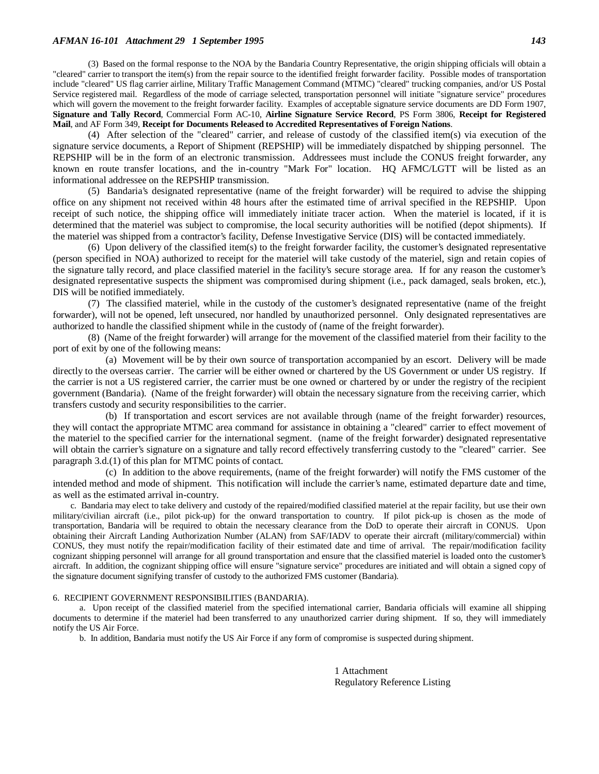#### *AFMAN 16-101 Attachment 29 1 September 1995 143*

(3) Based on the formal response to the NOA by the Bandaria Country Representative, the origin shipping officials will obtain a "cleared" carrier to transport the item(s) from the repair source to the identified freight forwarder facility. Possible modes of transportation include "cleared" US flag carrier airline, Military Traffic Management Command (MTMC) "cleared" trucking companies, and/or US Postal Service registered mail. Regardless of the mode of carriage selected, transportation personnel will initiate "signature service" procedures which will govern the movement to the freight forwarder facility. Examples of acceptable signature service documents are DD Form 1907, **Signature and Tally Record**, Commercial Form AC-10, **Airline Signature Service Record**, PS Form 3806, **Receipt for Registered Mail**, and AF Form 349, **Receipt for Documents Released to Accredited Representatives of Foreign Nations**.

(4) After selection of the "cleared" carrier, and release of custody of the classified item(s) via execution of the signature service documents, a Report of Shipment (REPSHIP) will be immediately dispatched by shipping personnel. The REPSHIP will be in the form of an electronic transmission. Addressees must include the CONUS freight forwarder, any known en route transfer locations, and the in-country "Mark For" location. HQ AFMC/LGTT will be listed as an informational addressee on the REPSHIP transmission.

(5) Bandaria's designated representative (name of the freight forwarder) will be required to advise the shipping office on any shipment not received within 48 hours after the estimated time of arrival specified in the REPSHIP. Upon receipt of such notice, the shipping office will immediately initiate tracer action. When the materiel is located, if it is determined that the materiel was subject to compromise, the local security authorities will be notified (depot shipments). If the materiel was shipped from a contractor's facility, Defense Investigative Service (DIS) will be contacted immediately.

(6) Upon delivery of the classified item(s) to the freight forwarder facility, the customer's designated representative (person specified in NOA) authorized to receipt for the materiel will take custody of the materiel, sign and retain copies of the signature tally record, and place classified materiel in the facility's secure storage area. If for any reason the customer's designated representative suspects the shipment was compromised during shipment (i.e., pack damaged, seals broken, etc.), DIS will be notified immediately.

(7) The classified materiel, while in the custody of the customer's designated representative (name of the freight forwarder), will not be opened, left unsecured, nor handled by unauthorized personnel. Only designated representatives are authorized to handle the classified shipment while in the custody of (name of the freight forwarder).

(8) (Name of the freight forwarder) will arrange for the movement of the classified materiel from their facility to the port of exit by one of the following means:

(a) Movement will be by their own source of transportation accompanied by an escort. Delivery will be made directly to the overseas carrier. The carrier will be either owned or chartered by the US Government or under US registry. If the carrier is not a US registered carrier, the carrier must be one owned or chartered by or under the registry of the recipient government (Bandaria). (Name of the freight forwarder) will obtain the necessary signature from the receiving carrier, which transfers custody and security responsibilities to the carrier.

(b) If transportation and escort services are not available through (name of the freight forwarder) resources, they will contact the appropriate MTMC area command for assistance in obtaining a "cleared" carrier to effect movement of the materiel to the specified carrier for the international segment. (name of the freight forwarder) designated representative will obtain the carrier's signature on a signature and tally record effectively transferring custody to the "cleared" carrier. See paragraph 3.d.(1) of this plan for MTMC points of contact.

(c) In addition to the above requirements, (name of the freight forwarder) will notify the FMS customer of the intended method and mode of shipment. This notification will include the carrier's name, estimated departure date and time, as well as the estimated arrival in-country.

c. Bandaria may elect to take delivery and custody of the repaired/modified classified materiel at the repair facility, but use their own military/civilian aircraft (i.e., pilot pick-up) for the onward transportation to country. If pilot pick-up is chosen as the mode of transportation, Bandaria will be required to obtain the necessary clearance from the DoD to operate their aircraft in CONUS. Upon obtaining their Aircraft Landing Authorization Number (ALAN) from SAF/IADV to operate their aircraft (military/commercial) within CONUS, they must notify the repair/modification facility of their estimated date and time of arrival. The repair/modification facility cognizant shipping personnel will arrange for all ground transportation and ensure that the classified materiel is loaded onto the customer's aircraft. In addition, the cognizant shipping office will ensure "signature service" procedures are initiated and will obtain a signed copy of the signature document signifying transfer of custody to the authorized FMS customer (Bandaria).

#### 6. RECIPIENT GOVERNMENT RESPONSIBILITIES (BANDARIA).

a. Upon receipt of the classified materiel from the specified international carrier, Bandaria officials will examine all shipping documents to determine if the materiel had been transferred to any unauthorized carrier during shipment. If so, they will immediately notify the US Air Force.

b. In addition, Bandaria must notify the US Air Force if any form of compromise is suspected during shipment.

1 Attachment Regulatory Reference Listing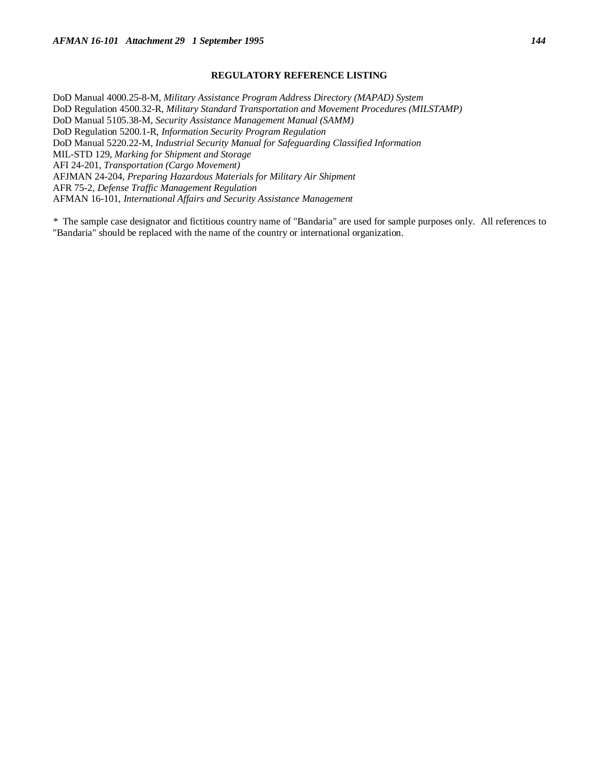# **REGULATORY REFERENCE LISTING**

DoD Manual 4000.25-8-M, *Military Assistance Program Address Directory (MAPAD) System* DoD Regulation 4500.32-R, *Military Standard Transportation and Movement Procedures (MILSTAMP)* DoD Manual 5105.38-M, *Security Assistance Management Manual (SAMM)* DoD Regulation 5200.1-R, *Information Security Program Regulation* DoD Manual 5220.22-M, *Industrial Security Manual for Safeguarding Classified Information* MIL-STD 129, *Marking for Shipment and Storage* AFI 24-201, *Transportation (Cargo Movement)* AFJMAN 24-204, *Preparing Hazardous Materials for Military Air Shipment* AFR 75-2, *Defense Traffic Management Regulation* AFMAN 16-101, *International Affairs and Security Assistance Management*

*\** The sample case designator and fictitious country name of "Bandaria" are used for sample purposes only. All references to "Bandaria" should be replaced with the name of the country or international organization.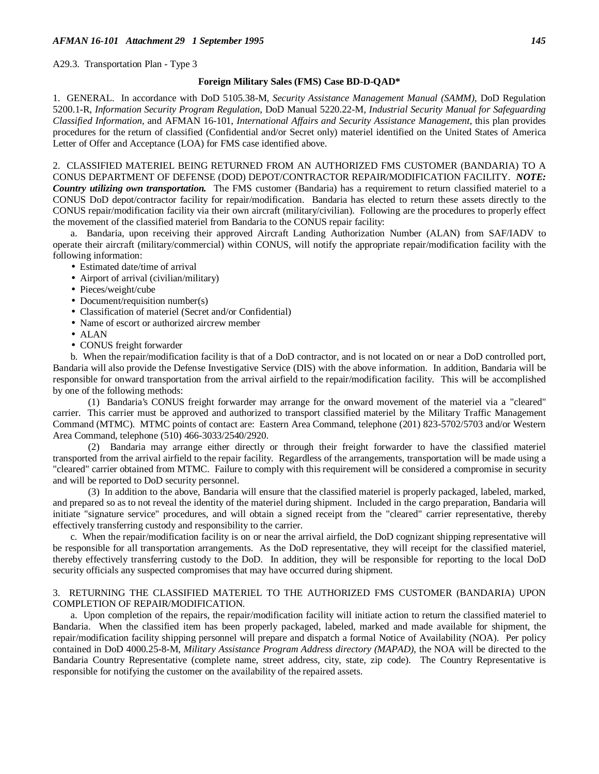A29.3. Transportation Plan - Type 3

#### **Foreign Military Sales (FMS) Case BD-D-QAD\***

1. GENERAL. In accordance with DoD 5105.38-M, *Security Assistance Management Manual (SAMM)*, DoD Regulation 5200.1-R, *Information Security Program Regulation*, DoD Manual 5220.22-M, *Industrial Security Manual for Safeguarding Classified Information*, and AFMAN 16-101, *International Affairs and Security Assistance Management*, this plan provides procedures for the return of classified (Confidential and/or Secret only) materiel identified on the United States of America Letter of Offer and Acceptance (LOA) for FMS case identified above.

2. CLASSIFIED MATERIEL BEING RETURNED FROM AN AUTHORIZED FMS CUSTOMER (BANDARIA) TO A CONUS DEPARTMENT OF DEFENSE (DOD) DEPOT/CONTRACTOR REPAIR/MODIFICATION FACILITY. *NOTE: Country utilizing own transportation.* The FMS customer (Bandaria) has a requirement to return classified materiel to a CONUS DoD depot/contractor facility for repair/modification. Bandaria has elected to return these assets directly to the CONUS repair/modification facility via their own aircraft (military/civilian). Following are the procedures to properly effect the movement of the classified materiel from Bandaria to the CONUS repair facility:

a. Bandaria, upon receiving their approved Aircraft Landing Authorization Number (ALAN) from SAF/IADV to operate their aircraft (military/commercial) within CONUS, will notify the appropriate repair/modification facility with the following information:

- Estimated date/time of arrival
- Airport of arrival (civilian/military)
- Pieces/weight/cube
- Document/requisition number(s)
- Classification of materiel (Secret and/or Confidential)
- Name of escort or authorized aircrew member
- ALAN
- CONUS freight forwarder

b. When the repair/modification facility is that of a DoD contractor, and is not located on or near a DoD controlled port, Bandaria will also provide the Defense Investigative Service (DIS) with the above information. In addition, Bandaria will be responsible for onward transportation from the arrival airfield to the repair/modification facility. This will be accomplished by one of the following methods:

(1) Bandaria's CONUS freight forwarder may arrange for the onward movement of the materiel via a "cleared" carrier. This carrier must be approved and authorized to transport classified materiel by the Military Traffic Management Command (MTMC). MTMC points of contact are: Eastern Area Command, telephone (201) 823-5702/5703 and/or Western Area Command, telephone (510) 466-3033/2540/2920.

(2) Bandaria may arrange either directly or through their freight forwarder to have the classified materiel transported from the arrival airfield to the repair facility. Regardless of the arrangements, transportation will be made using a "cleared" carrier obtained from MTMC. Failure to comply with this requirement will be considered a compromise in security and will be reported to DoD security personnel.

(3) In addition to the above, Bandaria will ensure that the classified materiel is properly packaged, labeled, marked, and prepared so as to not reveal the identity of the materiel during shipment. Included in the cargo preparation, Bandaria will initiate "signature service" procedures, and will obtain a signed receipt from the "cleared" carrier representative, thereby effectively transferring custody and responsibility to the carrier.

c. When the repair/modification facility is on or near the arrival airfield, the DoD cognizant shipping representative will be responsible for all transportation arrangements. As the DoD representative, they will receipt for the classified materiel, thereby effectively transferring custody to the DoD. In addition, they will be responsible for reporting to the local DoD security officials any suspected compromises that may have occurred during shipment.

### 3. RETURNING THE CLASSIFIED MATERIEL TO THE AUTHORIZED FMS CUSTOMER (BANDARIA) UPON COMPLETION OF REPAIR/MODIFICATION.

a. Upon completion of the repairs, the repair/modification facility will initiate action to return the classified materiel to Bandaria. When the classified item has been properly packaged, labeled, marked and made available for shipment, the repair/modification facility shipping personnel will prepare and dispatch a formal Notice of Availability (NOA). Per policy contained in DoD 4000.25-8-M, *Military Assistance Program Address directory (MAPAD)*, the NOA will be directed to the Bandaria Country Representative (complete name, street address, city, state, zip code). The Country Representative is responsible for notifying the customer on the availability of the repaired assets.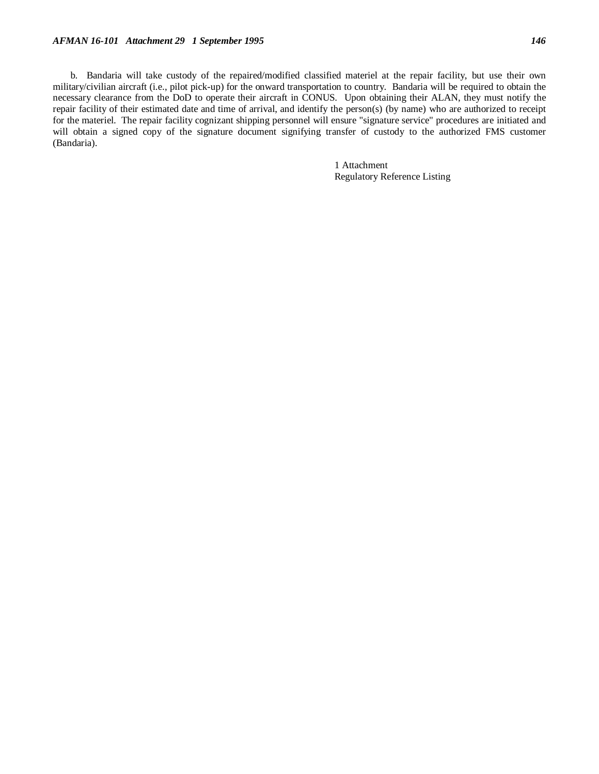b. Bandaria will take custody of the repaired/modified classified materiel at the repair facility, but use their own military/civilian aircraft (i.e., pilot pick-up) for the onward transportation to country. Bandaria will be required to obtain the necessary clearance from the DoD to operate their aircraft in CONUS. Upon obtaining their ALAN, they must notify the repair facility of their estimated date and time of arrival, and identify the person(s) (by name) who are authorized to receipt for the materiel. The repair facility cognizant shipping personnel will ensure "signature service" procedures are initiated and will obtain a signed copy of the signature document signifying transfer of custody to the authorized FMS customer (Bandaria).

> 1 Attachment Regulatory Reference Listing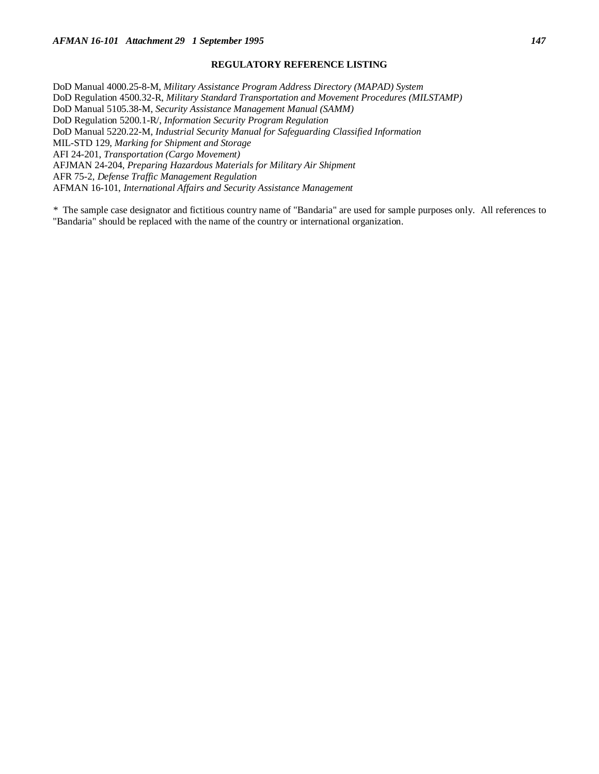# **REGULATORY REFERENCE LISTING**

DoD Manual 4000.25-8-M, *Military Assistance Program Address Directory (MAPAD) System* DoD Regulation 4500.32-R, *Military Standard Transportation and Movement Procedures (MILSTAMP)* DoD Manual 5105.38-M, *Security Assistance Management Manual (SAMM)* DoD Regulation 5200.1-R/, *Information Security Program Regulation* DoD Manual 5220.22-M, *Industrial Security Manual for Safeguarding Classified Information* MIL-STD 129, *Marking for Shipment and Storage* AFI 24-201, *Transportation (Cargo Movement)* AFJMAN 24-204, *Preparing Hazardous Materials for Military Air Shipment* AFR 75-2, *Defense Traffic Management Regulation* AFMAN 16-101, *International Affairs and Security Assistance Management*

*\** The sample case designator and fictitious country name of "Bandaria" are used for sample purposes only. All references to "Bandaria" should be replaced with the name of the country or international organization.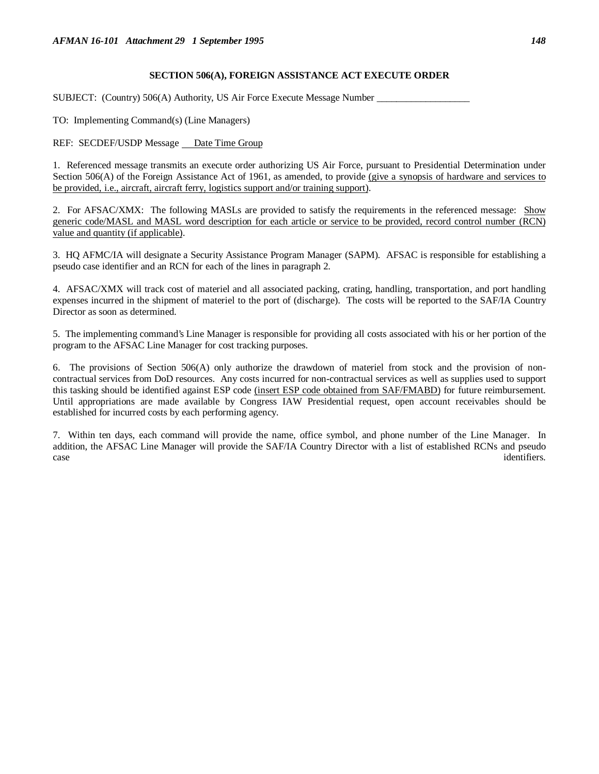### **SECTION 506(A), FOREIGN ASSISTANCE ACT EXECUTE ORDER**

SUBJECT: (Country) 506(A) Authority, US Air Force Execute Message Number

TO: Implementing Command(s) (Line Managers)

REF: SECDEF/USDP Message Date Time Group

1. Referenced message transmits an execute order authorizing US Air Force, pursuant to Presidential Determination under Section 506(A) of the Foreign Assistance Act of 1961, as amended, to provide (give a synopsis of hardware and services to be provided, i.e., aircraft, aircraft ferry, logistics support and/or training support).

2. For AFSAC/XMX: The following MASLs are provided to satisfy the requirements in the referenced message: Show generic code/MASL and MASL word description for each article or service to be provided, record control number (RCN) value and quantity (if applicable).

3. HQ AFMC/IA will designate a Security Assistance Program Manager (SAPM). AFSAC is responsible for establishing a pseudo case identifier and an RCN for each of the lines in paragraph 2.

4. AFSAC/XMX will track cost of materiel and all associated packing, crating, handling, transportation, and port handling expenses incurred in the shipment of materiel to the port of (discharge). The costs will be reported to the SAF/IA Country Director as soon as determined.

5. The implementing command's Line Manager is responsible for providing all costs associated with his or her portion of the program to the AFSAC Line Manager for cost tracking purposes.

6. The provisions of Section 506(A) only authorize the drawdown of materiel from stock and the provision of noncontractual services from DoD resources. Any costs incurred for non-contractual services as well as supplies used to support this tasking should be identified against ESP code (insert ESP code obtained from SAF/FMABD) for future reimbursement. Until appropriations are made available by Congress IAW Presidential request, open account receivables should be established for incurred costs by each performing agency.

7. Within ten days, each command will provide the name, office symbol, and phone number of the Line Manager. In addition, the AFSAC Line Manager will provide the SAF/IA Country Director with a list of established RCNs and pseudo case identifiers. The set of the set of the set of the set of the set of the set of the set of the set of the set of the set of the set of the set of the set of the set of the set of the set of the set of the set of the se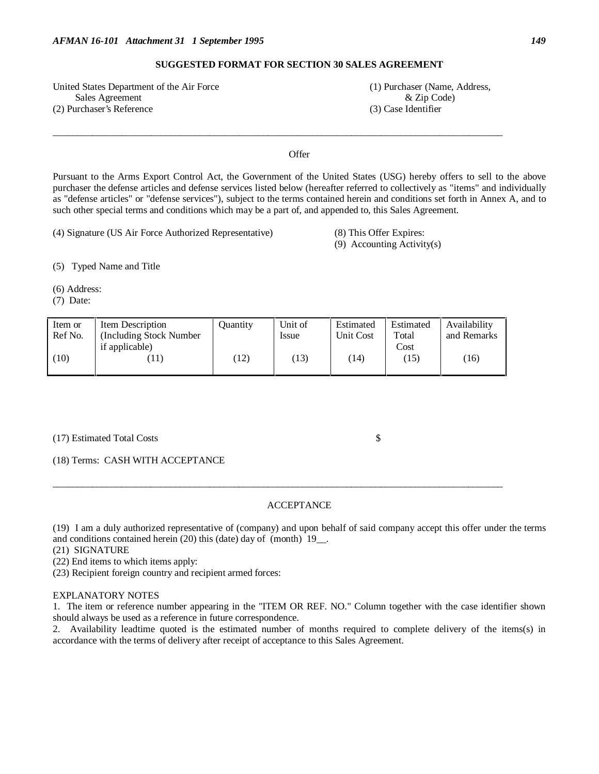# **SUGGESTED FORMAT FOR SECTION 30 SALES AGREEMENT**

United States Department of the Air Force (1) Purchaser (Name, Address, Sales Agreement  $\&$  Zip Code) (2) Purchaser's Reference (3) Case Identifier

**Offer** 

 $\_$  ,  $\_$  ,  $\_$  ,  $\_$  ,  $\_$  ,  $\_$  ,  $\_$  ,  $\_$  ,  $\_$  ,  $\_$  ,  $\_$  ,  $\_$  ,  $\_$  ,  $\_$  ,  $\_$  ,  $\_$  ,  $\_$  ,  $\_$  ,  $\_$  ,  $\_$  ,  $\_$  ,  $\_$  ,  $\_$  ,  $\_$  ,  $\_$  ,  $\_$  ,  $\_$  ,  $\_$  ,  $\_$  ,  $\_$  ,  $\_$  ,  $\_$  ,  $\_$  ,  $\_$  ,  $\_$  ,  $\_$  ,  $\_$  ,

Pursuant to the Arms Export Control Act, the Government of the United States (USG) hereby offers to sell to the above purchaser the defense articles and defense services listed below (hereafter referred to collectively as "items" and individually as "defense articles" or "defense services"), subject to the terms contained herein and conditions set forth in Annex A, and to such other special terms and conditions which may be a part of, and appended to, this Sales Agreement.

(4) Signature (US Air Force Authorized Representative) (8) This Offer Expires:

(9) Accounting Activity(s)

(5) Typed Name and Title

(6) Address:

(7) Date:

| Item or<br>Ref No. | Item Description<br>(Including Stock Number) | <b>Duantity</b> | Unit of<br><i>Issue</i> | Estimated<br>Unit Cost | Estimated<br>Total | Availability<br>and Remarks |
|--------------------|----------------------------------------------|-----------------|-------------------------|------------------------|--------------------|-----------------------------|
| 10)                | if applicable)<br>11)                        | (12)            | 13)                     | (14)                   | Cost<br>(15)       | 16)                         |
|                    |                                              |                 |                         |                        |                    |                             |

# (17) Estimated Total Costs \$

(18) Terms: CASH WITH ACCEPTANCE

# ACCEPTANCE

 $\_$  . The contribution of the contribution of the contribution of the contribution of the contribution of the contribution of the contribution of the contribution of the contribution of the contribution of the contributio

(19) I am a duly authorized representative of (company) and upon behalf of said company accept this offer under the terms and conditions contained herein (20) this (date) day of (month) 19.

(21) SIGNATURE

(22) End items to which items apply:

(23) Recipient foreign country and recipient armed forces:

#### EXPLANATORY NOTES

1. The item or reference number appearing in the "ITEM OR REF. NO." Column together with the case identifier shown should always be used as a reference in future correspondence.

2. Availability leadtime quoted is the estimated number of months required to complete delivery of the items(s) in accordance with the terms of delivery after receipt of acceptance to this Sales Agreement.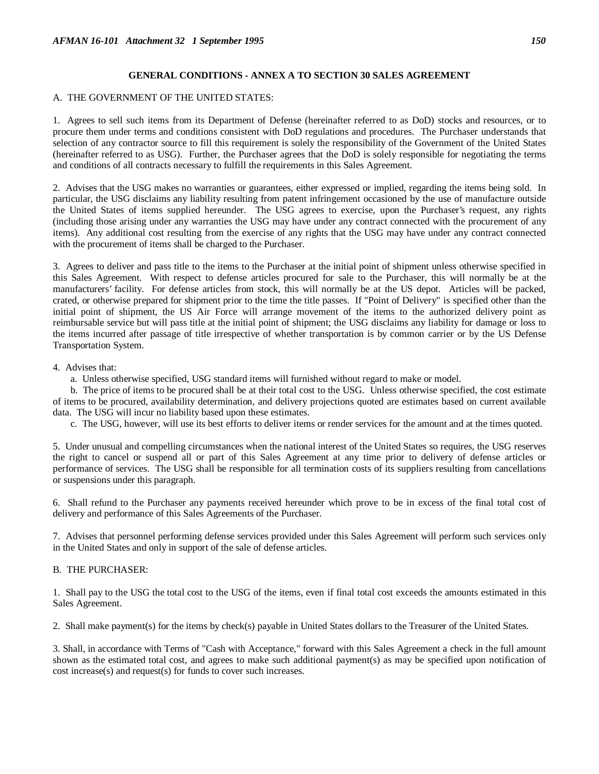### **GENERAL CONDITIONS - ANNEX A TO SECTION 30 SALES AGREEMENT**

#### A. THE GOVERNMENT OF THE UNITED STATES:

1. Agrees to sell such items from its Department of Defense (hereinafter referred to as DoD) stocks and resources, or to procure them under terms and conditions consistent with DoD regulations and procedures. The Purchaser understands that selection of any contractor source to fill this requirement is solely the responsibility of the Government of the United States (hereinafter referred to as USG). Further, the Purchaser agrees that the DoD is solely responsible for negotiating the terms and conditions of all contracts necessary to fulfill the requirements in this Sales Agreement.

2. Advises that the USG makes no warranties or guarantees, either expressed or implied, regarding the items being sold. In particular, the USG disclaims any liability resulting from patent infringement occasioned by the use of manufacture outside the United States of items supplied hereunder. The USG agrees to exercise, upon the Purchaser's request, any rights (including those arising under any warranties the USG may have under any contract connected with the procurement of any items). Any additional cost resulting from the exercise of any rights that the USG may have under any contract connected with the procurement of items shall be charged to the Purchaser.

3. Agrees to deliver and pass title to the items to the Purchaser at the initial point of shipment unless otherwise specified in this Sales Agreement. With respect to defense articles procured for sale to the Purchaser, this will normally be at the manufacturers' facility. For defense articles from stock, this will normally be at the US depot. Articles will be packed, crated, or otherwise prepared for shipment prior to the time the title passes. If "Point of Delivery" is specified other than the initial point of shipment, the US Air Force will arrange movement of the items to the authorized delivery point as reimbursable service but will pass title at the initial point of shipment; the USG disclaims any liability for damage or loss to the items incurred after passage of title irrespective of whether transportation is by common carrier or by the US Defense Transportation System.

### 4. Advises that:

a. Unless otherwise specified, USG standard items will furnished without regard to make or model.

b. The price of items to be procured shall be at their total cost to the USG. Unless otherwise specified, the cost estimate of items to be procured, availability determination, and delivery projections quoted are estimates based on current available data. The USG will incur no liability based upon these estimates.

c. The USG, however, will use its best efforts to deliver items or render services for the amount and at the times quoted.

5. Under unusual and compelling circumstances when the national interest of the United States so requires, the USG reserves the right to cancel or suspend all or part of this Sales Agreement at any time prior to delivery of defense articles or performance of services. The USG shall be responsible for all termination costs of its suppliers resulting from cancellations or suspensions under this paragraph.

6. Shall refund to the Purchaser any payments received hereunder which prove to be in excess of the final total cost of delivery and performance of this Sales Agreements of the Purchaser.

7. Advises that personnel performing defense services provided under this Sales Agreement will perform such services only in the United States and only in support of the sale of defense articles.

# B. THE PURCHASER:

1. Shall pay to the USG the total cost to the USG of the items, even if final total cost exceeds the amounts estimated in this Sales Agreement.

2. Shall make payment(s) for the items by check(s) payable in United States dollars to the Treasurer of the United States.

3. Shall, in accordance with Terms of "Cash with Acceptance," forward with this Sales Agreement a check in the full amount shown as the estimated total cost, and agrees to make such additional payment(s) as may be specified upon notification of cost increase(s) and request(s) for funds to cover such increases.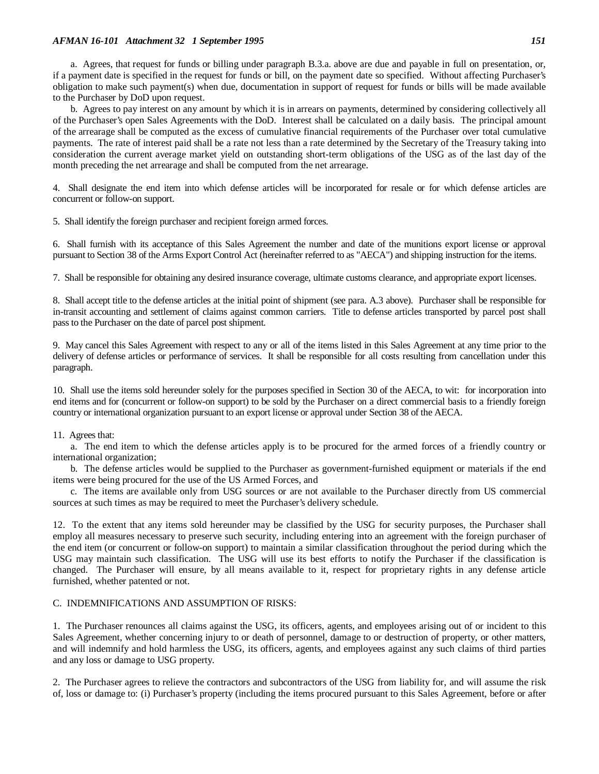#### *AFMAN 16-101 Attachment 32 1 September 1995 151*

a. Agrees, that request for funds or billing under paragraph B.3.a. above are due and payable in full on presentation, or, if a payment date is specified in the request for funds or bill, on the payment date so specified. Without affecting Purchaser's obligation to make such payment(s) when due, documentation in support of request for funds or bills will be made available to the Purchaser by DoD upon request.

b. Agrees to pay interest on any amount by which it is in arrears on payments, determined by considering collectively all of the Purchaser's open Sales Agreements with the DoD. Interest shall be calculated on a daily basis. The principal amount of the arrearage shall be computed as the excess of cumulative financial requirements of the Purchaser over total cumulative payments. The rate of interest paid shall be a rate not less than a rate determined by the Secretary of the Treasury taking into consideration the current average market yield on outstanding short-term obligations of the USG as of the last day of the month preceding the net arrearage and shall be computed from the net arrearage.

4. Shall designate the end item into which defense articles will be incorporated for resale or for which defense articles are concurrent or follow-on support.

5. Shall identify the foreign purchaser and recipient foreign armed forces.

6. Shall furnish with its acceptance of this Sales Agreement the number and date of the munitions export license or approval pursuant to Section 38 of the Arms Export Control Act (hereinafter referred to as "AECA") and shipping instruction for the items.

7. Shall be responsible for obtaining any desired insurance coverage, ultimate customs clearance, and appropriate export licenses.

8. Shall accept title to the defense articles at the initial point of shipment (see para. A.3 above). Purchaser shall be responsible for in-transit accounting and settlement of claims against common carriers. Title to defense articles transported by parcel post shall pass to the Purchaser on the date of parcel post shipment.

9. May cancel this Sales Agreement with respect to any or all of the items listed in this Sales Agreement at any time prior to the delivery of defense articles or performance of services. It shall be responsible for all costs resulting from cancellation under this paragraph.

10. Shall use the items sold hereunder solely for the purposes specified in Section 30 of the AECA, to wit: for incorporation into end items and for (concurrent or follow-on support) to be sold by the Purchaser on a direct commercial basis to a friendly foreign country or international organization pursuant to an export license or approval under Section 38 of the AECA.

#### 11. Agrees that:

a. The end item to which the defense articles apply is to be procured for the armed forces of a friendly country or international organization;

b. The defense articles would be supplied to the Purchaser as government-furnished equipment or materials if the end items were being procured for the use of the US Armed Forces, and

c. The items are available only from USG sources or are not available to the Purchaser directly from US commercial sources at such times as may be required to meet the Purchaser's delivery schedule.

12. To the extent that any items sold hereunder may be classified by the USG for security purposes, the Purchaser shall employ all measures necessary to preserve such security, including entering into an agreement with the foreign purchaser of the end item (or concurrent or follow-on support) to maintain a similar classification throughout the period during which the USG may maintain such classification. The USG will use its best efforts to notify the Purchaser if the classification is changed. The Purchaser will ensure, by all means available to it, respect for proprietary rights in any defense article furnished, whether patented or not.

#### C. INDEMNIFICATIONS AND ASSUMPTION OF RISKS:

1. The Purchaser renounces all claims against the USG, its officers, agents, and employees arising out of or incident to this Sales Agreement, whether concerning injury to or death of personnel, damage to or destruction of property, or other matters, and will indemnify and hold harmless the USG, its officers, agents, and employees against any such claims of third parties and any loss or damage to USG property.

2. The Purchaser agrees to relieve the contractors and subcontractors of the USG from liability for, and will assume the risk of, loss or damage to: (i) Purchaser's property (including the items procured pursuant to this Sales Agreement, before or after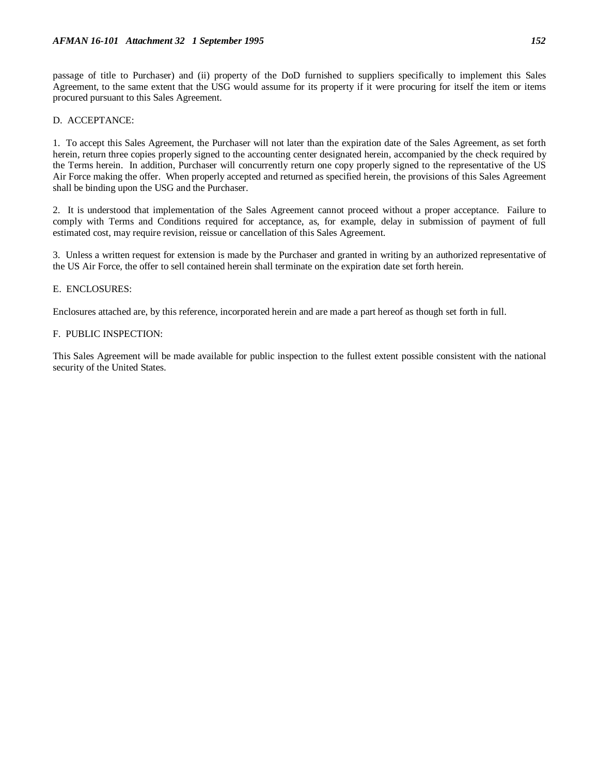passage of title to Purchaser) and (ii) property of the DoD furnished to suppliers specifically to implement this Sales Agreement, to the same extent that the USG would assume for its property if it were procuring for itself the item or items procured pursuant to this Sales Agreement.

### D. ACCEPTANCE:

1. To accept this Sales Agreement, the Purchaser will not later than the expiration date of the Sales Agreement, as set forth herein, return three copies properly signed to the accounting center designated herein, accompanied by the check required by the Terms herein. In addition, Purchaser will concurrently return one copy properly signed to the representative of the US Air Force making the offer. When properly accepted and returned as specified herein, the provisions of this Sales Agreement shall be binding upon the USG and the Purchaser.

2. It is understood that implementation of the Sales Agreement cannot proceed without a proper acceptance. Failure to comply with Terms and Conditions required for acceptance, as, for example, delay in submission of payment of full estimated cost, may require revision, reissue or cancellation of this Sales Agreement.

3. Unless a written request for extension is made by the Purchaser and granted in writing by an authorized representative of the US Air Force, the offer to sell contained herein shall terminate on the expiration date set forth herein.

#### E. ENCLOSURES:

Enclosures attached are, by this reference, incorporated herein and are made a part hereof as though set forth in full.

#### F. PUBLIC INSPECTION:

This Sales Agreement will be made available for public inspection to the fullest extent possible consistent with the national security of the United States.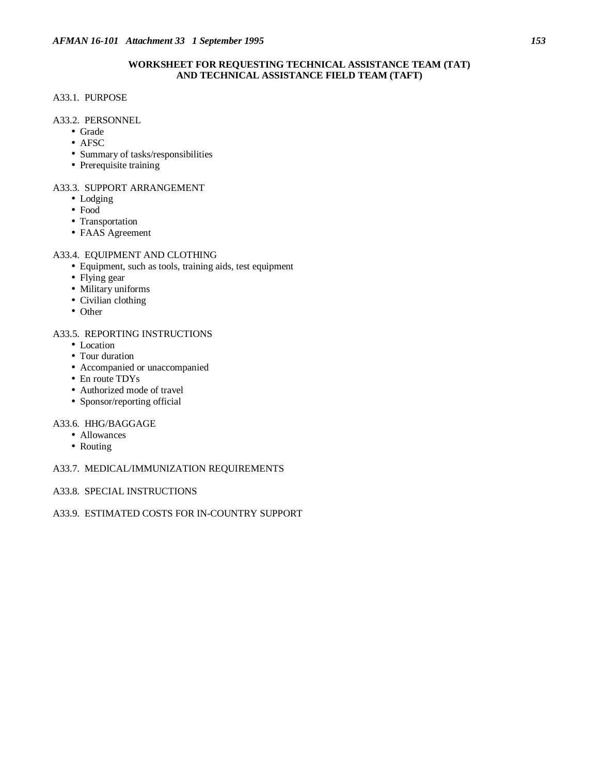### **WORKSHEET FOR REQUESTING TECHNICAL ASSISTANCE TEAM (TAT) AND TECHNICAL ASSISTANCE FIELD TEAM (TAFT)**

A33.1. PURPOSE

A33.2. PERSONNEL

- Grade
- AFSC
- Summary of tasks/responsibilities
- Prerequisite training

# A33.3. SUPPORT ARRANGEMENT

- Lodging
- Food
- Transportation
- FAAS Agreement

### A33.4. EQUIPMENT AND CLOTHING

- Equipment, such as tools, training aids, test equipment
- Flying gear
- Military uniforms
- Civilian clothing
- Other

# A33.5. REPORTING INSTRUCTIONS

- Location
- Tour duration
- Accompanied or unaccompanied
- En route TDYs
- Authorized mode of travel
- Sponsor/reporting official

# A33.6. HHG/BAGGAGE

- Allowances
- Routing

# A33.7. MEDICAL/IMMUNIZATION REQUIREMENTS

- A33.8. SPECIAL INSTRUCTIONS
- A33.9. ESTIMATED COSTS FOR IN-COUNTRY SUPPORT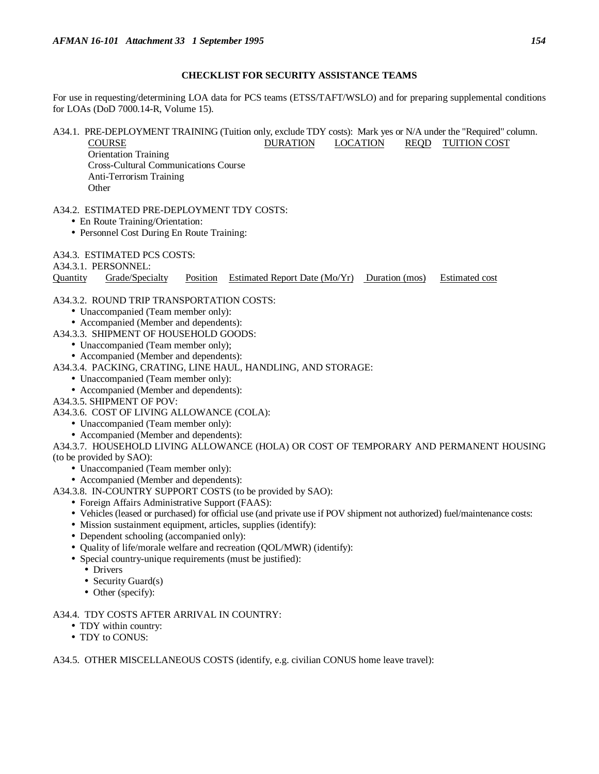# **CHECKLIST FOR SECURITY ASSISTANCE TEAMS**

For use in requesting/determining LOA data for PCS teams (ETSS/TAFT/WSLO) and for preparing supplemental conditions for LOAs (DoD 7000.14-R, Volume 15).

# A34.1. PRE-DEPLOYMENT TRAINING (Tuition only, exclude TDY costs): Mark yes or N/A under the "Required" column. COURSE DURATION LOCATION REQD TUITION COST

Orientation Training Cross-Cultural Communications Course Anti-Terrorism Training **Other** 

# A34.2. ESTIMATED PRE-DEPLOYMENT TDY COSTS:

- En Route Training/Orientation:
- Personnel Cost During En Route Training:

A34.3. ESTIMATED PCS COSTS:

A34.3.1. PERSONNEL:

Quantity Grade/Specialty Position Estimated Report Date (Mo/Yr) Duration (mos) Estimated cost

# A34.3.2. ROUND TRIP TRANSPORTATION COSTS:

- Unaccompanied (Team member only):
- Accompanied (Member and dependents):
- A34.3.3. SHIPMENT OF HOUSEHOLD GOODS:
	- Unaccompanied (Team member only);
	- Accompanied (Member and dependents):
- A34.3.4. PACKING, CRATING, LINE HAUL, HANDLING, AND STORAGE:
	- Unaccompanied (Team member only):
	- Accompanied (Member and dependents):
- A34.3.5. SHIPMENT OF POV:
- A34.3.6. COST OF LIVING ALLOWANCE (COLA):
	- Unaccompanied (Team member only):
	- Accompanied (Member and dependents):

A34.3.7. HOUSEHOLD LIVING ALLOWANCE (HOLA) OR COST OF TEMPORARY AND PERMANENT HOUSING (to be provided by SAO):

- Unaccompanied (Team member only):
- Accompanied (Member and dependents):

A34.3.8. IN-COUNTRY SUPPORT COSTS (to be provided by SAO):

- Foreign Affairs Administrative Support (FAAS):
- Vehicles (leased or purchased) for official use (and private use if POV shipment not authorized) fuel/maintenance costs:
- Mission sustainment equipment, articles, supplies (identify):
- Dependent schooling (accompanied only):
- Quality of life/morale welfare and recreation (QOL/MWR) (identify):
- Special country-unique requirements (must be justified):
	- Drivers
	- Security Guard(s)
	- Other (specify):

# A34.4. TDY COSTS AFTER ARRIVAL IN COUNTRY:

- TDY within country:
- TDY to CONUS:

A34.5. OTHER MISCELLANEOUS COSTS (identify, e.g. civilian CONUS home leave travel):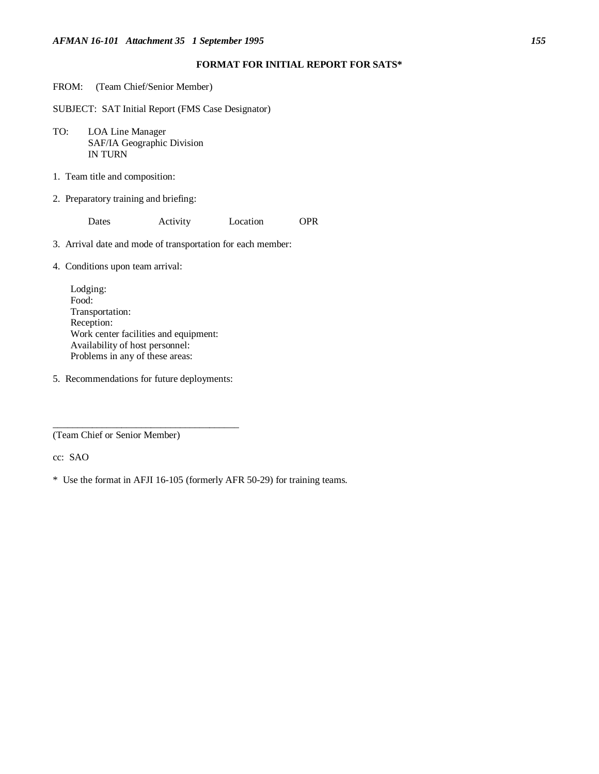# **FORMAT FOR INITIAL REPORT FOR SATS\***

|                                                                                                                                                                   | FROM: (Team Chief/Senior Member)                                        |          |          |            |  |  |  |  |
|-------------------------------------------------------------------------------------------------------------------------------------------------------------------|-------------------------------------------------------------------------|----------|----------|------------|--|--|--|--|
| <b>SUBJECT: SAT Initial Report (FMS Case Designator)</b>                                                                                                          |                                                                         |          |          |            |  |  |  |  |
| TO:                                                                                                                                                               | <b>LOA Line Manager</b><br>SAF/IA Geographic Division<br><b>IN TURN</b> |          |          |            |  |  |  |  |
| 1. Team title and composition:                                                                                                                                    |                                                                         |          |          |            |  |  |  |  |
| 2. Preparatory training and briefing:                                                                                                                             |                                                                         |          |          |            |  |  |  |  |
|                                                                                                                                                                   | Dates                                                                   | Activity | Location | <b>OPR</b> |  |  |  |  |
| 3. Arrival date and mode of transportation for each member:                                                                                                       |                                                                         |          |          |            |  |  |  |  |
| 4. Conditions upon team arrival:                                                                                                                                  |                                                                         |          |          |            |  |  |  |  |
| Lodging:<br>Food:<br>Transportation:<br>Reception:<br>Work center facilities and equipment:<br>Availability of host personnel:<br>Problems in any of these areas: |                                                                         |          |          |            |  |  |  |  |
|                                                                                                                                                                   |                                                                         |          |          |            |  |  |  |  |

5. Recommendations for future deployments:

\_\_\_\_\_\_\_\_\_\_\_\_\_\_\_\_\_\_\_\_\_\_\_\_\_\_\_\_\_\_\_\_\_\_\_\_\_\_

(Team Chief or Senior Member)

cc: SAO

\* Use the format in AFJI 16-105 (formerly AFR 50-29) for training teams.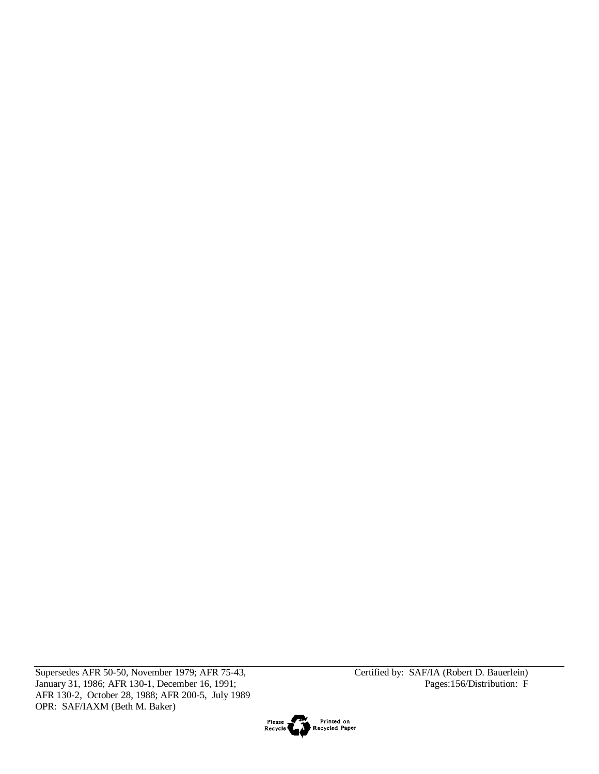